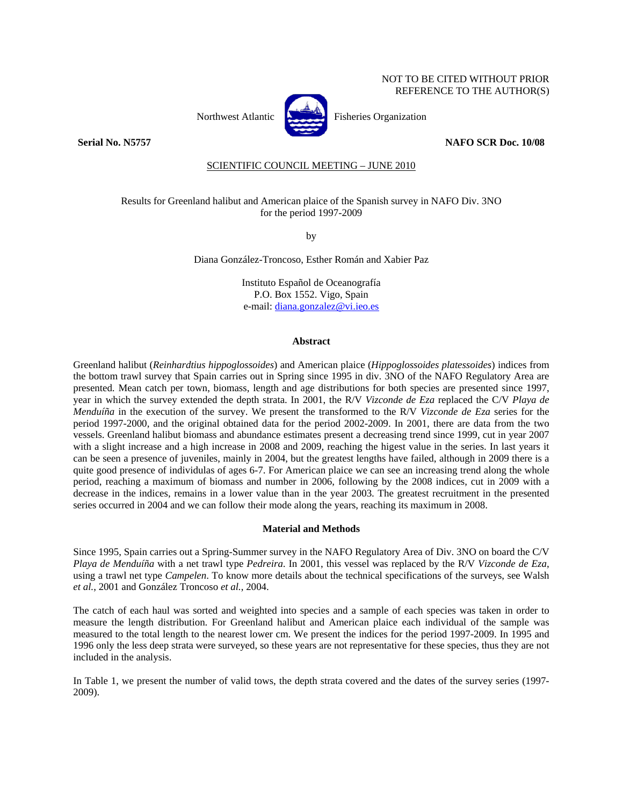# NOT TO BE CITED WITHOUT PRIOR REFERENCE TO THE AUTHOR(S)



Northwest Atlantic **Northusia** Fisheries Organization

**Serial No. N5757 NAFO SCR Doc. 10/08** 

# SCIENTIFIC COUNCIL MEETING – JUNE 2010

Results for Greenland halibut and American plaice of the Spanish survey in NAFO Div. 3NO for the period 1997-2009

by

Diana González-Troncoso, Esther Román and Xabier Paz

Instituto Español de Oceanografía P.O. Box 1552. Vigo, Spain e-mail: diana.gonzalez@vi.ieo.es

# **Abstract**

Greenland halibut (*Reinhardtius hippoglossoides*) and American plaice (*Hippoglossoides platessoides*) indices from the bottom trawl survey that Spain carries out in Spring since 1995 in div. 3NO of the NAFO Regulatory Area are presented. Mean catch per town, biomass, length and age distributions for both species are presented since 1997, year in which the survey extended the depth strata. In 2001, the R/V *Vizconde de Eza* replaced the C/V *Playa de Menduíña* in the execution of the survey. We present the transformed to the R/V *Vizconde de Eza* series for the period 1997-2000, and the original obtained data for the period 2002-2009. In 2001, there are data from the two vessels. Greenland halibut biomass and abundance estimates present a decreasing trend since 1999, cut in year 2007 with a slight increase and a high increase in 2008 and 2009, reaching the higest value in the series. In last years it can be seen a presence of juveniles, mainly in 2004, but the greatest lengths have failed, although in 2009 there is a quite good presence of individulas of ages 6-7. For American plaice we can see an increasing trend along the whole period, reaching a maximum of biomass and number in 2006, following by the 2008 indices, cut in 2009 with a decrease in the indices, remains in a lower value than in the year 2003. The greatest recruitment in the presented series occurred in 2004 and we can follow their mode along the years, reaching its maximum in 2008.

#### **Material and Methods**

Since 1995, Spain carries out a Spring-Summer survey in the NAFO Regulatory Area of Div. 3NO on board the C/V *Playa de Menduíña* with a net trawl type *Pedreira*. In 2001, this vessel was replaced by the R/V *Vizconde de Eza*, using a trawl net type *Campelen*. To know more details about the technical specifications of the surveys, see Walsh *et al.*, 2001 and González Troncoso *et al.*, 2004.

The catch of each haul was sorted and weighted into species and a sample of each species was taken in order to measure the length distribution. For Greenland halibut and American plaice each individual of the sample was measured to the total length to the nearest lower cm. We present the indices for the period 1997-2009. In 1995 and 1996 only the less deep strata were surveyed, so these years are not representative for these species, thus they are not included in the analysis.

In Table 1, we present the number of valid tows, the depth strata covered and the dates of the survey series (1997- 2009).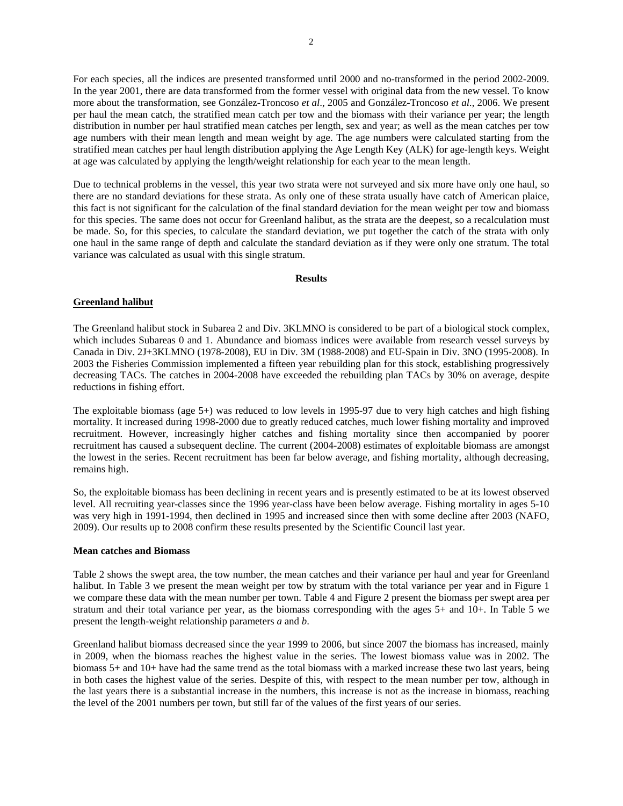For each species, all the indices are presented transformed until 2000 and no-transformed in the period 2002-2009. In the year 2001, there are data transformed from the former vessel with original data from the new vessel. To know more about the transformation, see González-Troncoso *et al*., 2005 and González-Troncoso *et al*., 2006. We present per haul the mean catch, the stratified mean catch per tow and the biomass with their variance per year; the length distribution in number per haul stratified mean catches per length, sex and year; as well as the mean catches per tow age numbers with their mean length and mean weight by age. The age numbers were calculated starting from the stratified mean catches per haul length distribution applying the Age Length Key (ALK) for age-length keys. Weight at age was calculated by applying the length/weight relationship for each year to the mean length.

Due to technical problems in the vessel, this year two strata were not surveyed and six more have only one haul, so there are no standard deviations for these strata. As only one of these strata usually have catch of American plaice, this fact is not significant for the calculation of the final standard deviation for the mean weight per tow and biomass for this species. The same does not occur for Greenland halibut, as the strata are the deepest, so a recalculation must be made. So, for this species, to calculate the standard deviation, we put together the catch of the strata with only one haul in the same range of depth and calculate the standard deviation as if they were only one stratum. The total variance was calculated as usual with this single stratum.

### **Results**

# **Greenland halibut**

The Greenland halibut stock in Subarea 2 and Div. 3KLMNO is considered to be part of a biological stock complex, which includes Subareas 0 and 1. Abundance and biomass indices were available from research vessel surveys by Canada in Div. 2J+3KLMNO (1978-2008), EU in Div. 3M (1988-2008) and EU-Spain in Div. 3NO (1995-2008). In 2003 the Fisheries Commission implemented a fifteen year rebuilding plan for this stock, establishing progressively decreasing TACs. The catches in 2004-2008 have exceeded the rebuilding plan TACs by 30% on average, despite reductions in fishing effort.

The exploitable biomass (age 5+) was reduced to low levels in 1995-97 due to very high catches and high fishing mortality. It increased during 1998-2000 due to greatly reduced catches, much lower fishing mortality and improved recruitment. However, increasingly higher catches and fishing mortality since then accompanied by poorer recruitment has caused a subsequent decline. The current (2004-2008) estimates of exploitable biomass are amongst the lowest in the series. Recent recruitment has been far below average, and fishing mortality, although decreasing, remains high.

So, the exploitable biomass has been declining in recent years and is presently estimated to be at its lowest observed level. All recruiting year-classes since the 1996 year-class have been below average. Fishing mortality in ages 5-10 was very high in 1991-1994, then declined in 1995 and increased since then with some decline after 2003 (NAFO, 2009). Our results up to 2008 confirm these results presented by the Scientific Council last year.

# **Mean catches and Biomass**

Table 2 shows the swept area, the tow number, the mean catches and their variance per haul and year for Greenland halibut. In Table 3 we present the mean weight per tow by stratum with the total variance per year and in Figure 1 we compare these data with the mean number per town. Table 4 and Figure 2 present the biomass per swept area per stratum and their total variance per year, as the biomass corresponding with the ages 5+ and 10+. In Table 5 we present the length-weight relationship parameters *a* and *b*.

Greenland halibut biomass decreased since the year 1999 to 2006, but since 2007 the biomass has increased, mainly in 2009, when the biomass reaches the highest value in the series. The lowest biomass value was in 2002. The biomass 5+ and 10+ have had the same trend as the total biomass with a marked increase these two last years, being in both cases the highest value of the series. Despite of this, with respect to the mean number per tow, although in the last years there is a substantial increase in the numbers, this increase is not as the increase in biomass, reaching the level of the 2001 numbers per town, but still far of the values of the first years of our series.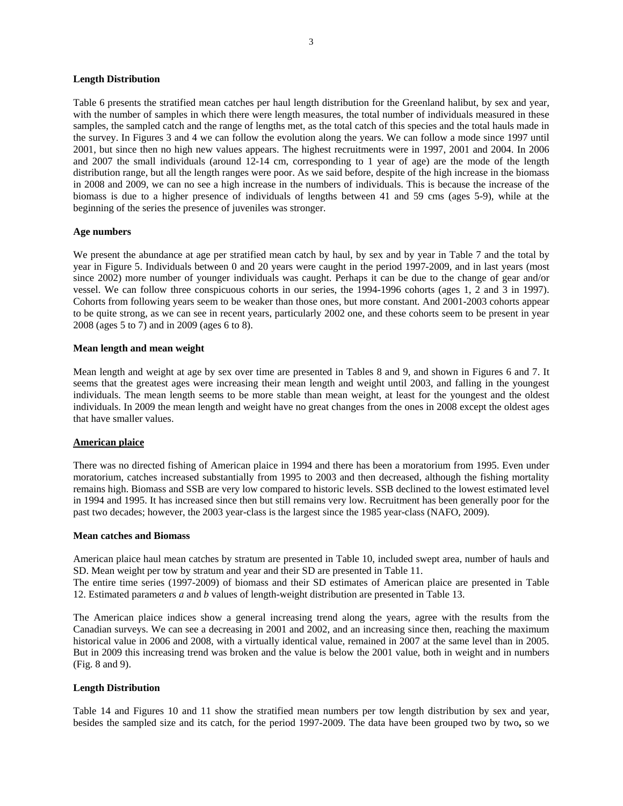### **Length Distribution**

Table 6 presents the stratified mean catches per haul length distribution for the Greenland halibut, by sex and year, with the number of samples in which there were length measures, the total number of individuals measured in these samples, the sampled catch and the range of lengths met, as the total catch of this species and the total hauls made in the survey. In Figures 3 and 4 we can follow the evolution along the years. We can follow a mode since 1997 until 2001, but since then no high new values appears. The highest recruitments were in 1997, 2001 and 2004. In 2006 and 2007 the small individuals (around 12-14 cm, corresponding to 1 year of age) are the mode of the length distribution range, but all the length ranges were poor. As we said before, despite of the high increase in the biomass in 2008 and 2009, we can no see a high increase in the numbers of individuals. This is because the increase of the biomass is due to a higher presence of individuals of lengths between 41 and 59 cms (ages 5-9), while at the beginning of the series the presence of juveniles was stronger.

### **Age numbers**

We present the abundance at age per stratified mean catch by haul, by sex and by year in Table 7 and the total by year in Figure 5. Individuals between 0 and 20 years were caught in the period 1997-2009, and in last years (most since 2002) more number of younger individuals was caught. Perhaps it can be due to the change of gear and/or vessel. We can follow three conspicuous cohorts in our series, the 1994-1996 cohorts (ages 1, 2 and 3 in 1997). Cohorts from following years seem to be weaker than those ones, but more constant. And 2001-2003 cohorts appear to be quite strong, as we can see in recent years, particularly 2002 one, and these cohorts seem to be present in year 2008 (ages 5 to 7) and in 2009 (ages 6 to 8).

### **Mean length and mean weight**

Mean length and weight at age by sex over time are presented in Tables 8 and 9, and shown in Figures 6 and 7. It seems that the greatest ages were increasing their mean length and weight until 2003, and falling in the youngest individuals. The mean length seems to be more stable than mean weight, at least for the youngest and the oldest individuals. In 2009 the mean length and weight have no great changes from the ones in 2008 except the oldest ages that have smaller values.

# **American plaice**

There was no directed fishing of American plaice in 1994 and there has been a moratorium from 1995. Even under moratorium, catches increased substantially from 1995 to 2003 and then decreased, although the fishing mortality remains high. Biomass and SSB are very low compared to historic levels. SSB declined to the lowest estimated level in 1994 and 1995. It has increased since then but still remains very low. Recruitment has been generally poor for the past two decades; however, the 2003 year-class is the largest since the 1985 year-class (NAFO, 2009).

#### **Mean catches and Biomass**

American plaice haul mean catches by stratum are presented in Table 10, included swept area, number of hauls and SD. Mean weight per tow by stratum and year and their SD are presented in Table 11.

The entire time series (1997-2009) of biomass and their SD estimates of American plaice are presented in Table 12. Estimated parameters *a* and *b* values of length-weight distribution are presented in Table 13.

The American plaice indices show a general increasing trend along the years, agree with the results from the Canadian surveys. We can see a decreasing in 2001 and 2002, and an increasing since then, reaching the maximum historical value in 2006 and 2008, with a virtually identical value, remained in 2007 at the same level than in 2005. But in 2009 this increasing trend was broken and the value is below the 2001 value, both in weight and in numbers (Fig. 8 and 9).

# **Length Distribution**

Table 14 and Figures 10 and 11 show the stratified mean numbers per tow length distribution by sex and year, besides the sampled size and its catch, for the period 1997-2009. The data have been grouped two by two**,** so we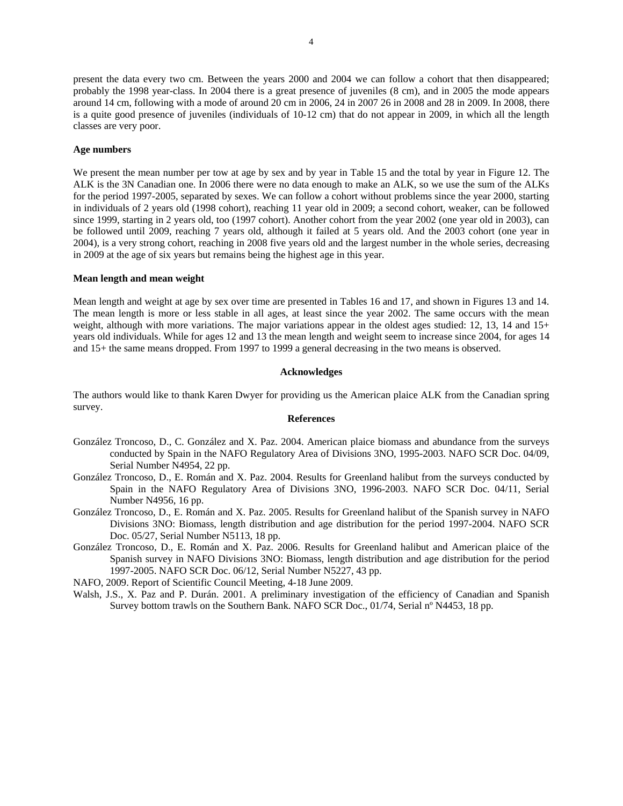4

present the data every two cm. Between the years 2000 and 2004 we can follow a cohort that then disappeared; probably the 1998 year-class. In 2004 there is a great presence of juveniles (8 cm), and in 2005 the mode appears around 14 cm, following with a mode of around 20 cm in 2006, 24 in 2007 26 in 2008 and 28 in 2009. In 2008, there is a quite good presence of juveniles (individuals of 10-12 cm) that do not appear in 2009, in which all the length classes are very poor.

## **Age numbers**

We present the mean number per tow at age by sex and by year in Table 15 and the total by year in Figure 12. The ALK is the 3N Canadian one. In 2006 there were no data enough to make an ALK, so we use the sum of the ALKs for the period 1997-2005, separated by sexes. We can follow a cohort without problems since the year 2000, starting in individuals of 2 years old (1998 cohort), reaching 11 year old in 2009; a second cohort, weaker, can be followed since 1999, starting in 2 years old, too (1997 cohort). Another cohort from the year 2002 (one year old in 2003), can be followed until 2009, reaching 7 years old, although it failed at 5 years old. And the 2003 cohort (one year in 2004), is a very strong cohort, reaching in 2008 five years old and the largest number in the whole series, decreasing in 2009 at the age of six years but remains being the highest age in this year.

#### **Mean length and mean weight**

Mean length and weight at age by sex over time are presented in Tables 16 and 17, and shown in Figures 13 and 14. The mean length is more or less stable in all ages, at least since the year 2002. The same occurs with the mean weight, although with more variations. The major variations appear in the oldest ages studied: 12, 13, 14 and 15+ years old individuals. While for ages 12 and 13 the mean length and weight seem to increase since 2004, for ages 14 and 15+ the same means dropped. From 1997 to 1999 a general decreasing in the two means is observed.

### **Acknowledges**

The authors would like to thank Karen Dwyer for providing us the American plaice ALK from the Canadian spring survey.

### **References**

- González Troncoso, D., C. González and X. Paz. 2004. American plaice biomass and abundance from the surveys conducted by Spain in the NAFO Regulatory Area of Divisions 3NO, 1995-2003. NAFO SCR Doc. 04/09, Serial Number N4954, 22 pp.
- González Troncoso, D., E. Román and X. Paz. 2004. Results for Greenland halibut from the surveys conducted by Spain in the NAFO Regulatory Area of Divisions 3NO, 1996-2003. NAFO SCR Doc. 04/11, Serial Number N4956, 16 pp.
- González Troncoso, D., E. Román and X. Paz. 2005. Results for Greenland halibut of the Spanish survey in NAFO Divisions 3NO: Biomass, length distribution and age distribution for the period 1997-2004. NAFO SCR Doc. 05/27, Serial Number N5113, 18 pp.
- González Troncoso, D., E. Román and X. Paz. 2006. Results for Greenland halibut and American plaice of the Spanish survey in NAFO Divisions 3NO: Biomass, length distribution and age distribution for the period 1997-2005. NAFO SCR Doc. 06/12, Serial Number N5227, 43 pp.
- NAFO, 2009. Report of Scientific Council Meeting, 4-18 June 2009.
- Walsh, J.S., X. Paz and P. Durán. 2001. A preliminary investigation of the efficiency of Canadian and Spanish Survey bottom trawls on the Southern Bank. NAFO SCR Doc., 01/74, Serial nº N4453, 18 pp.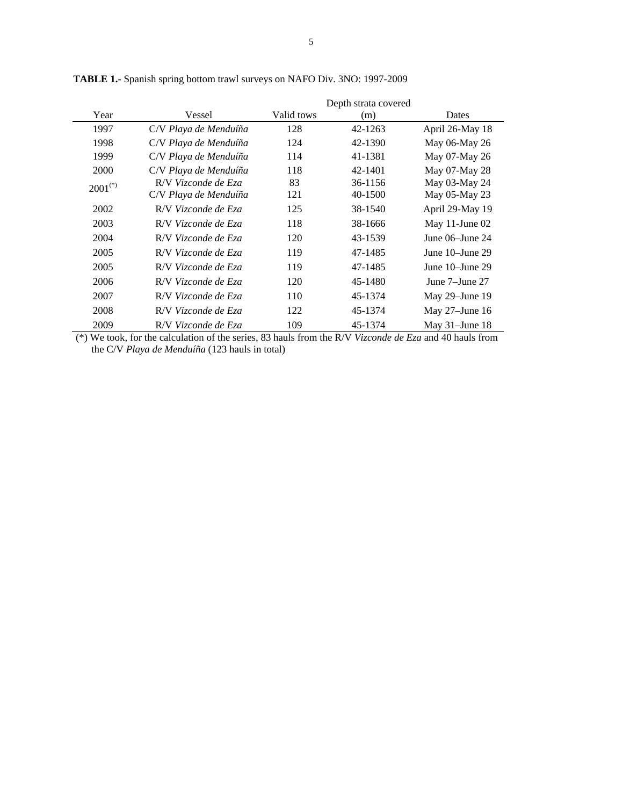|              |                                              |            | Depth strata covered |                                |
|--------------|----------------------------------------------|------------|----------------------|--------------------------------|
| Year         | Vessel                                       | Valid tows | (m)                  | Dates                          |
| 1997         | C/V Playa de Menduíña                        | 128        | 42-1263              | April 26-May 18                |
| 1998         | C/V Playa de Menduíña                        | 124        | 42-1390              | May 06-May 26                  |
| 1999         | C/V Playa de Menduíña                        | 114        | 41-1381              | May 07-May 26                  |
| <b>2000</b>  | C/V Playa de Menduíña                        | 118        | 42-1401              | May 07-May 28                  |
| $2001^{(*)}$ | R/V Vizconde de Eza<br>C/V Playa de Menduíña | 83<br>121  | 36-1156<br>40-1500   | May 03-May 24<br>May 05-May 23 |
| 2002         | R/V Vizconde de Eza                          | 125        | 38-1540              | April 29-May 19                |
| 2003         | R/V Vizconde de Eza                          | 118        | 38-1666              | May 11-June $02$               |
| 2004         | R/V Vizconde de Eza                          | 120        | 43-1539              | June $06$ –June 24             |
| 2005         | R/V Vizconde de Eza                          | 119        | 47-1485              | June $10$ -June $29$           |
| 2005         | R/V Vizconde de Eza                          | 119        | 47-1485              | June 10–June 29                |
| 2006         | R/V Vizconde de Eza                          | 120        | 45-1480              | June 7–June 27                 |
| 2007         | R/V Vizconde de Eza                          | 110        | 45-1374              | May $29$ –June 19              |
| 2008         | R/V Vizconde de Eza                          | 122        | 45-1374              | May $27$ –June 16              |
| 2009         | R/V Vizconde de Eza                          | 109        | 45-1374              | May $31$ -June 18              |

**TABLE 1.-** Spanish spring bottom trawl surveys on NAFO Div. 3NO: 1997-2009

 (\*) We took, for the calculation of the series, 83 hauls from the R/V *Vizconde de Eza* and 40 hauls from the C/V *Playa de Menduíña* (123 hauls in total)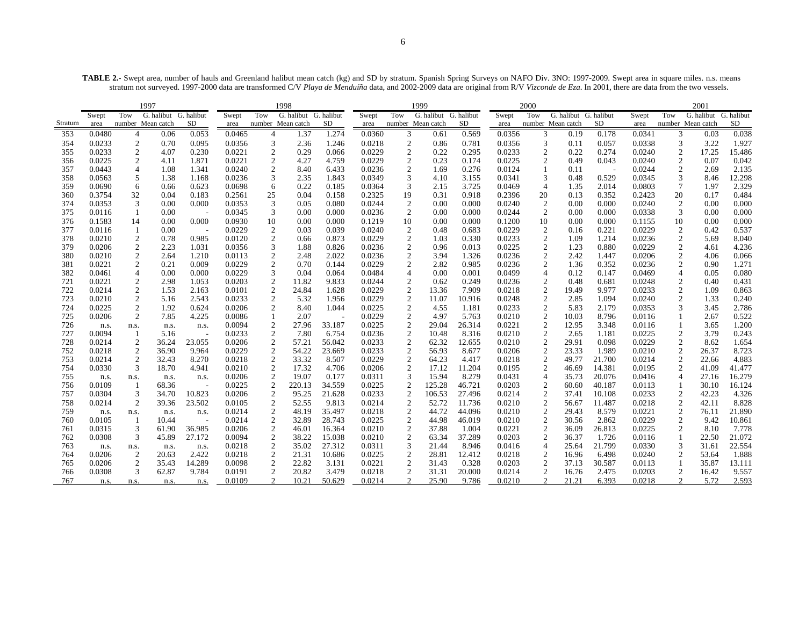**TABLE 2.-** Swept area, number of hauls and Greenland halibut mean catch (kg) and SD by stratum. Spanish Spring Surveys on NAFO Div. 3NO: 1997-2009. Swept area in square miles. n.s. means stratum not surveyed. 1997-2000 data are transformed C/V *Playa de Menduíña* data, and 2002-2009 data are original from R/V *Vizconde de Eza*. In 2001, there are data from the two vessels.

| G. halibut G. halibut<br>G. halibut G. halibut<br>G. halibut G. halibut<br>Tow<br>G. halibut G. halibut<br>Tow<br>Tow<br>Swept<br>Tow<br>Swept<br>Swept<br>Swept<br>Stratum<br>SD<br>SD<br>number Mean catch<br>number Mean catch<br>SD<br>number Mean catch<br>number Mean catch<br>area<br>area<br>area<br>area | Swept<br><b>SD</b><br>area<br>0.0341<br>0.178 | G. halibut G. halibut<br>Tow<br><b>SD</b><br>number Mean catch |
|-------------------------------------------------------------------------------------------------------------------------------------------------------------------------------------------------------------------------------------------------------------------------------------------------------------------|-----------------------------------------------|----------------------------------------------------------------|
|                                                                                                                                                                                                                                                                                                                   |                                               |                                                                |
|                                                                                                                                                                                                                                                                                                                   |                                               |                                                                |
| 0.0480<br>1.37<br>1.274<br>3<br>3<br>353<br>0.06<br>0.053<br>0.0465<br>4<br>0.0360<br>0.61<br>0.569<br>0.0356<br>0.19<br>4                                                                                                                                                                                        |                                               | 3<br>0.038<br>0.03                                             |
| 0.0233<br>$\boldsymbol{2}$<br>3<br>$\overline{2}$<br>3<br>354<br>0.70<br>0.095<br>0.0356<br>2.36<br>1.246<br>0.0218<br>0.86<br>0.781<br>0.0356<br>0.11                                                                                                                                                            | 0.057<br>0.0338                               | 3<br>3.22<br>1.927                                             |
| $\overline{c}$<br>0.0233<br>2<br>0.0221<br>$\overline{\mathbf{c}}$<br>0.29<br>0.0229<br>0.22<br>0.295<br>0.0233<br>2<br>0.22<br>355<br>4.07<br>0.230<br>0.066                                                                                                                                                     | 0.274<br>0.0240                               | $\overline{c}$<br>17.25<br>15.486                              |
| 0.0225<br>$\boldsymbol{2}$<br>$\mathfrak{2}$<br>4.27<br>0.0229<br>$\overline{2}$<br>2<br>1.871<br>0.0221<br>4.759<br>0.23<br>0.174<br>0.0225<br>0.49<br>356<br>4.11                                                                                                                                               | 0.043<br>0.0240                               | $\overline{2}$<br>0.07<br>0.042                                |
| $\mathfrak{2}$<br>$\overline{2}$<br>357<br>0.0443<br>$\overline{4}$<br>1.341<br>0.0240<br>8.40<br>6.433<br>0.0236<br>1.69<br>0.276<br>0.0124<br>1.08<br>-1<br>0.11                                                                                                                                                | 0.0244                                        | 2<br>2.69<br>2.135                                             |
| 3<br>0.0563<br>0.0236<br>3<br>2.35<br>0.0349<br>3.155<br>0.0341<br>3<br>358<br>5<br>1.38<br>1.168<br>1.843<br>4.10<br>0.48                                                                                                                                                                                        | 0.529<br>0.0345                               | 3<br>12.298<br>8.46                                            |
| 0.22<br>0.0364<br>3<br>$\overline{4}$<br>359<br>0.0690<br>0.0698<br>6<br>0.185<br>2.15<br>3.725<br>0.0469<br>1.35<br>6<br>0.66<br>0.623                                                                                                                                                                           | 2.014<br>0.0803                               | $\tau$<br>1.97<br>2.329                                        |
| 32<br>19<br>0.3754<br>0.183<br>0.2561<br>25<br>0.04<br>0.158<br>0.2325<br>0.31<br>0.918<br>0.2396<br>20<br>0.13<br>360<br>0.04                                                                                                                                                                                    | 0.352<br>0.2423                               | 20<br>0.17<br>0.484                                            |
| $\mathfrak{Z}$<br>2<br>0.0353<br>3<br>0.0353<br>0.05<br>0.0244<br>$\overline{c}$<br>0.00<br>0.000<br>0.0240<br>374<br>0.00<br>0.000<br>0.080<br>0.00                                                                                                                                                              | 0.000<br>0.0240                               | $\overline{2}$<br>0.00<br>0.000                                |
| 0.0236<br>$\overline{2}$<br>2<br>375<br>0.0116<br>-1<br>0.00<br>0.0345<br>3<br>0.00<br>0.000<br>0.00<br>0.000<br>0.0244<br>0.00<br>$\overline{a}$                                                                                                                                                                 | 0.0338<br>0.000                               | 3<br>0.00<br>0.000                                             |
| 376<br>0.1583<br>14<br>0.00<br>0.000<br>0.0930<br>10<br>0.00<br>0.000<br>0.1219<br>10<br>0.00<br>0.000<br>0.1200<br>10<br>0.00                                                                                                                                                                                    | 0.000<br>0.1155                               | 10<br>0.00<br>0.000                                            |
| 0.0116<br>0.0229<br>$\overline{c}$<br>0.03<br>0.039<br>0.0240<br>$\overline{c}$<br>0.0229<br>2<br>377<br>-1<br>0.00<br>0.48<br>0.683<br>0.16<br>$\overline{\phantom{a}}$                                                                                                                                          | 0.221<br>0.0229                               | 2<br>0.42<br>0.537                                             |
| $\overline{c}$<br>$\overline{c}$<br>0.0229<br>$\sqrt{2}$<br>$\overline{c}$<br>378<br>0.0210<br>0.78<br>0.985<br>0.0120<br>0.873<br>1.03<br>0.330<br>0.0233<br>1.09<br>0.66                                                                                                                                        | 1.214<br>0.0236                               | $\overline{c}$<br>5.69<br>8.040                                |
| 2<br>$\overline{2}$<br>$\boldsymbol{2}$<br>379<br>0.0206<br>2.23<br>0.0356<br>3<br>1.88<br>0.826<br>0.0236<br>0.96<br>0.013<br>0.0225<br>1.23<br>1.031                                                                                                                                                            | 0.880<br>0.0229                               | 2<br>4.61<br>4.236                                             |
| $\overline{2}$<br>0.0210<br>2<br>0.0113<br>$\overline{c}$<br>2.022<br>0.0236<br>3.94<br>0.0236<br>2<br>380<br>2.64<br>1.210<br>2.48<br>1.326<br>2.42                                                                                                                                                              | 0.0206<br>1.447                               | $\overline{c}$<br>4.06<br>0.066                                |
| $\boldsymbol{2}$<br>$\mathfrak{2}$<br>0.0229<br>$\overline{2}$<br>2<br>0.0221<br>0.21<br>0.009<br>0.0229<br>0.70<br>0.144<br>2.82<br>0.985<br>0.0236<br>1.36<br>381                                                                                                                                               | 0.352<br>0.0236                               | $\overline{c}$<br>0.90<br>1.271                                |
| 382<br>0.0461<br>$\overline{4}$<br>0.00<br>0.000<br>0.0229<br>3<br>0.04<br>0.064<br>0.0484<br>$\overline{4}$<br>0.00<br>0.001<br>0.0499<br>4<br>0.12                                                                                                                                                              | 0.147<br>0.0469                               | $\overline{4}$<br>0.05<br>0.080                                |
| 0.0221<br>2<br>0.0203<br>$\overline{c}$<br>11.82<br>9.833<br>0.0244<br>$\overline{2}$<br>0.62<br>0.249<br>0.0236<br>2<br>0.48<br>721<br>2.98<br>1.053                                                                                                                                                             | 0.681<br>0.0248                               | 2<br>0.431<br>0.40                                             |
| $\boldsymbol{2}$<br>$\overline{c}$<br>0.0229<br>2<br>$\mathfrak{2}$<br>722<br>0.0214<br>2.163<br>24.84<br>1.628<br>13.36<br>7.909<br>0.0218<br>1.53<br>0.0101<br>19.49                                                                                                                                            | 9.977<br>0.0233                               | $\overline{2}$<br>1.09<br>0.863                                |
| 2<br>2<br>2<br>723<br>0.0210<br>2.543<br>0.0233<br>2<br>5.32<br>1.956<br>0.0229<br>11.07<br>10.916<br>0.0248<br>2.85<br>5.16                                                                                                                                                                                      | 1.094<br>0.0240                               | 2<br>1.33<br>0.240                                             |
| 0.0225<br>2<br>0.0206<br>$\overline{2}$<br>8.40<br>0.0225<br>$\overline{c}$<br>0.0233<br>$\overline{c}$<br>724<br>1.92<br>0.624<br>1.044<br>4.55<br>1.181<br>5.83                                                                                                                                                 | 0.0353<br>2.179                               | 3<br>3.45<br>2.786                                             |
| 2<br>0.0229<br>$\overline{2}$<br>5.763<br>$\overline{c}$<br>725<br>0.0206<br>7.85<br>4.225<br>0.0086<br>2.07<br>4.97<br>0.0210<br>10.03                                                                                                                                                                           | 8.796<br>0.0116                               | 0.522<br>2.67                                                  |
| $\mathfrak{2}$<br>$\overline{2}$<br>26.314<br>2<br>726<br>0.0094<br>27.96<br>33.187<br>0.0225<br>29.04<br>0.0221<br>12.95<br>n.s.<br>n.s.<br>n.s.<br>n.s.                                                                                                                                                         | 3.348<br>0.0116                               | $\mathbf{1}$<br>3.65<br>1.200                                  |
| $\overline{2}$<br>727<br>0.0094<br>0.0233<br>$\overline{2}$<br>7.80<br>0.0236<br>10.48<br>8.316<br>0.0210<br>2<br>2.65<br>5.16<br>6.754<br>$\overline{\phantom{a}}$                                                                                                                                               | 0.0225<br>1.181                               | $\boldsymbol{2}$<br>3.79<br>0.243                              |
| $\overline{c}$<br>0.0233<br>$\overline{2}$<br>$\mathfrak{2}$<br>728<br>0.0214<br>$\overline{c}$<br>36.24<br>23.055<br>0.0206<br>57.21<br>56.042<br>62.32<br>12.655<br>0.0210<br>29.91                                                                                                                             | 0.0229<br>0.098                               | $\boldsymbol{2}$<br>8.62<br>1.654                              |
| 2<br>$\mathfrak{2}$<br>54.22<br>2<br>56.93<br>$\overline{c}$<br>752<br>0.0218<br>36.90<br>9.964<br>0.0229<br>23.669<br>0.0233<br>8.677<br>0.0206<br>23.33                                                                                                                                                         | 1.989<br>0.0210                               | 2<br>8.723<br>26.37                                            |
| 0.0214<br>2<br>0.0218<br>$\overline{c}$<br>33.32<br>8.507<br>0.0229<br>2<br>64.23<br>4.417<br>0.0218<br>$\overline{c}$<br>49.77<br>753<br>32.43<br>8.270<br>3<br>4.706<br>0.0206<br>$\overline{2}$<br>754<br>0.0330<br>18.70<br>0.0210<br>17.32<br>17.12<br>11.204<br>0.0195                                      | 21.700<br>0.0214<br>14.381<br>0.0195          | $\overline{c}$<br>22.66<br>4.883<br>41.09<br>41.477            |
| $\overline{c}$<br>$\overline{c}$<br>4.941<br>46.69<br>3<br>15.94<br>8.279<br>755<br>0.0206<br>2<br>19.07<br>0.177<br>0.0311<br>0.0431<br>$\overline{4}$<br>35.73                                                                                                                                                  | 20.076<br>0.0416                              | $\overline{c}$<br>$\overline{4}$<br>27.16<br>16.279            |
| n.s.<br>n.s.<br>n.s.<br>n.s.<br>0.0225<br>$\overline{c}$<br>220.13<br>34.559<br>0.0225<br>$\overline{2}$<br>125.28<br>46.721<br>0.0203<br>$\overline{c}$<br>60.60<br>756<br>0.0109<br>68.36<br>$\overline{\phantom{a}}$                                                                                           | 40.187<br>0.0113                              | 16.124<br>30.10                                                |
| 0.0233<br>$\mathfrak{2}$<br>3<br>34.70<br>10.823<br>0.0206<br>$\overline{c}$<br>95.25<br>21.628<br>$\overline{2}$<br>106.53<br>27.496<br>0.0214<br>37.41<br>757<br>0.0304                                                                                                                                         | 10.108<br>0.0233                              | $\overline{c}$<br>42.23<br>4.326                               |
| $\mathfrak{2}$<br>0.0214<br>2<br>52.72<br>$\overline{c}$<br>758<br>0.0214<br>$\overline{2}$<br>23.502<br>52.55<br>9.813<br>11.736<br>0.0210<br>39.36<br>0.0105<br>56.67                                                                                                                                           | 11.487<br>0.0218                              | 2<br>42.11<br>8.828                                            |
| 0.0214<br>$\overline{2}$<br>48.19<br>35.497<br>0.0218<br>$\overline{2}$<br>44.72<br>44.096<br>0.0210<br>$\overline{c}$<br>29.43<br>759<br>n.s.<br>n.s.<br>n.s.<br>n.s.                                                                                                                                            | 8.579<br>0.0221                               | $\boldsymbol{2}$<br>21.890<br>76.11                            |
| 0.0225<br>0.0214<br>$\overline{c}$<br>32.89<br>28.743<br>2<br>44.98<br>46.019<br>0.0210<br>$\overline{c}$<br>760<br>0.0105<br>10.44<br>30.56<br>-1                                                                                                                                                                | 0.0229<br>2.862                               | $\mathfrak{2}$<br>9.42<br>10.861                               |
| $\overline{c}$<br>$\overline{2}$<br>$\boldsymbol{2}$<br>0.0315<br>3<br>36.985<br>0.0206<br>46.01<br>16.364<br>0.0210<br>37.88<br>1.004<br>0.0221<br>761<br>61.90<br>36.09                                                                                                                                         | 26.813<br>0.0225                              | 2<br>8.10<br>7.778                                             |
| 0.0308<br>3<br>27.172<br>0.0094<br>$\overline{c}$<br>38.22<br>15.038<br>0.0210<br>$\overline{2}$<br>37.289<br>0.0203<br>2<br>762<br>45.89<br>63.34<br>36.37                                                                                                                                                       | 1.726<br>0.0116                               | 22.50<br>21.072                                                |
| 0.0311<br>3<br>0.0218<br>$\overline{\mathbf{c}}$<br>35.02<br>27.312<br>21.44<br>8.946<br>$\overline{4}$<br>763<br>0.0416<br>25.64<br>n.s.<br>n.s.<br>n.s.<br>n.s.                                                                                                                                                 | 21.799<br>0.0330                              | 3<br>22.554<br>31.61                                           |
| $\mathfrak{2}$<br>$\overline{2}$<br>$\mathfrak{2}$<br>0.0206<br>$\overline{2}$<br>20.63<br>2.422<br>0.0218<br>21.31<br>10.686<br>0.0225<br>28.81<br>12.412<br>0.0218<br>764<br>16.96                                                                                                                              | 6.498<br>0.0240                               | 2<br>53.64<br>1.888                                            |
| 0.0206<br>$\overline{c}$<br>0.0098<br>$\overline{2}$<br>22.82<br>3.131<br>0.0221<br>$\overline{2}$<br>31.43<br>0.328<br>0.0203<br>$\overline{c}$<br>37.13<br>35.43<br>14.289<br>765                                                                                                                               | 30.587<br>0.0113                              | 35.87<br>13.111                                                |
| 3<br>$\mathfrak{2}$<br>3.479<br>20.000<br>$\overline{2}$<br>0.0308<br>62.87<br>9.784<br>20.82<br>0.0218<br>$\overline{2}$<br>31.31<br>0.0214<br>766<br>0.0191<br>16.76                                                                                                                                            | 2.475<br>0.0203                               | $\mathfrak{2}$<br>16.42<br>9.557                               |
| 2<br>10.21<br>50.629<br>0.0214<br>2<br>25.90<br>9.786<br>0.0210<br>2<br>21.21<br>767<br>0.0109<br>n.s.<br>n.s.<br>n.s.<br>n.s.                                                                                                                                                                                    | 6.393<br>0.0218                               | $\overline{2}$<br>5.72<br>2.593                                |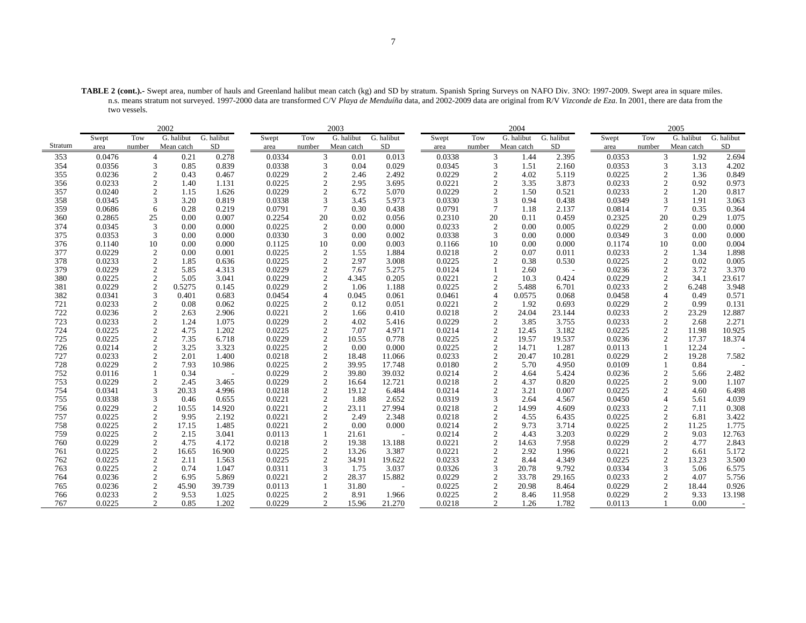**TABLE 2 (cont.).-** Swept area, number of hauls and Greenland halibut mean catch (kg) and SD by stratum. Spanish Spring Surveys on NAFO Div. 3NO: 1997-2009. Swept area in square miles. n.s. means stratum not surveyed. 1997-2000 data are transformed C/V *Playa de Menduíña* data, and 2002-2009 data are original from R/V *Vizconde de Eza*. In 2001, there are data from the two vessels.

|         |        |                | 2002       |            |        |                | 2003       |            |        |                | 2004       |            |        |                 | 2005       |            |
|---------|--------|----------------|------------|------------|--------|----------------|------------|------------|--------|----------------|------------|------------|--------|-----------------|------------|------------|
|         | Swept  | Tow            | G. halibut | G. halibut | Swept  | Tow            | G. halibut | G. halibut | Swept  | Tow            | G. halibut | G. halibut | Swept  | Tow             | G. halibut | G. halibut |
| Stratum | area   | number         | Mean catch | <b>SD</b>  | area   | number         | Mean catch | SD         | area   | number         | Mean catch | <b>SD</b>  | area   | number          | Mean catch | <b>SD</b>  |
| 353     | 0.0476 | $\overline{4}$ | 0.21       | 0.278      | 0.0334 | 3              | 0.01       | 0.013      | 0.0338 | 3              | 1.44       | 2.395      | 0.0353 | 3               | 1.92       | 2.694      |
| 354     | 0.0356 | 3              | 0.85       | 0.839      | 0.0338 | 3              | 0.04       | 0.029      | 0.0345 | 3              | 1.51       | 2.160      | 0.0353 | 3               | 3.13       | 4.202      |
| 355     | 0.0236 |                | 0.43       | 0.467      | 0.0229 | $\overline{2}$ | 2.46       | 2.492      | 0.0229 | $\overline{2}$ | 4.02       | 5.119      | 0.0225 | 2               | 1.36       | 0.849      |
| 356     | 0.0233 | 2              | 1.40       | 1.131      | 0.0225 | $\overline{2}$ | 2.95       | 3.695      | 0.0221 | $\mathfrak{2}$ | 3.35       | 3.873      | 0.0233 | 2               | 0.92       | 0.973      |
| 357     | 0.0240 | $\overline{2}$ | 1.15       | 1.626      | 0.0229 | $\overline{2}$ | 6.72       | 5.070      | 0.0229 | $\overline{2}$ | 1.50       | 0.521      | 0.0233 | $\mathfrak{2}$  | 1.20       | 0.817      |
| 358     | 0.0345 | 3              | 3.20       | 0.819      | 0.0338 | 3              | 3.45       | 5.973      | 0.0330 | 3              | 0.94       | 0.438      | 0.0349 | 3               | 1.91       | 3.063      |
| 359     | 0.0686 | 6              | 0.28       | 0.219      | 0.0791 | $\overline{7}$ | 0.30       | 0.438      | 0.0791 | $\overline{7}$ | 1.18       | 2.137      | 0.0814 | $7\phantom{.0}$ | 0.35       | 0.364      |
| 360     | 0.2865 | 25             | 0.00       | 0.007      | 0.2254 | 20             | 0.02       | 0.056      | 0.2310 | 20             | 0.11       | 0.459      | 0.2325 | 20              | 0.29       | 1.075      |
| 374     | 0.0345 | 3              | 0.00       | 0.000      | 0.0225 | $\overline{2}$ | 0.00       | 0.000      | 0.0233 | 2              | 0.00       | 0.005      | 0.0229 | 2               | 0.00       | 0.000      |
| 375     | 0.0353 | 3              | 0.00       | 0.000      | 0.0330 | 3              | 0.00       | 0.002      | 0.0338 | 3              | 0.00       | 0.000      | 0.0349 | 3               | 0.00       | 0.000      |
| 376     | 0.1140 | 10             | 0.00       | 0.000      | 0.1125 | 10             | 0.00       | 0.003      | 0.1166 | 10             | 0.00       | 0.000      | 0.1174 | 10              | 0.00       | 0.004      |
| 377     | 0.0229 | $\overline{2}$ | 0.00       | 0.001      | 0.0225 | $\overline{2}$ | 1.55       | 1.884      | 0.0218 | $\overline{2}$ | 0.07       | 0.011      | 0.0233 | 2               | 1.34       | 1.898      |
| 378     | 0.0233 | $\overline{c}$ | 1.85       | 0.636      | 0.0225 | $\overline{c}$ | 2.97       | 3.008      | 0.0225 | $\overline{2}$ | 0.38       | 0.530      | 0.0225 | $\sqrt{2}$      | 0.02       | 0.005      |
| 379     | 0.0229 | $\overline{c}$ | 5.85       | 4.313      | 0.0229 | $\overline{2}$ | 7.67       | 5.275      | 0.0124 |                | 2.60       |            | 0.0236 | $\overline{c}$  | 3.72       | 3.370      |
| 380     | 0.0225 | 2              | 5.05       | 3.041      | 0.0229 | $\overline{2}$ | 4.345      | 0.205      | 0.0221 | $\overline{c}$ | 10.3       | 0.424      | 0.0229 | $\mathfrak{2}$  | 34.1       | 23.617     |
| 381     | 0.0229 | $\overline{c}$ | 0.5275     | 0.145      | 0.0229 | $\overline{2}$ | 1.06       | 1.188      | 0.0225 | $\overline{2}$ | 5.488      | 6.701      | 0.0233 | $\overline{c}$  | 6.248      | 3.948      |
| 382     | 0.0341 | 3              | 0.401      | 0.683      | 0.0454 | $\overline{4}$ | 0.045      | 0.061      | 0.0461 | $\overline{4}$ | 0.0575     | 0.068      | 0.0458 | $\overline{4}$  | 0.49       | 0.571      |
| 721     | 0.0233 | $\overline{2}$ | 0.08       | 0.062      | 0.0225 | $\overline{2}$ | 0.12       | 0.051      | 0.0221 | $\overline{2}$ | 1.92       | 0.693      | 0.0229 | 2               | 0.99       | 0.131      |
| 722     | 0.0236 | $\overline{c}$ | 2.63       | 2.906      | 0.0221 | $\sqrt{2}$     | 1.66       | 0.410      | 0.0218 | $\overline{c}$ | 24.04      | 23.144     | 0.0233 | $\sqrt{2}$      | 23.29      | 12.887     |
| 723     | 0.0233 | $\overline{c}$ | 1.24       | 1.075      | 0.0229 | $\overline{2}$ | 4.02       | 5.416      | 0.0229 | $\overline{c}$ | 3.85       | 3.755      | 0.0233 | 2               | 2.68       | 2.271      |
| 724     | 0.0225 | 2              | 4.75       | 1.202      | 0.0225 | $\overline{2}$ | 7.07       | 4.971      | 0.0214 | $\overline{c}$ | 12.45      | 3.182      | 0.0225 | $\mathbf{2}$    | 11.98      | 10.925     |
| 725     | 0.0225 | $\overline{c}$ | 7.35       | 6.718      | 0.0229 | $\overline{2}$ | 10.55      | 0.778      | 0.0225 | $\overline{c}$ | 19.57      | 19.537     | 0.0236 | $\mathfrak{2}$  | 17.37      | 18.374     |
| 726     | 0.0214 | $\mathfrak{D}$ | 3.25       | 3.323      | 0.0225 | $\overline{2}$ | 0.00       | 0.000      | 0.0225 | $\overline{2}$ | 14.71      | 1.287      | 0.0113 |                 | 12.24      |            |
| 727     | 0.0233 | $\overline{2}$ | 2.01       | 1.400      | 0.0218 | $\overline{2}$ | 18.48      | 11.066     | 0.0233 | $\overline{2}$ | 20.47      | 10.281     | 0.0229 | 2               | 19.28      | 7.582      |
| 728     | 0.0229 |                | 7.93       | 10.986     | 0.0225 | $\sqrt{2}$     | 39.95      | 17.748     | 0.0180 | $\overline{2}$ | 5.70       | 4.950      | 0.0109 |                 | 0.84       |            |
| 752     | 0.0116 |                | 0.34       |            | 0.0229 | $\overline{2}$ | 39.80      | 39.032     | 0.0214 | $\overline{c}$ | 4.64       | 5.424      | 0.0236 | 2               | 5.66       | 2.482      |
| 753     | 0.0229 | $\overline{2}$ | 2.45       | 3.465      | 0.0229 | $\overline{2}$ | 16.64      | 12.721     | 0.0218 | $\overline{2}$ | 4.37       | 0.820      | 0.0225 | $\mathfrak{2}$  | 9.00       | 1.107      |
| 754     | 0.0341 | 3              | 20.33      | 4.996      | 0.0218 | $\sqrt{2}$     | 19.12      | 6.484      | 0.0214 | $\overline{c}$ | 3.21       | 0.007      | 0.0225 | $\overline{c}$  | 4.60       | 6.498      |
| 755     | 0.0338 | 3              | 0.46       | 0.655      | 0.0221 | $\overline{2}$ | 1.88       | 2.652      | 0.0319 | 3              | 2.64       | 4.567      | 0.0450 | $\overline{4}$  | 5.61       | 4.039      |
| 756     | 0.0229 | $\overline{2}$ | 10.55      | 14.920     | 0.0221 | $\overline{2}$ | 23.11      | 27.994     | 0.0218 | $\overline{2}$ | 14.99      | 4.609      | 0.0233 | $\overline{c}$  | 7.11       | 0.308      |
| 757     | 0.0225 | $\overline{2}$ | 9.95       | 2.192      | 0.0221 | $\overline{2}$ | 2.49       | 2.348      | 0.0218 | $\overline{2}$ | 4.55       | 6.435      | 0.0225 | $\mathfrak{2}$  | 6.81       | 3.422      |
| 758     | 0.0225 | $\overline{2}$ | 17.15      | 1.485      | 0.0221 | 2              | 0.00       | 0.000      | 0.0214 | $\overline{2}$ | 9.73       | 3.714      | 0.0225 | 2               | 11.25      | 1.775      |
| 759     | 0.0225 | $\overline{2}$ | 2.15       | 3.041      | 0.0113 | $\overline{1}$ | 21.61      |            | 0.0214 | $\overline{c}$ | 4.43       | 3.203      | 0.0229 | $\overline{c}$  | 9.03       | 12.763     |
| 760     | 0.0229 | $\overline{2}$ | 4.75       | 4.172      | 0.0218 | $\overline{2}$ | 19.38      | 13.188     | 0.0221 | $\overline{2}$ | 14.63      | 7.958      | 0.0229 | $\overline{c}$  | 4.77       | 2.843      |
| 761     | 0.0225 | $\overline{2}$ | 16.65      | 16.900     | 0.0225 | $\overline{2}$ | 13.26      | 3.387      | 0.0221 | $\overline{2}$ | 2.92       | 1.996      | 0.0221 | $\mathbf{2}$    | 6.61       | 5.172      |
| 762     | 0.0225 | $\overline{c}$ | 2.11       | 1.563      | 0.0225 | $\overline{2}$ | 34.91      | 19.622     | 0.0233 | $\overline{2}$ | 8.44       | 4.349      | 0.0225 | $\mathfrak{2}$  | 13.23      | 3.500      |
| 763     | 0.0225 | $\overline{2}$ | 0.74       | 1.047      | 0.0311 | 3              | 1.75       | 3.037      | 0.0326 | 3              | 20.78      | 9.792      | 0.0334 | 3               | 5.06       | 6.575      |
| 764     | 0.0236 | $\overline{2}$ | 6.95       | 5.869      | 0.0221 | 2              | 28.37      | 15.882     | 0.0229 | $\mathfrak{2}$ | 33.78      | 29.165     | 0.0233 | 2               | 4.07       | 5.756      |
| 765     | 0.0236 | $\overline{c}$ | 45.90      | 39.739     | 0.0113 | $\overline{1}$ | 31.80      |            | 0.0225 | $\overline{c}$ | 20.98      | 8.464      | 0.0229 | 2               | 18.44      | 0.926      |
| 766     | 0.0233 | $\overline{c}$ | 9.53       | 1.025      | 0.0225 | $\overline{2}$ | 8.91       | 1.966      | 0.0225 | 2              | 8.46       | 11.958     | 0.0229 | $\mathfrak{D}$  | 9.33       | 13.198     |
| 767     | 0.0225 | $\overline{2}$ | 0.85       | 1.202      | 0.0229 | 2              | 15.96      | 21.270     | 0.0218 | 2              | 1.26       | 1.782      | 0.0113 |                 | 0.00       |            |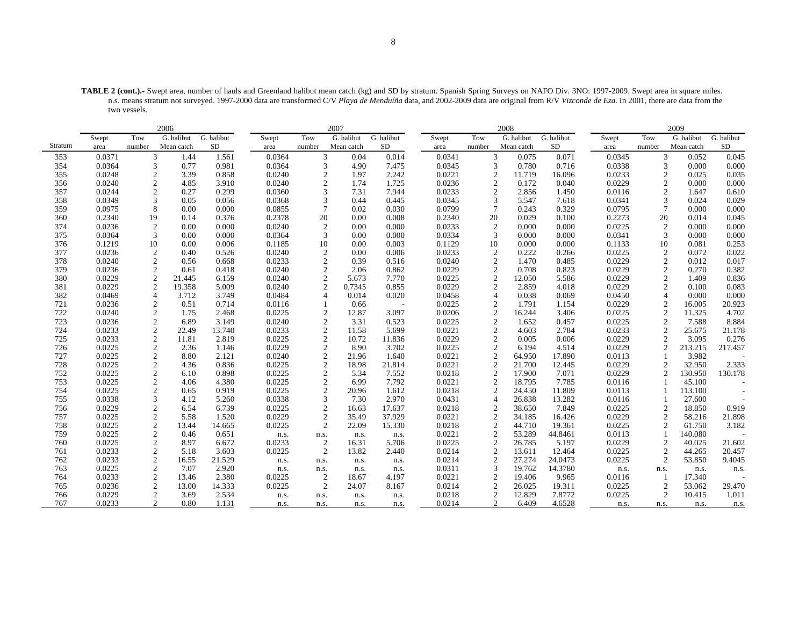**TABLE 2 (cont.).-** Swept area, number of hauls and Greenland halibut mean catch (kg) and SD by stratum. Spanish Spring Surveys on NAFO Div. 3NO: 1997-2009. Swept area in square miles. n.s. means stratum not surveyed. 1997-2000 data are transformed C/V *Playa de Menduíña* data, and 2002-2009 data are original from R/V *Vizconde de Eza*. In 2001, there are data from the two vessels.

|         |        |                | 2006       |            |        |                | 2007       |            |        |                  | 2008       |            |        |                | 2009       |            |
|---------|--------|----------------|------------|------------|--------|----------------|------------|------------|--------|------------------|------------|------------|--------|----------------|------------|------------|
|         | Swept  | Tow            | G. halibut | G. halibut | Swept  | Tow            | G. halibut | G. halibut | Swept  | Tow              | G. halibut | G. halibut | Swept  | Tow            | G. halibut | G. halibut |
| Stratum | area   | number         | Mean catch | SD         | area   | number         | Mean catch | SD         | area   | number           | Mean catch | SD         | area   | number         | Mean catch | SD         |
| 353     | 0.0371 | 3              | 1.44       | 1.561      | 0.0364 | 3              | 0.04       | 0.014      | 0.0341 | 3                | 0.075      | 0.071      | 0.0345 | 3              | 0.052      | 0.045      |
| 354     | 0.0364 | 3              | 0.77       | 0.981      | 0.0364 | 3              | 4.90       | 7.475      | 0.0345 | 3                | 0.780      | 0.716      | 0.0338 | 3              | 0.000      | 0.000      |
| 355     | 0.0248 | $\overline{2}$ | 3.39       | 0.858      | 0.0240 | $\overline{c}$ | 1.97       | 2.242      | 0.0221 | $\overline{2}$   | 11.719     | 16.096     | 0.0233 | 2              | 0.025      | 0.035      |
| 356     | 0.0240 | 2              | 4.85       | 3.910      | 0.0240 | $\overline{2}$ | 1.74       | 1.725      | 0.0236 | $\overline{2}$   | 0.172      | 0.040      | 0.0229 | $\overline{2}$ | 0.000      | 0.000      |
| 357     | 0.0244 |                | 0.27       | 0.299      | 0.0360 | 3              | 7.31       | 7.944      | 0.0233 | $\overline{c}$   | 2.856      | 1.450      | 0.0116 | $\overline{c}$ | 1.647      | 0.610      |
| 358     | 0.0349 | 3              | 0.05       | 0.056      | 0.0368 | 3              | 0.44       | 0.445      | 0.0345 | 3                | 5.547      | 7.618      | 0.0341 | 3              | 0.024      | 0.029      |
| 359     | 0.0975 | 8              | 0.00       | 0.000      | 0.0855 | 7              | 0.02       | 0.030      | 0.0799 | $\overline{7}$   | 0.243      | 0.329      | 0.0795 | 7              | 0.000      | 0.000      |
| 360     | 0.2340 | 19             | 0.14       | 0.376      | 0.2378 | 20             | 0.00       | 0.008      | 0.2340 | 20               | 0.029      | 0.100      | 0.2273 | 20             | 0.014      | 0.045      |
| 374     | 0.0236 | $\overline{2}$ | 0.00       | 0.000      | 0.0240 | $\overline{2}$ | 0.00       | 0.000      | 0.0233 | 2                | 0.000      | 0.000      | 0.0225 | 2              | 0.000      | 0.000      |
| 375     | 0.0364 | 3              | 0.00       | 0.000      | 0.0364 | 3              | 0.00       | 0.000      | 0.0334 | 3                | 0.000      | 0.000      | 0.0341 | 3              | 0.000      | 0.000      |
| 376     | 0.1219 | 10             | 0.00       | 0.006      | 0.1185 | 10             | 0.00       | 0.003      | 0.1129 | 10               | 0.000      | 0.000      | 0.1133 | 10             | 0.081      | 0.253      |
| 377     | 0.0236 | 2              | 0.40       | 0.526      | 0.0240 | $\overline{2}$ | 0.00       | 0.006      | 0.0233 | 2                | 0.222      | 0.266      | 0.0225 | 2              | 0.072      | 0.022      |
| 378     | 0.0240 | $\overline{2}$ | 0.56       | 0.668      | 0.0233 | $\sqrt{2}$     | 0.39       | 0.516      | 0.0240 | $\overline{2}$   | 1.470      | 0.485      | 0.0229 | $\overline{2}$ | 0.012      | 0.017      |
| 379     | 0.0236 | $\overline{2}$ | 0.61       | 0.418      | 0.0240 | $\sqrt{2}$     | 2.06       | 0.862      | 0.0229 | $\overline{c}$   | 0.708      | 0.823      | 0.0229 | $\overline{c}$ | 0.270      | 0.382      |
| 380     | 0.0229 | $\overline{c}$ | 21.445     | 6.159      | 0.0240 | $\overline{2}$ | 5.673      | 7.770      | 0.0225 | $\overline{c}$   | 12.050     | 5.586      | 0.0229 | $\overline{c}$ | 1.409      | 0.836      |
| 381     | 0.0229 | $\overline{2}$ | 19.358     | 5.009      | 0.0240 | $\overline{2}$ | 0.7345     | 0.855      | 0.0229 | $\overline{2}$   | 2.859      | 4.018      | 0.0229 | $\overline{c}$ | 0.100      | 0.083      |
| 382     | 0.0469 | $\overline{4}$ | 3.712      | 3.749      | 0.0484 | $\overline{A}$ | 0.014      | 0.020      | 0.0458 | $\overline{4}$   | 0.038      | 0.069      | 0.0450 | $\overline{4}$ | 0.000      | 0.000      |
| 721     | 0.0236 | 2              | 0.51       | 0.714      | 0.0116 |                | 0.66       |            | 0.0225 | 2                | 1.791      | 1.154      | 0.0229 | $\overline{c}$ | 16.005     | 20.923     |
| 722     | 0.0240 | $\overline{c}$ | 1.75       | 2.468      | 0.0225 | $\overline{2}$ | 12.87      | 3.097      | 0.0206 | $\overline{c}$   | 16.244     | 3.406      | 0.0225 | 2              | 11.325     | 4.702      |
| 723     | 0.0236 | $\overline{c}$ | 6.89       | 3.149      | 0.0240 | $\overline{2}$ | 3.31       | 0.523      | 0.0225 | $\overline{2}$   | 1.652      | 0.457      | 0.0225 | 2              | 7.588      | 8.884      |
| 724     | 0.0233 | 2              | 22.49      | 13.740     | 0.0233 | $\mathbf{2}$   | 11.58      | 5.699      | 0.0221 | 2                | 4.603      | 2.784      | 0.0233 | 2              | 25.675     | 21.178     |
| 725     | 0.0233 | $\overline{2}$ | 11.81      | 2.819      | 0.0225 | $\overline{c}$ | 10.72      | 11.836     | 0.0229 | $\overline{c}$   | 0.005      | 0.006      | 0.0229 | $\overline{c}$ | 3.095      | 0.276      |
| 726     | 0.0225 | $\overline{2}$ | 2.36       | 1.146      | 0.0229 | $\overline{2}$ | 8.90       | 3.702      | 0.0225 | $\overline{2}$   | 6.194      | 4.514      | 0.0229 | $\mathcal{D}$  | 213.215    | 217.457    |
| 727     | 0.0225 | 2              | 8.80       | 2.121      | 0.0240 | $\overline{2}$ | 21.96      | 1.640      | 0.0221 | 2                | 64.950     | 17.890     | 0.0113 |                | 3.982      |            |
| 728     | 0.0225 | $\overline{c}$ | 4.36       | 0.836      | 0.0225 | $\overline{c}$ | 18.98      | 21.814     | 0.0221 | $\boldsymbol{2}$ | 21.700     | 12.445     | 0.0229 | $\overline{2}$ | 32.950     | 2.333      |
| 752     | 0.0225 | $\overline{c}$ | 6.10       | 0.898      | 0.0225 | $\overline{2}$ | 5.34       | 7.552      | 0.0218 | $\overline{c}$   | 17.900     | 7.071      | 0.0229 | $\overline{2}$ | 130.950    | 130.178    |
| 753     | 0.0225 | 2              | 4.06       | 4.380      | 0.0225 | $\overline{2}$ | 6.99       | 7.792      | 0.0221 | 2                | 18.795     | 7.785      | 0.0116 |                | 45.100     |            |
| 754     | 0.0225 | $\overline{2}$ | 0.65       | 0.919      | 0.0225 | $\sqrt{2}$     | 20.96      | 1.612      | 0.0218 | $\overline{c}$   | 24.450     | 11.809     | 0.0113 |                | 113.100    |            |
| 755     | 0.0338 |                | 4.12       | 5.260      | 0.0338 | 3              | 7.30       | 2.970      | 0.0431 | $\overline{4}$   | 26.838     | 13.282     | 0.0116 |                | 27.600     |            |
| 756     | 0.0229 | $\overline{2}$ | 6.54       | 6.739      | 0.0225 | $\sqrt{2}$     | 16.63      | 17.637     | 0.0218 | 2                | 38.650     | 7.849      | 0.0225 | 2              | 18.850     | 0.919      |
| 757     | 0.0225 | $\overline{2}$ | 5.58       | 1.520      | 0.0229 | $\sqrt{2}$     | 35.49      | 37.929     | 0.0221 | $\mathfrak{2}$   | 34.185     | 16.426     | 0.0229 | $\overline{2}$ | 58.216     | 21.898     |
| 758     | 0.0225 | $\overline{c}$ | 13.44      | 14.665     | 0.0225 | $\overline{2}$ | 22.09      | 15.330     | 0.0218 | $\overline{c}$   | 44.710     | 19.361     | 0.0225 | 2              | 61.750     | 3.182      |
| 759     | 0.0225 | $\overline{2}$ | 0.46       | 0.651      | n.s.   | n.s.           | n.s.       | n.s.       | 0.0221 | $\overline{c}$   | 53.289     | 44.8461    | 0.0113 |                | 140.080    |            |
| 760     | 0.0225 | $\overline{2}$ | 8.97       | 6.672      | 0.0233 | $\overline{2}$ | 16.31      | 5.706      | 0.0225 | $\boldsymbol{2}$ | 26.785     | 5.197      | 0.0229 | $\overline{2}$ | 40.025     | 21.602     |
| 761     | 0.0233 | 2              | 5.18       | 3.603      | 0.0225 | $\overline{2}$ | 13.82      | 2.440      | 0.0214 | 2                | 13.611     | 12.464     | 0.0225 | 2              | 44.265     | 20.457     |
| 762     | 0.0233 | 2              | 16.55      | 21.529     | n.s.   | n.s.           | n.s.       | n.s.       | 0.0214 | $\overline{c}$   | 27.274     | 24.0473    | 0.0225 | 2              | 53.850     | 9.4045     |
| 763     | 0.0225 | $\overline{2}$ | 7.07       | 2.920      | n.s.   | n.s.           | n.s.       | n.s.       | 0.0311 | 3                | 19.762     | 14.3780    | n.s.   | n.s.           | n.s.       | n.s.       |
| 764     | 0.0233 | 2              | 13.46      | 2.380      | 0.0225 | $\overline{2}$ | 18.67      | 4.197      | 0.0221 | 2                | 19.406     | 9.965      | 0.0116 |                | 17.340     |            |
| 765     | 0.0236 | 2              | 13.00      | 14.333     | 0.0225 | 2              | 24.07      | 8.167      | 0.0214 | $\overline{c}$   | 26.025     | 19.311     | 0.0225 | 2              | 53.062     | 29.470     |
| 766     | 0.0229 | $\overline{2}$ | 3.69       | 2.534      | n.s.   | n.s.           | n.s.       | n.s.       | 0.0218 | $\mathfrak{2}$   | 12.829     | 7.8772     | 0.0225 | $\overline{c}$ | 10.415     | 1.011      |
| 767     | 0.0233 | $\overline{2}$ | 0.80       | 1.131      | n.s.   | n.s.           | n.s.       | n.s.       | 0.0214 | 2                | 6.409      | 4.6528     | n.s.   | n.s.           | n.s.       | n.s.       |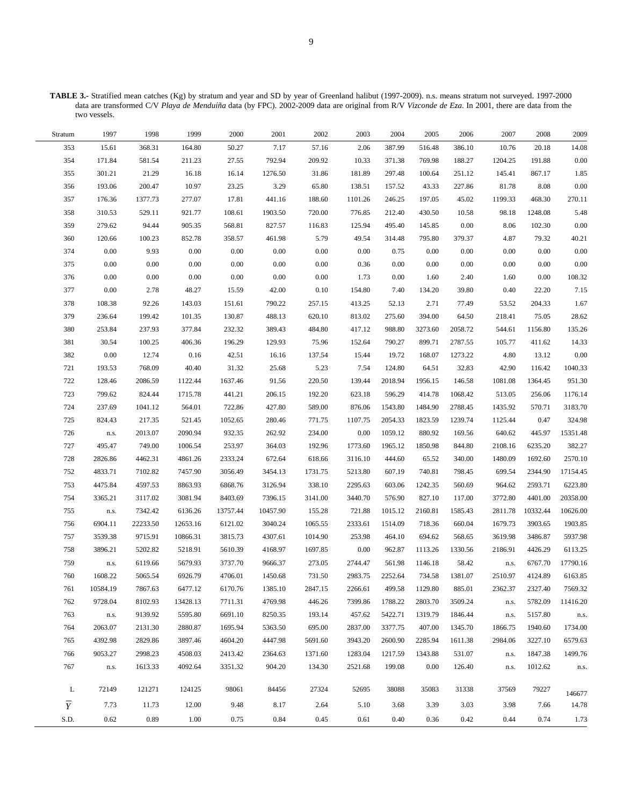**TABLE 3.-** Stratified mean catches (Kg) by stratum and year and SD by year of Greenland halibut (1997-2009). n.s. means stratum not surveyed. 1997-2000 data are transformed C/V *Playa de Menduíña* data (by FPC). 2002-2009 data are original from R/V *Vizconde de Eza*. In 2001, there are data from the two vessels.

| 353<br>7.17<br>14.08<br>15.61<br>368.31<br>164.80<br>50.27<br>57.16<br>2.06<br>387.99<br>516.48<br>386.10<br>10.76<br>20.18<br>354<br>211.23<br>27.55<br>792.94<br>209.92<br>769.98<br>191.88<br>0.00<br>171.84<br>581.54<br>10.33<br>371.38<br>188.27<br>1204.25<br>355<br>16.18<br>16.14<br>867.17<br>1.85<br>301.21<br>21.29<br>1276.50<br>31.86<br>181.89<br>297.48<br>100.64<br>251.12<br>145.41<br>$0.00\,$<br>356<br>10.97<br>23.25<br>3.29<br>$8.08\,$<br>193.06<br>200.47<br>65.80<br>138.51<br>157.52<br>43.33<br>227.86<br>81.78<br>357<br>17.81<br>468.30<br>270.11<br>1377.73<br>277.07<br>441.16<br>188.60<br>1101.26<br>246.25<br>197.05<br>45.02<br>1199.33<br>176.36<br>5.48<br>358<br>310.53<br>529.11<br>921.77<br>108.61<br>1903.50<br>720.00<br>776.85<br>212.40<br>430.50<br>10.58<br>98.18<br>1248.08<br>359<br>$0.00\,$<br>$0.00\,$<br>279.62<br>905.35<br>568.81<br>827.57<br>125.94<br>495.40<br>8.06<br>102.30<br>94.44<br>116.83<br>145.85<br>360<br>358.57<br>40.21<br>120.66<br>100.23<br>852.78<br>461.98<br>5.79<br>49.54<br>314.48<br>795.80<br>379.37<br>4.87<br>79.32<br>$0.00\,$<br>$0.00\,$<br>374<br>0.00<br>9.93<br>0.00<br>$0.00\,$<br>$0.00\,$<br>0.75<br>0.00<br>$0.00\,$<br>0.00<br>0.00<br>0.00<br>$0.00\,$<br>375<br>$0.00\,$<br>0.00<br>0.00<br>$0.00\,$<br>0.00<br>$0.00\,$<br>0.00<br>0.00<br>0.00<br>0.36<br>0.00<br>0.00<br>376<br>$0.00\,$<br>0.00<br>0.00<br>$0.00\,$<br>0.00<br>$0.00\,$<br>0.00<br>0.00<br>108.32<br>1.73<br>2.40<br>1.60<br>1.60<br>377<br>$0.00\,$<br>42.00<br>7.15<br>2.78<br>48.27<br>15.59<br>0.10<br>154.80<br>7.40<br>134.20<br>39.80<br>0.40<br>22.20<br>378<br>1.67<br>108.38<br>92.26<br>143.03<br>151.61<br>790.22<br>257.15<br>413.25<br>52.13<br>2.71<br>77.49<br>204.33<br>53.52<br>379<br>28.62<br>236.64<br>199.42<br>101.35<br>130.87<br>488.13<br>620.10<br>813.02<br>275.60<br>394.00<br>64.50<br>218.41<br>75.05<br>380<br>389.43<br>135.26<br>253.84<br>237.93<br>377.84<br>232.32<br>484.80<br>988.80<br>3273.60<br>2058.72<br>1156.80<br>417.12<br>544.61<br>381<br>196.29<br>129.93<br>75.96<br>899.71<br>14.33<br>30.54<br>100.25<br>406.36<br>152.64<br>790.27<br>2787.55<br>105.77<br>411.62<br>$0.00\,$<br>382<br>$0.00\,$<br>$0.16\,$<br>42.51<br>168.07<br>4.80<br>12.74<br>16.16<br>137.54<br>15.44<br>19.72<br>1273.22<br>13.12<br>721<br>40.40<br>31.32<br>5.23<br>7.54<br>64.51<br>1040.33<br>193.53<br>768.09<br>25.68<br>124.80<br>32.83<br>42.90<br>116.42<br>722<br>951.30<br>128.46<br>1122.44<br>1637.46<br>91.56<br>220.50<br>139.44<br>2018.94<br>1956.15<br>146.58<br>1364.45<br>2086.59<br>1081.08<br>723<br>414.78<br>799.62<br>824.44<br>1715.78<br>441.21<br>206.15<br>192.20<br>623.18<br>596.29<br>1068.42<br>513.05<br>256.06<br>1176.14<br>724<br>3183.70<br>237.69<br>1041.12<br>564.01<br>722.86<br>427.80<br>589.00<br>876.06<br>1543.80<br>1484.90<br>2788.45<br>1435.92<br>570.71<br>725<br>1823.59<br>324.98<br>824.43<br>217.35<br>521.45<br>1052.65<br>280.46<br>771.75<br>1107.75<br>2054.33<br>1239.74<br>0.47<br>1125.44<br>$0.00\,$<br>15351.48<br>726<br>2013.07<br>2090.94<br>932.35<br>262.92<br>234.00<br>1059.12<br>880.92<br>169.56<br>640.62<br>445.97<br>n.s.<br>727<br>253.97<br>382.27<br>495.47<br>749.00<br>1006.54<br>364.03<br>192.96<br>1773.60<br>1965.12<br>1850.98<br>844.80<br>2108.16<br>6235.20<br>728<br>2333.24<br>672.64<br>2570.10<br>2826.86<br>4462.31<br>4861.26<br>618.66<br>3116.10<br>444.60<br>65.52<br>340.00<br>1480.09<br>1692.60<br>740.81<br>17154.45<br>752<br>4833.71<br>7102.82<br>7457.90<br>3056.49<br>3454.13<br>1731.75<br>5213.80<br>607.19<br>798.45<br>699.54<br>2344.90<br>1242.35<br>6223.80<br>753<br>4475.84<br>4597.53<br>8863.93<br>6868.76<br>3126.94<br>338.10<br>2295.63<br>603.06<br>560.69<br>964.62<br>2593.71<br>754<br>8403.69<br>827.10<br>20358.00<br>3365.21<br>3117.02<br>3081.94<br>7396.15<br>3141.00<br>3440.70<br>576.90<br>117.00<br>3772.80<br>4401.00<br>10626.00<br>755<br>7342.42<br>6136.26<br>10457.90<br>721.88<br>2160.81<br>10332.44<br>${\bf n}.{\bf s}.$<br>13757.44<br>155.28<br>1015.12<br>1585.43<br>2811.78<br>1903.85<br>756<br>6904.11<br>22233.50<br>12653.16<br>6121.02<br>3040.24<br>1065.55<br>2333.61<br>1514.09<br>718.36<br>660.04<br>1679.73<br>3903.65<br>757<br>3815.73<br>4307.61<br>253.98<br>694.62<br>3486.87<br>5937.98<br>3539.38<br>9715.91<br>10866.31<br>1014.90<br>464.10<br>568.65<br>3619.98<br>$0.00\,$<br>758<br>3896.21<br>5202.82<br>5218.91<br>5610.39<br>4168.97<br>1697.85<br>962.87<br>1113.26<br>1330.56<br>2186.91<br>4426.29<br>6113.25<br>5679.93<br>1146.18<br>17790.16<br>759<br>6119.66<br>3737.70<br>9666.37<br>273.05<br>2744.47<br>561.98<br>58.42<br>6767.70<br>${\bf n}.{\bf s}.$<br>n.s.<br>760<br>1608.22<br>734.58<br>2510.97<br>6163.85<br>5065.54<br>6926.79<br>4706.01<br>1450.68<br>731.50<br>2983.75<br>2252.64<br>1381.07<br>4124.89<br>1385.10<br>2847.15<br>7569.32<br>6477.12<br>2266.61<br>885.01<br>2327.40<br>761<br>10584.19<br>7867.63<br>6170.76<br>499.58<br>1129.80<br>2362.37<br>762<br>9728.04<br>8102.93<br>13428.13<br>7711.31<br>4769.98<br>446.26<br>7399.86<br>1788.22<br>2803.70<br>3509.24<br>5782.09<br>11416.20<br>n.s.<br>763<br>9139.92<br>6691.10<br>193.14<br>457.62<br>5422.71<br>5157.80<br>5595.80<br>8250.35<br>1319.79<br>1846.44<br>n.s.<br>n.s.<br>n.s.<br>764<br>2063.07<br>2880.87<br>1695.94<br>695.00<br>2837.00<br>3377.75<br>407.00<br>1940.60<br>2131.30<br>5363.50<br>1345.70<br>1866.75<br>1734.00<br>2600.90<br>3227.10<br>765<br>4392.98<br>2829.86<br>3897.46<br>4604.20<br>4447.98<br>5691.60<br>3943.20<br>2285.94<br>1611.38<br>2984.06<br>6579.63<br>766<br>2998.23<br>4508.03<br>2413.42<br>1283.04<br>1217.59<br>531.07<br>1847.38<br>9053.27<br>2364.63<br>1371.60<br>1343.88<br>1499.76<br>n.s.<br>767<br>1613.33<br>4092.64<br>3351.32<br>904.20<br>134.30<br>2521.68<br>199.08<br>0.00<br>1012.62<br>126.40<br>n.s.<br>n.s.<br>n.s.<br>121271<br>98061<br>L<br>72149<br>124125<br>84456<br>27324<br>52695<br>38088<br>35083<br>31338<br>37569<br>79227<br>146677<br>$\overline{Y}$<br>7.73<br>12.00<br>9.48<br>8.17<br>2.64<br>5.10<br>3.39<br>3.03<br>3.98<br>14.78<br>11.73<br>3.68<br>7.66 | Stratum | 1997 | 1998 | 1999 | 2000 | 2001 | 2002 | 2003 | 2004 | 2005 | 2006 | 2007 | 2008 | 2009 |
|-------------------------------------------------------------------------------------------------------------------------------------------------------------------------------------------------------------------------------------------------------------------------------------------------------------------------------------------------------------------------------------------------------------------------------------------------------------------------------------------------------------------------------------------------------------------------------------------------------------------------------------------------------------------------------------------------------------------------------------------------------------------------------------------------------------------------------------------------------------------------------------------------------------------------------------------------------------------------------------------------------------------------------------------------------------------------------------------------------------------------------------------------------------------------------------------------------------------------------------------------------------------------------------------------------------------------------------------------------------------------------------------------------------------------------------------------------------------------------------------------------------------------------------------------------------------------------------------------------------------------------------------------------------------------------------------------------------------------------------------------------------------------------------------------------------------------------------------------------------------------------------------------------------------------------------------------------------------------------------------------------------------------------------------------------------------------------------------------------------------------------------------------------------------------------------------------------------------------------------------------------------------------------------------------------------------------------------------------------------------------------------------------------------------------------------------------------------------------------------------------------------------------------------------------------------------------------------------------------------------------------------------------------------------------------------------------------------------------------------------------------------------------------------------------------------------------------------------------------------------------------------------------------------------------------------------------------------------------------------------------------------------------------------------------------------------------------------------------------------------------------------------------------------------------------------------------------------------------------------------------------------------------------------------------------------------------------------------------------------------------------------------------------------------------------------------------------------------------------------------------------------------------------------------------------------------------------------------------------------------------------------------------------------------------------------------------------------------------------------------------------------------------------------------------------------------------------------------------------------------------------------------------------------------------------------------------------------------------------------------------------------------------------------------------------------------------------------------------------------------------------------------------------------------------------------------------------------------------------------------------------------------------------------------------------------------------------------------------------------------------------------------------------------------------------------------------------------------------------------------------------------------------------------------------------------------------------------------------------------------------------------------------------------------------------------------------------------------------------------------------------------------------------------------------------------------------------------------------------------------------------------------------------------------------------------------------------------------------------------------------------------------------------------------------------------------------------------------------------------------------------------------------------------------------------------------------------------------------------------------------------------------------------------------------------------------------------------------------------------------------------------------------------------------------------------------------------------------------------------------------------------------------------------------------------------------------------------------------------------------------------------------------------------------------------------------------------------------------------------------------------------------------------------------------------------------------------------------------------------------------------------------------------------------------------------------------------------------------------------------------------------------------------------------------------------------------------------------------------------------------------------------------------------------------------------------------------------------------------------|---------|------|------|------|------|------|------|------|------|------|------|------|------|------|
|                                                                                                                                                                                                                                                                                                                                                                                                                                                                                                                                                                                                                                                                                                                                                                                                                                                                                                                                                                                                                                                                                                                                                                                                                                                                                                                                                                                                                                                                                                                                                                                                                                                                                                                                                                                                                                                                                                                                                                                                                                                                                                                                                                                                                                                                                                                                                                                                                                                                                                                                                                                                                                                                                                                                                                                                                                                                                                                                                                                                                                                                                                                                                                                                                                                                                                                                                                                                                                                                                                                                                                                                                                                                                                                                                                                                                                                                                                                                                                                                                                                                                                                                                                                                                                                                                                                                                                                                                                                                                                                                                                                                                                                                                                                                                                                                                                                                                                                                                                                                                                                                                                                                                                                                                                                                                                                                                                                                                                                                                                                                                                                                                                                                                                                                                                                                                                                                                                                                                                                                                                                                                                                                                                                                                                     |         |      |      |      |      |      |      |      |      |      |      |      |      |      |
|                                                                                                                                                                                                                                                                                                                                                                                                                                                                                                                                                                                                                                                                                                                                                                                                                                                                                                                                                                                                                                                                                                                                                                                                                                                                                                                                                                                                                                                                                                                                                                                                                                                                                                                                                                                                                                                                                                                                                                                                                                                                                                                                                                                                                                                                                                                                                                                                                                                                                                                                                                                                                                                                                                                                                                                                                                                                                                                                                                                                                                                                                                                                                                                                                                                                                                                                                                                                                                                                                                                                                                                                                                                                                                                                                                                                                                                                                                                                                                                                                                                                                                                                                                                                                                                                                                                                                                                                                                                                                                                                                                                                                                                                                                                                                                                                                                                                                                                                                                                                                                                                                                                                                                                                                                                                                                                                                                                                                                                                                                                                                                                                                                                                                                                                                                                                                                                                                                                                                                                                                                                                                                                                                                                                                                     |         |      |      |      |      |      |      |      |      |      |      |      |      |      |
|                                                                                                                                                                                                                                                                                                                                                                                                                                                                                                                                                                                                                                                                                                                                                                                                                                                                                                                                                                                                                                                                                                                                                                                                                                                                                                                                                                                                                                                                                                                                                                                                                                                                                                                                                                                                                                                                                                                                                                                                                                                                                                                                                                                                                                                                                                                                                                                                                                                                                                                                                                                                                                                                                                                                                                                                                                                                                                                                                                                                                                                                                                                                                                                                                                                                                                                                                                                                                                                                                                                                                                                                                                                                                                                                                                                                                                                                                                                                                                                                                                                                                                                                                                                                                                                                                                                                                                                                                                                                                                                                                                                                                                                                                                                                                                                                                                                                                                                                                                                                                                                                                                                                                                                                                                                                                                                                                                                                                                                                                                                                                                                                                                                                                                                                                                                                                                                                                                                                                                                                                                                                                                                                                                                                                                     |         |      |      |      |      |      |      |      |      |      |      |      |      |      |
|                                                                                                                                                                                                                                                                                                                                                                                                                                                                                                                                                                                                                                                                                                                                                                                                                                                                                                                                                                                                                                                                                                                                                                                                                                                                                                                                                                                                                                                                                                                                                                                                                                                                                                                                                                                                                                                                                                                                                                                                                                                                                                                                                                                                                                                                                                                                                                                                                                                                                                                                                                                                                                                                                                                                                                                                                                                                                                                                                                                                                                                                                                                                                                                                                                                                                                                                                                                                                                                                                                                                                                                                                                                                                                                                                                                                                                                                                                                                                                                                                                                                                                                                                                                                                                                                                                                                                                                                                                                                                                                                                                                                                                                                                                                                                                                                                                                                                                                                                                                                                                                                                                                                                                                                                                                                                                                                                                                                                                                                                                                                                                                                                                                                                                                                                                                                                                                                                                                                                                                                                                                                                                                                                                                                                                     |         |      |      |      |      |      |      |      |      |      |      |      |      |      |
|                                                                                                                                                                                                                                                                                                                                                                                                                                                                                                                                                                                                                                                                                                                                                                                                                                                                                                                                                                                                                                                                                                                                                                                                                                                                                                                                                                                                                                                                                                                                                                                                                                                                                                                                                                                                                                                                                                                                                                                                                                                                                                                                                                                                                                                                                                                                                                                                                                                                                                                                                                                                                                                                                                                                                                                                                                                                                                                                                                                                                                                                                                                                                                                                                                                                                                                                                                                                                                                                                                                                                                                                                                                                                                                                                                                                                                                                                                                                                                                                                                                                                                                                                                                                                                                                                                                                                                                                                                                                                                                                                                                                                                                                                                                                                                                                                                                                                                                                                                                                                                                                                                                                                                                                                                                                                                                                                                                                                                                                                                                                                                                                                                                                                                                                                                                                                                                                                                                                                                                                                                                                                                                                                                                                                                     |         |      |      |      |      |      |      |      |      |      |      |      |      |      |
|                                                                                                                                                                                                                                                                                                                                                                                                                                                                                                                                                                                                                                                                                                                                                                                                                                                                                                                                                                                                                                                                                                                                                                                                                                                                                                                                                                                                                                                                                                                                                                                                                                                                                                                                                                                                                                                                                                                                                                                                                                                                                                                                                                                                                                                                                                                                                                                                                                                                                                                                                                                                                                                                                                                                                                                                                                                                                                                                                                                                                                                                                                                                                                                                                                                                                                                                                                                                                                                                                                                                                                                                                                                                                                                                                                                                                                                                                                                                                                                                                                                                                                                                                                                                                                                                                                                                                                                                                                                                                                                                                                                                                                                                                                                                                                                                                                                                                                                                                                                                                                                                                                                                                                                                                                                                                                                                                                                                                                                                                                                                                                                                                                                                                                                                                                                                                                                                                                                                                                                                                                                                                                                                                                                                                                     |         |      |      |      |      |      |      |      |      |      |      |      |      |      |
|                                                                                                                                                                                                                                                                                                                                                                                                                                                                                                                                                                                                                                                                                                                                                                                                                                                                                                                                                                                                                                                                                                                                                                                                                                                                                                                                                                                                                                                                                                                                                                                                                                                                                                                                                                                                                                                                                                                                                                                                                                                                                                                                                                                                                                                                                                                                                                                                                                                                                                                                                                                                                                                                                                                                                                                                                                                                                                                                                                                                                                                                                                                                                                                                                                                                                                                                                                                                                                                                                                                                                                                                                                                                                                                                                                                                                                                                                                                                                                                                                                                                                                                                                                                                                                                                                                                                                                                                                                                                                                                                                                                                                                                                                                                                                                                                                                                                                                                                                                                                                                                                                                                                                                                                                                                                                                                                                                                                                                                                                                                                                                                                                                                                                                                                                                                                                                                                                                                                                                                                                                                                                                                                                                                                                                     |         |      |      |      |      |      |      |      |      |      |      |      |      |      |
|                                                                                                                                                                                                                                                                                                                                                                                                                                                                                                                                                                                                                                                                                                                                                                                                                                                                                                                                                                                                                                                                                                                                                                                                                                                                                                                                                                                                                                                                                                                                                                                                                                                                                                                                                                                                                                                                                                                                                                                                                                                                                                                                                                                                                                                                                                                                                                                                                                                                                                                                                                                                                                                                                                                                                                                                                                                                                                                                                                                                                                                                                                                                                                                                                                                                                                                                                                                                                                                                                                                                                                                                                                                                                                                                                                                                                                                                                                                                                                                                                                                                                                                                                                                                                                                                                                                                                                                                                                                                                                                                                                                                                                                                                                                                                                                                                                                                                                                                                                                                                                                                                                                                                                                                                                                                                                                                                                                                                                                                                                                                                                                                                                                                                                                                                                                                                                                                                                                                                                                                                                                                                                                                                                                                                                     |         |      |      |      |      |      |      |      |      |      |      |      |      |      |
|                                                                                                                                                                                                                                                                                                                                                                                                                                                                                                                                                                                                                                                                                                                                                                                                                                                                                                                                                                                                                                                                                                                                                                                                                                                                                                                                                                                                                                                                                                                                                                                                                                                                                                                                                                                                                                                                                                                                                                                                                                                                                                                                                                                                                                                                                                                                                                                                                                                                                                                                                                                                                                                                                                                                                                                                                                                                                                                                                                                                                                                                                                                                                                                                                                                                                                                                                                                                                                                                                                                                                                                                                                                                                                                                                                                                                                                                                                                                                                                                                                                                                                                                                                                                                                                                                                                                                                                                                                                                                                                                                                                                                                                                                                                                                                                                                                                                                                                                                                                                                                                                                                                                                                                                                                                                                                                                                                                                                                                                                                                                                                                                                                                                                                                                                                                                                                                                                                                                                                                                                                                                                                                                                                                                                                     |         |      |      |      |      |      |      |      |      |      |      |      |      |      |
|                                                                                                                                                                                                                                                                                                                                                                                                                                                                                                                                                                                                                                                                                                                                                                                                                                                                                                                                                                                                                                                                                                                                                                                                                                                                                                                                                                                                                                                                                                                                                                                                                                                                                                                                                                                                                                                                                                                                                                                                                                                                                                                                                                                                                                                                                                                                                                                                                                                                                                                                                                                                                                                                                                                                                                                                                                                                                                                                                                                                                                                                                                                                                                                                                                                                                                                                                                                                                                                                                                                                                                                                                                                                                                                                                                                                                                                                                                                                                                                                                                                                                                                                                                                                                                                                                                                                                                                                                                                                                                                                                                                                                                                                                                                                                                                                                                                                                                                                                                                                                                                                                                                                                                                                                                                                                                                                                                                                                                                                                                                                                                                                                                                                                                                                                                                                                                                                                                                                                                                                                                                                                                                                                                                                                                     |         |      |      |      |      |      |      |      |      |      |      |      |      |      |
|                                                                                                                                                                                                                                                                                                                                                                                                                                                                                                                                                                                                                                                                                                                                                                                                                                                                                                                                                                                                                                                                                                                                                                                                                                                                                                                                                                                                                                                                                                                                                                                                                                                                                                                                                                                                                                                                                                                                                                                                                                                                                                                                                                                                                                                                                                                                                                                                                                                                                                                                                                                                                                                                                                                                                                                                                                                                                                                                                                                                                                                                                                                                                                                                                                                                                                                                                                                                                                                                                                                                                                                                                                                                                                                                                                                                                                                                                                                                                                                                                                                                                                                                                                                                                                                                                                                                                                                                                                                                                                                                                                                                                                                                                                                                                                                                                                                                                                                                                                                                                                                                                                                                                                                                                                                                                                                                                                                                                                                                                                                                                                                                                                                                                                                                                                                                                                                                                                                                                                                                                                                                                                                                                                                                                                     |         |      |      |      |      |      |      |      |      |      |      |      |      |      |
|                                                                                                                                                                                                                                                                                                                                                                                                                                                                                                                                                                                                                                                                                                                                                                                                                                                                                                                                                                                                                                                                                                                                                                                                                                                                                                                                                                                                                                                                                                                                                                                                                                                                                                                                                                                                                                                                                                                                                                                                                                                                                                                                                                                                                                                                                                                                                                                                                                                                                                                                                                                                                                                                                                                                                                                                                                                                                                                                                                                                                                                                                                                                                                                                                                                                                                                                                                                                                                                                                                                                                                                                                                                                                                                                                                                                                                                                                                                                                                                                                                                                                                                                                                                                                                                                                                                                                                                                                                                                                                                                                                                                                                                                                                                                                                                                                                                                                                                                                                                                                                                                                                                                                                                                                                                                                                                                                                                                                                                                                                                                                                                                                                                                                                                                                                                                                                                                                                                                                                                                                                                                                                                                                                                                                                     |         |      |      |      |      |      |      |      |      |      |      |      |      |      |
|                                                                                                                                                                                                                                                                                                                                                                                                                                                                                                                                                                                                                                                                                                                                                                                                                                                                                                                                                                                                                                                                                                                                                                                                                                                                                                                                                                                                                                                                                                                                                                                                                                                                                                                                                                                                                                                                                                                                                                                                                                                                                                                                                                                                                                                                                                                                                                                                                                                                                                                                                                                                                                                                                                                                                                                                                                                                                                                                                                                                                                                                                                                                                                                                                                                                                                                                                                                                                                                                                                                                                                                                                                                                                                                                                                                                                                                                                                                                                                                                                                                                                                                                                                                                                                                                                                                                                                                                                                                                                                                                                                                                                                                                                                                                                                                                                                                                                                                                                                                                                                                                                                                                                                                                                                                                                                                                                                                                                                                                                                                                                                                                                                                                                                                                                                                                                                                                                                                                                                                                                                                                                                                                                                                                                                     |         |      |      |      |      |      |      |      |      |      |      |      |      |      |
|                                                                                                                                                                                                                                                                                                                                                                                                                                                                                                                                                                                                                                                                                                                                                                                                                                                                                                                                                                                                                                                                                                                                                                                                                                                                                                                                                                                                                                                                                                                                                                                                                                                                                                                                                                                                                                                                                                                                                                                                                                                                                                                                                                                                                                                                                                                                                                                                                                                                                                                                                                                                                                                                                                                                                                                                                                                                                                                                                                                                                                                                                                                                                                                                                                                                                                                                                                                                                                                                                                                                                                                                                                                                                                                                                                                                                                                                                                                                                                                                                                                                                                                                                                                                                                                                                                                                                                                                                                                                                                                                                                                                                                                                                                                                                                                                                                                                                                                                                                                                                                                                                                                                                                                                                                                                                                                                                                                                                                                                                                                                                                                                                                                                                                                                                                                                                                                                                                                                                                                                                                                                                                                                                                                                                                     |         |      |      |      |      |      |      |      |      |      |      |      |      |      |
|                                                                                                                                                                                                                                                                                                                                                                                                                                                                                                                                                                                                                                                                                                                                                                                                                                                                                                                                                                                                                                                                                                                                                                                                                                                                                                                                                                                                                                                                                                                                                                                                                                                                                                                                                                                                                                                                                                                                                                                                                                                                                                                                                                                                                                                                                                                                                                                                                                                                                                                                                                                                                                                                                                                                                                                                                                                                                                                                                                                                                                                                                                                                                                                                                                                                                                                                                                                                                                                                                                                                                                                                                                                                                                                                                                                                                                                                                                                                                                                                                                                                                                                                                                                                                                                                                                                                                                                                                                                                                                                                                                                                                                                                                                                                                                                                                                                                                                                                                                                                                                                                                                                                                                                                                                                                                                                                                                                                                                                                                                                                                                                                                                                                                                                                                                                                                                                                                                                                                                                                                                                                                                                                                                                                                                     |         |      |      |      |      |      |      |      |      |      |      |      |      |      |
|                                                                                                                                                                                                                                                                                                                                                                                                                                                                                                                                                                                                                                                                                                                                                                                                                                                                                                                                                                                                                                                                                                                                                                                                                                                                                                                                                                                                                                                                                                                                                                                                                                                                                                                                                                                                                                                                                                                                                                                                                                                                                                                                                                                                                                                                                                                                                                                                                                                                                                                                                                                                                                                                                                                                                                                                                                                                                                                                                                                                                                                                                                                                                                                                                                                                                                                                                                                                                                                                                                                                                                                                                                                                                                                                                                                                                                                                                                                                                                                                                                                                                                                                                                                                                                                                                                                                                                                                                                                                                                                                                                                                                                                                                                                                                                                                                                                                                                                                                                                                                                                                                                                                                                                                                                                                                                                                                                                                                                                                                                                                                                                                                                                                                                                                                                                                                                                                                                                                                                                                                                                                                                                                                                                                                                     |         |      |      |      |      |      |      |      |      |      |      |      |      |      |
|                                                                                                                                                                                                                                                                                                                                                                                                                                                                                                                                                                                                                                                                                                                                                                                                                                                                                                                                                                                                                                                                                                                                                                                                                                                                                                                                                                                                                                                                                                                                                                                                                                                                                                                                                                                                                                                                                                                                                                                                                                                                                                                                                                                                                                                                                                                                                                                                                                                                                                                                                                                                                                                                                                                                                                                                                                                                                                                                                                                                                                                                                                                                                                                                                                                                                                                                                                                                                                                                                                                                                                                                                                                                                                                                                                                                                                                                                                                                                                                                                                                                                                                                                                                                                                                                                                                                                                                                                                                                                                                                                                                                                                                                                                                                                                                                                                                                                                                                                                                                                                                                                                                                                                                                                                                                                                                                                                                                                                                                                                                                                                                                                                                                                                                                                                                                                                                                                                                                                                                                                                                                                                                                                                                                                                     |         |      |      |      |      |      |      |      |      |      |      |      |      |      |
|                                                                                                                                                                                                                                                                                                                                                                                                                                                                                                                                                                                                                                                                                                                                                                                                                                                                                                                                                                                                                                                                                                                                                                                                                                                                                                                                                                                                                                                                                                                                                                                                                                                                                                                                                                                                                                                                                                                                                                                                                                                                                                                                                                                                                                                                                                                                                                                                                                                                                                                                                                                                                                                                                                                                                                                                                                                                                                                                                                                                                                                                                                                                                                                                                                                                                                                                                                                                                                                                                                                                                                                                                                                                                                                                                                                                                                                                                                                                                                                                                                                                                                                                                                                                                                                                                                                                                                                                                                                                                                                                                                                                                                                                                                                                                                                                                                                                                                                                                                                                                                                                                                                                                                                                                                                                                                                                                                                                                                                                                                                                                                                                                                                                                                                                                                                                                                                                                                                                                                                                                                                                                                                                                                                                                                     |         |      |      |      |      |      |      |      |      |      |      |      |      |      |
|                                                                                                                                                                                                                                                                                                                                                                                                                                                                                                                                                                                                                                                                                                                                                                                                                                                                                                                                                                                                                                                                                                                                                                                                                                                                                                                                                                                                                                                                                                                                                                                                                                                                                                                                                                                                                                                                                                                                                                                                                                                                                                                                                                                                                                                                                                                                                                                                                                                                                                                                                                                                                                                                                                                                                                                                                                                                                                                                                                                                                                                                                                                                                                                                                                                                                                                                                                                                                                                                                                                                                                                                                                                                                                                                                                                                                                                                                                                                                                                                                                                                                                                                                                                                                                                                                                                                                                                                                                                                                                                                                                                                                                                                                                                                                                                                                                                                                                                                                                                                                                                                                                                                                                                                                                                                                                                                                                                                                                                                                                                                                                                                                                                                                                                                                                                                                                                                                                                                                                                                                                                                                                                                                                                                                                     |         |      |      |      |      |      |      |      |      |      |      |      |      |      |
|                                                                                                                                                                                                                                                                                                                                                                                                                                                                                                                                                                                                                                                                                                                                                                                                                                                                                                                                                                                                                                                                                                                                                                                                                                                                                                                                                                                                                                                                                                                                                                                                                                                                                                                                                                                                                                                                                                                                                                                                                                                                                                                                                                                                                                                                                                                                                                                                                                                                                                                                                                                                                                                                                                                                                                                                                                                                                                                                                                                                                                                                                                                                                                                                                                                                                                                                                                                                                                                                                                                                                                                                                                                                                                                                                                                                                                                                                                                                                                                                                                                                                                                                                                                                                                                                                                                                                                                                                                                                                                                                                                                                                                                                                                                                                                                                                                                                                                                                                                                                                                                                                                                                                                                                                                                                                                                                                                                                                                                                                                                                                                                                                                                                                                                                                                                                                                                                                                                                                                                                                                                                                                                                                                                                                                     |         |      |      |      |      |      |      |      |      |      |      |      |      |      |
|                                                                                                                                                                                                                                                                                                                                                                                                                                                                                                                                                                                                                                                                                                                                                                                                                                                                                                                                                                                                                                                                                                                                                                                                                                                                                                                                                                                                                                                                                                                                                                                                                                                                                                                                                                                                                                                                                                                                                                                                                                                                                                                                                                                                                                                                                                                                                                                                                                                                                                                                                                                                                                                                                                                                                                                                                                                                                                                                                                                                                                                                                                                                                                                                                                                                                                                                                                                                                                                                                                                                                                                                                                                                                                                                                                                                                                                                                                                                                                                                                                                                                                                                                                                                                                                                                                                                                                                                                                                                                                                                                                                                                                                                                                                                                                                                                                                                                                                                                                                                                                                                                                                                                                                                                                                                                                                                                                                                                                                                                                                                                                                                                                                                                                                                                                                                                                                                                                                                                                                                                                                                                                                                                                                                                                     |         |      |      |      |      |      |      |      |      |      |      |      |      |      |
|                                                                                                                                                                                                                                                                                                                                                                                                                                                                                                                                                                                                                                                                                                                                                                                                                                                                                                                                                                                                                                                                                                                                                                                                                                                                                                                                                                                                                                                                                                                                                                                                                                                                                                                                                                                                                                                                                                                                                                                                                                                                                                                                                                                                                                                                                                                                                                                                                                                                                                                                                                                                                                                                                                                                                                                                                                                                                                                                                                                                                                                                                                                                                                                                                                                                                                                                                                                                                                                                                                                                                                                                                                                                                                                                                                                                                                                                                                                                                                                                                                                                                                                                                                                                                                                                                                                                                                                                                                                                                                                                                                                                                                                                                                                                                                                                                                                                                                                                                                                                                                                                                                                                                                                                                                                                                                                                                                                                                                                                                                                                                                                                                                                                                                                                                                                                                                                                                                                                                                                                                                                                                                                                                                                                                                     |         |      |      |      |      |      |      |      |      |      |      |      |      |      |
|                                                                                                                                                                                                                                                                                                                                                                                                                                                                                                                                                                                                                                                                                                                                                                                                                                                                                                                                                                                                                                                                                                                                                                                                                                                                                                                                                                                                                                                                                                                                                                                                                                                                                                                                                                                                                                                                                                                                                                                                                                                                                                                                                                                                                                                                                                                                                                                                                                                                                                                                                                                                                                                                                                                                                                                                                                                                                                                                                                                                                                                                                                                                                                                                                                                                                                                                                                                                                                                                                                                                                                                                                                                                                                                                                                                                                                                                                                                                                                                                                                                                                                                                                                                                                                                                                                                                                                                                                                                                                                                                                                                                                                                                                                                                                                                                                                                                                                                                                                                                                                                                                                                                                                                                                                                                                                                                                                                                                                                                                                                                                                                                                                                                                                                                                                                                                                                                                                                                                                                                                                                                                                                                                                                                                                     |         |      |      |      |      |      |      |      |      |      |      |      |      |      |
|                                                                                                                                                                                                                                                                                                                                                                                                                                                                                                                                                                                                                                                                                                                                                                                                                                                                                                                                                                                                                                                                                                                                                                                                                                                                                                                                                                                                                                                                                                                                                                                                                                                                                                                                                                                                                                                                                                                                                                                                                                                                                                                                                                                                                                                                                                                                                                                                                                                                                                                                                                                                                                                                                                                                                                                                                                                                                                                                                                                                                                                                                                                                                                                                                                                                                                                                                                                                                                                                                                                                                                                                                                                                                                                                                                                                                                                                                                                                                                                                                                                                                                                                                                                                                                                                                                                                                                                                                                                                                                                                                                                                                                                                                                                                                                                                                                                                                                                                                                                                                                                                                                                                                                                                                                                                                                                                                                                                                                                                                                                                                                                                                                                                                                                                                                                                                                                                                                                                                                                                                                                                                                                                                                                                                                     |         |      |      |      |      |      |      |      |      |      |      |      |      |      |
|                                                                                                                                                                                                                                                                                                                                                                                                                                                                                                                                                                                                                                                                                                                                                                                                                                                                                                                                                                                                                                                                                                                                                                                                                                                                                                                                                                                                                                                                                                                                                                                                                                                                                                                                                                                                                                                                                                                                                                                                                                                                                                                                                                                                                                                                                                                                                                                                                                                                                                                                                                                                                                                                                                                                                                                                                                                                                                                                                                                                                                                                                                                                                                                                                                                                                                                                                                                                                                                                                                                                                                                                                                                                                                                                                                                                                                                                                                                                                                                                                                                                                                                                                                                                                                                                                                                                                                                                                                                                                                                                                                                                                                                                                                                                                                                                                                                                                                                                                                                                                                                                                                                                                                                                                                                                                                                                                                                                                                                                                                                                                                                                                                                                                                                                                                                                                                                                                                                                                                                                                                                                                                                                                                                                                                     |         |      |      |      |      |      |      |      |      |      |      |      |      |      |
|                                                                                                                                                                                                                                                                                                                                                                                                                                                                                                                                                                                                                                                                                                                                                                                                                                                                                                                                                                                                                                                                                                                                                                                                                                                                                                                                                                                                                                                                                                                                                                                                                                                                                                                                                                                                                                                                                                                                                                                                                                                                                                                                                                                                                                                                                                                                                                                                                                                                                                                                                                                                                                                                                                                                                                                                                                                                                                                                                                                                                                                                                                                                                                                                                                                                                                                                                                                                                                                                                                                                                                                                                                                                                                                                                                                                                                                                                                                                                                                                                                                                                                                                                                                                                                                                                                                                                                                                                                                                                                                                                                                                                                                                                                                                                                                                                                                                                                                                                                                                                                                                                                                                                                                                                                                                                                                                                                                                                                                                                                                                                                                                                                                                                                                                                                                                                                                                                                                                                                                                                                                                                                                                                                                                                                     |         |      |      |      |      |      |      |      |      |      |      |      |      |      |
|                                                                                                                                                                                                                                                                                                                                                                                                                                                                                                                                                                                                                                                                                                                                                                                                                                                                                                                                                                                                                                                                                                                                                                                                                                                                                                                                                                                                                                                                                                                                                                                                                                                                                                                                                                                                                                                                                                                                                                                                                                                                                                                                                                                                                                                                                                                                                                                                                                                                                                                                                                                                                                                                                                                                                                                                                                                                                                                                                                                                                                                                                                                                                                                                                                                                                                                                                                                                                                                                                                                                                                                                                                                                                                                                                                                                                                                                                                                                                                                                                                                                                                                                                                                                                                                                                                                                                                                                                                                                                                                                                                                                                                                                                                                                                                                                                                                                                                                                                                                                                                                                                                                                                                                                                                                                                                                                                                                                                                                                                                                                                                                                                                                                                                                                                                                                                                                                                                                                                                                                                                                                                                                                                                                                                                     |         |      |      |      |      |      |      |      |      |      |      |      |      |      |
|                                                                                                                                                                                                                                                                                                                                                                                                                                                                                                                                                                                                                                                                                                                                                                                                                                                                                                                                                                                                                                                                                                                                                                                                                                                                                                                                                                                                                                                                                                                                                                                                                                                                                                                                                                                                                                                                                                                                                                                                                                                                                                                                                                                                                                                                                                                                                                                                                                                                                                                                                                                                                                                                                                                                                                                                                                                                                                                                                                                                                                                                                                                                                                                                                                                                                                                                                                                                                                                                                                                                                                                                                                                                                                                                                                                                                                                                                                                                                                                                                                                                                                                                                                                                                                                                                                                                                                                                                                                                                                                                                                                                                                                                                                                                                                                                                                                                                                                                                                                                                                                                                                                                                                                                                                                                                                                                                                                                                                                                                                                                                                                                                                                                                                                                                                                                                                                                                                                                                                                                                                                                                                                                                                                                                                     |         |      |      |      |      |      |      |      |      |      |      |      |      |      |
|                                                                                                                                                                                                                                                                                                                                                                                                                                                                                                                                                                                                                                                                                                                                                                                                                                                                                                                                                                                                                                                                                                                                                                                                                                                                                                                                                                                                                                                                                                                                                                                                                                                                                                                                                                                                                                                                                                                                                                                                                                                                                                                                                                                                                                                                                                                                                                                                                                                                                                                                                                                                                                                                                                                                                                                                                                                                                                                                                                                                                                                                                                                                                                                                                                                                                                                                                                                                                                                                                                                                                                                                                                                                                                                                                                                                                                                                                                                                                                                                                                                                                                                                                                                                                                                                                                                                                                                                                                                                                                                                                                                                                                                                                                                                                                                                                                                                                                                                                                                                                                                                                                                                                                                                                                                                                                                                                                                                                                                                                                                                                                                                                                                                                                                                                                                                                                                                                                                                                                                                                                                                                                                                                                                                                                     |         |      |      |      |      |      |      |      |      |      |      |      |      |      |
|                                                                                                                                                                                                                                                                                                                                                                                                                                                                                                                                                                                                                                                                                                                                                                                                                                                                                                                                                                                                                                                                                                                                                                                                                                                                                                                                                                                                                                                                                                                                                                                                                                                                                                                                                                                                                                                                                                                                                                                                                                                                                                                                                                                                                                                                                                                                                                                                                                                                                                                                                                                                                                                                                                                                                                                                                                                                                                                                                                                                                                                                                                                                                                                                                                                                                                                                                                                                                                                                                                                                                                                                                                                                                                                                                                                                                                                                                                                                                                                                                                                                                                                                                                                                                                                                                                                                                                                                                                                                                                                                                                                                                                                                                                                                                                                                                                                                                                                                                                                                                                                                                                                                                                                                                                                                                                                                                                                                                                                                                                                                                                                                                                                                                                                                                                                                                                                                                                                                                                                                                                                                                                                                                                                                                                     |         |      |      |      |      |      |      |      |      |      |      |      |      |      |
|                                                                                                                                                                                                                                                                                                                                                                                                                                                                                                                                                                                                                                                                                                                                                                                                                                                                                                                                                                                                                                                                                                                                                                                                                                                                                                                                                                                                                                                                                                                                                                                                                                                                                                                                                                                                                                                                                                                                                                                                                                                                                                                                                                                                                                                                                                                                                                                                                                                                                                                                                                                                                                                                                                                                                                                                                                                                                                                                                                                                                                                                                                                                                                                                                                                                                                                                                                                                                                                                                                                                                                                                                                                                                                                                                                                                                                                                                                                                                                                                                                                                                                                                                                                                                                                                                                                                                                                                                                                                                                                                                                                                                                                                                                                                                                                                                                                                                                                                                                                                                                                                                                                                                                                                                                                                                                                                                                                                                                                                                                                                                                                                                                                                                                                                                                                                                                                                                                                                                                                                                                                                                                                                                                                                                                     |         |      |      |      |      |      |      |      |      |      |      |      |      |      |
|                                                                                                                                                                                                                                                                                                                                                                                                                                                                                                                                                                                                                                                                                                                                                                                                                                                                                                                                                                                                                                                                                                                                                                                                                                                                                                                                                                                                                                                                                                                                                                                                                                                                                                                                                                                                                                                                                                                                                                                                                                                                                                                                                                                                                                                                                                                                                                                                                                                                                                                                                                                                                                                                                                                                                                                                                                                                                                                                                                                                                                                                                                                                                                                                                                                                                                                                                                                                                                                                                                                                                                                                                                                                                                                                                                                                                                                                                                                                                                                                                                                                                                                                                                                                                                                                                                                                                                                                                                                                                                                                                                                                                                                                                                                                                                                                                                                                                                                                                                                                                                                                                                                                                                                                                                                                                                                                                                                                                                                                                                                                                                                                                                                                                                                                                                                                                                                                                                                                                                                                                                                                                                                                                                                                                                     |         |      |      |      |      |      |      |      |      |      |      |      |      |      |
|                                                                                                                                                                                                                                                                                                                                                                                                                                                                                                                                                                                                                                                                                                                                                                                                                                                                                                                                                                                                                                                                                                                                                                                                                                                                                                                                                                                                                                                                                                                                                                                                                                                                                                                                                                                                                                                                                                                                                                                                                                                                                                                                                                                                                                                                                                                                                                                                                                                                                                                                                                                                                                                                                                                                                                                                                                                                                                                                                                                                                                                                                                                                                                                                                                                                                                                                                                                                                                                                                                                                                                                                                                                                                                                                                                                                                                                                                                                                                                                                                                                                                                                                                                                                                                                                                                                                                                                                                                                                                                                                                                                                                                                                                                                                                                                                                                                                                                                                                                                                                                                                                                                                                                                                                                                                                                                                                                                                                                                                                                                                                                                                                                                                                                                                                                                                                                                                                                                                                                                                                                                                                                                                                                                                                                     |         |      |      |      |      |      |      |      |      |      |      |      |      |      |
|                                                                                                                                                                                                                                                                                                                                                                                                                                                                                                                                                                                                                                                                                                                                                                                                                                                                                                                                                                                                                                                                                                                                                                                                                                                                                                                                                                                                                                                                                                                                                                                                                                                                                                                                                                                                                                                                                                                                                                                                                                                                                                                                                                                                                                                                                                                                                                                                                                                                                                                                                                                                                                                                                                                                                                                                                                                                                                                                                                                                                                                                                                                                                                                                                                                                                                                                                                                                                                                                                                                                                                                                                                                                                                                                                                                                                                                                                                                                                                                                                                                                                                                                                                                                                                                                                                                                                                                                                                                                                                                                                                                                                                                                                                                                                                                                                                                                                                                                                                                                                                                                                                                                                                                                                                                                                                                                                                                                                                                                                                                                                                                                                                                                                                                                                                                                                                                                                                                                                                                                                                                                                                                                                                                                                                     |         |      |      |      |      |      |      |      |      |      |      |      |      |      |
|                                                                                                                                                                                                                                                                                                                                                                                                                                                                                                                                                                                                                                                                                                                                                                                                                                                                                                                                                                                                                                                                                                                                                                                                                                                                                                                                                                                                                                                                                                                                                                                                                                                                                                                                                                                                                                                                                                                                                                                                                                                                                                                                                                                                                                                                                                                                                                                                                                                                                                                                                                                                                                                                                                                                                                                                                                                                                                                                                                                                                                                                                                                                                                                                                                                                                                                                                                                                                                                                                                                                                                                                                                                                                                                                                                                                                                                                                                                                                                                                                                                                                                                                                                                                                                                                                                                                                                                                                                                                                                                                                                                                                                                                                                                                                                                                                                                                                                                                                                                                                                                                                                                                                                                                                                                                                                                                                                                                                                                                                                                                                                                                                                                                                                                                                                                                                                                                                                                                                                                                                                                                                                                                                                                                                                     |         |      |      |      |      |      |      |      |      |      |      |      |      |      |
|                                                                                                                                                                                                                                                                                                                                                                                                                                                                                                                                                                                                                                                                                                                                                                                                                                                                                                                                                                                                                                                                                                                                                                                                                                                                                                                                                                                                                                                                                                                                                                                                                                                                                                                                                                                                                                                                                                                                                                                                                                                                                                                                                                                                                                                                                                                                                                                                                                                                                                                                                                                                                                                                                                                                                                                                                                                                                                                                                                                                                                                                                                                                                                                                                                                                                                                                                                                                                                                                                                                                                                                                                                                                                                                                                                                                                                                                                                                                                                                                                                                                                                                                                                                                                                                                                                                                                                                                                                                                                                                                                                                                                                                                                                                                                                                                                                                                                                                                                                                                                                                                                                                                                                                                                                                                                                                                                                                                                                                                                                                                                                                                                                                                                                                                                                                                                                                                                                                                                                                                                                                                                                                                                                                                                                     |         |      |      |      |      |      |      |      |      |      |      |      |      |      |
|                                                                                                                                                                                                                                                                                                                                                                                                                                                                                                                                                                                                                                                                                                                                                                                                                                                                                                                                                                                                                                                                                                                                                                                                                                                                                                                                                                                                                                                                                                                                                                                                                                                                                                                                                                                                                                                                                                                                                                                                                                                                                                                                                                                                                                                                                                                                                                                                                                                                                                                                                                                                                                                                                                                                                                                                                                                                                                                                                                                                                                                                                                                                                                                                                                                                                                                                                                                                                                                                                                                                                                                                                                                                                                                                                                                                                                                                                                                                                                                                                                                                                                                                                                                                                                                                                                                                                                                                                                                                                                                                                                                                                                                                                                                                                                                                                                                                                                                                                                                                                                                                                                                                                                                                                                                                                                                                                                                                                                                                                                                                                                                                                                                                                                                                                                                                                                                                                                                                                                                                                                                                                                                                                                                                                                     |         |      |      |      |      |      |      |      |      |      |      |      |      |      |
|                                                                                                                                                                                                                                                                                                                                                                                                                                                                                                                                                                                                                                                                                                                                                                                                                                                                                                                                                                                                                                                                                                                                                                                                                                                                                                                                                                                                                                                                                                                                                                                                                                                                                                                                                                                                                                                                                                                                                                                                                                                                                                                                                                                                                                                                                                                                                                                                                                                                                                                                                                                                                                                                                                                                                                                                                                                                                                                                                                                                                                                                                                                                                                                                                                                                                                                                                                                                                                                                                                                                                                                                                                                                                                                                                                                                                                                                                                                                                                                                                                                                                                                                                                                                                                                                                                                                                                                                                                                                                                                                                                                                                                                                                                                                                                                                                                                                                                                                                                                                                                                                                                                                                                                                                                                                                                                                                                                                                                                                                                                                                                                                                                                                                                                                                                                                                                                                                                                                                                                                                                                                                                                                                                                                                                     |         |      |      |      |      |      |      |      |      |      |      |      |      |      |
|                                                                                                                                                                                                                                                                                                                                                                                                                                                                                                                                                                                                                                                                                                                                                                                                                                                                                                                                                                                                                                                                                                                                                                                                                                                                                                                                                                                                                                                                                                                                                                                                                                                                                                                                                                                                                                                                                                                                                                                                                                                                                                                                                                                                                                                                                                                                                                                                                                                                                                                                                                                                                                                                                                                                                                                                                                                                                                                                                                                                                                                                                                                                                                                                                                                                                                                                                                                                                                                                                                                                                                                                                                                                                                                                                                                                                                                                                                                                                                                                                                                                                                                                                                                                                                                                                                                                                                                                                                                                                                                                                                                                                                                                                                                                                                                                                                                                                                                                                                                                                                                                                                                                                                                                                                                                                                                                                                                                                                                                                                                                                                                                                                                                                                                                                                                                                                                                                                                                                                                                                                                                                                                                                                                                                                     |         |      |      |      |      |      |      |      |      |      |      |      |      |      |
|                                                                                                                                                                                                                                                                                                                                                                                                                                                                                                                                                                                                                                                                                                                                                                                                                                                                                                                                                                                                                                                                                                                                                                                                                                                                                                                                                                                                                                                                                                                                                                                                                                                                                                                                                                                                                                                                                                                                                                                                                                                                                                                                                                                                                                                                                                                                                                                                                                                                                                                                                                                                                                                                                                                                                                                                                                                                                                                                                                                                                                                                                                                                                                                                                                                                                                                                                                                                                                                                                                                                                                                                                                                                                                                                                                                                                                                                                                                                                                                                                                                                                                                                                                                                                                                                                                                                                                                                                                                                                                                                                                                                                                                                                                                                                                                                                                                                                                                                                                                                                                                                                                                                                                                                                                                                                                                                                                                                                                                                                                                                                                                                                                                                                                                                                                                                                                                                                                                                                                                                                                                                                                                                                                                                                                     |         |      |      |      |      |      |      |      |      |      |      |      |      |      |
|                                                                                                                                                                                                                                                                                                                                                                                                                                                                                                                                                                                                                                                                                                                                                                                                                                                                                                                                                                                                                                                                                                                                                                                                                                                                                                                                                                                                                                                                                                                                                                                                                                                                                                                                                                                                                                                                                                                                                                                                                                                                                                                                                                                                                                                                                                                                                                                                                                                                                                                                                                                                                                                                                                                                                                                                                                                                                                                                                                                                                                                                                                                                                                                                                                                                                                                                                                                                                                                                                                                                                                                                                                                                                                                                                                                                                                                                                                                                                                                                                                                                                                                                                                                                                                                                                                                                                                                                                                                                                                                                                                                                                                                                                                                                                                                                                                                                                                                                                                                                                                                                                                                                                                                                                                                                                                                                                                                                                                                                                                                                                                                                                                                                                                                                                                                                                                                                                                                                                                                                                                                                                                                                                                                                                                     |         |      |      |      |      |      |      |      |      |      |      |      |      |      |
|                                                                                                                                                                                                                                                                                                                                                                                                                                                                                                                                                                                                                                                                                                                                                                                                                                                                                                                                                                                                                                                                                                                                                                                                                                                                                                                                                                                                                                                                                                                                                                                                                                                                                                                                                                                                                                                                                                                                                                                                                                                                                                                                                                                                                                                                                                                                                                                                                                                                                                                                                                                                                                                                                                                                                                                                                                                                                                                                                                                                                                                                                                                                                                                                                                                                                                                                                                                                                                                                                                                                                                                                                                                                                                                                                                                                                                                                                                                                                                                                                                                                                                                                                                                                                                                                                                                                                                                                                                                                                                                                                                                                                                                                                                                                                                                                                                                                                                                                                                                                                                                                                                                                                                                                                                                                                                                                                                                                                                                                                                                                                                                                                                                                                                                                                                                                                                                                                                                                                                                                                                                                                                                                                                                                                                     |         |      |      |      |      |      |      |      |      |      |      |      |      |      |
|                                                                                                                                                                                                                                                                                                                                                                                                                                                                                                                                                                                                                                                                                                                                                                                                                                                                                                                                                                                                                                                                                                                                                                                                                                                                                                                                                                                                                                                                                                                                                                                                                                                                                                                                                                                                                                                                                                                                                                                                                                                                                                                                                                                                                                                                                                                                                                                                                                                                                                                                                                                                                                                                                                                                                                                                                                                                                                                                                                                                                                                                                                                                                                                                                                                                                                                                                                                                                                                                                                                                                                                                                                                                                                                                                                                                                                                                                                                                                                                                                                                                                                                                                                                                                                                                                                                                                                                                                                                                                                                                                                                                                                                                                                                                                                                                                                                                                                                                                                                                                                                                                                                                                                                                                                                                                                                                                                                                                                                                                                                                                                                                                                                                                                                                                                                                                                                                                                                                                                                                                                                                                                                                                                                                                                     |         |      |      |      |      |      |      |      |      |      |      |      |      |      |
|                                                                                                                                                                                                                                                                                                                                                                                                                                                                                                                                                                                                                                                                                                                                                                                                                                                                                                                                                                                                                                                                                                                                                                                                                                                                                                                                                                                                                                                                                                                                                                                                                                                                                                                                                                                                                                                                                                                                                                                                                                                                                                                                                                                                                                                                                                                                                                                                                                                                                                                                                                                                                                                                                                                                                                                                                                                                                                                                                                                                                                                                                                                                                                                                                                                                                                                                                                                                                                                                                                                                                                                                                                                                                                                                                                                                                                                                                                                                                                                                                                                                                                                                                                                                                                                                                                                                                                                                                                                                                                                                                                                                                                                                                                                                                                                                                                                                                                                                                                                                                                                                                                                                                                                                                                                                                                                                                                                                                                                                                                                                                                                                                                                                                                                                                                                                                                                                                                                                                                                                                                                                                                                                                                                                                                     |         |      |      |      |      |      |      |      |      |      |      |      |      |      |
| 0.89<br>0.84<br>S.D.<br>0.62<br>1.00<br>0.75<br>0.45<br>0.61<br>0.40<br>0.36<br>0.42<br>0.44<br>0.74<br>1.73                                                                                                                                                                                                                                                                                                                                                                                                                                                                                                                                                                                                                                                                                                                                                                                                                                                                                                                                                                                                                                                                                                                                                                                                                                                                                                                                                                                                                                                                                                                                                                                                                                                                                                                                                                                                                                                                                                                                                                                                                                                                                                                                                                                                                                                                                                                                                                                                                                                                                                                                                                                                                                                                                                                                                                                                                                                                                                                                                                                                                                                                                                                                                                                                                                                                                                                                                                                                                                                                                                                                                                                                                                                                                                                                                                                                                                                                                                                                                                                                                                                                                                                                                                                                                                                                                                                                                                                                                                                                                                                                                                                                                                                                                                                                                                                                                                                                                                                                                                                                                                                                                                                                                                                                                                                                                                                                                                                                                                                                                                                                                                                                                                                                                                                                                                                                                                                                                                                                                                                                                                                                                                                        |         |      |      |      |      |      |      |      |      |      |      |      |      |      |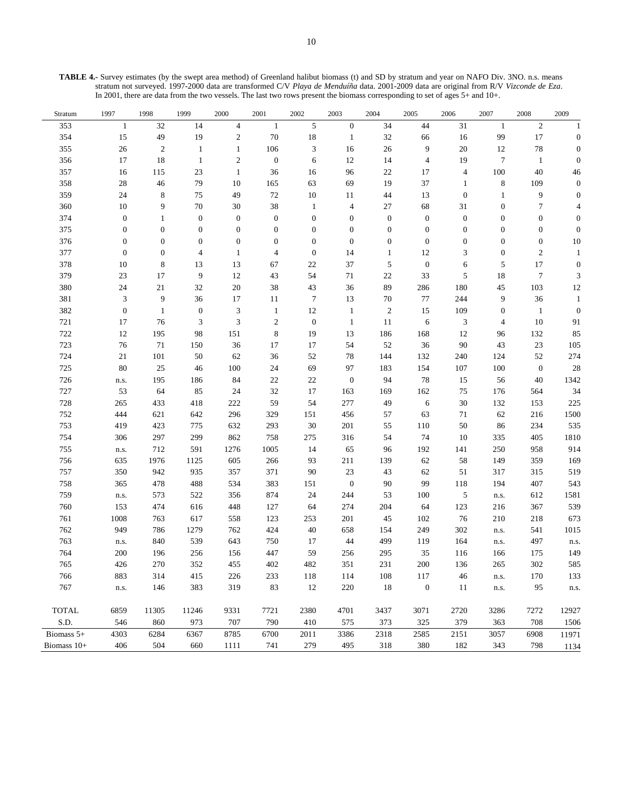**TABLE 4.-** Survey estimates (by the swept area method) of Greenland halibut biomass (t) and SD by stratum and year on NAFO Div. 3NO. n.s. means stratum not surveyed. 1997-2000 data are transformed C/V *Playa de Menduíña* data. 2001-2009 data are original from R/V *Vizconde de Eza*. In 2001, there are data from the two vessels. The last two rows present the biomass corresponding to set of ages 5+ and 10+.

| Stratum      | 1997             | 1998             | 1999             | 2000             | 2001             | 2002             | 2003                     | 2004             | 2005             | 2006             | 2007             | 2008             | 2009           |
|--------------|------------------|------------------|------------------|------------------|------------------|------------------|--------------------------|------------------|------------------|------------------|------------------|------------------|----------------|
| 353          | $\mathbf{1}$     | 32               | 14               | $\overline{4}$   | $\mathbf{1}$     | $\sqrt{5}$       | $\boldsymbol{0}$         | 34               | 44               | 31               | $\mathbf{1}$     | $\boldsymbol{2}$ | 1              |
| 354          | 15               | 49               | 19               | $\boldsymbol{2}$ | 70               | $18\,$           | $\mathbf{1}$             | 32               | 66               | 16               | 99               | $17\,$           | $\theta$       |
| 355          | $26\,$           | $\overline{2}$   | $\mathbf{1}$     | $\mathbf{1}$     | 106              | 3                | 16                       | 26               | 9                | 20               | 12               | $78\,$           |                |
| 356          | 17               | 18               | $\mathbf{1}$     | $\mathfrak{2}$   | $\boldsymbol{0}$ | 6                | 12                       | 14               | $\overline{4}$   | 19               | 7                | $\mathbf{1}$     | $\Omega$       |
| 357          | 16               | 115              | 23               | $\mathbf{1}$     | 36               | 16               | 96                       | $22\,$           | 17               | $\overline{4}$   | 100              | 40               | 46             |
| 358          | 28               | 46               | 79               | 10               | 165              | 63               | 69                       | 19               | 37               | $\mathbf{1}$     | $\,$ 8 $\,$      | 109              | $\Omega$       |
| 359          | 24               | $\,$ 8 $\,$      | 75               | 49               | $72\,$           | $10\,$           | 11                       | 44               | 13               | $\boldsymbol{0}$ | $\mathbf{1}$     | 9                |                |
| 360          | 10               | 9                | $70\,$           | 30               | 38               | $\mathbf{1}$     | $\overline{\mathcal{A}}$ | 27               | 68               | 31               | $\boldsymbol{0}$ | $\boldsymbol{7}$ |                |
| 374          | $\boldsymbol{0}$ | 1                | $\boldsymbol{0}$ | $\boldsymbol{0}$ | $\boldsymbol{0}$ | $\boldsymbol{0}$ | $\boldsymbol{0}$         | $\boldsymbol{0}$ | $\boldsymbol{0}$ | $\mathbf{0}$     | $\boldsymbol{0}$ | $\boldsymbol{0}$ | $\Omega$       |
| 375          | $\boldsymbol{0}$ | $\boldsymbol{0}$ | $\mathbf{0}$     | $\boldsymbol{0}$ | $\boldsymbol{0}$ | $\boldsymbol{0}$ | $\mathbf{0}$             | $\boldsymbol{0}$ | $\boldsymbol{0}$ | $\mathbf{0}$     | $\boldsymbol{0}$ | $\boldsymbol{0}$ | $\overline{0}$ |
| 376          | $\boldsymbol{0}$ | $\overline{0}$   | $\mathbf{0}$     | $\boldsymbol{0}$ | $\boldsymbol{0}$ | $\mathbf{0}$     | $\boldsymbol{0}$         | $\boldsymbol{0}$ | $\boldsymbol{0}$ | $\mathbf{0}$     | $\boldsymbol{0}$ | $\boldsymbol{0}$ | 10             |
| 377          | $\mathbf{0}$     | $\overline{0}$   | 4                | $\mathbf{1}$     | $\overline{4}$   | $\mathbf{0}$     | 14                       | $\mathbf{1}$     | 12               | 3                | $\boldsymbol{0}$ | $\sqrt{2}$       | 1              |
| 378          | 10               | 8                | 13               | 13               | 67               | 22               | 37                       | 5                | $\boldsymbol{0}$ | 6                | 5                | 17               | $\theta$       |
| 379          | 23               | 17               | 9                | 12               | 43               | 54               | 71                       | 22               | 33               | 5                | 18               | $\overline{7}$   | 3              |
| 380          | 24               | 21               | 32               | 20               | 38               | 43               | 36                       | 89               | 286              | 180              | 45               | 103              | 12             |
| 381          | $\mathfrak{Z}$   | 9                | 36               | 17               | 11               | $\boldsymbol{7}$ | 13                       | 70               | 77               | 244              | 9                | 36               |                |
| 382          | $\boldsymbol{0}$ | $\mathbf{1}$     | $\boldsymbol{0}$ | $\mathfrak{Z}$   | $\mathbf{1}$     | $12\,$           | $\mathbf{1}$             | $\boldsymbol{2}$ | 15               | 109              | $\boldsymbol{0}$ | $\mathbf{1}$     | $\theta$       |
| 721          | 17               | 76               | 3                | 3                | $\boldsymbol{2}$ | $\boldsymbol{0}$ | $\mathbf{1}$             | 11               | 6                | 3                | 4                | 10               | 91             |
| 722          | 12               | 195              | 98               | 151              | $\,$ 8 $\,$      | 19               | 13                       | 186              | 168              | 12               | 96               | 132              | 85             |
| 723          | 76               | 71               | 150              | 36               | 17               | 17               | 54                       | 52               | 36               | $90\,$           | 43               | 23               | 105            |
| 724          | $21\,$           | 101              | 50               | 62               | 36               | 52               | 78                       | 144              | 132              | 240              | 124              | 52               | 274            |
| 725          | 80               | 25               | 46               | 100              | 24               | 69               | 97                       | 183              | 154              | 107              | 100              | $\boldsymbol{0}$ | 28             |
| 726          | n.s.             | 195              | 186              | 84               | $22\,$           | 22               | $\mathbf{0}$             | 94               | 78               | 15               | 56               | 40               | 1342           |
| 727          | 53               | 64               | 85               | 24               | 32               | 17               | 163                      | 169              | 162              | 75               | 176              | 564              | 34             |
| 728          | 265              | 433              | 418              | 222              | 59               | 54               | 277                      | 49               | 6                | 30               | 132              | 153              | 225            |
| 752          | 444              | 621              | 642              | 296              | 329              | 151              | 456                      | 57               | 63               | 71               | 62               | 216              | 1500           |
| 753          | 419              | 423              | 775              | 632              | 293              | 30               | 201                      | 55               | 110              | 50               | 86               | 234              | 535            |
| 754          | 306              | 297              | 299              | 862              | 758              | 275              | 316                      | 54               | 74               | 10               | 335              | 405              | 1810           |
| 755          | n.s.             | 712              | 591              | 1276             | 1005             | 14               | 65                       | 96               | 192              | 141              | 250              | 958              | 914            |
| 756          | 635              | 1976             | 1125             | 605              | 266              | 93               | 211                      | 139              | 62               | 58               | 149              | 359              | 169            |
| 757          | 350              | 942              | 935              | 357              | 371              | 90               | 23                       | 43               | 62               | 51               | 317              | 315              | 519            |
| 758          | 365              | 478              | 488              | 534              | 383              | 151              | $\mathbf{0}$             | 90               | 99               | 118              | 194              | 407              | 543            |
| 759          | n.s.             | 573              | 522              | 356              | 874              | 24               | 244                      | 53               | 100              | $\sqrt{5}$       | n.s.             | 612              | 1581           |
| 760          | 153              | 474              | 616              | 448              | 127              | 64               | 274                      | 204              | 64               | 123              | 216              | 367              | 539            |
| 761          | 1008             | 763              | 617              | 558              | 123              | 253              | 201                      | 45               | 102              | 76               | 210              | 218              | 673            |
| 762          | 949              | 786              | 1279             | 762              | 424              | $40\,$           | 658                      | 154              | 249              | 302              | n.s.             | 541              | 1015           |
| 763          | n.s.             | 840              | 539              | 643              | 750              | 17               | 44                       | 499              | 119              | 164              | n.s.             | 497              | n.s.           |
| 764          | 200              | 196              | 256              | 156              | 447              | 59               | 256                      | 295              | 35               | 116              | 166              | 175              | 149            |
| 765          | 426              | 270              | 352              | 455              | 402              | 482              | 351                      | 231              | $200\,$          | 136              | 265              | 302              | 585            |
| 766          | 883              | 314              | 415              | 226              | 233              | 118              | 114                      | 108              | 117              | 46               | n.s.             | 170              | 133            |
| 767          | n.s.             | 146              | 383              | 319              | 83               | 12               | 220                      | 18               | $\mathbf{0}$     | 11               | n.s.             | 95               | n.s.           |
|              |                  |                  |                  |                  |                  |                  |                          |                  |                  |                  |                  |                  |                |
| <b>TOTAL</b> | 6859             | 11305            | 11246            | 9331             | 7721             | 2380             | 4701                     | 3437             | 3071             | 2720             | 3286             | 7272             | 12927          |
| S.D.         | 546              | 860              | 973              | 707              | 790              | 410              | 575                      | 373              | 325              | 379              | 363              | 708              | 1506           |
| Biomass 5+   | 4303             | 6284             | 6367             | 8785             | 6700             | 2011             | 3386                     | 2318             | 2585             | 2151             | 3057             | 6908             | 11971          |
| Biomass 10+  | 406              | 504              | 660              | 1111             | 741              | 279              | 495                      | 318              | 380              | 182              | 343              | 798              | 1134           |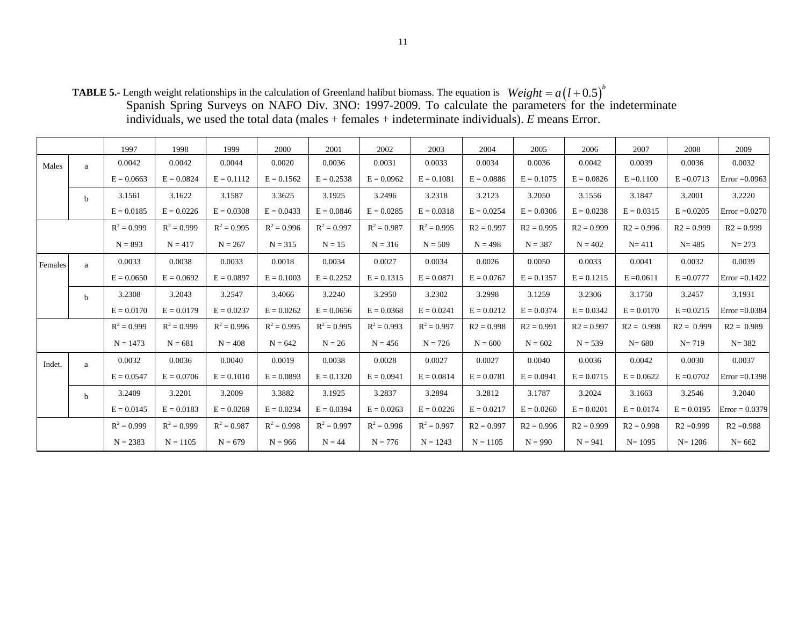**TABLE 5.-** Length weight relationships in the calculation of Greenland halibut biomass. The equation is Spanish Spring Surveys on NAFO Div. 3NO: 1997-2009. To calculate the parameters for the indeterminate individuals, we used the total data (males + females + indeterminate individuals). *E* means Error.  $Weight = a(l + 0.5)^{b}$ 

|         |              | 1997          | 1998          | 1999          | 2000          | 2001          | 2002          | 2003          | 2004         | 2005         | 2006         | 2007         | 2008         | 2009             |
|---------|--------------|---------------|---------------|---------------|---------------|---------------|---------------|---------------|--------------|--------------|--------------|--------------|--------------|------------------|
| Males   | a            | 0.0042        | 0.0042        | 0.0044        | 0.0020        | 0.0036        | 0.0031        | 0.0033        | 0.0034       | 0.0036       | 0.0042       | 0.0039       | 0.0036       | 0.0032           |
|         |              | $E = 0.0663$  | $E = 0.0824$  | $E = 0.1112$  | $E = 0.1562$  | $E = 0.2538$  | $E = 0.0962$  | $E = 0.1081$  | $E = 0.0886$ | $E = 0.1075$ | $E = 0.0826$ | $E = 0.1100$ | $E = 0.0713$ | $Error = 0.0963$ |
|         | $\mathbf b$  | 3.1561        | 3.1622        | 3.1587        | 3.3625        | 3.1925        | 3.2496        | 3.2318        | 3.2123       | 3.2050       | 3.1556       | 3.1847       | 3.2001       | 3.2220           |
|         |              | $E = 0.0185$  | $E = 0.0226$  | $E = 0.0308$  | $E = 0.0433$  | $E = 0.0846$  | $E = 0.0285$  | $E = 0.0318$  | $E = 0.0254$ | $E = 0.0306$ | $E = 0.0238$ | $E = 0.0315$ | $E = 0.0205$ | Error $=0.0270$  |
|         |              | $R^2 = 0.999$ | $R^2 = 0.999$ | $R^2 = 0.995$ | $R^2 = 0.996$ | $R^2 = 0.997$ | $R^2 = 0.987$ | $R^2 = 0.995$ | $R2 = 0.997$ | $R2 = 0.995$ | $R2 = 0.999$ | $R2 = 0.996$ | $R2 = 0.999$ | $R2 = 0.999$     |
|         |              | $N = 893$     | $N = 417$     | $N = 267$     | $N = 315$     | $N = 15$      | $N = 316$     | $N = 509$     | $N = 498$    | $N = 387$    | $N = 402$    | $N = 411$    | $N = 485$    | $N = 273$        |
| Females | a            | 0.0033        | 0.0038        | 0.0033        | 0.0018        | 0.0034        | 0.0027        | 0.0034        | 0.0026       | 0.0050       | 0.0033       | 0.0041       | 0.0032       | 0.0039           |
|         |              | $E = 0.0650$  | $E = 0.0692$  | $E = 0.0897$  | $E = 0.1003$  | $E = 0.2252$  | $E = 0.1315$  | $E = 0.0871$  | $E = 0.0767$ | $E = 0.1357$ | $E = 0.1215$ | $E = 0.0611$ | $E = 0.0777$ | $Error = 0.1422$ |
|         | <sub>b</sub> | 3.2308        | 3.2043        | 3.2547        | 3.4066        | 3.2240        | 3.2950        | 3.2302        | 3.2998       | 3.1259       | 3.2306       | 3.1750       | 3.2457       | 3.1931           |
|         |              | $E = 0.0170$  | $E = 0.0179$  | $E = 0.0237$  | $E = 0.0262$  | $E = 0.0656$  | $E = 0.0368$  | $E = 0.0241$  | $E = 0.0212$ | $E = 0.0374$ | $E = 0.0342$ | $E = 0.0170$ | $E = 0.0215$ | Error $=0.0384$  |
|         |              | $R^2 = 0.999$ | $R^2 = 0.999$ | $R^2 = 0.996$ | $R^2 = 0.995$ | $R^2 = 0.995$ | $R^2 = 0.993$ | $R^2 = 0.997$ | $R2 = 0.998$ | $R2 = 0.991$ | $R2 = 0.997$ | $R2 = 0.998$ | $R2 = 0.999$ | $R2 = 0.989$     |
|         |              | $N = 1473$    | $N = 681$     | $N = 408$     | $N = 642$     | $N = 26$      | $N = 456$     | $N = 726$     | $N = 600$    | $N = 602$    | $N = 539$    | $N = 680$    | $N = 719$    | $N = 382$        |
| Indet.  | a            | 0.0032        | 0.0036        | 0.0040        | 0.0019        | 0.0038        | 0.0028        | 0.0027        | 0.0027       | 0.0040       | 0.0036       | 0.0042       | 0.0030       | 0.0037           |
|         |              | $E = 0.0547$  | $E = 0.0706$  | $E = 0.1010$  | $E = 0.0893$  | $E = 0.1320$  | $E = 0.0941$  | $E = 0.0814$  | $E = 0.0781$ | $E = 0.0941$ | $E = 0.0715$ | $E = 0.0622$ | $E = 0.0702$ | $Error = 0.1398$ |
|         | $\mathbf b$  | 3.2409        | 3.2201        | 3.2009        | 3.3882        | 3.1925        | 3.2837        | 3.2894        | 3.2812       | 3.1787       | 3.2024       | 3.1663       | 3.2546       | 3.2040           |
|         |              | $E = 0.0145$  | $E = 0.0183$  | $E = 0.0269$  | $E = 0.0234$  | $E = 0.0394$  | $E = 0.0263$  | $E = 0.0226$  | $E = 0.0217$ | $E = 0.0260$ | $E = 0.0201$ | $E = 0.0174$ | $E = 0.0195$ | $Error = 0.0379$ |
|         |              | $R^2 = 0.999$ | $R^2 = 0.999$ | $R^2 = 0.987$ | $R^2 = 0.998$ | $R^2 = 0.997$ | $R^2 = 0.996$ | $R^2 = 0.997$ | $R2 = 0.997$ | $R2 = 0.996$ | $R2 = 0.999$ | $R2 = 0.998$ | $R2 = 0.999$ | $R2 = 0.988$     |
|         |              | $N = 2383$    | $N = 1105$    | $N = 679$     | $N = 966$     | $N = 44$      | $N = 776$     | $N = 1243$    | $N = 1105$   | $N = 990$    | $N = 941$    | $N = 1095$   | $N = 1206$   | $N = 662$        |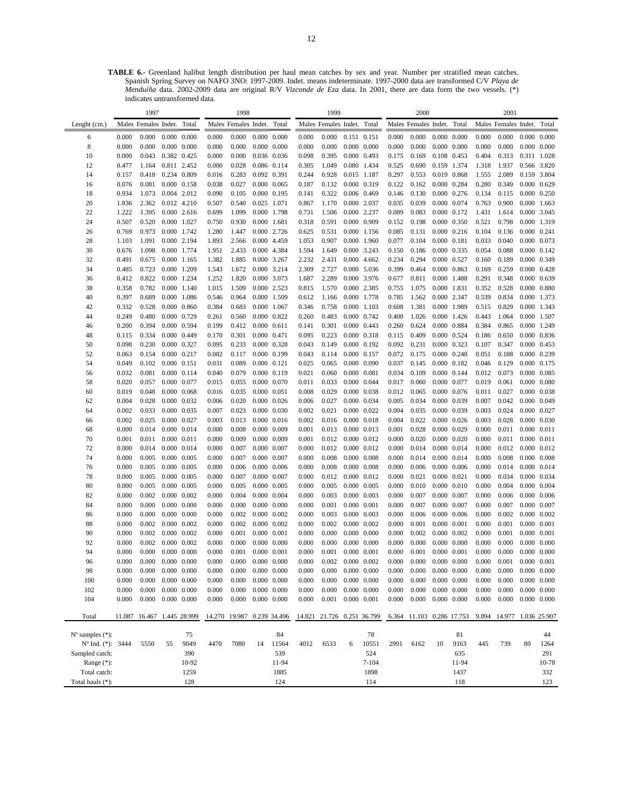**TABLE 6.-** Greenland halibut length distribution per haul mean catches by sex and year. Number per stratified mean catches. Spanish Spring Survey on NAFO 3NO: 1997-2009. Indet. means indeterminate. 1997-2000 data are transformed C/V *Playa de Menduíña* data. 2002-2009 data are original R/V *Vizconde de Eza* data. In 2001, there are data form the two vessels. (\*) indicates untransformed data.

| Lenght (cm.)<br>Males Females Indet.<br>Total<br>Males Females Indet. Total<br>Males Females Indet. Total<br>Males Females Indet.<br>Total<br>Males Females Indet.<br>Total<br>0.000<br>0.000<br>$0.000 \quad 0.000$<br>0.000<br>0.000<br>$0.000 \quad 0.000$<br>0.000<br>0.000<br>0.151 0.151<br>0.000<br>0.000<br>$0.000 \quad 0.000$<br>0.000<br>0.000<br>0.000<br>0.000<br>6<br>8<br>0.000<br>0.000<br>$0.000 \quad 0.000$<br>0.000<br>0.000<br>$0.000 \quad 0.000$<br>0.000<br>0.000<br>$0.000 \quad 0.000$<br>0.000<br>0.000<br>$0.000 \quad 0.000$<br>0.000<br>0.000<br>$0.000 \quad 0.000$<br>10<br>0.000<br>0.043<br>0.382 0.425<br>0.000<br>0.000<br>0.036 0.036<br>0.098<br>0.395<br>0.000 0.493<br>0.175<br>0.169<br>0.108 0.453<br>0.404<br>0.313<br>0.311 1.028<br>0.811 2.452<br>0.080 1.434<br>0.159 1.374<br>0.566 3.820<br>12<br>0.477<br>1.164<br>0.000<br>0.028<br>0.086 0.114<br>0.305<br>1.049<br>0.525<br>0.690<br>1.318<br>1.937<br>0.234 0.809<br>0.283<br>0.928<br>0.297<br>0.159 3.804<br>14<br>0.157<br>0.418<br>0.016<br>0.092 0.391<br>0.244<br>0.015 1.187<br>0.553<br>0.019 0.868<br>1.555<br>2.089<br>$0.000 \quad 0.158$<br>0.038<br>0.027<br>0.000 0.319<br>0.122<br>0.000 0.284<br>0.280<br>0.349<br>16<br>0.076<br>0.081<br>0.000 0.065<br>0.132<br>0.162<br>0.000 0.629<br>0.187<br>18<br>1.073<br>0.004 2.012<br>0.090<br>0.105<br>0.000 0.195<br>0.322<br>0.006 0.469<br>0.146<br>0.130<br>$0.000 \quad 0.276$<br>0.134<br>0.115<br>$0.000 \quad 0.250$<br>0.934<br>0.141<br>0.000 0.074<br>20<br>2.362<br>0.012 4.210<br>0.507<br>0.540<br>0.025 1.071<br>1.170<br>0.000 2.037<br>0.035<br>0.039<br>0.763<br>0.900<br>0.000 1.663<br>1.836<br>0.867<br>22<br>1.222<br>1.395<br>$0.000$ 2.616<br>0.699<br>1.099<br>0.000 1.798<br>0.731<br>1.506<br>0.000 2.237<br>0.089<br>0.083<br>0.000 0.172<br>1.431<br>1.614<br>0.000 3.045<br>0.591<br>24<br>0.507<br>0.520<br>0.000 1.027<br>0.750<br>0.930<br>0.000 1.681<br>0.318<br>0.000 0.909<br>0.152<br>0.198<br>0.000 0.350<br>0.521<br>0.798<br>0.000 1.319<br>26<br>0.769<br>0.973<br>0.000 1.742<br>1.280<br>1.447<br>0.000 2.726<br>0.625<br>0.531<br>0.000 1.156<br>0.085<br>0.131<br>$0.000 \quad 0.216$<br>0.104<br>0.136<br>0.000 0.241<br>0.907<br>0.077<br>0.033<br>0.040<br>28<br>1.103<br>1.091<br>0.000 2.194<br>1.893<br>2.566<br>0.000 4.459<br>1.053<br>0.000 1.960<br>0.104<br>$0.000$ $0.181$<br>0.000 0.073<br>0.000 3.243<br>30<br>0.676<br>1.098<br>0.000 1.774<br>2.433<br>0.000 4.384<br>1.594<br>1.649<br>0.150<br>0.186<br>0.000 0.335<br>0.054<br>0.088<br>$0.000 \quad 0.142$<br>1.951<br>32<br>0.491<br>0.675<br>0.000 1.165<br>1.382<br>1.885<br>0.000 3.267<br>2.232<br>2.431<br>0.000 4.662<br>0.234<br>0.294<br>0.000 0.527<br>0.160<br>0.189<br>0.000 0.349<br>0.000 3.214<br>0.000 5.036<br>34<br>0.485<br>0.723<br>0.000 1.209<br>1.543<br>1.672<br>2.309<br>2.727<br>0.399<br>0.464<br>0.000 0.863<br>0.169<br>0.259<br>$0.000 \quad 0.428$<br>0.000 3.976<br>0.677<br>0.348<br>36<br>0.412<br>0.822<br>0.000 1.234<br>1.252<br>1.820<br>0.000 3.073<br>1.687<br>2.289<br>0.811<br>0.000 1.488<br>0.291<br>0.000 0.639<br>0.782<br>1.509<br>0.000 2.523<br>0.000 2.385<br>0.000 1.831<br>0.352<br>$0.000 \quad 0.880$<br>38<br>0.358<br>0.000 1.140<br>1.015<br>0.815<br>1.570<br>0.755<br>1.075<br>0.528<br>0.000 1.086<br>0.785<br>0.000 2.347<br>0.539<br>40<br>0.397<br>0.689<br>0.964<br>0.000 1.509<br>1.166<br>0.000 1.778<br>1.562<br>0.834<br>0.000 1.373<br>0.546<br>0.612<br>42<br>0.332<br>0.528<br>0.000 0.860<br>0.384<br>0.683<br>0.000 1.067<br>0.758<br>0.000 1.103<br>0.608<br>1.381<br>0.000 1.989<br>0.515<br>0.829<br>0.000 1.343<br>0.346<br>44<br>0.249<br>0.480<br>0.000 0.729<br>0.261<br>0.560<br>0.000 0.822<br>0.260<br>0.483<br>0.000 0.742<br>0.400<br>1.026<br>0.000 1.426<br>0.443<br>1.064<br>0.000 1.507<br>0.000 0.594<br>0.384<br>0.200<br>0.394<br>0.199<br>0.412<br>$0.000 \quad 0.611$<br>0.301<br>$0.000 \quad 0.443$<br>0.260<br>0.624<br>0.000 0.884<br>0.865<br>0.000 1.249<br>46<br>0.141<br>48<br>0.334<br>0.000 0.449<br>0.170<br>0.301<br>0.000 0.471<br>0.095<br>0.223<br>0.000 0.318<br>0.115<br>0.409<br>0.000 0.524<br>0.186<br>0.650<br>0.000 0.836<br>0.115<br>0.230<br>0.000 0.323<br>50<br>0.098<br>0.000 0.327<br>0.095<br>0.233<br>0.000 0.328<br>0.043<br>0.149<br>0.000 0.192<br>0.092<br>0.231<br>0.107<br>0.347<br>0.000 0.453<br>0.072<br>52<br>0.063<br>0.000 0.217<br>0.082<br>0.117<br>0.000 0.199<br>0.043<br>0.114<br>0.000 0.157<br>0.175<br>$0.000 \quad 0.248$<br>0.051<br>0.188<br>0.000 0.239<br>0.154<br>54<br>0.049<br>0.102<br>0.000 0.151<br>0.031<br>0.089<br>$0.000 \quad 0.121$<br>0.025<br>0.065<br>0.000 0.090<br>0.037<br>0.145<br>$0.000 \quad 0.182$<br>0.046<br>0.129<br>0.000 0.175<br>$0.000 \quad 0.144$<br>56<br>0.032<br>0.081<br>0.000 0.114<br>0.040<br>0.079<br>0.000 0.119<br>0.021<br>0.060<br>0.000 0.081<br>0.034<br>0.109<br>0.012<br>0.073<br>0.000 0.085<br>0.000 0.077<br>0.033<br>0.017<br>0.000 0.077<br>58<br>0.020<br>0.057<br>0.015<br>0.055<br>0.000 0.070<br>0.011<br>0.000 0.044<br>0.060<br>0.019<br>0.061<br>0.000 0.080<br>0.000 0.038<br>0.000 0.076<br>0.011<br>60<br>0.019<br>0.048<br>0.000 0.068<br>0.016<br>0.035<br>0.000 0.051<br>0.008<br>0.029<br>0.012<br>0.065<br>0.027<br>0.000 0.038<br>62<br>0.004<br>0.028<br>0.000 0.032<br>0.006<br>0.020<br>$0.000 \quad 0.026$<br>0.006<br>0.027<br>0.000 0.034<br>0.005<br>0.034<br>0.000 0.039<br>0.007<br>0.042<br>0.000 0.049<br>0.000 0.039<br>64<br>0.002<br>0.033<br>0.000 0.035<br>0.007<br>0.023<br>0.000 0.030<br>0.002<br>0.021<br>0.000 0.022<br>0.004<br>0.035<br>0.003<br>0.024<br>0.000 0.027<br>0.002<br>0.025<br>0.000 0.027<br>0.003<br>0.013<br>$0.000$ $0.016$<br>0.002<br>0.016<br>$0.000$ $0.018$<br>0.004<br>0.022<br>$0.000$ $0.026$<br>0.003<br>0.028<br>$0.000 \quad 0.030$<br>66<br>0.001<br>0.000<br>0.014<br>0.000 0.014<br>0.000<br>0.008<br>0.000 0.009<br>0.001<br>0.013<br>0.000 0.013<br>0.028<br>0.000 0.029<br>0.000<br>0.011<br>0.000 0.011<br>68<br>70<br>0.001<br>0.011<br>0.000 0.011<br>0.000<br>0.009<br>0.000 0.009<br>0.001<br>0.012<br>0.000 0.012<br>0.000<br>0.020<br>$0.000 \quad 0.020$<br>0.000<br>0.011<br>$0.000$ $0.011$<br>0.000<br>0.012<br>72<br>0.000<br>0.014<br>0.000 0.014<br>0.000<br>0.007<br>0.000 0.007<br>0.000<br>0.012<br>0.000 0.012<br>0.014<br>0.000 0.014<br>0.000<br>0.000 0.012<br>74<br>0.000<br>0.005<br>0.000 0.005<br>0.000<br>0.007<br>0.000 0.007<br>0.008<br>0.000 0.008<br>0.000<br>0.014<br>0.000 0.014<br>0.000<br>0.008<br>$0.000 \quad 0.008$<br>0.000<br>0.000<br>76<br>0.000<br>0.005<br>0.000 0.005<br>0.000<br>0.006<br>$0.000 \quad 0.006$<br>0.000<br>0.008<br>$0.000 \quad 0.008$<br>0.006<br>$0.000 \quad 0.006$<br>0.000<br>0.014<br>0.000 0.014<br>78<br>0.000<br>0.005<br>0.000 0.005<br>0.000<br>0.007<br>0.000 0.007<br>0.000<br>0.012<br>$0.000$ $0.012$<br>0.000<br>0.021<br>$0.000 \quad 0.021$<br>0.000<br>0.034<br>0.000 0.034<br>0.005<br>0.000<br>0.004<br>0.000 0.004<br>80<br>0.000<br>0.005<br>0.000 0.005<br>0.000<br>0.000 0.005<br>0.000<br>0.005<br>0.000 0.005<br>0.010<br>$0.000 \quad 0.010$<br>0.000<br>0.004<br>0.000<br>82<br>0.000<br>0.002<br>0.000 0.002<br>0.000<br>0.000 0.004<br>0.000<br>0.003<br>0.000 0.003<br>0.007<br>0.000 0.007<br>0.000<br>0.006<br>$0.000 \quad 0.006$<br>0.000<br>0.007<br>84<br>0.000<br>$0.000 \quad 0.000$<br>0.000<br>0.000<br>$0.000 \quad 0.000$<br>0.000<br>0.001<br>0.000 0.001<br>0.007<br>0.000 0.007<br>0.000<br>0.000 0.007<br>0.000<br>86<br>0.000<br>0.000<br>$0.000 \quad 0.000$<br>0.000<br>0.002<br>0.000 0.002<br>0.000<br>0.003<br>0.000 0.003<br>0.000<br>0.006<br>$0.000 \quad 0.006$<br>0.000<br>0.002<br>0.000 0.002<br>88<br>0.000<br>0.002<br>0.000 0.002<br>0.000<br>0.002<br>0.000 0.002<br>0.000<br>0.002<br>0.000 0.002<br>0.000<br>0.001<br>$0.000 \quad 0.001$<br>0.000<br>0.001<br>$0.000 \quad 0.001$<br>90<br>0.000<br>0.002<br>0.000 0.002<br>0.000<br>0.001<br>0.000 0.001<br>0.000<br>0.000<br>$0.000 \quad 0.000$<br>0.000<br>0.002<br>0.000 0.002<br>0.000<br>0.001<br>$0.000 \quad 0.001$<br>92<br>0.000<br>0.002<br>0.000 0.002<br>0.000<br>0.000<br>$0.000 \quad 0.000$<br>0.000<br>0.000<br>$0.000 \quad 0.000$<br>0.000<br>0.000<br>$0.000 \quad 0.000$<br>0.000<br>0.000<br>$0.000 \quad 0.000$<br>0.001<br>0.001<br>0.000<br>0.000<br>94<br>0.000<br>0.000<br>$0.000 \quad 0.000$<br>0.000<br>0.000 0.001<br>0.000<br>0.000 0.001<br>0.001<br>0.000 0.001<br>0.000<br>$0.000 \quad 0.000$<br>0.000<br>96<br>0.000<br>0.000<br>$0.000 \quad 0.000$<br>0.000<br>0.000<br>$0.000 \quad 0.000$<br>0.002<br>$0.000 \quad 0.002$<br>0.000<br>0.000<br>$0.000 \quad 0.000$<br>0.000<br>0.001<br>0.000 0.001<br>98<br>0.000<br>$0.000 \quad 0.000$<br>0.000<br>0.000<br>$0.000 \quad 0.000$<br>0.000<br>0.000<br>$0.000 \quad 0.000$<br>0.000<br>0.000<br>$0.000 \quad 0.000$<br>0.000<br>$0.000 \quad 0.000$<br>0.000<br>0.000<br>$0.000 \quad 0.000$<br>$0.000 \quad 0.000$<br>$0.000 \quad 0.000$<br>100<br>0.000<br>0.000<br>$0.000 \quad 0.000$<br>0.000<br>0.000<br>$0.000 \quad 0.000$<br>0.000<br>0.000<br>0.000<br>0.000<br>0.000<br>0.000<br>$0.000 \quad 0.000$<br>0.000<br>0.000<br>$0.000 \quad 0.000$<br>0.000<br>0.000<br>$0.000 \quad 0.000$<br>0.000<br>$0.000 \quad 0.000$<br>102<br>0.000<br>0.000<br>0.000<br>$0.000 \quad 0.000$<br>0.000<br>0.000<br>$0.000 \quad 0.000$<br>0.000<br>$0.000 \quad 0.000$<br>$0.001$ $0.000$ $0.001$<br>0.000<br>0.000<br>$0.000 \quad 0.000$<br>0.000<br>$0.000 \quad 0.000$<br>104<br>0.000<br>0.000<br>0.000<br>0.000<br>0.000<br>Total<br>14.270 19.987 0.239 34.496<br>11.087 16.467 1.445 28.999<br>14.821 21.726 0.251 36.799<br>6.364 11.103 0.286 17.753<br>9.894 14.977 1.036 25.907<br>$N^{\circ}$ samples $(*)$ :<br>75<br>84<br>78<br>81<br>44<br>Nº Ind. (*): 3444<br>9049<br>4012<br>5550<br>4470<br>7080<br>11564<br>6533<br>10551<br>2991<br>6162<br>10<br>9163<br>445<br>739<br>80<br>55<br>14<br>6<br>1264<br>Sampled catch:<br>390<br>539<br>524<br>635<br>291<br>Range $(*)$ :<br>10-92<br>11-94<br>$7 - 104$<br>11-94<br>10-78<br>Total catch:<br>332<br>1259<br>1885<br>1898<br>1437 |                  | 1997 |     | 1998 |     | 1999 |     | 2000 |     | 2001 |     |
|--------------------------------------------------------------------------------------------------------------------------------------------------------------------------------------------------------------------------------------------------------------------------------------------------------------------------------------------------------------------------------------------------------------------------------------------------------------------------------------------------------------------------------------------------------------------------------------------------------------------------------------------------------------------------------------------------------------------------------------------------------------------------------------------------------------------------------------------------------------------------------------------------------------------------------------------------------------------------------------------------------------------------------------------------------------------------------------------------------------------------------------------------------------------------------------------------------------------------------------------------------------------------------------------------------------------------------------------------------------------------------------------------------------------------------------------------------------------------------------------------------------------------------------------------------------------------------------------------------------------------------------------------------------------------------------------------------------------------------------------------------------------------------------------------------------------------------------------------------------------------------------------------------------------------------------------------------------------------------------------------------------------------------------------------------------------------------------------------------------------------------------------------------------------------------------------------------------------------------------------------------------------------------------------------------------------------------------------------------------------------------------------------------------------------------------------------------------------------------------------------------------------------------------------------------------------------------------------------------------------------------------------------------------------------------------------------------------------------------------------------------------------------------------------------------------------------------------------------------------------------------------------------------------------------------------------------------------------------------------------------------------------------------------------------------------------------------------------------------------------------------------------------------------------------------------------------------------------------------------------------------------------------------------------------------------------------------------------------------------------------------------------------------------------------------------------------------------------------------------------------------------------------------------------------------------------------------------------------------------------------------------------------------------------------------------------------------------------------------------------------------------------------------------------------------------------------------------------------------------------------------------------------------------------------------------------------------------------------------------------------------------------------------------------------------------------------------------------------------------------------------------------------------------------------------------------------------------------------------------------------------------------------------------------------------------------------------------------------------------------------------------------------------------------------------------------------------------------------------------------------------------------------------------------------------------------------------------------------------------------------------------------------------------------------------------------------------------------------------------------------------------------------------------------------------------------------------------------------------------------------------------------------------------------------------------------------------------------------------------------------------------------------------------------------------------------------------------------------------------------------------------------------------------------------------------------------------------------------------------------------------------------------------------------------------------------------------------------------------------------------------------------------------------------------------------------------------------------------------------------------------------------------------------------------------------------------------------------------------------------------------------------------------------------------------------------------------------------------------------------------------------------------------------------------------------------------------------------------------------------------------------------------------------------------------------------------------------------------------------------------------------------------------------------------------------------------------------------------------------------------------------------------------------------------------------------------------------------------------------------------------------------------------------------------------------------------------------------------------------------------------------------------------------------------------------------------------------------------------------------------------------------------------------------------------------------------------------------------------------------------------------------------------------------------------------------------------------------------------------------------------------------------------------------------------------------------------------------------------------------------------------------------------------------------------------------------------------------------------------------------------------------------------------------------------------------------------------------------------------------------------------------------------------------------------------------------------------------------------------------------------------------------------------------------------------------------------------------------------------------------------------------------------------------------------------------------------------------------------------------------------------------------------------------------------------------------------------------------------------------------------------------------------------------------------------------------------------------------------------------------------------------------------------------------------------------------------------------------------------------------------------------------------------------------------------------------------------------------------------------------------------------------------------------------------------------------------------------------------------------------------------------------------------------------------------------------------------------------------------------------------------------------------------------------------------------------------------------------------------------------------------------------------------------------------------------------------------------------------------------------------------------------------------------------------------------------------------------------------------------------------------------------------------------------------------------------------------------------------------------------------------------------------------------------------------------------------------------------------------------------------------------------------------------------------------------------------------------------------------------------------------------------------------------------------------------------------------------------------------------------------------------------------------------------------------------------------------------------------------------------------------------------------------------------------------------------------------------------------------------------------------------------------------------------------------------------------------------------------------------------------------------------------------------------------------------------------------------------------------------------------------------------------------------------------------------------------------------------------------------------------------------------------------------------------------------------------------------------------------------------------------------------------------------------------------------------------------------------------------------------------------------------------------------------------------------------------------------------------------------------------------------------------------------------------------------------------------------------------------------------------------|------------------|------|-----|------|-----|------|-----|------|-----|------|-----|
|                                                                                                                                                                                                                                                                                                                                                                                                                                                                                                                                                                                                                                                                                                                                                                                                                                                                                                                                                                                                                                                                                                                                                                                                                                                                                                                                                                                                                                                                                                                                                                                                                                                                                                                                                                                                                                                                                                                                                                                                                                                                                                                                                                                                                                                                                                                                                                                                                                                                                                                                                                                                                                                                                                                                                                                                                                                                                                                                                                                                                                                                                                                                                                                                                                                                                                                                                                                                                                                                                                                                                                                                                                                                                                                                                                                                                                                                                                                                                                                                                                                                                                                                                                                                                                                                                                                                                                                                                                                                                                                                                                                                                                                                                                                                                                                                                                                                                                                                                                                                                                                                                                                                                                                                                                                                                                                                                                                                                                                                                                                                                                                                                                                                                                                                                                                                                                                                                                                                                                                                                                                                                                                                                                                                                                                                                                                                                                                                                                                                                                                                                                                                                                                                                                                                                                                                                                                                                                                                                                                                                                                                                                                                                                                                                                                                                                                                                                                                                                                                                                                                                                                                                                                                                                                                                                                                                                                                                                                                                                                                                                                                                                                                                                                                                                                                                                                                                                                                                                                                                                                                                                                                                                                                                                                                                                                                                                                                                                                                                                                                                                                                                                                                                                                                                                                                                                                                                                                                                                                                                                                                                                                                                                                                                                                                                                                                                                                                                                                                                                                                                                                                                                                                                                                                                                                              |                  |      |     |      |     |      |     |      |     |      |     |
|                                                                                                                                                                                                                                                                                                                                                                                                                                                                                                                                                                                                                                                                                                                                                                                                                                                                                                                                                                                                                                                                                                                                                                                                                                                                                                                                                                                                                                                                                                                                                                                                                                                                                                                                                                                                                                                                                                                                                                                                                                                                                                                                                                                                                                                                                                                                                                                                                                                                                                                                                                                                                                                                                                                                                                                                                                                                                                                                                                                                                                                                                                                                                                                                                                                                                                                                                                                                                                                                                                                                                                                                                                                                                                                                                                                                                                                                                                                                                                                                                                                                                                                                                                                                                                                                                                                                                                                                                                                                                                                                                                                                                                                                                                                                                                                                                                                                                                                                                                                                                                                                                                                                                                                                                                                                                                                                                                                                                                                                                                                                                                                                                                                                                                                                                                                                                                                                                                                                                                                                                                                                                                                                                                                                                                                                                                                                                                                                                                                                                                                                                                                                                                                                                                                                                                                                                                                                                                                                                                                                                                                                                                                                                                                                                                                                                                                                                                                                                                                                                                                                                                                                                                                                                                                                                                                                                                                                                                                                                                                                                                                                                                                                                                                                                                                                                                                                                                                                                                                                                                                                                                                                                                                                                                                                                                                                                                                                                                                                                                                                                                                                                                                                                                                                                                                                                                                                                                                                                                                                                                                                                                                                                                                                                                                                                                                                                                                                                                                                                                                                                                                                                                                                                                                                                                                              |                  |      |     |      |     |      |     |      |     |      |     |
|                                                                                                                                                                                                                                                                                                                                                                                                                                                                                                                                                                                                                                                                                                                                                                                                                                                                                                                                                                                                                                                                                                                                                                                                                                                                                                                                                                                                                                                                                                                                                                                                                                                                                                                                                                                                                                                                                                                                                                                                                                                                                                                                                                                                                                                                                                                                                                                                                                                                                                                                                                                                                                                                                                                                                                                                                                                                                                                                                                                                                                                                                                                                                                                                                                                                                                                                                                                                                                                                                                                                                                                                                                                                                                                                                                                                                                                                                                                                                                                                                                                                                                                                                                                                                                                                                                                                                                                                                                                                                                                                                                                                                                                                                                                                                                                                                                                                                                                                                                                                                                                                                                                                                                                                                                                                                                                                                                                                                                                                                                                                                                                                                                                                                                                                                                                                                                                                                                                                                                                                                                                                                                                                                                                                                                                                                                                                                                                                                                                                                                                                                                                                                                                                                                                                                                                                                                                                                                                                                                                                                                                                                                                                                                                                                                                                                                                                                                                                                                                                                                                                                                                                                                                                                                                                                                                                                                                                                                                                                                                                                                                                                                                                                                                                                                                                                                                                                                                                                                                                                                                                                                                                                                                                                                                                                                                                                                                                                                                                                                                                                                                                                                                                                                                                                                                                                                                                                                                                                                                                                                                                                                                                                                                                                                                                                                                                                                                                                                                                                                                                                                                                                                                                                                                                                                                              |                  |      |     |      |     |      |     |      |     |      |     |
|                                                                                                                                                                                                                                                                                                                                                                                                                                                                                                                                                                                                                                                                                                                                                                                                                                                                                                                                                                                                                                                                                                                                                                                                                                                                                                                                                                                                                                                                                                                                                                                                                                                                                                                                                                                                                                                                                                                                                                                                                                                                                                                                                                                                                                                                                                                                                                                                                                                                                                                                                                                                                                                                                                                                                                                                                                                                                                                                                                                                                                                                                                                                                                                                                                                                                                                                                                                                                                                                                                                                                                                                                                                                                                                                                                                                                                                                                                                                                                                                                                                                                                                                                                                                                                                                                                                                                                                                                                                                                                                                                                                                                                                                                                                                                                                                                                                                                                                                                                                                                                                                                                                                                                                                                                                                                                                                                                                                                                                                                                                                                                                                                                                                                                                                                                                                                                                                                                                                                                                                                                                                                                                                                                                                                                                                                                                                                                                                                                                                                                                                                                                                                                                                                                                                                                                                                                                                                                                                                                                                                                                                                                                                                                                                                                                                                                                                                                                                                                                                                                                                                                                                                                                                                                                                                                                                                                                                                                                                                                                                                                                                                                                                                                                                                                                                                                                                                                                                                                                                                                                                                                                                                                                                                                                                                                                                                                                                                                                                                                                                                                                                                                                                                                                                                                                                                                                                                                                                                                                                                                                                                                                                                                                                                                                                                                                                                                                                                                                                                                                                                                                                                                                                                                                                                                                              |                  |      |     |      |     |      |     |      |     |      |     |
|                                                                                                                                                                                                                                                                                                                                                                                                                                                                                                                                                                                                                                                                                                                                                                                                                                                                                                                                                                                                                                                                                                                                                                                                                                                                                                                                                                                                                                                                                                                                                                                                                                                                                                                                                                                                                                                                                                                                                                                                                                                                                                                                                                                                                                                                                                                                                                                                                                                                                                                                                                                                                                                                                                                                                                                                                                                                                                                                                                                                                                                                                                                                                                                                                                                                                                                                                                                                                                                                                                                                                                                                                                                                                                                                                                                                                                                                                                                                                                                                                                                                                                                                                                                                                                                                                                                                                                                                                                                                                                                                                                                                                                                                                                                                                                                                                                                                                                                                                                                                                                                                                                                                                                                                                                                                                                                                                                                                                                                                                                                                                                                                                                                                                                                                                                                                                                                                                                                                                                                                                                                                                                                                                                                                                                                                                                                                                                                                                                                                                                                                                                                                                                                                                                                                                                                                                                                                                                                                                                                                                                                                                                                                                                                                                                                                                                                                                                                                                                                                                                                                                                                                                                                                                                                                                                                                                                                                                                                                                                                                                                                                                                                                                                                                                                                                                                                                                                                                                                                                                                                                                                                                                                                                                                                                                                                                                                                                                                                                                                                                                                                                                                                                                                                                                                                                                                                                                                                                                                                                                                                                                                                                                                                                                                                                                                                                                                                                                                                                                                                                                                                                                                                                                                                                                                                              |                  |      |     |      |     |      |     |      |     |      |     |
|                                                                                                                                                                                                                                                                                                                                                                                                                                                                                                                                                                                                                                                                                                                                                                                                                                                                                                                                                                                                                                                                                                                                                                                                                                                                                                                                                                                                                                                                                                                                                                                                                                                                                                                                                                                                                                                                                                                                                                                                                                                                                                                                                                                                                                                                                                                                                                                                                                                                                                                                                                                                                                                                                                                                                                                                                                                                                                                                                                                                                                                                                                                                                                                                                                                                                                                                                                                                                                                                                                                                                                                                                                                                                                                                                                                                                                                                                                                                                                                                                                                                                                                                                                                                                                                                                                                                                                                                                                                                                                                                                                                                                                                                                                                                                                                                                                                                                                                                                                                                                                                                                                                                                                                                                                                                                                                                                                                                                                                                                                                                                                                                                                                                                                                                                                                                                                                                                                                                                                                                                                                                                                                                                                                                                                                                                                                                                                                                                                                                                                                                                                                                                                                                                                                                                                                                                                                                                                                                                                                                                                                                                                                                                                                                                                                                                                                                                                                                                                                                                                                                                                                                                                                                                                                                                                                                                                                                                                                                                                                                                                                                                                                                                                                                                                                                                                                                                                                                                                                                                                                                                                                                                                                                                                                                                                                                                                                                                                                                                                                                                                                                                                                                                                                                                                                                                                                                                                                                                                                                                                                                                                                                                                                                                                                                                                                                                                                                                                                                                                                                                                                                                                                                                                                                                                                              |                  |      |     |      |     |      |     |      |     |      |     |
|                                                                                                                                                                                                                                                                                                                                                                                                                                                                                                                                                                                                                                                                                                                                                                                                                                                                                                                                                                                                                                                                                                                                                                                                                                                                                                                                                                                                                                                                                                                                                                                                                                                                                                                                                                                                                                                                                                                                                                                                                                                                                                                                                                                                                                                                                                                                                                                                                                                                                                                                                                                                                                                                                                                                                                                                                                                                                                                                                                                                                                                                                                                                                                                                                                                                                                                                                                                                                                                                                                                                                                                                                                                                                                                                                                                                                                                                                                                                                                                                                                                                                                                                                                                                                                                                                                                                                                                                                                                                                                                                                                                                                                                                                                                                                                                                                                                                                                                                                                                                                                                                                                                                                                                                                                                                                                                                                                                                                                                                                                                                                                                                                                                                                                                                                                                                                                                                                                                                                                                                                                                                                                                                                                                                                                                                                                                                                                                                                                                                                                                                                                                                                                                                                                                                                                                                                                                                                                                                                                                                                                                                                                                                                                                                                                                                                                                                                                                                                                                                                                                                                                                                                                                                                                                                                                                                                                                                                                                                                                                                                                                                                                                                                                                                                                                                                                                                                                                                                                                                                                                                                                                                                                                                                                                                                                                                                                                                                                                                                                                                                                                                                                                                                                                                                                                                                                                                                                                                                                                                                                                                                                                                                                                                                                                                                                                                                                                                                                                                                                                                                                                                                                                                                                                                                                                              |                  |      |     |      |     |      |     |      |     |      |     |
|                                                                                                                                                                                                                                                                                                                                                                                                                                                                                                                                                                                                                                                                                                                                                                                                                                                                                                                                                                                                                                                                                                                                                                                                                                                                                                                                                                                                                                                                                                                                                                                                                                                                                                                                                                                                                                                                                                                                                                                                                                                                                                                                                                                                                                                                                                                                                                                                                                                                                                                                                                                                                                                                                                                                                                                                                                                                                                                                                                                                                                                                                                                                                                                                                                                                                                                                                                                                                                                                                                                                                                                                                                                                                                                                                                                                                                                                                                                                                                                                                                                                                                                                                                                                                                                                                                                                                                                                                                                                                                                                                                                                                                                                                                                                                                                                                                                                                                                                                                                                                                                                                                                                                                                                                                                                                                                                                                                                                                                                                                                                                                                                                                                                                                                                                                                                                                                                                                                                                                                                                                                                                                                                                                                                                                                                                                                                                                                                                                                                                                                                                                                                                                                                                                                                                                                                                                                                                                                                                                                                                                                                                                                                                                                                                                                                                                                                                                                                                                                                                                                                                                                                                                                                                                                                                                                                                                                                                                                                                                                                                                                                                                                                                                                                                                                                                                                                                                                                                                                                                                                                                                                                                                                                                                                                                                                                                                                                                                                                                                                                                                                                                                                                                                                                                                                                                                                                                                                                                                                                                                                                                                                                                                                                                                                                                                                                                                                                                                                                                                                                                                                                                                                                                                                                                                                              |                  |      |     |      |     |      |     |      |     |      |     |
|                                                                                                                                                                                                                                                                                                                                                                                                                                                                                                                                                                                                                                                                                                                                                                                                                                                                                                                                                                                                                                                                                                                                                                                                                                                                                                                                                                                                                                                                                                                                                                                                                                                                                                                                                                                                                                                                                                                                                                                                                                                                                                                                                                                                                                                                                                                                                                                                                                                                                                                                                                                                                                                                                                                                                                                                                                                                                                                                                                                                                                                                                                                                                                                                                                                                                                                                                                                                                                                                                                                                                                                                                                                                                                                                                                                                                                                                                                                                                                                                                                                                                                                                                                                                                                                                                                                                                                                                                                                                                                                                                                                                                                                                                                                                                                                                                                                                                                                                                                                                                                                                                                                                                                                                                                                                                                                                                                                                                                                                                                                                                                                                                                                                                                                                                                                                                                                                                                                                                                                                                                                                                                                                                                                                                                                                                                                                                                                                                                                                                                                                                                                                                                                                                                                                                                                                                                                                                                                                                                                                                                                                                                                                                                                                                                                                                                                                                                                                                                                                                                                                                                                                                                                                                                                                                                                                                                                                                                                                                                                                                                                                                                                                                                                                                                                                                                                                                                                                                                                                                                                                                                                                                                                                                                                                                                                                                                                                                                                                                                                                                                                                                                                                                                                                                                                                                                                                                                                                                                                                                                                                                                                                                                                                                                                                                                                                                                                                                                                                                                                                                                                                                                                                                                                                                                                              |                  |      |     |      |     |      |     |      |     |      |     |
|                                                                                                                                                                                                                                                                                                                                                                                                                                                                                                                                                                                                                                                                                                                                                                                                                                                                                                                                                                                                                                                                                                                                                                                                                                                                                                                                                                                                                                                                                                                                                                                                                                                                                                                                                                                                                                                                                                                                                                                                                                                                                                                                                                                                                                                                                                                                                                                                                                                                                                                                                                                                                                                                                                                                                                                                                                                                                                                                                                                                                                                                                                                                                                                                                                                                                                                                                                                                                                                                                                                                                                                                                                                                                                                                                                                                                                                                                                                                                                                                                                                                                                                                                                                                                                                                                                                                                                                                                                                                                                                                                                                                                                                                                                                                                                                                                                                                                                                                                                                                                                                                                                                                                                                                                                                                                                                                                                                                                                                                                                                                                                                                                                                                                                                                                                                                                                                                                                                                                                                                                                                                                                                                                                                                                                                                                                                                                                                                                                                                                                                                                                                                                                                                                                                                                                                                                                                                                                                                                                                                                                                                                                                                                                                                                                                                                                                                                                                                                                                                                                                                                                                                                                                                                                                                                                                                                                                                                                                                                                                                                                                                                                                                                                                                                                                                                                                                                                                                                                                                                                                                                                                                                                                                                                                                                                                                                                                                                                                                                                                                                                                                                                                                                                                                                                                                                                                                                                                                                                                                                                                                                                                                                                                                                                                                                                                                                                                                                                                                                                                                                                                                                                                                                                                                                                                              |                  |      |     |      |     |      |     |      |     |      |     |
|                                                                                                                                                                                                                                                                                                                                                                                                                                                                                                                                                                                                                                                                                                                                                                                                                                                                                                                                                                                                                                                                                                                                                                                                                                                                                                                                                                                                                                                                                                                                                                                                                                                                                                                                                                                                                                                                                                                                                                                                                                                                                                                                                                                                                                                                                                                                                                                                                                                                                                                                                                                                                                                                                                                                                                                                                                                                                                                                                                                                                                                                                                                                                                                                                                                                                                                                                                                                                                                                                                                                                                                                                                                                                                                                                                                                                                                                                                                                                                                                                                                                                                                                                                                                                                                                                                                                                                                                                                                                                                                                                                                                                                                                                                                                                                                                                                                                                                                                                                                                                                                                                                                                                                                                                                                                                                                                                                                                                                                                                                                                                                                                                                                                                                                                                                                                                                                                                                                                                                                                                                                                                                                                                                                                                                                                                                                                                                                                                                                                                                                                                                                                                                                                                                                                                                                                                                                                                                                                                                                                                                                                                                                                                                                                                                                                                                                                                                                                                                                                                                                                                                                                                                                                                                                                                                                                                                                                                                                                                                                                                                                                                                                                                                                                                                                                                                                                                                                                                                                                                                                                                                                                                                                                                                                                                                                                                                                                                                                                                                                                                                                                                                                                                                                                                                                                                                                                                                                                                                                                                                                                                                                                                                                                                                                                                                                                                                                                                                                                                                                                                                                                                                                                                                                                                                                              |                  |      |     |      |     |      |     |      |     |      |     |
|                                                                                                                                                                                                                                                                                                                                                                                                                                                                                                                                                                                                                                                                                                                                                                                                                                                                                                                                                                                                                                                                                                                                                                                                                                                                                                                                                                                                                                                                                                                                                                                                                                                                                                                                                                                                                                                                                                                                                                                                                                                                                                                                                                                                                                                                                                                                                                                                                                                                                                                                                                                                                                                                                                                                                                                                                                                                                                                                                                                                                                                                                                                                                                                                                                                                                                                                                                                                                                                                                                                                                                                                                                                                                                                                                                                                                                                                                                                                                                                                                                                                                                                                                                                                                                                                                                                                                                                                                                                                                                                                                                                                                                                                                                                                                                                                                                                                                                                                                                                                                                                                                                                                                                                                                                                                                                                                                                                                                                                                                                                                                                                                                                                                                                                                                                                                                                                                                                                                                                                                                                                                                                                                                                                                                                                                                                                                                                                                                                                                                                                                                                                                                                                                                                                                                                                                                                                                                                                                                                                                                                                                                                                                                                                                                                                                                                                                                                                                                                                                                                                                                                                                                                                                                                                                                                                                                                                                                                                                                                                                                                                                                                                                                                                                                                                                                                                                                                                                                                                                                                                                                                                                                                                                                                                                                                                                                                                                                                                                                                                                                                                                                                                                                                                                                                                                                                                                                                                                                                                                                                                                                                                                                                                                                                                                                                                                                                                                                                                                                                                                                                                                                                                                                                                                                                                              |                  |      |     |      |     |      |     |      |     |      |     |
|                                                                                                                                                                                                                                                                                                                                                                                                                                                                                                                                                                                                                                                                                                                                                                                                                                                                                                                                                                                                                                                                                                                                                                                                                                                                                                                                                                                                                                                                                                                                                                                                                                                                                                                                                                                                                                                                                                                                                                                                                                                                                                                                                                                                                                                                                                                                                                                                                                                                                                                                                                                                                                                                                                                                                                                                                                                                                                                                                                                                                                                                                                                                                                                                                                                                                                                                                                                                                                                                                                                                                                                                                                                                                                                                                                                                                                                                                                                                                                                                                                                                                                                                                                                                                                                                                                                                                                                                                                                                                                                                                                                                                                                                                                                                                                                                                                                                                                                                                                                                                                                                                                                                                                                                                                                                                                                                                                                                                                                                                                                                                                                                                                                                                                                                                                                                                                                                                                                                                                                                                                                                                                                                                                                                                                                                                                                                                                                                                                                                                                                                                                                                                                                                                                                                                                                                                                                                                                                                                                                                                                                                                                                                                                                                                                                                                                                                                                                                                                                                                                                                                                                                                                                                                                                                                                                                                                                                                                                                                                                                                                                                                                                                                                                                                                                                                                                                                                                                                                                                                                                                                                                                                                                                                                                                                                                                                                                                                                                                                                                                                                                                                                                                                                                                                                                                                                                                                                                                                                                                                                                                                                                                                                                                                                                                                                                                                                                                                                                                                                                                                                                                                                                                                                                                                                                              |                  |      |     |      |     |      |     |      |     |      |     |
|                                                                                                                                                                                                                                                                                                                                                                                                                                                                                                                                                                                                                                                                                                                                                                                                                                                                                                                                                                                                                                                                                                                                                                                                                                                                                                                                                                                                                                                                                                                                                                                                                                                                                                                                                                                                                                                                                                                                                                                                                                                                                                                                                                                                                                                                                                                                                                                                                                                                                                                                                                                                                                                                                                                                                                                                                                                                                                                                                                                                                                                                                                                                                                                                                                                                                                                                                                                                                                                                                                                                                                                                                                                                                                                                                                                                                                                                                                                                                                                                                                                                                                                                                                                                                                                                                                                                                                                                                                                                                                                                                                                                                                                                                                                                                                                                                                                                                                                                                                                                                                                                                                                                                                                                                                                                                                                                                                                                                                                                                                                                                                                                                                                                                                                                                                                                                                                                                                                                                                                                                                                                                                                                                                                                                                                                                                                                                                                                                                                                                                                                                                                                                                                                                                                                                                                                                                                                                                                                                                                                                                                                                                                                                                                                                                                                                                                                                                                                                                                                                                                                                                                                                                                                                                                                                                                                                                                                                                                                                                                                                                                                                                                                                                                                                                                                                                                                                                                                                                                                                                                                                                                                                                                                                                                                                                                                                                                                                                                                                                                                                                                                                                                                                                                                                                                                                                                                                                                                                                                                                                                                                                                                                                                                                                                                                                                                                                                                                                                                                                                                                                                                                                                                                                                                                                                              |                  |      |     |      |     |      |     |      |     |      |     |
|                                                                                                                                                                                                                                                                                                                                                                                                                                                                                                                                                                                                                                                                                                                                                                                                                                                                                                                                                                                                                                                                                                                                                                                                                                                                                                                                                                                                                                                                                                                                                                                                                                                                                                                                                                                                                                                                                                                                                                                                                                                                                                                                                                                                                                                                                                                                                                                                                                                                                                                                                                                                                                                                                                                                                                                                                                                                                                                                                                                                                                                                                                                                                                                                                                                                                                                                                                                                                                                                                                                                                                                                                                                                                                                                                                                                                                                                                                                                                                                                                                                                                                                                                                                                                                                                                                                                                                                                                                                                                                                                                                                                                                                                                                                                                                                                                                                                                                                                                                                                                                                                                                                                                                                                                                                                                                                                                                                                                                                                                                                                                                                                                                                                                                                                                                                                                                                                                                                                                                                                                                                                                                                                                                                                                                                                                                                                                                                                                                                                                                                                                                                                                                                                                                                                                                                                                                                                                                                                                                                                                                                                                                                                                                                                                                                                                                                                                                                                                                                                                                                                                                                                                                                                                                                                                                                                                                                                                                                                                                                                                                                                                                                                                                                                                                                                                                                                                                                                                                                                                                                                                                                                                                                                                                                                                                                                                                                                                                                                                                                                                                                                                                                                                                                                                                                                                                                                                                                                                                                                                                                                                                                                                                                                                                                                                                                                                                                                                                                                                                                                                                                                                                                                                                                                                                                              |                  |      |     |      |     |      |     |      |     |      |     |
|                                                                                                                                                                                                                                                                                                                                                                                                                                                                                                                                                                                                                                                                                                                                                                                                                                                                                                                                                                                                                                                                                                                                                                                                                                                                                                                                                                                                                                                                                                                                                                                                                                                                                                                                                                                                                                                                                                                                                                                                                                                                                                                                                                                                                                                                                                                                                                                                                                                                                                                                                                                                                                                                                                                                                                                                                                                                                                                                                                                                                                                                                                                                                                                                                                                                                                                                                                                                                                                                                                                                                                                                                                                                                                                                                                                                                                                                                                                                                                                                                                                                                                                                                                                                                                                                                                                                                                                                                                                                                                                                                                                                                                                                                                                                                                                                                                                                                                                                                                                                                                                                                                                                                                                                                                                                                                                                                                                                                                                                                                                                                                                                                                                                                                                                                                                                                                                                                                                                                                                                                                                                                                                                                                                                                                                                                                                                                                                                                                                                                                                                                                                                                                                                                                                                                                                                                                                                                                                                                                                                                                                                                                                                                                                                                                                                                                                                                                                                                                                                                                                                                                                                                                                                                                                                                                                                                                                                                                                                                                                                                                                                                                                                                                                                                                                                                                                                                                                                                                                                                                                                                                                                                                                                                                                                                                                                                                                                                                                                                                                                                                                                                                                                                                                                                                                                                                                                                                                                                                                                                                                                                                                                                                                                                                                                                                                                                                                                                                                                                                                                                                                                                                                                                                                                                                                              |                  |      |     |      |     |      |     |      |     |      |     |
|                                                                                                                                                                                                                                                                                                                                                                                                                                                                                                                                                                                                                                                                                                                                                                                                                                                                                                                                                                                                                                                                                                                                                                                                                                                                                                                                                                                                                                                                                                                                                                                                                                                                                                                                                                                                                                                                                                                                                                                                                                                                                                                                                                                                                                                                                                                                                                                                                                                                                                                                                                                                                                                                                                                                                                                                                                                                                                                                                                                                                                                                                                                                                                                                                                                                                                                                                                                                                                                                                                                                                                                                                                                                                                                                                                                                                                                                                                                                                                                                                                                                                                                                                                                                                                                                                                                                                                                                                                                                                                                                                                                                                                                                                                                                                                                                                                                                                                                                                                                                                                                                                                                                                                                                                                                                                                                                                                                                                                                                                                                                                                                                                                                                                                                                                                                                                                                                                                                                                                                                                                                                                                                                                                                                                                                                                                                                                                                                                                                                                                                                                                                                                                                                                                                                                                                                                                                                                                                                                                                                                                                                                                                                                                                                                                                                                                                                                                                                                                                                                                                                                                                                                                                                                                                                                                                                                                                                                                                                                                                                                                                                                                                                                                                                                                                                                                                                                                                                                                                                                                                                                                                                                                                                                                                                                                                                                                                                                                                                                                                                                                                                                                                                                                                                                                                                                                                                                                                                                                                                                                                                                                                                                                                                                                                                                                                                                                                                                                                                                                                                                                                                                                                                                                                                                                                              |                  |      |     |      |     |      |     |      |     |      |     |
|                                                                                                                                                                                                                                                                                                                                                                                                                                                                                                                                                                                                                                                                                                                                                                                                                                                                                                                                                                                                                                                                                                                                                                                                                                                                                                                                                                                                                                                                                                                                                                                                                                                                                                                                                                                                                                                                                                                                                                                                                                                                                                                                                                                                                                                                                                                                                                                                                                                                                                                                                                                                                                                                                                                                                                                                                                                                                                                                                                                                                                                                                                                                                                                                                                                                                                                                                                                                                                                                                                                                                                                                                                                                                                                                                                                                                                                                                                                                                                                                                                                                                                                                                                                                                                                                                                                                                                                                                                                                                                                                                                                                                                                                                                                                                                                                                                                                                                                                                                                                                                                                                                                                                                                                                                                                                                                                                                                                                                                                                                                                                                                                                                                                                                                                                                                                                                                                                                                                                                                                                                                                                                                                                                                                                                                                                                                                                                                                                                                                                                                                                                                                                                                                                                                                                                                                                                                                                                                                                                                                                                                                                                                                                                                                                                                                                                                                                                                                                                                                                                                                                                                                                                                                                                                                                                                                                                                                                                                                                                                                                                                                                                                                                                                                                                                                                                                                                                                                                                                                                                                                                                                                                                                                                                                                                                                                                                                                                                                                                                                                                                                                                                                                                                                                                                                                                                                                                                                                                                                                                                                                                                                                                                                                                                                                                                                                                                                                                                                                                                                                                                                                                                                                                                                                                                                              |                  |      |     |      |     |      |     |      |     |      |     |
|                                                                                                                                                                                                                                                                                                                                                                                                                                                                                                                                                                                                                                                                                                                                                                                                                                                                                                                                                                                                                                                                                                                                                                                                                                                                                                                                                                                                                                                                                                                                                                                                                                                                                                                                                                                                                                                                                                                                                                                                                                                                                                                                                                                                                                                                                                                                                                                                                                                                                                                                                                                                                                                                                                                                                                                                                                                                                                                                                                                                                                                                                                                                                                                                                                                                                                                                                                                                                                                                                                                                                                                                                                                                                                                                                                                                                                                                                                                                                                                                                                                                                                                                                                                                                                                                                                                                                                                                                                                                                                                                                                                                                                                                                                                                                                                                                                                                                                                                                                                                                                                                                                                                                                                                                                                                                                                                                                                                                                                                                                                                                                                                                                                                                                                                                                                                                                                                                                                                                                                                                                                                                                                                                                                                                                                                                                                                                                                                                                                                                                                                                                                                                                                                                                                                                                                                                                                                                                                                                                                                                                                                                                                                                                                                                                                                                                                                                                                                                                                                                                                                                                                                                                                                                                                                                                                                                                                                                                                                                                                                                                                                                                                                                                                                                                                                                                                                                                                                                                                                                                                                                                                                                                                                                                                                                                                                                                                                                                                                                                                                                                                                                                                                                                                                                                                                                                                                                                                                                                                                                                                                                                                                                                                                                                                                                                                                                                                                                                                                                                                                                                                                                                                                                                                                                                                              |                  |      |     |      |     |      |     |      |     |      |     |
|                                                                                                                                                                                                                                                                                                                                                                                                                                                                                                                                                                                                                                                                                                                                                                                                                                                                                                                                                                                                                                                                                                                                                                                                                                                                                                                                                                                                                                                                                                                                                                                                                                                                                                                                                                                                                                                                                                                                                                                                                                                                                                                                                                                                                                                                                                                                                                                                                                                                                                                                                                                                                                                                                                                                                                                                                                                                                                                                                                                                                                                                                                                                                                                                                                                                                                                                                                                                                                                                                                                                                                                                                                                                                                                                                                                                                                                                                                                                                                                                                                                                                                                                                                                                                                                                                                                                                                                                                                                                                                                                                                                                                                                                                                                                                                                                                                                                                                                                                                                                                                                                                                                                                                                                                                                                                                                                                                                                                                                                                                                                                                                                                                                                                                                                                                                                                                                                                                                                                                                                                                                                                                                                                                                                                                                                                                                                                                                                                                                                                                                                                                                                                                                                                                                                                                                                                                                                                                                                                                                                                                                                                                                                                                                                                                                                                                                                                                                                                                                                                                                                                                                                                                                                                                                                                                                                                                                                                                                                                                                                                                                                                                                                                                                                                                                                                                                                                                                                                                                                                                                                                                                                                                                                                                                                                                                                                                                                                                                                                                                                                                                                                                                                                                                                                                                                                                                                                                                                                                                                                                                                                                                                                                                                                                                                                                                                                                                                                                                                                                                                                                                                                                                                                                                                                                                              |                  |      |     |      |     |      |     |      |     |      |     |
|                                                                                                                                                                                                                                                                                                                                                                                                                                                                                                                                                                                                                                                                                                                                                                                                                                                                                                                                                                                                                                                                                                                                                                                                                                                                                                                                                                                                                                                                                                                                                                                                                                                                                                                                                                                                                                                                                                                                                                                                                                                                                                                                                                                                                                                                                                                                                                                                                                                                                                                                                                                                                                                                                                                                                                                                                                                                                                                                                                                                                                                                                                                                                                                                                                                                                                                                                                                                                                                                                                                                                                                                                                                                                                                                                                                                                                                                                                                                                                                                                                                                                                                                                                                                                                                                                                                                                                                                                                                                                                                                                                                                                                                                                                                                                                                                                                                                                                                                                                                                                                                                                                                                                                                                                                                                                                                                                                                                                                                                                                                                                                                                                                                                                                                                                                                                                                                                                                                                                                                                                                                                                                                                                                                                                                                                                                                                                                                                                                                                                                                                                                                                                                                                                                                                                                                                                                                                                                                                                                                                                                                                                                                                                                                                                                                                                                                                                                                                                                                                                                                                                                                                                                                                                                                                                                                                                                                                                                                                                                                                                                                                                                                                                                                                                                                                                                                                                                                                                                                                                                                                                                                                                                                                                                                                                                                                                                                                                                                                                                                                                                                                                                                                                                                                                                                                                                                                                                                                                                                                                                                                                                                                                                                                                                                                                                                                                                                                                                                                                                                                                                                                                                                                                                                                                                                              |                  |      |     |      |     |      |     |      |     |      |     |
|                                                                                                                                                                                                                                                                                                                                                                                                                                                                                                                                                                                                                                                                                                                                                                                                                                                                                                                                                                                                                                                                                                                                                                                                                                                                                                                                                                                                                                                                                                                                                                                                                                                                                                                                                                                                                                                                                                                                                                                                                                                                                                                                                                                                                                                                                                                                                                                                                                                                                                                                                                                                                                                                                                                                                                                                                                                                                                                                                                                                                                                                                                                                                                                                                                                                                                                                                                                                                                                                                                                                                                                                                                                                                                                                                                                                                                                                                                                                                                                                                                                                                                                                                                                                                                                                                                                                                                                                                                                                                                                                                                                                                                                                                                                                                                                                                                                                                                                                                                                                                                                                                                                                                                                                                                                                                                                                                                                                                                                                                                                                                                                                                                                                                                                                                                                                                                                                                                                                                                                                                                                                                                                                                                                                                                                                                                                                                                                                                                                                                                                                                                                                                                                                                                                                                                                                                                                                                                                                                                                                                                                                                                                                                                                                                                                                                                                                                                                                                                                                                                                                                                                                                                                                                                                                                                                                                                                                                                                                                                                                                                                                                                                                                                                                                                                                                                                                                                                                                                                                                                                                                                                                                                                                                                                                                                                                                                                                                                                                                                                                                                                                                                                                                                                                                                                                                                                                                                                                                                                                                                                                                                                                                                                                                                                                                                                                                                                                                                                                                                                                                                                                                                                                                                                                                                                              |                  |      |     |      |     |      |     |      |     |      |     |
|                                                                                                                                                                                                                                                                                                                                                                                                                                                                                                                                                                                                                                                                                                                                                                                                                                                                                                                                                                                                                                                                                                                                                                                                                                                                                                                                                                                                                                                                                                                                                                                                                                                                                                                                                                                                                                                                                                                                                                                                                                                                                                                                                                                                                                                                                                                                                                                                                                                                                                                                                                                                                                                                                                                                                                                                                                                                                                                                                                                                                                                                                                                                                                                                                                                                                                                                                                                                                                                                                                                                                                                                                                                                                                                                                                                                                                                                                                                                                                                                                                                                                                                                                                                                                                                                                                                                                                                                                                                                                                                                                                                                                                                                                                                                                                                                                                                                                                                                                                                                                                                                                                                                                                                                                                                                                                                                                                                                                                                                                                                                                                                                                                                                                                                                                                                                                                                                                                                                                                                                                                                                                                                                                                                                                                                                                                                                                                                                                                                                                                                                                                                                                                                                                                                                                                                                                                                                                                                                                                                                                                                                                                                                                                                                                                                                                                                                                                                                                                                                                                                                                                                                                                                                                                                                                                                                                                                                                                                                                                                                                                                                                                                                                                                                                                                                                                                                                                                                                                                                                                                                                                                                                                                                                                                                                                                                                                                                                                                                                                                                                                                                                                                                                                                                                                                                                                                                                                                                                                                                                                                                                                                                                                                                                                                                                                                                                                                                                                                                                                                                                                                                                                                                                                                                                                                              |                  |      |     |      |     |      |     |      |     |      |     |
|                                                                                                                                                                                                                                                                                                                                                                                                                                                                                                                                                                                                                                                                                                                                                                                                                                                                                                                                                                                                                                                                                                                                                                                                                                                                                                                                                                                                                                                                                                                                                                                                                                                                                                                                                                                                                                                                                                                                                                                                                                                                                                                                                                                                                                                                                                                                                                                                                                                                                                                                                                                                                                                                                                                                                                                                                                                                                                                                                                                                                                                                                                                                                                                                                                                                                                                                                                                                                                                                                                                                                                                                                                                                                                                                                                                                                                                                                                                                                                                                                                                                                                                                                                                                                                                                                                                                                                                                                                                                                                                                                                                                                                                                                                                                                                                                                                                                                                                                                                                                                                                                                                                                                                                                                                                                                                                                                                                                                                                                                                                                                                                                                                                                                                                                                                                                                                                                                                                                                                                                                                                                                                                                                                                                                                                                                                                                                                                                                                                                                                                                                                                                                                                                                                                                                                                                                                                                                                                                                                                                                                                                                                                                                                                                                                                                                                                                                                                                                                                                                                                                                                                                                                                                                                                                                                                                                                                                                                                                                                                                                                                                                                                                                                                                                                                                                                                                                                                                                                                                                                                                                                                                                                                                                                                                                                                                                                                                                                                                                                                                                                                                                                                                                                                                                                                                                                                                                                                                                                                                                                                                                                                                                                                                                                                                                                                                                                                                                                                                                                                                                                                                                                                                                                                                                                                              |                  |      |     |      |     |      |     |      |     |      |     |
|                                                                                                                                                                                                                                                                                                                                                                                                                                                                                                                                                                                                                                                                                                                                                                                                                                                                                                                                                                                                                                                                                                                                                                                                                                                                                                                                                                                                                                                                                                                                                                                                                                                                                                                                                                                                                                                                                                                                                                                                                                                                                                                                                                                                                                                                                                                                                                                                                                                                                                                                                                                                                                                                                                                                                                                                                                                                                                                                                                                                                                                                                                                                                                                                                                                                                                                                                                                                                                                                                                                                                                                                                                                                                                                                                                                                                                                                                                                                                                                                                                                                                                                                                                                                                                                                                                                                                                                                                                                                                                                                                                                                                                                                                                                                                                                                                                                                                                                                                                                                                                                                                                                                                                                                                                                                                                                                                                                                                                                                                                                                                                                                                                                                                                                                                                                                                                                                                                                                                                                                                                                                                                                                                                                                                                                                                                                                                                                                                                                                                                                                                                                                                                                                                                                                                                                                                                                                                                                                                                                                                                                                                                                                                                                                                                                                                                                                                                                                                                                                                                                                                                                                                                                                                                                                                                                                                                                                                                                                                                                                                                                                                                                                                                                                                                                                                                                                                                                                                                                                                                                                                                                                                                                                                                                                                                                                                                                                                                                                                                                                                                                                                                                                                                                                                                                                                                                                                                                                                                                                                                                                                                                                                                                                                                                                                                                                                                                                                                                                                                                                                                                                                                                                                                                                                                                              |                  |      |     |      |     |      |     |      |     |      |     |
|                                                                                                                                                                                                                                                                                                                                                                                                                                                                                                                                                                                                                                                                                                                                                                                                                                                                                                                                                                                                                                                                                                                                                                                                                                                                                                                                                                                                                                                                                                                                                                                                                                                                                                                                                                                                                                                                                                                                                                                                                                                                                                                                                                                                                                                                                                                                                                                                                                                                                                                                                                                                                                                                                                                                                                                                                                                                                                                                                                                                                                                                                                                                                                                                                                                                                                                                                                                                                                                                                                                                                                                                                                                                                                                                                                                                                                                                                                                                                                                                                                                                                                                                                                                                                                                                                                                                                                                                                                                                                                                                                                                                                                                                                                                                                                                                                                                                                                                                                                                                                                                                                                                                                                                                                                                                                                                                                                                                                                                                                                                                                                                                                                                                                                                                                                                                                                                                                                                                                                                                                                                                                                                                                                                                                                                                                                                                                                                                                                                                                                                                                                                                                                                                                                                                                                                                                                                                                                                                                                                                                                                                                                                                                                                                                                                                                                                                                                                                                                                                                                                                                                                                                                                                                                                                                                                                                                                                                                                                                                                                                                                                                                                                                                                                                                                                                                                                                                                                                                                                                                                                                                                                                                                                                                                                                                                                                                                                                                                                                                                                                                                                                                                                                                                                                                                                                                                                                                                                                                                                                                                                                                                                                                                                                                                                                                                                                                                                                                                                                                                                                                                                                                                                                                                                                                                              |                  |      |     |      |     |      |     |      |     |      |     |
|                                                                                                                                                                                                                                                                                                                                                                                                                                                                                                                                                                                                                                                                                                                                                                                                                                                                                                                                                                                                                                                                                                                                                                                                                                                                                                                                                                                                                                                                                                                                                                                                                                                                                                                                                                                                                                                                                                                                                                                                                                                                                                                                                                                                                                                                                                                                                                                                                                                                                                                                                                                                                                                                                                                                                                                                                                                                                                                                                                                                                                                                                                                                                                                                                                                                                                                                                                                                                                                                                                                                                                                                                                                                                                                                                                                                                                                                                                                                                                                                                                                                                                                                                                                                                                                                                                                                                                                                                                                                                                                                                                                                                                                                                                                                                                                                                                                                                                                                                                                                                                                                                                                                                                                                                                                                                                                                                                                                                                                                                                                                                                                                                                                                                                                                                                                                                                                                                                                                                                                                                                                                                                                                                                                                                                                                                                                                                                                                                                                                                                                                                                                                                                                                                                                                                                                                                                                                                                                                                                                                                                                                                                                                                                                                                                                                                                                                                                                                                                                                                                                                                                                                                                                                                                                                                                                                                                                                                                                                                                                                                                                                                                                                                                                                                                                                                                                                                                                                                                                                                                                                                                                                                                                                                                                                                                                                                                                                                                                                                                                                                                                                                                                                                                                                                                                                                                                                                                                                                                                                                                                                                                                                                                                                                                                                                                                                                                                                                                                                                                                                                                                                                                                                                                                                                                                              |                  |      |     |      |     |      |     |      |     |      |     |
|                                                                                                                                                                                                                                                                                                                                                                                                                                                                                                                                                                                                                                                                                                                                                                                                                                                                                                                                                                                                                                                                                                                                                                                                                                                                                                                                                                                                                                                                                                                                                                                                                                                                                                                                                                                                                                                                                                                                                                                                                                                                                                                                                                                                                                                                                                                                                                                                                                                                                                                                                                                                                                                                                                                                                                                                                                                                                                                                                                                                                                                                                                                                                                                                                                                                                                                                                                                                                                                                                                                                                                                                                                                                                                                                                                                                                                                                                                                                                                                                                                                                                                                                                                                                                                                                                                                                                                                                                                                                                                                                                                                                                                                                                                                                                                                                                                                                                                                                                                                                                                                                                                                                                                                                                                                                                                                                                                                                                                                                                                                                                                                                                                                                                                                                                                                                                                                                                                                                                                                                                                                                                                                                                                                                                                                                                                                                                                                                                                                                                                                                                                                                                                                                                                                                                                                                                                                                                                                                                                                                                                                                                                                                                                                                                                                                                                                                                                                                                                                                                                                                                                                                                                                                                                                                                                                                                                                                                                                                                                                                                                                                                                                                                                                                                                                                                                                                                                                                                                                                                                                                                                                                                                                                                                                                                                                                                                                                                                                                                                                                                                                                                                                                                                                                                                                                                                                                                                                                                                                                                                                                                                                                                                                                                                                                                                                                                                                                                                                                                                                                                                                                                                                                                                                                                                                              |                  |      |     |      |     |      |     |      |     |      |     |
|                                                                                                                                                                                                                                                                                                                                                                                                                                                                                                                                                                                                                                                                                                                                                                                                                                                                                                                                                                                                                                                                                                                                                                                                                                                                                                                                                                                                                                                                                                                                                                                                                                                                                                                                                                                                                                                                                                                                                                                                                                                                                                                                                                                                                                                                                                                                                                                                                                                                                                                                                                                                                                                                                                                                                                                                                                                                                                                                                                                                                                                                                                                                                                                                                                                                                                                                                                                                                                                                                                                                                                                                                                                                                                                                                                                                                                                                                                                                                                                                                                                                                                                                                                                                                                                                                                                                                                                                                                                                                                                                                                                                                                                                                                                                                                                                                                                                                                                                                                                                                                                                                                                                                                                                                                                                                                                                                                                                                                                                                                                                                                                                                                                                                                                                                                                                                                                                                                                                                                                                                                                                                                                                                                                                                                                                                                                                                                                                                                                                                                                                                                                                                                                                                                                                                                                                                                                                                                                                                                                                                                                                                                                                                                                                                                                                                                                                                                                                                                                                                                                                                                                                                                                                                                                                                                                                                                                                                                                                                                                                                                                                                                                                                                                                                                                                                                                                                                                                                                                                                                                                                                                                                                                                                                                                                                                                                                                                                                                                                                                                                                                                                                                                                                                                                                                                                                                                                                                                                                                                                                                                                                                                                                                                                                                                                                                                                                                                                                                                                                                                                                                                                                                                                                                                                                                              |                  |      |     |      |     |      |     |      |     |      |     |
|                                                                                                                                                                                                                                                                                                                                                                                                                                                                                                                                                                                                                                                                                                                                                                                                                                                                                                                                                                                                                                                                                                                                                                                                                                                                                                                                                                                                                                                                                                                                                                                                                                                                                                                                                                                                                                                                                                                                                                                                                                                                                                                                                                                                                                                                                                                                                                                                                                                                                                                                                                                                                                                                                                                                                                                                                                                                                                                                                                                                                                                                                                                                                                                                                                                                                                                                                                                                                                                                                                                                                                                                                                                                                                                                                                                                                                                                                                                                                                                                                                                                                                                                                                                                                                                                                                                                                                                                                                                                                                                                                                                                                                                                                                                                                                                                                                                                                                                                                                                                                                                                                                                                                                                                                                                                                                                                                                                                                                                                                                                                                                                                                                                                                                                                                                                                                                                                                                                                                                                                                                                                                                                                                                                                                                                                                                                                                                                                                                                                                                                                                                                                                                                                                                                                                                                                                                                                                                                                                                                                                                                                                                                                                                                                                                                                                                                                                                                                                                                                                                                                                                                                                                                                                                                                                                                                                                                                                                                                                                                                                                                                                                                                                                                                                                                                                                                                                                                                                                                                                                                                                                                                                                                                                                                                                                                                                                                                                                                                                                                                                                                                                                                                                                                                                                                                                                                                                                                                                                                                                                                                                                                                                                                                                                                                                                                                                                                                                                                                                                                                                                                                                                                                                                                                                                                              |                  |      |     |      |     |      |     |      |     |      |     |
|                                                                                                                                                                                                                                                                                                                                                                                                                                                                                                                                                                                                                                                                                                                                                                                                                                                                                                                                                                                                                                                                                                                                                                                                                                                                                                                                                                                                                                                                                                                                                                                                                                                                                                                                                                                                                                                                                                                                                                                                                                                                                                                                                                                                                                                                                                                                                                                                                                                                                                                                                                                                                                                                                                                                                                                                                                                                                                                                                                                                                                                                                                                                                                                                                                                                                                                                                                                                                                                                                                                                                                                                                                                                                                                                                                                                                                                                                                                                                                                                                                                                                                                                                                                                                                                                                                                                                                                                                                                                                                                                                                                                                                                                                                                                                                                                                                                                                                                                                                                                                                                                                                                                                                                                                                                                                                                                                                                                                                                                                                                                                                                                                                                                                                                                                                                                                                                                                                                                                                                                                                                                                                                                                                                                                                                                                                                                                                                                                                                                                                                                                                                                                                                                                                                                                                                                                                                                                                                                                                                                                                                                                                                                                                                                                                                                                                                                                                                                                                                                                                                                                                                                                                                                                                                                                                                                                                                                                                                                                                                                                                                                                                                                                                                                                                                                                                                                                                                                                                                                                                                                                                                                                                                                                                                                                                                                                                                                                                                                                                                                                                                                                                                                                                                                                                                                                                                                                                                                                                                                                                                                                                                                                                                                                                                                                                                                                                                                                                                                                                                                                                                                                                                                                                                                                                                              |                  |      |     |      |     |      |     |      |     |      |     |
|                                                                                                                                                                                                                                                                                                                                                                                                                                                                                                                                                                                                                                                                                                                                                                                                                                                                                                                                                                                                                                                                                                                                                                                                                                                                                                                                                                                                                                                                                                                                                                                                                                                                                                                                                                                                                                                                                                                                                                                                                                                                                                                                                                                                                                                                                                                                                                                                                                                                                                                                                                                                                                                                                                                                                                                                                                                                                                                                                                                                                                                                                                                                                                                                                                                                                                                                                                                                                                                                                                                                                                                                                                                                                                                                                                                                                                                                                                                                                                                                                                                                                                                                                                                                                                                                                                                                                                                                                                                                                                                                                                                                                                                                                                                                                                                                                                                                                                                                                                                                                                                                                                                                                                                                                                                                                                                                                                                                                                                                                                                                                                                                                                                                                                                                                                                                                                                                                                                                                                                                                                                                                                                                                                                                                                                                                                                                                                                                                                                                                                                                                                                                                                                                                                                                                                                                                                                                                                                                                                                                                                                                                                                                                                                                                                                                                                                                                                                                                                                                                                                                                                                                                                                                                                                                                                                                                                                                                                                                                                                                                                                                                                                                                                                                                                                                                                                                                                                                                                                                                                                                                                                                                                                                                                                                                                                                                                                                                                                                                                                                                                                                                                                                                                                                                                                                                                                                                                                                                                                                                                                                                                                                                                                                                                                                                                                                                                                                                                                                                                                                                                                                                                                                                                                                                                                              |                  |      |     |      |     |      |     |      |     |      |     |
|                                                                                                                                                                                                                                                                                                                                                                                                                                                                                                                                                                                                                                                                                                                                                                                                                                                                                                                                                                                                                                                                                                                                                                                                                                                                                                                                                                                                                                                                                                                                                                                                                                                                                                                                                                                                                                                                                                                                                                                                                                                                                                                                                                                                                                                                                                                                                                                                                                                                                                                                                                                                                                                                                                                                                                                                                                                                                                                                                                                                                                                                                                                                                                                                                                                                                                                                                                                                                                                                                                                                                                                                                                                                                                                                                                                                                                                                                                                                                                                                                                                                                                                                                                                                                                                                                                                                                                                                                                                                                                                                                                                                                                                                                                                                                                                                                                                                                                                                                                                                                                                                                                                                                                                                                                                                                                                                                                                                                                                                                                                                                                                                                                                                                                                                                                                                                                                                                                                                                                                                                                                                                                                                                                                                                                                                                                                                                                                                                                                                                                                                                                                                                                                                                                                                                                                                                                                                                                                                                                                                                                                                                                                                                                                                                                                                                                                                                                                                                                                                                                                                                                                                                                                                                                                                                                                                                                                                                                                                                                                                                                                                                                                                                                                                                                                                                                                                                                                                                                                                                                                                                                                                                                                                                                                                                                                                                                                                                                                                                                                                                                                                                                                                                                                                                                                                                                                                                                                                                                                                                                                                                                                                                                                                                                                                                                                                                                                                                                                                                                                                                                                                                                                                                                                                                                                              |                  |      |     |      |     |      |     |      |     |      |     |
|                                                                                                                                                                                                                                                                                                                                                                                                                                                                                                                                                                                                                                                                                                                                                                                                                                                                                                                                                                                                                                                                                                                                                                                                                                                                                                                                                                                                                                                                                                                                                                                                                                                                                                                                                                                                                                                                                                                                                                                                                                                                                                                                                                                                                                                                                                                                                                                                                                                                                                                                                                                                                                                                                                                                                                                                                                                                                                                                                                                                                                                                                                                                                                                                                                                                                                                                                                                                                                                                                                                                                                                                                                                                                                                                                                                                                                                                                                                                                                                                                                                                                                                                                                                                                                                                                                                                                                                                                                                                                                                                                                                                                                                                                                                                                                                                                                                                                                                                                                                                                                                                                                                                                                                                                                                                                                                                                                                                                                                                                                                                                                                                                                                                                                                                                                                                                                                                                                                                                                                                                                                                                                                                                                                                                                                                                                                                                                                                                                                                                                                                                                                                                                                                                                                                                                                                                                                                                                                                                                                                                                                                                                                                                                                                                                                                                                                                                                                                                                                                                                                                                                                                                                                                                                                                                                                                                                                                                                                                                                                                                                                                                                                                                                                                                                                                                                                                                                                                                                                                                                                                                                                                                                                                                                                                                                                                                                                                                                                                                                                                                                                                                                                                                                                                                                                                                                                                                                                                                                                                                                                                                                                                                                                                                                                                                                                                                                                                                                                                                                                                                                                                                                                                                                                                                                                              |                  |      |     |      |     |      |     |      |     |      |     |
|                                                                                                                                                                                                                                                                                                                                                                                                                                                                                                                                                                                                                                                                                                                                                                                                                                                                                                                                                                                                                                                                                                                                                                                                                                                                                                                                                                                                                                                                                                                                                                                                                                                                                                                                                                                                                                                                                                                                                                                                                                                                                                                                                                                                                                                                                                                                                                                                                                                                                                                                                                                                                                                                                                                                                                                                                                                                                                                                                                                                                                                                                                                                                                                                                                                                                                                                                                                                                                                                                                                                                                                                                                                                                                                                                                                                                                                                                                                                                                                                                                                                                                                                                                                                                                                                                                                                                                                                                                                                                                                                                                                                                                                                                                                                                                                                                                                                                                                                                                                                                                                                                                                                                                                                                                                                                                                                                                                                                                                                                                                                                                                                                                                                                                                                                                                                                                                                                                                                                                                                                                                                                                                                                                                                                                                                                                                                                                                                                                                                                                                                                                                                                                                                                                                                                                                                                                                                                                                                                                                                                                                                                                                                                                                                                                                                                                                                                                                                                                                                                                                                                                                                                                                                                                                                                                                                                                                                                                                                                                                                                                                                                                                                                                                                                                                                                                                                                                                                                                                                                                                                                                                                                                                                                                                                                                                                                                                                                                                                                                                                                                                                                                                                                                                                                                                                                                                                                                                                                                                                                                                                                                                                                                                                                                                                                                                                                                                                                                                                                                                                                                                                                                                                                                                                                                                              |                  |      |     |      |     |      |     |      |     |      |     |
|                                                                                                                                                                                                                                                                                                                                                                                                                                                                                                                                                                                                                                                                                                                                                                                                                                                                                                                                                                                                                                                                                                                                                                                                                                                                                                                                                                                                                                                                                                                                                                                                                                                                                                                                                                                                                                                                                                                                                                                                                                                                                                                                                                                                                                                                                                                                                                                                                                                                                                                                                                                                                                                                                                                                                                                                                                                                                                                                                                                                                                                                                                                                                                                                                                                                                                                                                                                                                                                                                                                                                                                                                                                                                                                                                                                                                                                                                                                                                                                                                                                                                                                                                                                                                                                                                                                                                                                                                                                                                                                                                                                                                                                                                                                                                                                                                                                                                                                                                                                                                                                                                                                                                                                                                                                                                                                                                                                                                                                                                                                                                                                                                                                                                                                                                                                                                                                                                                                                                                                                                                                                                                                                                                                                                                                                                                                                                                                                                                                                                                                                                                                                                                                                                                                                                                                                                                                                                                                                                                                                                                                                                                                                                                                                                                                                                                                                                                                                                                                                                                                                                                                                                                                                                                                                                                                                                                                                                                                                                                                                                                                                                                                                                                                                                                                                                                                                                                                                                                                                                                                                                                                                                                                                                                                                                                                                                                                                                                                                                                                                                                                                                                                                                                                                                                                                                                                                                                                                                                                                                                                                                                                                                                                                                                                                                                                                                                                                                                                                                                                                                                                                                                                                                                                                                                                              |                  |      |     |      |     |      |     |      |     |      |     |
|                                                                                                                                                                                                                                                                                                                                                                                                                                                                                                                                                                                                                                                                                                                                                                                                                                                                                                                                                                                                                                                                                                                                                                                                                                                                                                                                                                                                                                                                                                                                                                                                                                                                                                                                                                                                                                                                                                                                                                                                                                                                                                                                                                                                                                                                                                                                                                                                                                                                                                                                                                                                                                                                                                                                                                                                                                                                                                                                                                                                                                                                                                                                                                                                                                                                                                                                                                                                                                                                                                                                                                                                                                                                                                                                                                                                                                                                                                                                                                                                                                                                                                                                                                                                                                                                                                                                                                                                                                                                                                                                                                                                                                                                                                                                                                                                                                                                                                                                                                                                                                                                                                                                                                                                                                                                                                                                                                                                                                                                                                                                                                                                                                                                                                                                                                                                                                                                                                                                                                                                                                                                                                                                                                                                                                                                                                                                                                                                                                                                                                                                                                                                                                                                                                                                                                                                                                                                                                                                                                                                                                                                                                                                                                                                                                                                                                                                                                                                                                                                                                                                                                                                                                                                                                                                                                                                                                                                                                                                                                                                                                                                                                                                                                                                                                                                                                                                                                                                                                                                                                                                                                                                                                                                                                                                                                                                                                                                                                                                                                                                                                                                                                                                                                                                                                                                                                                                                                                                                                                                                                                                                                                                                                                                                                                                                                                                                                                                                                                                                                                                                                                                                                                                                                                                                                                              |                  |      |     |      |     |      |     |      |     |      |     |
|                                                                                                                                                                                                                                                                                                                                                                                                                                                                                                                                                                                                                                                                                                                                                                                                                                                                                                                                                                                                                                                                                                                                                                                                                                                                                                                                                                                                                                                                                                                                                                                                                                                                                                                                                                                                                                                                                                                                                                                                                                                                                                                                                                                                                                                                                                                                                                                                                                                                                                                                                                                                                                                                                                                                                                                                                                                                                                                                                                                                                                                                                                                                                                                                                                                                                                                                                                                                                                                                                                                                                                                                                                                                                                                                                                                                                                                                                                                                                                                                                                                                                                                                                                                                                                                                                                                                                                                                                                                                                                                                                                                                                                                                                                                                                                                                                                                                                                                                                                                                                                                                                                                                                                                                                                                                                                                                                                                                                                                                                                                                                                                                                                                                                                                                                                                                                                                                                                                                                                                                                                                                                                                                                                                                                                                                                                                                                                                                                                                                                                                                                                                                                                                                                                                                                                                                                                                                                                                                                                                                                                                                                                                                                                                                                                                                                                                                                                                                                                                                                                                                                                                                                                                                                                                                                                                                                                                                                                                                                                                                                                                                                                                                                                                                                                                                                                                                                                                                                                                                                                                                                                                                                                                                                                                                                                                                                                                                                                                                                                                                                                                                                                                                                                                                                                                                                                                                                                                                                                                                                                                                                                                                                                                                                                                                                                                                                                                                                                                                                                                                                                                                                                                                                                                                                                                              |                  |      |     |      |     |      |     |      |     |      |     |
|                                                                                                                                                                                                                                                                                                                                                                                                                                                                                                                                                                                                                                                                                                                                                                                                                                                                                                                                                                                                                                                                                                                                                                                                                                                                                                                                                                                                                                                                                                                                                                                                                                                                                                                                                                                                                                                                                                                                                                                                                                                                                                                                                                                                                                                                                                                                                                                                                                                                                                                                                                                                                                                                                                                                                                                                                                                                                                                                                                                                                                                                                                                                                                                                                                                                                                                                                                                                                                                                                                                                                                                                                                                                                                                                                                                                                                                                                                                                                                                                                                                                                                                                                                                                                                                                                                                                                                                                                                                                                                                                                                                                                                                                                                                                                                                                                                                                                                                                                                                                                                                                                                                                                                                                                                                                                                                                                                                                                                                                                                                                                                                                                                                                                                                                                                                                                                                                                                                                                                                                                                                                                                                                                                                                                                                                                                                                                                                                                                                                                                                                                                                                                                                                                                                                                                                                                                                                                                                                                                                                                                                                                                                                                                                                                                                                                                                                                                                                                                                                                                                                                                                                                                                                                                                                                                                                                                                                                                                                                                                                                                                                                                                                                                                                                                                                                                                                                                                                                                                                                                                                                                                                                                                                                                                                                                                                                                                                                                                                                                                                                                                                                                                                                                                                                                                                                                                                                                                                                                                                                                                                                                                                                                                                                                                                                                                                                                                                                                                                                                                                                                                                                                                                                                                                                                                              |                  |      |     |      |     |      |     |      |     |      |     |
|                                                                                                                                                                                                                                                                                                                                                                                                                                                                                                                                                                                                                                                                                                                                                                                                                                                                                                                                                                                                                                                                                                                                                                                                                                                                                                                                                                                                                                                                                                                                                                                                                                                                                                                                                                                                                                                                                                                                                                                                                                                                                                                                                                                                                                                                                                                                                                                                                                                                                                                                                                                                                                                                                                                                                                                                                                                                                                                                                                                                                                                                                                                                                                                                                                                                                                                                                                                                                                                                                                                                                                                                                                                                                                                                                                                                                                                                                                                                                                                                                                                                                                                                                                                                                                                                                                                                                                                                                                                                                                                                                                                                                                                                                                                                                                                                                                                                                                                                                                                                                                                                                                                                                                                                                                                                                                                                                                                                                                                                                                                                                                                                                                                                                                                                                                                                                                                                                                                                                                                                                                                                                                                                                                                                                                                                                                                                                                                                                                                                                                                                                                                                                                                                                                                                                                                                                                                                                                                                                                                                                                                                                                                                                                                                                                                                                                                                                                                                                                                                                                                                                                                                                                                                                                                                                                                                                                                                                                                                                                                                                                                                                                                                                                                                                                                                                                                                                                                                                                                                                                                                                                                                                                                                                                                                                                                                                                                                                                                                                                                                                                                                                                                                                                                                                                                                                                                                                                                                                                                                                                                                                                                                                                                                                                                                                                                                                                                                                                                                                                                                                                                                                                                                                                                                                                                              |                  |      |     |      |     |      |     |      |     |      |     |
|                                                                                                                                                                                                                                                                                                                                                                                                                                                                                                                                                                                                                                                                                                                                                                                                                                                                                                                                                                                                                                                                                                                                                                                                                                                                                                                                                                                                                                                                                                                                                                                                                                                                                                                                                                                                                                                                                                                                                                                                                                                                                                                                                                                                                                                                                                                                                                                                                                                                                                                                                                                                                                                                                                                                                                                                                                                                                                                                                                                                                                                                                                                                                                                                                                                                                                                                                                                                                                                                                                                                                                                                                                                                                                                                                                                                                                                                                                                                                                                                                                                                                                                                                                                                                                                                                                                                                                                                                                                                                                                                                                                                                                                                                                                                                                                                                                                                                                                                                                                                                                                                                                                                                                                                                                                                                                                                                                                                                                                                                                                                                                                                                                                                                                                                                                                                                                                                                                                                                                                                                                                                                                                                                                                                                                                                                                                                                                                                                                                                                                                                                                                                                                                                                                                                                                                                                                                                                                                                                                                                                                                                                                                                                                                                                                                                                                                                                                                                                                                                                                                                                                                                                                                                                                                                                                                                                                                                                                                                                                                                                                                                                                                                                                                                                                                                                                                                                                                                                                                                                                                                                                                                                                                                                                                                                                                                                                                                                                                                                                                                                                                                                                                                                                                                                                                                                                                                                                                                                                                                                                                                                                                                                                                                                                                                                                                                                                                                                                                                                                                                                                                                                                                                                                                                                                                              |                  |      |     |      |     |      |     |      |     |      |     |
|                                                                                                                                                                                                                                                                                                                                                                                                                                                                                                                                                                                                                                                                                                                                                                                                                                                                                                                                                                                                                                                                                                                                                                                                                                                                                                                                                                                                                                                                                                                                                                                                                                                                                                                                                                                                                                                                                                                                                                                                                                                                                                                                                                                                                                                                                                                                                                                                                                                                                                                                                                                                                                                                                                                                                                                                                                                                                                                                                                                                                                                                                                                                                                                                                                                                                                                                                                                                                                                                                                                                                                                                                                                                                                                                                                                                                                                                                                                                                                                                                                                                                                                                                                                                                                                                                                                                                                                                                                                                                                                                                                                                                                                                                                                                                                                                                                                                                                                                                                                                                                                                                                                                                                                                                                                                                                                                                                                                                                                                                                                                                                                                                                                                                                                                                                                                                                                                                                                                                                                                                                                                                                                                                                                                                                                                                                                                                                                                                                                                                                                                                                                                                                                                                                                                                                                                                                                                                                                                                                                                                                                                                                                                                                                                                                                                                                                                                                                                                                                                                                                                                                                                                                                                                                                                                                                                                                                                                                                                                                                                                                                                                                                                                                                                                                                                                                                                                                                                                                                                                                                                                                                                                                                                                                                                                                                                                                                                                                                                                                                                                                                                                                                                                                                                                                                                                                                                                                                                                                                                                                                                                                                                                                                                                                                                                                                                                                                                                                                                                                                                                                                                                                                                                                                                                                                              |                  |      |     |      |     |      |     |      |     |      |     |
|                                                                                                                                                                                                                                                                                                                                                                                                                                                                                                                                                                                                                                                                                                                                                                                                                                                                                                                                                                                                                                                                                                                                                                                                                                                                                                                                                                                                                                                                                                                                                                                                                                                                                                                                                                                                                                                                                                                                                                                                                                                                                                                                                                                                                                                                                                                                                                                                                                                                                                                                                                                                                                                                                                                                                                                                                                                                                                                                                                                                                                                                                                                                                                                                                                                                                                                                                                                                                                                                                                                                                                                                                                                                                                                                                                                                                                                                                                                                                                                                                                                                                                                                                                                                                                                                                                                                                                                                                                                                                                                                                                                                                                                                                                                                                                                                                                                                                                                                                                                                                                                                                                                                                                                                                                                                                                                                                                                                                                                                                                                                                                                                                                                                                                                                                                                                                                                                                                                                                                                                                                                                                                                                                                                                                                                                                                                                                                                                                                                                                                                                                                                                                                                                                                                                                                                                                                                                                                                                                                                                                                                                                                                                                                                                                                                                                                                                                                                                                                                                                                                                                                                                                                                                                                                                                                                                                                                                                                                                                                                                                                                                                                                                                                                                                                                                                                                                                                                                                                                                                                                                                                                                                                                                                                                                                                                                                                                                                                                                                                                                                                                                                                                                                                                                                                                                                                                                                                                                                                                                                                                                                                                                                                                                                                                                                                                                                                                                                                                                                                                                                                                                                                                                                                                                                                                              |                  |      |     |      |     |      |     |      |     |      |     |
|                                                                                                                                                                                                                                                                                                                                                                                                                                                                                                                                                                                                                                                                                                                                                                                                                                                                                                                                                                                                                                                                                                                                                                                                                                                                                                                                                                                                                                                                                                                                                                                                                                                                                                                                                                                                                                                                                                                                                                                                                                                                                                                                                                                                                                                                                                                                                                                                                                                                                                                                                                                                                                                                                                                                                                                                                                                                                                                                                                                                                                                                                                                                                                                                                                                                                                                                                                                                                                                                                                                                                                                                                                                                                                                                                                                                                                                                                                                                                                                                                                                                                                                                                                                                                                                                                                                                                                                                                                                                                                                                                                                                                                                                                                                                                                                                                                                                                                                                                                                                                                                                                                                                                                                                                                                                                                                                                                                                                                                                                                                                                                                                                                                                                                                                                                                                                                                                                                                                                                                                                                                                                                                                                                                                                                                                                                                                                                                                                                                                                                                                                                                                                                                                                                                                                                                                                                                                                                                                                                                                                                                                                                                                                                                                                                                                                                                                                                                                                                                                                                                                                                                                                                                                                                                                                                                                                                                                                                                                                                                                                                                                                                                                                                                                                                                                                                                                                                                                                                                                                                                                                                                                                                                                                                                                                                                                                                                                                                                                                                                                                                                                                                                                                                                                                                                                                                                                                                                                                                                                                                                                                                                                                                                                                                                                                                                                                                                                                                                                                                                                                                                                                                                                                                                                                                                              |                  |      |     |      |     |      |     |      |     |      |     |
|                                                                                                                                                                                                                                                                                                                                                                                                                                                                                                                                                                                                                                                                                                                                                                                                                                                                                                                                                                                                                                                                                                                                                                                                                                                                                                                                                                                                                                                                                                                                                                                                                                                                                                                                                                                                                                                                                                                                                                                                                                                                                                                                                                                                                                                                                                                                                                                                                                                                                                                                                                                                                                                                                                                                                                                                                                                                                                                                                                                                                                                                                                                                                                                                                                                                                                                                                                                                                                                                                                                                                                                                                                                                                                                                                                                                                                                                                                                                                                                                                                                                                                                                                                                                                                                                                                                                                                                                                                                                                                                                                                                                                                                                                                                                                                                                                                                                                                                                                                                                                                                                                                                                                                                                                                                                                                                                                                                                                                                                                                                                                                                                                                                                                                                                                                                                                                                                                                                                                                                                                                                                                                                                                                                                                                                                                                                                                                                                                                                                                                                                                                                                                                                                                                                                                                                                                                                                                                                                                                                                                                                                                                                                                                                                                                                                                                                                                                                                                                                                                                                                                                                                                                                                                                                                                                                                                                                                                                                                                                                                                                                                                                                                                                                                                                                                                                                                                                                                                                                                                                                                                                                                                                                                                                                                                                                                                                                                                                                                                                                                                                                                                                                                                                                                                                                                                                                                                                                                                                                                                                                                                                                                                                                                                                                                                                                                                                                                                                                                                                                                                                                                                                                                                                                                                                                              |                  |      |     |      |     |      |     |      |     |      |     |
|                                                                                                                                                                                                                                                                                                                                                                                                                                                                                                                                                                                                                                                                                                                                                                                                                                                                                                                                                                                                                                                                                                                                                                                                                                                                                                                                                                                                                                                                                                                                                                                                                                                                                                                                                                                                                                                                                                                                                                                                                                                                                                                                                                                                                                                                                                                                                                                                                                                                                                                                                                                                                                                                                                                                                                                                                                                                                                                                                                                                                                                                                                                                                                                                                                                                                                                                                                                                                                                                                                                                                                                                                                                                                                                                                                                                                                                                                                                                                                                                                                                                                                                                                                                                                                                                                                                                                                                                                                                                                                                                                                                                                                                                                                                                                                                                                                                                                                                                                                                                                                                                                                                                                                                                                                                                                                                                                                                                                                                                                                                                                                                                                                                                                                                                                                                                                                                                                                                                                                                                                                                                                                                                                                                                                                                                                                                                                                                                                                                                                                                                                                                                                                                                                                                                                                                                                                                                                                                                                                                                                                                                                                                                                                                                                                                                                                                                                                                                                                                                                                                                                                                                                                                                                                                                                                                                                                                                                                                                                                                                                                                                                                                                                                                                                                                                                                                                                                                                                                                                                                                                                                                                                                                                                                                                                                                                                                                                                                                                                                                                                                                                                                                                                                                                                                                                                                                                                                                                                                                                                                                                                                                                                                                                                                                                                                                                                                                                                                                                                                                                                                                                                                                                                                                                                                                              |                  |      |     |      |     |      |     |      |     |      |     |
|                                                                                                                                                                                                                                                                                                                                                                                                                                                                                                                                                                                                                                                                                                                                                                                                                                                                                                                                                                                                                                                                                                                                                                                                                                                                                                                                                                                                                                                                                                                                                                                                                                                                                                                                                                                                                                                                                                                                                                                                                                                                                                                                                                                                                                                                                                                                                                                                                                                                                                                                                                                                                                                                                                                                                                                                                                                                                                                                                                                                                                                                                                                                                                                                                                                                                                                                                                                                                                                                                                                                                                                                                                                                                                                                                                                                                                                                                                                                                                                                                                                                                                                                                                                                                                                                                                                                                                                                                                                                                                                                                                                                                                                                                                                                                                                                                                                                                                                                                                                                                                                                                                                                                                                                                                                                                                                                                                                                                                                                                                                                                                                                                                                                                                                                                                                                                                                                                                                                                                                                                                                                                                                                                                                                                                                                                                                                                                                                                                                                                                                                                                                                                                                                                                                                                                                                                                                                                                                                                                                                                                                                                                                                                                                                                                                                                                                                                                                                                                                                                                                                                                                                                                                                                                                                                                                                                                                                                                                                                                                                                                                                                                                                                                                                                                                                                                                                                                                                                                                                                                                                                                                                                                                                                                                                                                                                                                                                                                                                                                                                                                                                                                                                                                                                                                                                                                                                                                                                                                                                                                                                                                                                                                                                                                                                                                                                                                                                                                                                                                                                                                                                                                                                                                                                                                                              |                  |      |     |      |     |      |     |      |     |      |     |
|                                                                                                                                                                                                                                                                                                                                                                                                                                                                                                                                                                                                                                                                                                                                                                                                                                                                                                                                                                                                                                                                                                                                                                                                                                                                                                                                                                                                                                                                                                                                                                                                                                                                                                                                                                                                                                                                                                                                                                                                                                                                                                                                                                                                                                                                                                                                                                                                                                                                                                                                                                                                                                                                                                                                                                                                                                                                                                                                                                                                                                                                                                                                                                                                                                                                                                                                                                                                                                                                                                                                                                                                                                                                                                                                                                                                                                                                                                                                                                                                                                                                                                                                                                                                                                                                                                                                                                                                                                                                                                                                                                                                                                                                                                                                                                                                                                                                                                                                                                                                                                                                                                                                                                                                                                                                                                                                                                                                                                                                                                                                                                                                                                                                                                                                                                                                                                                                                                                                                                                                                                                                                                                                                                                                                                                                                                                                                                                                                                                                                                                                                                                                                                                                                                                                                                                                                                                                                                                                                                                                                                                                                                                                                                                                                                                                                                                                                                                                                                                                                                                                                                                                                                                                                                                                                                                                                                                                                                                                                                                                                                                                                                                                                                                                                                                                                                                                                                                                                                                                                                                                                                                                                                                                                                                                                                                                                                                                                                                                                                                                                                                                                                                                                                                                                                                                                                                                                                                                                                                                                                                                                                                                                                                                                                                                                                                                                                                                                                                                                                                                                                                                                                                                                                                                                                                              |                  |      |     |      |     |      |     |      |     |      |     |
|                                                                                                                                                                                                                                                                                                                                                                                                                                                                                                                                                                                                                                                                                                                                                                                                                                                                                                                                                                                                                                                                                                                                                                                                                                                                                                                                                                                                                                                                                                                                                                                                                                                                                                                                                                                                                                                                                                                                                                                                                                                                                                                                                                                                                                                                                                                                                                                                                                                                                                                                                                                                                                                                                                                                                                                                                                                                                                                                                                                                                                                                                                                                                                                                                                                                                                                                                                                                                                                                                                                                                                                                                                                                                                                                                                                                                                                                                                                                                                                                                                                                                                                                                                                                                                                                                                                                                                                                                                                                                                                                                                                                                                                                                                                                                                                                                                                                                                                                                                                                                                                                                                                                                                                                                                                                                                                                                                                                                                                                                                                                                                                                                                                                                                                                                                                                                                                                                                                                                                                                                                                                                                                                                                                                                                                                                                                                                                                                                                                                                                                                                                                                                                                                                                                                                                                                                                                                                                                                                                                                                                                                                                                                                                                                                                                                                                                                                                                                                                                                                                                                                                                                                                                                                                                                                                                                                                                                                                                                                                                                                                                                                                                                                                                                                                                                                                                                                                                                                                                                                                                                                                                                                                                                                                                                                                                                                                                                                                                                                                                                                                                                                                                                                                                                                                                                                                                                                                                                                                                                                                                                                                                                                                                                                                                                                                                                                                                                                                                                                                                                                                                                                                                                                                                                                                                              |                  |      |     |      |     |      |     |      |     |      |     |
|                                                                                                                                                                                                                                                                                                                                                                                                                                                                                                                                                                                                                                                                                                                                                                                                                                                                                                                                                                                                                                                                                                                                                                                                                                                                                                                                                                                                                                                                                                                                                                                                                                                                                                                                                                                                                                                                                                                                                                                                                                                                                                                                                                                                                                                                                                                                                                                                                                                                                                                                                                                                                                                                                                                                                                                                                                                                                                                                                                                                                                                                                                                                                                                                                                                                                                                                                                                                                                                                                                                                                                                                                                                                                                                                                                                                                                                                                                                                                                                                                                                                                                                                                                                                                                                                                                                                                                                                                                                                                                                                                                                                                                                                                                                                                                                                                                                                                                                                                                                                                                                                                                                                                                                                                                                                                                                                                                                                                                                                                                                                                                                                                                                                                                                                                                                                                                                                                                                                                                                                                                                                                                                                                                                                                                                                                                                                                                                                                                                                                                                                                                                                                                                                                                                                                                                                                                                                                                                                                                                                                                                                                                                                                                                                                                                                                                                                                                                                                                                                                                                                                                                                                                                                                                                                                                                                                                                                                                                                                                                                                                                                                                                                                                                                                                                                                                                                                                                                                                                                                                                                                                                                                                                                                                                                                                                                                                                                                                                                                                                                                                                                                                                                                                                                                                                                                                                                                                                                                                                                                                                                                                                                                                                                                                                                                                                                                                                                                                                                                                                                                                                                                                                                                                                                                                                              |                  |      |     |      |     |      |     |      |     |      |     |
|                                                                                                                                                                                                                                                                                                                                                                                                                                                                                                                                                                                                                                                                                                                                                                                                                                                                                                                                                                                                                                                                                                                                                                                                                                                                                                                                                                                                                                                                                                                                                                                                                                                                                                                                                                                                                                                                                                                                                                                                                                                                                                                                                                                                                                                                                                                                                                                                                                                                                                                                                                                                                                                                                                                                                                                                                                                                                                                                                                                                                                                                                                                                                                                                                                                                                                                                                                                                                                                                                                                                                                                                                                                                                                                                                                                                                                                                                                                                                                                                                                                                                                                                                                                                                                                                                                                                                                                                                                                                                                                                                                                                                                                                                                                                                                                                                                                                                                                                                                                                                                                                                                                                                                                                                                                                                                                                                                                                                                                                                                                                                                                                                                                                                                                                                                                                                                                                                                                                                                                                                                                                                                                                                                                                                                                                                                                                                                                                                                                                                                                                                                                                                                                                                                                                                                                                                                                                                                                                                                                                                                                                                                                                                                                                                                                                                                                                                                                                                                                                                                                                                                                                                                                                                                                                                                                                                                                                                                                                                                                                                                                                                                                                                                                                                                                                                                                                                                                                                                                                                                                                                                                                                                                                                                                                                                                                                                                                                                                                                                                                                                                                                                                                                                                                                                                                                                                                                                                                                                                                                                                                                                                                                                                                                                                                                                                                                                                                                                                                                                                                                                                                                                                                                                                                                                                              |                  |      |     |      |     |      |     |      |     |      |     |
|                                                                                                                                                                                                                                                                                                                                                                                                                                                                                                                                                                                                                                                                                                                                                                                                                                                                                                                                                                                                                                                                                                                                                                                                                                                                                                                                                                                                                                                                                                                                                                                                                                                                                                                                                                                                                                                                                                                                                                                                                                                                                                                                                                                                                                                                                                                                                                                                                                                                                                                                                                                                                                                                                                                                                                                                                                                                                                                                                                                                                                                                                                                                                                                                                                                                                                                                                                                                                                                                                                                                                                                                                                                                                                                                                                                                                                                                                                                                                                                                                                                                                                                                                                                                                                                                                                                                                                                                                                                                                                                                                                                                                                                                                                                                                                                                                                                                                                                                                                                                                                                                                                                                                                                                                                                                                                                                                                                                                                                                                                                                                                                                                                                                                                                                                                                                                                                                                                                                                                                                                                                                                                                                                                                                                                                                                                                                                                                                                                                                                                                                                                                                                                                                                                                                                                                                                                                                                                                                                                                                                                                                                                                                                                                                                                                                                                                                                                                                                                                                                                                                                                                                                                                                                                                                                                                                                                                                                                                                                                                                                                                                                                                                                                                                                                                                                                                                                                                                                                                                                                                                                                                                                                                                                                                                                                                                                                                                                                                                                                                                                                                                                                                                                                                                                                                                                                                                                                                                                                                                                                                                                                                                                                                                                                                                                                                                                                                                                                                                                                                                                                                                                                                                                                                                                                                              |                  |      |     |      |     |      |     |      |     |      |     |
|                                                                                                                                                                                                                                                                                                                                                                                                                                                                                                                                                                                                                                                                                                                                                                                                                                                                                                                                                                                                                                                                                                                                                                                                                                                                                                                                                                                                                                                                                                                                                                                                                                                                                                                                                                                                                                                                                                                                                                                                                                                                                                                                                                                                                                                                                                                                                                                                                                                                                                                                                                                                                                                                                                                                                                                                                                                                                                                                                                                                                                                                                                                                                                                                                                                                                                                                                                                                                                                                                                                                                                                                                                                                                                                                                                                                                                                                                                                                                                                                                                                                                                                                                                                                                                                                                                                                                                                                                                                                                                                                                                                                                                                                                                                                                                                                                                                                                                                                                                                                                                                                                                                                                                                                                                                                                                                                                                                                                                                                                                                                                                                                                                                                                                                                                                                                                                                                                                                                                                                                                                                                                                                                                                                                                                                                                                                                                                                                                                                                                                                                                                                                                                                                                                                                                                                                                                                                                                                                                                                                                                                                                                                                                                                                                                                                                                                                                                                                                                                                                                                                                                                                                                                                                                                                                                                                                                                                                                                                                                                                                                                                                                                                                                                                                                                                                                                                                                                                                                                                                                                                                                                                                                                                                                                                                                                                                                                                                                                                                                                                                                                                                                                                                                                                                                                                                                                                                                                                                                                                                                                                                                                                                                                                                                                                                                                                                                                                                                                                                                                                                                                                                                                                                                                                                                                              |                  |      |     |      |     |      |     |      |     |      |     |
|                                                                                                                                                                                                                                                                                                                                                                                                                                                                                                                                                                                                                                                                                                                                                                                                                                                                                                                                                                                                                                                                                                                                                                                                                                                                                                                                                                                                                                                                                                                                                                                                                                                                                                                                                                                                                                                                                                                                                                                                                                                                                                                                                                                                                                                                                                                                                                                                                                                                                                                                                                                                                                                                                                                                                                                                                                                                                                                                                                                                                                                                                                                                                                                                                                                                                                                                                                                                                                                                                                                                                                                                                                                                                                                                                                                                                                                                                                                                                                                                                                                                                                                                                                                                                                                                                                                                                                                                                                                                                                                                                                                                                                                                                                                                                                                                                                                                                                                                                                                                                                                                                                                                                                                                                                                                                                                                                                                                                                                                                                                                                                                                                                                                                                                                                                                                                                                                                                                                                                                                                                                                                                                                                                                                                                                                                                                                                                                                                                                                                                                                                                                                                                                                                                                                                                                                                                                                                                                                                                                                                                                                                                                                                                                                                                                                                                                                                                                                                                                                                                                                                                                                                                                                                                                                                                                                                                                                                                                                                                                                                                                                                                                                                                                                                                                                                                                                                                                                                                                                                                                                                                                                                                                                                                                                                                                                                                                                                                                                                                                                                                                                                                                                                                                                                                                                                                                                                                                                                                                                                                                                                                                                                                                                                                                                                                                                                                                                                                                                                                                                                                                                                                                                                                                                                                                              |                  |      |     |      |     |      |     |      |     |      |     |
|                                                                                                                                                                                                                                                                                                                                                                                                                                                                                                                                                                                                                                                                                                                                                                                                                                                                                                                                                                                                                                                                                                                                                                                                                                                                                                                                                                                                                                                                                                                                                                                                                                                                                                                                                                                                                                                                                                                                                                                                                                                                                                                                                                                                                                                                                                                                                                                                                                                                                                                                                                                                                                                                                                                                                                                                                                                                                                                                                                                                                                                                                                                                                                                                                                                                                                                                                                                                                                                                                                                                                                                                                                                                                                                                                                                                                                                                                                                                                                                                                                                                                                                                                                                                                                                                                                                                                                                                                                                                                                                                                                                                                                                                                                                                                                                                                                                                                                                                                                                                                                                                                                                                                                                                                                                                                                                                                                                                                                                                                                                                                                                                                                                                                                                                                                                                                                                                                                                                                                                                                                                                                                                                                                                                                                                                                                                                                                                                                                                                                                                                                                                                                                                                                                                                                                                                                                                                                                                                                                                                                                                                                                                                                                                                                                                                                                                                                                                                                                                                                                                                                                                                                                                                                                                                                                                                                                                                                                                                                                                                                                                                                                                                                                                                                                                                                                                                                                                                                                                                                                                                                                                                                                                                                                                                                                                                                                                                                                                                                                                                                                                                                                                                                                                                                                                                                                                                                                                                                                                                                                                                                                                                                                                                                                                                                                                                                                                                                                                                                                                                                                                                                                                                                                                                                                                              | Total hauls (*): |      | 128 |      | 124 |      | 114 |      | 118 |      | 123 |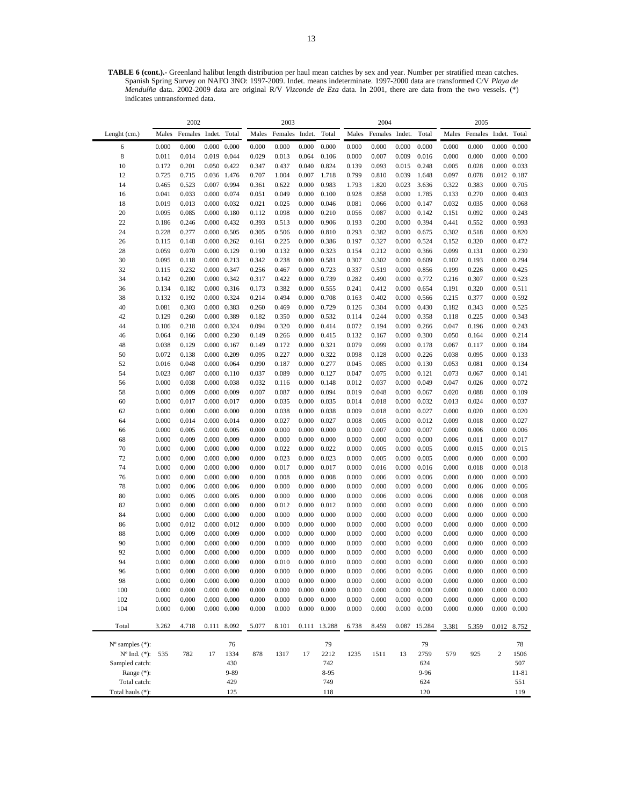**TABLE 6 (cont.).-** Greenland halibut length distribution per haul mean catches by sex and year. Number per stratified mean catches. Spanish Spring Survey on NAFO 3NO: 1997-2009. Indet. means indeterminate. 1997-2000 data are transformed C/V *Playa de Menduíña* data. 2002-2009 data are original R/V *Vizconde de Eza* data. In 2001, there are data from the two vessels. (\*) indicates untransformed data.

|                             |                | 2002           |                     |                                            |                | 2003           |                |                |                | 2004           |                |                |                | 2005           |                              |                     |
|-----------------------------|----------------|----------------|---------------------|--------------------------------------------|----------------|----------------|----------------|----------------|----------------|----------------|----------------|----------------|----------------|----------------|------------------------------|---------------------|
| Lenght (cm.)                | Males          | Females        | Indet. Total        |                                            | Males          | Females        | Indet.         | Total          | Males          | Females        | Indet.         | Total          | Males          | Females        | Indet.                       | Total               |
| 6                           | 0.000          | 0.000          |                     | $0.000 \quad 0.000$                        | 0.000          | 0.000          | 0.000          | 0.000          | 0.000          | 0.000          | 0.000          | 0.000          | 0.000          | 0.000          | 0.000                        | 0.000               |
| 8                           | 0.011          | 0.014          |                     | 0.019 0.044                                | 0.029          | 0.013          | 0.064          | 0.106          | 0.000          | 0.007          | 0.009          | 0.016          | 0.000          | 0.000          | 0.000                        | 0.000               |
| 10                          | 0.172          | 0.201          |                     | 0.050 0.422                                | 0.347          | 0.437          | 0.040          | 0.824          | 0.139          | 0.093          | 0.015          | 0.248          | 0.005          | 0.028          | 0.000                        | 0.033               |
| 12                          | 0.725          | 0.715          |                     | 0.036 1.476                                | 0.707          | 1.004          | 0.007          | 1.718          | 0.799          | 0.810          | 0.039          | 1.648          | 0.097          | 0.078          | 0.012 0.187                  |                     |
| 14                          | 0.465          | 0.523          |                     | 0.007 0.994                                | 0.361          | 0.622          | 0.000          | 0.983          | 1.793          | 1.820          | 0.023          | 3.636          | 0.322          | 0.383          | 0.000                        | 0.705               |
| 16                          | 0.041          | 0.033          |                     | $0.000 \quad 0.074$                        | 0.051          | 0.049          | 0.000          | 0.100          | 0.928          | 0.858          | 0.000          | 1.785          | 0.133          | 0.270          |                              | $0.000 \quad 0.403$ |
| 18                          | 0.019          | 0.013          |                     | $0.000 \quad 0.032$                        | 0.021          | 0.025          | 0.000          | 0.046          | 0.081          | 0.066          | 0.000          | 0.147          | 0.032          | 0.035          | 0.000                        | 0.068               |
| 20                          | 0.095          | 0.085          |                     | $0.000 \quad 0.180$                        | 0.112          | 0.098          | 0.000          | 0.210          | 0.056          | 0.087          | 0.000          | 0.142          | 0.151          | 0.092          | 0.000 0.243                  |                     |
| 22                          | 0.186          | 0.246          |                     | 0.000 0.432                                | 0.393          | 0.513          | 0.000          | 0.906          | 0.193          | 0.200          | 0.000          | 0.394          | 0.441          | 0.552          | 0.000 0.993                  |                     |
| 24                          | 0.228          | 0.277          |                     | $0.000 \quad 0.505$                        | 0.305          | 0.506          | 0.000          | 0.810          | 0.293          | 0.382          | 0.000          | 0.675          | 0.302          | 0.518          |                              | $0.000 \quad 0.820$ |
| 26                          | 0.115          | 0.148          |                     | $0.000 \quad 0.262$                        | 0.161          | 0.225          | 0.000          | 0.386          | 0.197          | 0.327          | 0.000          | 0.524          | 0.152          | 0.320          |                              | 0.000 0.472         |
| 28                          | 0.059          | 0.070          |                     | 0.000 0.129                                | 0.190          | 0.132          | 0.000          | 0.323          | 0.154          | 0.212          | 0.000          | 0.366          | 0.099          | 0.131          | 0.000                        | 0.230               |
| 30                          | 0.095          | 0.118          |                     | $0.000 \quad 0.213$                        | 0.342          | 0.238          | 0.000          | 0.581          | 0.307          | 0.302          | 0.000          | 0.609          | 0.102          | 0.193          |                              | 0.000 0.294         |
| 32                          | 0.115          | 0.232          | 0.000 0.347         |                                            | 0.256          | 0.467          | 0.000          | 0.723          | 0.337          | 0.519          | 0.000          | 0.856          | 0.199          | 0.226          | 0.000 0.425                  |                     |
| 34                          | 0.142          | 0.200          |                     | 0.000 0.342                                | 0.317          | 0.422          | 0.000          | 0.739          | 0.282          | 0.490          | 0.000          | 0.772          | 0.216          | 0.307          | 0.000 0.523                  |                     |
| 36                          | 0.134          | 0.182          |                     | 0.000 0.316                                | 0.173          | 0.382          | 0.000          | 0.555          | 0.241          | 0.412          | 0.000          | 0.654          | 0.191          | 0.320          | 0.000                        | 0.511               |
| 38                          | 0.132          | 0.192          |                     | 0.000 0.324                                | 0.214          | 0.494          | 0.000          | 0.708          | 0.163          | 0.402          | 0.000          | 0.566          | 0.215          | 0.377          |                              | 0.000 0.592         |
| 40                          | 0.081          | 0.303          |                     | 0.000 0.383                                | 0.260          | 0.469          | 0.000          | 0.729          | 0.126          | 0.304          | 0.000          | 0.430          | 0.182          | 0.343          | 0.000 0.525                  |                     |
| 42                          | 0.129          | 0.260          |                     | 0.000 0.389                                | 0.182          | 0.350          | 0.000          | 0.532          | 0.114          | 0.244          | 0.000          | 0.358          | 0.118          | 0.225          | 0.000 0.343                  |                     |
| 44                          | 0.106          | 0.218          |                     | 0.000 0.324                                | 0.094          | 0.320          | 0.000          | 0.414          | 0.072          | 0.194          | 0.000          | 0.266          | 0.047          | 0.196          | $0.000 \quad 0.243$          |                     |
| 46                          | 0.064          | 0.166          |                     | $0.000 \quad 0.230$                        | 0.149          | 0.266          | 0.000          | 0.415          | 0.132          | 0.167          | 0.000          | 0.300          | 0.050          | 0.164          |                              | $0.000 \quad 0.214$ |
| 48                          | 0.038          | 0.129          | $0.000 \quad 0.167$ |                                            | 0.149          | 0.172          | 0.000          | 0.321          | 0.079          | 0.099          | 0.000          | 0.178          | 0.067          | 0.117          |                              | $0.000 \quad 0.184$ |
| 50                          | 0.072          | 0.138          |                     | $0.000 \quad 0.209$                        | 0.095          | 0.227          | 0.000          | 0.322          | 0.098          | 0.128          | 0.000          | 0.226          | 0.038          | 0.095          |                              | 0.000 0.133         |
| 52                          | 0.016          | 0.048          |                     | $0.000 \quad 0.064$                        | 0.090          | 0.187          | 0.000          | 0.277          | 0.045          | 0.085          | 0.000          | 0.130          | 0.053          | 0.081          |                              | 0.000 0.134         |
| 54                          | 0.023          | 0.087          |                     | $0.000 \quad 0.110$                        | 0.037          | 0.089          | 0.000          | 0.127          | 0.047          | 0.075          | 0.000          | 0.121          | 0.073          | 0.067          | 0.000                        | 0.141               |
| 56                          | 0.000          | 0.038          |                     | $0.000 \quad 0.038$                        | 0.032          | 0.116          | 0.000          | 0.148          | 0.012          | 0.037          | 0.000          | 0.049          | 0.047          | 0.026          |                              | $0.000 \quad 0.072$ |
| 58                          | 0.000          | 0.009          |                     | $0.000 \quad 0.009$                        | 0.007          | 0.087          | 0.000          | 0.094          | 0.019          | 0.048          | 0.000          | 0.067          | 0.020          | 0.088          | 0.000                        | 0.109               |
| 60                          | 0.000          | 0.017          | 0.000 0.017         |                                            | 0.000          | 0.035          | 0.000          | 0.035          | 0.014          | 0.018          | 0.000          | 0.032          | 0.013          | 0.024          | 0.000 0.037                  |                     |
| 62                          | 0.000          | 0.000          |                     | $0.000 \quad 0.000$<br>$0.000 \quad 0.014$ | 0.000          | 0.038<br>0.027 | 0.000          | 0.038<br>0.027 | 0.009          | 0.018<br>0.005 | 0.000<br>0.000 | 0.027<br>0.012 | 0.000<br>0.009 | 0.020<br>0.018 | 0.000<br>$0.000 \quad 0.027$ | 0.020               |
| 64                          | 0.000          | 0.014          | $0.000 \quad 0.005$ |                                            | 0.000          |                | 0.000          |                | 0.008          | 0.007          | 0.000          | 0.007          | 0.000          | 0.006          | 0.000                        | 0.006               |
| 66<br>68                    | 0.000<br>0.000 | 0.005<br>0.009 |                     | $0.000 \quad 0.009$                        | 0.000<br>0.000 | 0.000<br>0.000 | 0.000<br>0.000 | 0.000<br>0.000 | 0.000<br>0.000 | 0.000          | 0.000          | 0.000          | 0.006          | 0.011          | 0.000                        | 0.017               |
| 70                          | 0.000          | 0.000          |                     | $0.000 \quad 0.000$                        | 0.000          | 0.022          | 0.000          | 0.022          | 0.000          | 0.005          | 0.000          | 0.005          | 0.000          | 0.015          |                              | $0.000 \quad 0.015$ |
| 72                          | 0.000          | 0.000          |                     | $0.000 \quad 0.000$                        | 0.000          | 0.023          | 0.000          | 0.023          | 0.000          | 0.005          | 0.000          | 0.005          | 0.000          | 0.000          | 0.000                        | 0.000               |
| 74                          | 0.000          | 0.000          |                     | $0.000 \quad 0.000$                        | 0.000          | 0.017          | 0.000          | 0.017          | 0.000          | 0.016          | 0.000          | 0.016          | 0.000          | 0.018          |                              | $0.000 \quad 0.018$ |
| 76                          | 0.000          | 0.000          |                     | $0.000 \quad 0.000$                        | 0.000          | 0.008          | 0.000          | 0.008          | 0.000          | 0.006          | 0.000          | 0.006          | 0.000          | 0.000          | 0.000                        | 0.000               |
| 78                          | 0.000          | 0.006          |                     | $0.000 \quad 0.006$                        | 0.000          | 0.000          | 0.000          | 0.000          | 0.000          | 0.000          | 0.000          | 0.000          | 0.000          | 0.006          | 0.000                        | 0.006               |
| 80                          | 0.000          | 0.005          | 0.000               | 0.005                                      | 0.000          | 0.000          | 0.000          | 0.000          | 0.000          | 0.006          | 0.000          | 0.006          | 0.000          | 0.008          | 0.000                        | 0.008               |
| 82                          | 0.000          | 0.000          |                     | $0.000 \quad 0.000$                        | 0.000          | 0.012          | 0.000          | 0.012          | 0.000          | 0.000          | 0.000          | 0.000          | 0.000          | 0.000          | 0.000                        | 0.000               |
| 84                          | 0.000          | 0.000          |                     | $0.000 \quad 0.000$                        | 0.000          | 0.000          | 0.000          | 0.000          | 0.000          | 0.000          | 0.000          | 0.000          | 0.000          | 0.000          | 0.000                        | 0.000               |
| 86                          | 0.000          | 0.012          |                     | $0.000 \quad 0.012$                        | 0.000          | 0.000          | 0.000          | 0.000          | 0.000          | 0.000          | 0.000          | 0.000          | 0.000          | 0.000          | $0.000 \quad 0.000$          |                     |
| 88                          | 0.000          | 0.009          |                     | $0.000 \quad 0.009$                        | 0.000          | 0.000          | 0.000          | 0.000          | 0.000          | 0.000          | 0.000          | 0.000          | 0.000          | 0.000          | 0.000                        | 0.000               |
| 90                          | 0.000          | 0.000          |                     | $0.000 \quad 0.000$                        | 0.000          | 0.000          | 0.000          | 0.000          | 0.000          | 0.000          | 0.000          | 0.000          | 0.000          | 0.000          | 0.000                        | 0.000               |
| 92                          | 0.000          | 0.000          |                     | $0.000 \quad 0.000$                        | 0.000          | 0.000          | 0.000          | 0.000          | 0.000          | 0.000          | 0.000          | 0.000          | 0.000          | 0.000          | 0.000                        | 0.000               |
| 94                          | 0.000          | 0.000          |                     | $0.000 \quad 0.000$                        | 0.000          | 0.010          | 0.000          | 0.010          | 0.000          | 0.000          | 0.000          | 0.000          | 0.000          | 0.000          |                              | $0.000 \quad 0.000$ |
| 96                          | 0.000          | 0.000          |                     | $0.000 \quad 0.000$                        | 0.000          | 0.000          | 0.000          | 0.000          | 0.000          | 0.006          | 0.000          | 0.006          | 0.000          | 0.000          |                              | $0.000 \quad 0.000$ |
| 98                          | 0.000          | 0.000          |                     | $0.000 \quad 0.000$                        | 0.000          | 0.000          | 0.000          | 0.000          | 0.000          | 0.000          | 0.000          | 0.000          | 0.000          | 0.000          |                              | $0.000 \quad 0.000$ |
| 100                         | 0.000          | 0.000          |                     | $0.000 \quad 0.000$                        | 0.000          | 0.000          | 0.000          | 0.000          | 0.000          | 0.000          | 0.000          | 0.000          | 0.000          | 0.000          |                              | $0.000 \quad 0.000$ |
| 102                         | 0.000          | 0.000          |                     | $0.000 \quad 0.000$                        | 0.000          | 0.000          | 0.000          | 0.000          | 0.000          | 0.000          | 0.000          | 0.000          | 0.000          | 0.000          | 0.000                        | 0.000               |
| 104                         | 0.000          | 0.000          |                     | $0.000 \quad 0.000$                        | 0.000          | 0.000          | 0.000          | 0.000          | 0.000          | 0.000          | 0.000          | 0.000          | 0.000          | 0.000          |                              | $0.000 \quad 0.000$ |
|                             |                |                |                     |                                            |                |                |                |                |                |                |                |                |                |                |                              |                     |
| Total                       | 3.262          | 4.718          | 0.111               | 8.092                                      | 5.077          | 8.101          | 0.111          | 13.288         | 6.738          | 8.459          | 0.087          | 15.284         | 3.381          | 5.359          |                              | 0.012 8.752         |
|                             |                |                |                     |                                            |                |                |                |                |                |                |                |                |                |                |                              |                     |
| $N^{\circ}$ samples $(*)$ : |                |                |                     | 76                                         |                |                |                | 79             |                |                |                | 79             |                |                |                              | 78                  |
| $N^{\circ}$ Ind. $(*)$ :    | 535            | 782            | 17                  | 1334                                       | 878            | 1317           | 17             | 2212           | 1235           | 1511           | 13             | 2759           | 579            | 925            | $\overline{2}$               | 1506                |
| Sampled catch:              |                |                |                     | 430                                        |                |                |                | 742            |                |                |                | 624            |                |                |                              | 507                 |
| Range (*):                  |                |                |                     | 9-89                                       |                |                |                | 8-95           |                |                |                | 9-96           |                |                |                              | 11-81               |
| Total catch:                |                |                |                     | 429                                        |                |                |                | 749            |                |                |                | 624            |                |                |                              | 551                 |
| Total hauls (*):            |                |                |                     | 125                                        |                |                |                | 118            |                |                |                | 120            |                |                |                              | 119                 |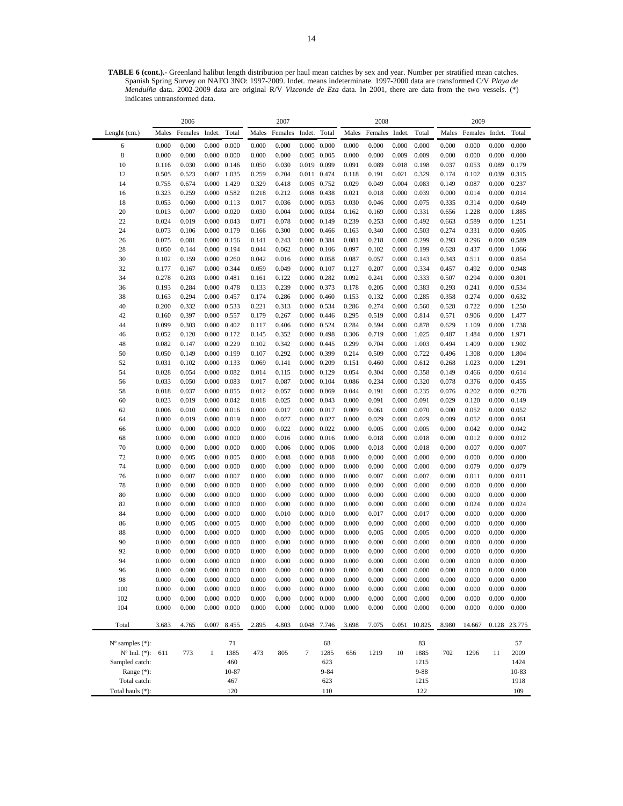**TABLE 6 (cont.).-** Greenland halibut length distribution per haul mean catches by sex and year. Number per stratified mean catches. Spanish Spring Survey on NAFO 3NO: 1997-2009. Indet. means indeterminate. 1997-2000 data are transformed C/V *Playa de Menduíña* data. 2002-2009 data are original R/V *Vizconde de Eza* data. In 2001, there are data from the two vessels. (\*) indicates untransformed data.

|                               |                | 2006           |                                            |                     |                | 2007           |                                            |                                            |                | 2008           |                |                  |                | 2009           |                |                |
|-------------------------------|----------------|----------------|--------------------------------------------|---------------------|----------------|----------------|--------------------------------------------|--------------------------------------------|----------------|----------------|----------------|------------------|----------------|----------------|----------------|----------------|
| Lenght (cm.)                  | Males          | Females        | Indet.                                     | Total               | Males          | Females        | Indet.                                     | Total                                      | Males          | Females        | Indet.         | Total            | Males          | Females        | Indet.         | Total          |
| 6                             | 0.000          | 0.000          | $0.000 \quad 0.000$                        |                     | 0.000          | 0.000          |                                            | $0.000 \quad 0.000$                        | 0.000          | 0.000          | 0.000          | 0.000            | 0.000          | 0.000          | 0.000          | 0.000          |
| 8                             | 0.000          | 0.000          | $0.000 \quad 0.000$                        |                     | 0.000          | 0.000          | $0.005$ 0.005                              |                                            | 0.000          | 0.000          | 0.009          | 0.009            | 0.000          | 0.000          | 0.000          | 0.000          |
| 10                            | 0.116          | 0.030          | $0.000 \quad 0.146$                        |                     | 0.050          | 0.030          | 0.019 0.099                                |                                            | 0.091          | 0.089          | 0.018          | 0.198            | 0.037          | 0.053          | 0.089          | 0.179          |
| 12                            | 0.505          | 0.523          | 0.007 1.035                                |                     | 0.259          | 0.204          | 0.011 0.474                                |                                            | 0.118          | 0.191          | 0.021          | 0.329            | 0.174          | 0.102          | 0.039          | 0.315          |
| 14                            | 0.755          | 0.674          | 0.000 1.429                                |                     | 0.329          | 0.418          | 0.005 0.752                                |                                            | 0.029          | 0.049          | 0.004          | 0.083            | 0.149          | 0.087          | 0.000          | 0.237          |
| 16                            | 0.323          | 0.259          | $0.000 \quad 0.582$                        |                     | 0.218          | 0.212          | 0.008 0.438                                |                                            | 0.021          | 0.018          | 0.000          | 0.039            | 0.000          | 0.014          | 0.000          | 0.014          |
| 18                            | 0.053          | 0.060          | $0.000 \quad 0.113$                        |                     | 0.017          | 0.036          | 0.000 0.053                                |                                            | 0.030          | 0.046          | 0.000          | 0.075            | 0.335          | 0.314          | 0.000          | 0.649          |
| 20                            | 0.013          | 0.007          | $0.000 \quad 0.020$                        |                     | 0.030          | 0.004          | 0.000 0.034                                |                                            | 0.162          | 0.169          | 0.000          | 0.331            | 0.656          | 1.228          | 0.000          | 1.885          |
| 22<br>24                      | 0.024<br>0.073 | 0.019<br>0.106 | $0.000 \quad 0.043$<br>0.000 0.179         |                     | 0.071<br>0.166 | 0.078<br>0.300 | 0.000 0.149                                | $0.000 \quad 0.466$                        | 0.239<br>0.163 | 0.253<br>0.340 | 0.000<br>0.000 | 0.492<br>0.503   | 0.663<br>0.274 | 0.589<br>0.331 | 0.000<br>0.000 | 1.251<br>0.605 |
| 26                            | 0.075          | 0.081          | $0.000 \quad 0.156$                        |                     | 0.141          | 0.243          | 0.000 0.384                                |                                            | 0.081          | 0.218          | 0.000          | 0.299            | 0.293          | 0.296          | 0.000          | 0.589          |
| 28                            | 0.050          | 0.144          | 0.000 0.194                                |                     | 0.044          | 0.062          |                                            | $0.000 \quad 0.106$                        | 0.097          | 0.102          | 0.000          | 0.199            | 0.628          | 0.437          | 0.000          | 1.066          |
| 30                            | 0.102          | 0.159          | $0.000 \quad 0.260$                        |                     | 0.042          | 0.016          | $0.000 \quad 0.058$                        |                                            | 0.087          | 0.057          | 0.000          | 0.143            | 0.343          | 0.511          | 0.000          | 0.854          |
| 32                            | 0.177          | 0.167          | 0.000 0.344                                |                     | 0.059          | 0.049          | $0.000 \quad 0.107$                        |                                            | 0.127          | 0.207          | 0.000          | 0.334            | 0.457          | 0.492          | 0.000          | 0.948          |
| 34                            | 0.278          | 0.203          | 0.000 0.481                                |                     | 0.161          | 0.122          | $0.000 \quad 0.282$                        |                                            | 0.092          | 0.241          | 0.000          | 0.333            | 0.507          | 0.294          | 0.000          | 0.801          |
| 36                            | 0.193          | 0.284          | $0.000 \quad 0.478$                        |                     | 0.133          | 0.239          | 0.000 0.373                                |                                            | 0.178          | 0.205          | 0.000          | 0.383            | 0.293          | 0.241          | 0.000          | 0.534          |
| 38                            | 0.163          | 0.294          | 0.000 0.457                                |                     | 0.174          | 0.286          | $0.000 \quad 0.460$                        |                                            | 0.153          | 0.132          | 0.000          | 0.285            | 0.358          | 0.274          | 0.000          | 0.632          |
| 40                            | 0.200          | 0.332          | 0.000 0.533                                |                     | 0.221          | 0.313          | 0.000 0.534                                |                                            | 0.286          | 0.274          | 0.000          | 0.560            | 0.528          | 0.722          | 0.000          | 1.250          |
| 42                            | 0.160          | 0.397          | 0.000 0.557                                |                     | 0.179          | 0.267          | $0.000 \quad 0.446$                        |                                            | 0.295          | 0.519          | 0.000          | 0.814            | 0.571          | 0.906          | 0.000          | 1.477          |
| 44                            | 0.099          | 0.303          | $0.000 \quad 0.402$                        |                     | 0.117          | 0.406          | 0.000 0.524                                |                                            | 0.284          | 0.594          | 0.000          | 0.878            | 0.629          | 1.109          | 0.000          | 1.738          |
| 46                            | 0.052          | 0.120          | 0.000 0.172                                |                     | 0.145          | 0.352          | $0.000 \quad 0.498$                        |                                            | 0.306          | 0.719          | 0.000          | 1.025            | 0.487          | 1.484          | 0.000          | 1.971          |
| 48                            | 0.082          | 0.147          | 0.000 0.229                                |                     | 0.102          | 0.342          | 0.000 0.445                                |                                            | 0.299          | 0.704<br>0.509 | 0.000          | 1.003<br>0.722   | 0.494          | 1.409          | 0.000          | 1.902          |
| 50<br>52                      | 0.050<br>0.031 | 0.149<br>0.102 | 0.000 0.199<br>$0.000 \quad 0.133$         |                     | 0.107<br>0.069 | 0.292<br>0.141 | 0.000 0.399<br>$0.000 \quad 0.209$         |                                            | 0.214<br>0.151 | 0.460          | 0.000<br>0.000 | 0.612            | 0.496<br>0.268 | 1.308<br>1.023 | 0.000<br>0.000 | 1.804<br>1.291 |
| 54                            | 0.028          | 0.054          | $0.000 \quad 0.082$                        |                     | 0.014          | 0.115          | 0.000 0.129                                |                                            | 0.054          | 0.304          | 0.000          | 0.358            | 0.149          | 0.466          | 0.000          | 0.614          |
| 56                            | 0.033          | 0.050          | $0.000 \quad 0.083$                        |                     | 0.017          | 0.087          | $0.000 \quad 0.104$                        |                                            | 0.086          | 0.234          | 0.000          | 0.320            | 0.078          | 0.376          | 0.000          | 0.455          |
| 58                            | 0.018          | 0.037          | $0.000 \quad 0.055$                        |                     | 0.012          | 0.057          | $0.000 \quad 0.069$                        |                                            | 0.044          | 0.191          | 0.000          | 0.235            | 0.076          | 0.202          | 0.000          | 0.278          |
| 60                            | 0.023          | 0.019          | $0.000 \quad 0.042$                        |                     | 0.018          | 0.025          | $0.000 \quad 0.043$                        |                                            | 0.000          | 0.091          | 0.000          | 0.091            | 0.029          | 0.120          | 0.000          | 0.149          |
| 62                            | 0.006          | 0.010          | $0.000 \quad 0.016$                        |                     | 0.000          | 0.017          | 0.000 0.017                                |                                            | 0.009          | 0.061          | 0.000          | 0.070            | 0.000          | 0.052          | 0.000          | 0.052          |
| 64                            | 0.000          | 0.019          | $0.000 \quad 0.019$                        |                     | 0.000          | 0.027          | 0.000 0.027                                |                                            | 0.000          | 0.029          | 0.000          | 0.029            | 0.009          | 0.052          | 0.000          | 0.061          |
| 66                            | 0.000          | 0.000          | $0.000 \quad 0.000$                        |                     | 0.000          | 0.022          | $0.000 \quad 0.022$                        |                                            | 0.000          | 0.005          | 0.000          | 0.005            | 0.000          | 0.042          | 0.000          | 0.042          |
| 68                            | 0.000          | 0.000          | $0.000 \quad 0.000$                        |                     | 0.000          | 0.016          |                                            | $0.000 \quad 0.016$                        | 0.000          | 0.018          | 0.000          | 0.018            | 0.000          | 0.012          | 0.000          | 0.012          |
| 70                            | 0.000          | 0.000          | $0.000 \quad 0.000$                        |                     | 0.000          | 0.006          | $0.000 \quad 0.006$                        |                                            | 0.000          | 0.018          | 0.000          | 0.018            | 0.000          | 0.007          | 0.000          | 0.007          |
| 72                            | 0.000          | 0.005          | $0.000 \quad 0.005$                        |                     | 0.000          | 0.008          | $0.000 \quad 0.008$                        |                                            | 0.000          | 0.000          | 0.000          | 0.000            | 0.000          | 0.000          | 0.000          | 0.000          |
| 74<br>76                      | 0.000<br>0.000 | 0.000<br>0.007 | $0.000 \quad 0.000$<br>$0.000 \quad 0.007$ |                     | 0.000<br>0.000 | 0.000<br>0.000 | $0.000 \quad 0.000$<br>$0.000 \quad 0.000$ |                                            | 0.000<br>0.000 | 0.000<br>0.007 | 0.000<br>0.000 | 0.000<br>0.007   | 0.000<br>0.000 | 0.079<br>0.011 | 0.000<br>0.000 | 0.079<br>0.011 |
| 78                            | 0.000          | 0.000          | $0.000 \quad 0.000$                        |                     | 0.000          | 0.000          | $0.000 \quad 0.000$                        |                                            | 0.000          | 0.000          | 0.000          | 0.000            | 0.000          | 0.000          | 0.000          | 0.000          |
| 80                            | 0.000          | 0.000          | $0.000 \quad 0.000$                        |                     | 0.000          | 0.000          | $0.000 \quad 0.000$                        |                                            | 0.000          | 0.000          | 0.000          | 0.000            | 0.000          | 0.000          | 0.000          | 0.000          |
| 82                            | 0.000          | 0.000          | $0.000 \quad 0.000$                        |                     | 0.000          | 0.000          | $0.000 \quad 0.000$                        |                                            | 0.000          | 0.000          | 0.000          | 0.000            | 0.000          | 0.024          | 0.000          | 0.024          |
| 84                            | 0.000          | 0.000          | $0.000 \quad 0.000$                        |                     | 0.000          | 0.010          | $0.000 \quad 0.010$                        |                                            | 0.000          | 0.017          | 0.000          | 0.017            | 0.000          | 0.000          | 0.000          | 0.000          |
| 86                            | 0.000          | 0.005          | $0.000 \quad 0.005$                        |                     | 0.000          | 0.000          | $0.000 \quad 0.000$                        |                                            | 0.000          | 0.000          | 0.000          | 0.000            | 0.000          | 0.000          | 0.000          | 0.000          |
| 88                            | 0.000          | 0.000          | $0.000 \quad 0.000$                        |                     | 0.000          | 0.000          | $0.000 \quad 0.000$                        |                                            | 0.000          | 0.005          | 0.000          | 0.005            | 0.000          | 0.000          | 0.000          | 0.000          |
| 90                            | 0.000          | 0.000          | $0.000 \quad 0.000$                        |                     | 0.000          | 0.000          | $0.000 \quad 0.000$                        |                                            | 0.000          | 0.000          | 0.000          | 0.000            | 0.000          | 0.000          | 0.000          | 0.000          |
| 92                            | 0.000          | 0.000          |                                            | $0.000 \quad 0.000$ | 0.000          | 0.000          | $0.000 \quad 0.000$                        |                                            | 0.000          | 0.000          | 0.000          | 0.000            | 0.000          | 0.000          | 0.000          | 0.000          |
| 94                            | 0.000          | 0.000          | $0.000 \quad 0.000$                        |                     | 0.000          | 0.000          | $0.000 \quad 0.000$                        |                                            | 0.000          | 0.000          | 0.000          | 0.000            | 0.000          | 0.000          | 0.000          | 0.000          |
| 96                            | 0.000          | 0.000          |                                            | $0.000 \quad 0.000$ | 0.000          | 0.000          |                                            | $0.000 \quad 0.000$                        | 0.000          | 0.000          | 0.000          | 0.000            | 0.000          | 0.000          | 0.000          | 0.000          |
| 98                            | 0.000          | 0.000          | $0.000 \quad 0.000$                        |                     | 0.000          | 0.000          |                                            | $0.000 \quad 0.000$                        | 0.000          | 0.000          | 0.000          | 0.000            | 0.000          | 0.000          | 0.000          | 0.000          |
| 100                           | 0.000          | 0.000          | $0.000 \quad 0.000$                        |                     | 0.000          | 0.000          |                                            | $0.000 \quad 0.000$                        | 0.000          | 0.000          | 0.000          | 0.000            | 0.000          | 0.000          | 0.000          | 0.000          |
| 102<br>104                    | 0.000<br>0.000 | 0.000<br>0.000 | $0.000 \quad 0.000$<br>$0.000 \quad 0.000$ |                     | 0.000<br>0.000 | 0.000<br>0.000 |                                            | $0.000 \quad 0.000$<br>$0.000 \quad 0.000$ | 0.000<br>0.000 | 0.000<br>0.000 | 0.000<br>0.000 | 0.000<br>0.000   | 0.000<br>0.000 | 0.000<br>0.000 | 0.000<br>0.000 | 0.000<br>0.000 |
|                               |                |                |                                            |                     |                |                |                                            |                                            |                |                |                |                  |                |                |                |                |
| Total                         | 3.683          | 4.765          | 0.007                                      | 8.455               | 2.895          | 4.803          |                                            | 0.048 7.746                                | 3.698          | 7.075          | 0.051          | 10.825           | 8.980          | 14.667         |                | 0.128 23.775   |
|                               |                |                |                                            |                     |                |                |                                            |                                            |                |                |                |                  |                |                |                |                |
| $N^{\circ}$ samples $(*)$ :   |                |                |                                            | 71                  |                |                |                                            | 68                                         |                |                |                | 83               |                |                |                | 57             |
| $N^{\circ}$ Ind. $(*)$ :      | 611            | 773            | $\mathbf{1}$                               | 1385                | 473            | 805            | $\tau$                                     | 1285                                       | 656            | 1219           | 10             | 1885             | 702            | 1296           | 11             | 2009           |
| Sampled catch:                |                |                |                                            | 460                 |                |                |                                            | 623                                        |                |                |                | 1215             |                |                |                | 1424           |
| Range $(*)$ :<br>Total catch: |                |                |                                            | 10-87<br>467        |                |                |                                            | $9 - 84$<br>623                            |                |                |                | $9 - 88$<br>1215 |                |                |                | 10-83<br>1918  |
| Total hauls (*):              |                |                |                                            | 120                 |                |                |                                            | 110                                        |                |                |                | 122              |                |                |                | 109            |
|                               |                |                |                                            |                     |                |                |                                            |                                            |                |                |                |                  |                |                |                |                |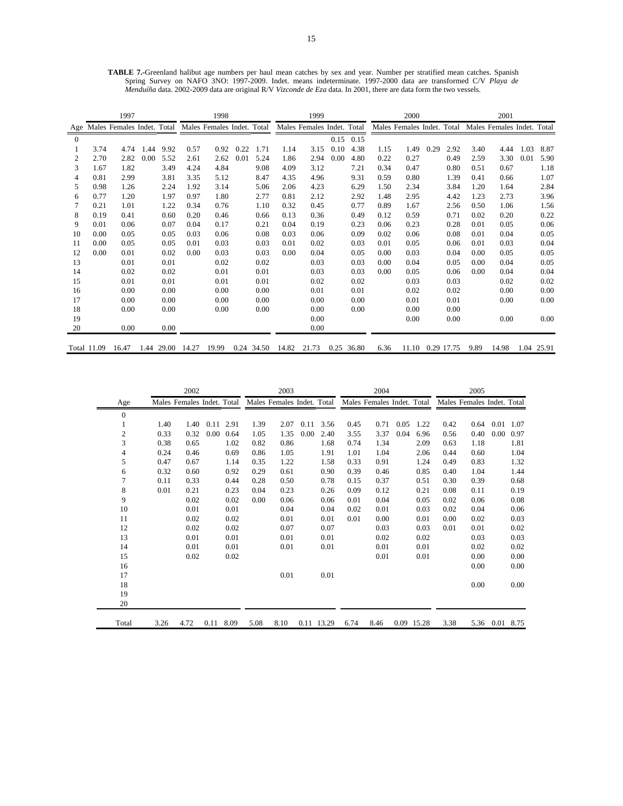**TABLE 7.-**Greenland halibut age numbers per haul mean catches by sex and year. Number per stratified mean catches. Spanish Spring Survey on NAFO 3NO: 1997-2009. Indet. means indeterminate. 1997-2000 data are transformed C/V *Playa de Menduíña* data. 2002-2009 data are original R/V *Vizconde de Eza* data. In 2001, there are data form the two vessels.

|          |             | 1997  |      |       |       | 1998                                                      |      |            |       | 1999                       |      |             |      | 2000                       |      |            |      | 2001                       |      |            |
|----------|-------------|-------|------|-------|-------|-----------------------------------------------------------|------|------------|-------|----------------------------|------|-------------|------|----------------------------|------|------------|------|----------------------------|------|------------|
|          |             |       |      |       |       | Age Males Females Indet. Total Males Females Indet. Total |      |            |       | Males Females Indet. Total |      |             |      | Males Females Indet. Total |      |            |      | Males Females Indet. Total |      |            |
| $\theta$ |             |       |      |       |       |                                                           |      |            |       |                            |      | $0.15$ 0.15 |      |                            |      |            |      |                            |      |            |
|          | 3.74        | 4.74  | 1.44 | 9.92  | 0.57  | 0.92                                                      | 0.22 | 1.71       | 1.14  | 3.15                       | 0.10 | 4.38        | 1.15 | 1.49                       | 0.29 | 2.92       | 3.40 | 4.44                       | 1.03 | 8.87       |
| 2        | 2.70        | 2.82  | 0.00 | 5.52  | 2.61  | 2.62                                                      | 0.01 | 5.24       | 1.86  | 2.94                       | 0.00 | 4.80        | 0.22 | 0.27                       |      | 0.49       | 2.59 | 3.30                       | 0.01 | 5.90       |
| 3        | 1.67        | 1.82  |      | 3.49  | 4.24  | 4.84                                                      |      | 9.08       | 4.09  | 3.12                       |      | 7.21        | 0.34 | 0.47                       |      | 0.80       | 0.51 | 0.67                       |      | 1.18       |
| 4        | 0.81        | 2.99  |      | 3.81  | 3.35  | 5.12                                                      |      | 8.47       | 4.35  | 4.96                       |      | 9.31        | 0.59 | 0.80                       |      | 1.39       | 0.41 | 0.66                       |      | 1.07       |
| 5        | 0.98        | 1.26  |      | 2.24  | 1.92  | 3.14                                                      |      | 5.06       | 2.06  | 4.23                       |      | 6.29        | 1.50 | 2.34                       |      | 3.84       | 1.20 | 1.64                       |      | 2.84       |
| 6        | 0.77        | 1.20  |      | 1.97  | 0.97  | 1.80                                                      |      | 2.77       | 0.81  | 2.12                       |      | 2.92        | 1.48 | 2.95                       |      | 4.42       | 1.23 | 2.73                       |      | 3.96       |
|          | 0.21        | 1.01  |      | 1.22  | 0.34  | 0.76                                                      |      | 1.10       | 0.32  | 0.45                       |      | 0.77        | 0.89 | 1.67                       |      | 2.56       | 0.50 | 1.06                       |      | 1.56       |
| 8        | 0.19        | 0.41  |      | 0.60  | 0.20  | 0.46                                                      |      | 0.66       | 0.13  | 0.36                       |      | 0.49        | 0.12 | 0.59                       |      | 0.71       | 0.02 | 0.20                       |      | 0.22       |
| 9        | 0.01        | 0.06  |      | 0.07  | 0.04  | 0.17                                                      |      | 0.21       | 0.04  | 0.19                       |      | 0.23        | 0.06 | 0.23                       |      | 0.28       | 0.01 | 0.05                       |      | 0.06       |
| 10       | 0.00        | 0.05  |      | 0.05  | 0.03  | 0.06                                                      |      | 0.08       | 0.03  | 0.06                       |      | 0.09        | 0.02 | 0.06                       |      | 0.08       | 0.01 | 0.04                       |      | 0.05       |
| 11       | 0.00        | 0.05  |      | 0.05  | 0.01  | 0.03                                                      |      | 0.03       | 0.01  | 0.02                       |      | 0.03        | 0.01 | 0.05                       |      | 0.06       | 0.01 | 0.03                       |      | 0.04       |
| 12       | 0.00        | 0.01  |      | 0.02  | 0.00  | 0.03                                                      |      | 0.03       | 0.00  | 0.04                       |      | 0.05        | 0.00 | 0.03                       |      | 0.04       | 0.00 | 0.05                       |      | 0.05       |
| 13       |             | 0.01  |      | 0.01  |       | 0.02                                                      |      | 0.02       |       | 0.03                       |      | 0.03        | 0.00 | 0.04                       |      | 0.05       | 0.00 | 0.04                       |      | 0.05       |
| 14       |             | 0.02  |      | 0.02  |       | 0.01                                                      |      | 0.01       |       | 0.03                       |      | 0.03        | 0.00 | 0.05                       |      | 0.06       | 0.00 | 0.04                       |      | 0.04       |
| 15       |             | 0.01  |      | 0.01  |       | 0.01                                                      |      | 0.01       |       | 0.02                       |      | 0.02        |      | 0.03                       |      | 0.03       |      | 0.02                       |      | 0.02       |
| 16       |             | 0.00  |      | 0.00  |       | 0.00                                                      |      | 0.00       |       | 0.01                       |      | 0.01        |      | 0.02                       |      | 0.02       |      | 0.00                       |      | 0.00       |
| 17       |             | 0.00  |      | 0.00  |       | 0.00                                                      |      | 0.00       |       | 0.00                       |      | 0.00        |      | 0.01                       |      | 0.01       |      | 0.00                       |      | 0.00       |
| 18       |             | 0.00  |      | 0.00  |       | 0.00                                                      |      | 0.00       |       | 0.00                       |      | 0.00        |      | 0.00                       |      | 0.00       |      |                            |      |            |
| 19       |             |       |      |       |       |                                                           |      |            |       | 0.00                       |      |             |      | 0.00                       |      | 0.00       |      | 0.00                       |      | 0.00       |
| 20       |             | 0.00  |      | 0.00  |       |                                                           |      |            |       | 0.00                       |      |             |      |                            |      |            |      |                            |      |            |
|          | Total 11.09 | 16.47 | 1.44 | 29.00 | 14.27 | 19.99                                                     |      | 0.24 34.50 | 14.82 | 21.73                      | 0.25 | 36.80       | 6.36 | 11.10                      |      | 0.29 17.75 | 9.89 | 14.98                      |      | 1.04 25.91 |

|                |      | 2002                       |      |      |      | 2003                       |      |            |      | 2004                       |      |            |      | 2005                       |                |           |
|----------------|------|----------------------------|------|------|------|----------------------------|------|------------|------|----------------------------|------|------------|------|----------------------------|----------------|-----------|
| Age            |      | Males Females Indet. Total |      |      |      | Males Females Indet. Total |      |            |      | Males Females Indet. Total |      |            |      | Males Females Indet. Total |                |           |
| $\overline{0}$ |      |                            |      |      |      |                            |      |            |      |                            |      |            |      |                            |                |           |
| 1              | 1.40 | 1.40                       | 0.11 | 2.91 | 1.39 | 2.07                       | 0.11 | 3.56       | 0.45 | 0.71                       | 0.05 | 1.22       | 0.42 | 0.64                       |                | 0.01 1.07 |
| $\mathbf{2}$   | 0.33 | 0.32                       | 0.00 | 0.64 | 1.05 | 1.35                       | 0.00 | 2.40       | 3.55 | 3.37                       | 0.04 | 6.96       | 0.56 | 0.40                       | 0.00           | 0.97      |
| 3              | 0.38 | 0.65                       |      | 1.02 | 0.82 | 0.86                       |      | 1.68       | 0.74 | 1.34                       |      | 2.09       | 0.63 | 1.18                       |                | 1.81      |
| 4              | 0.24 | 0.46                       |      | 0.69 | 0.86 | 1.05                       |      | 1.91       | 1.01 | 1.04                       |      | 2.06       | 0.44 | 0.60                       |                | 1.04      |
| 5              | 0.47 | 0.67                       |      | 1.14 | 0.35 | 1.22                       |      | 1.58       | 0.33 | 0.91                       |      | 1.24       | 0.49 | 0.83                       |                | 1.32      |
| 6              | 0.32 | 0.60                       |      | 0.92 | 0.29 | 0.61                       |      | 0.90       | 0.39 | 0.46                       |      | 0.85       | 0.40 | 1.04                       |                | 1.44      |
| $\tau$         | 0.11 | 0.33                       |      | 0.44 | 0.28 | 0.50                       |      | 0.78       | 0.15 | 0.37                       |      | 0.51       | 0.30 | 0.39                       |                | 0.68      |
| 8              | 0.01 | 0.21                       |      | 0.23 | 0.04 | 0.23                       |      | 0.26       | 0.09 | 0.12                       |      | 0.21       | 0.08 | 0.11                       |                | 0.19      |
| 9              |      | 0.02                       |      | 0.02 | 0.00 | 0.06                       |      | 0.06       | 0.01 | 0.04                       |      | 0.05       | 0.02 | 0.06                       |                | 0.08      |
| 10             |      | 0.01                       |      | 0.01 |      | 0.04                       |      | 0.04       | 0.02 | 0.01                       |      | 0.03       | 0.02 | 0.04                       |                | 0.06      |
| 11             |      | 0.02                       |      | 0.02 |      | 0.01                       |      | 0.01       | 0.01 | 0.00                       |      | 0.01       | 0.00 | 0.02                       |                | 0.03      |
| 12             |      | 0.02                       |      | 0.02 |      | 0.07                       |      | 0.07       |      | 0.03                       |      | 0.03       | 0.01 | 0.01                       |                | 0.02      |
| 13             |      | 0.01                       |      | 0.01 |      | 0.01                       |      | 0.01       |      | 0.02                       |      | 0.02       |      | 0.03                       |                | 0.03      |
| 14             |      | 0.01                       |      | 0.01 |      | 0.01                       |      | 0.01       |      | 0.01                       |      | 0.01       |      | 0.02                       |                | 0.02      |
| 15             |      | 0.02                       |      | 0.02 |      |                            |      |            |      | 0.01                       |      | 0.01       |      | 0.00                       |                | 0.00      |
| 16             |      |                            |      |      |      |                            |      |            |      |                            |      |            |      | 0.00                       |                | 0.00      |
| 17             |      |                            |      |      |      | 0.01                       |      | 0.01       |      |                            |      |            |      |                            |                |           |
| 18             |      |                            |      |      |      |                            |      |            |      |                            |      |            |      | 0.00                       |                | 0.00      |
| 19             |      |                            |      |      |      |                            |      |            |      |                            |      |            |      |                            |                |           |
| 20             |      |                            |      |      |      |                            |      |            |      |                            |      |            |      |                            |                |           |
| Total          | 3.26 | 4.72                       | 0.11 | 8.09 | 5.08 | 8.10                       |      | 0.11 13.29 | 6.74 | 8.46                       |      | 0.09 15.28 | 3.38 |                            | 5.36 0.01 8.75 |           |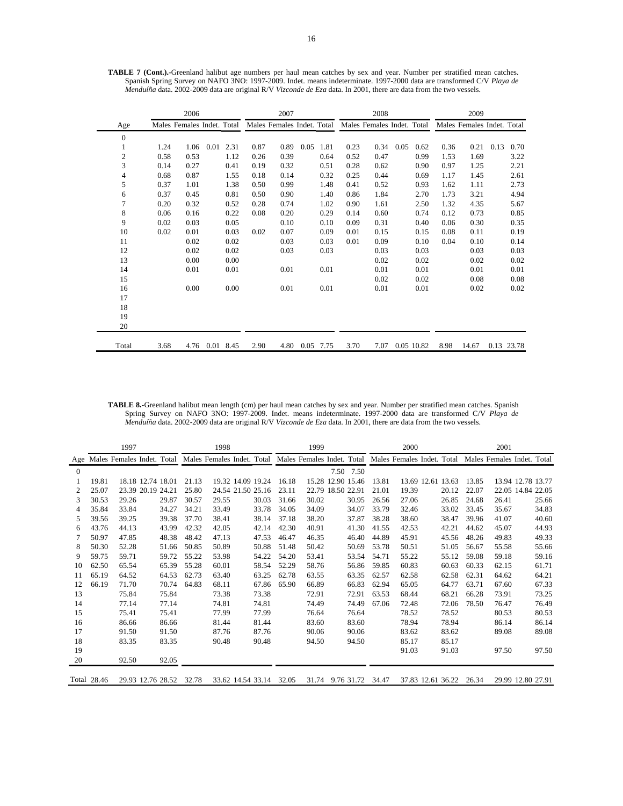|              |                            | 2006 |      |      |      | 2007                       |      |      |      | 2008                       |      |            |      | 2009                       |      |            |
|--------------|----------------------------|------|------|------|------|----------------------------|------|------|------|----------------------------|------|------------|------|----------------------------|------|------------|
| Age          | Males Females Indet. Total |      |      |      |      | Males Females Indet. Total |      |      |      | Males Females Indet. Total |      |            |      | Males Females Indet. Total |      |            |
| $\mathbf{0}$ |                            |      |      |      |      |                            |      |      |      |                            |      |            |      |                            |      |            |
| 1            | 1.24                       | 1.06 | 0.01 | 2.31 | 0.87 | 0.89                       | 0.05 | 1.81 | 0.23 | 0.34                       | 0.05 | 0.62       | 0.36 | 0.21                       | 0.13 | 0.70       |
| 2            | 0.58                       | 0.53 |      | 1.12 | 0.26 | 0.39                       |      | 0.64 | 0.52 | 0.47                       |      | 0.99       | 1.53 | 1.69                       |      | 3.22       |
| 3            | 0.14                       | 0.27 |      | 0.41 | 0.19 | 0.32                       |      | 0.51 | 0.28 | 0.62                       |      | 0.90       | 0.97 | 1.25                       |      | 2.21       |
| 4            | 0.68                       | 0.87 |      | 1.55 | 0.18 | 0.14                       |      | 0.32 | 0.25 | 0.44                       |      | 0.69       | 1.17 | 1.45                       |      | 2.61       |
| 5            | 0.37                       | 1.01 |      | 1.38 | 0.50 | 0.99                       |      | 1.48 | 0.41 | 0.52                       |      | 0.93       | 1.62 | 1.11                       |      | 2.73       |
| 6            | 0.37                       | 0.45 |      | 0.81 | 0.50 | 0.90                       |      | 1.40 | 0.86 | 1.84                       |      | 2.70       | 1.73 | 3.21                       |      | 4.94       |
| 7            | 0.20                       | 0.32 |      | 0.52 | 0.28 | 0.74                       |      | 1.02 | 0.90 | 1.61                       |      | 2.50       | 1.32 | 4.35                       |      | 5.67       |
| 8            | 0.06                       | 0.16 |      | 0.22 | 0.08 | 0.20                       |      | 0.29 | 0.14 | 0.60                       |      | 0.74       | 0.12 | 0.73                       |      | 0.85       |
| 9            | 0.02                       | 0.03 |      | 0.05 |      | 0.10                       |      | 0.10 | 0.09 | 0.31                       |      | 0.40       | 0.06 | 0.30                       |      | 0.35       |
| 10           | 0.02                       | 0.01 |      | 0.03 | 0.02 | 0.07                       |      | 0.09 | 0.01 | 0.15                       |      | 0.15       | 0.08 | 0.11                       |      | 0.19       |
| 11           |                            | 0.02 |      | 0.02 |      | 0.03                       |      | 0.03 | 0.01 | 0.09                       |      | 0.10       | 0.04 | 0.10                       |      | 0.14       |
| 12           |                            | 0.02 |      | 0.02 |      | 0.03                       |      | 0.03 |      | 0.03                       |      | 0.03       |      | 0.03                       |      | 0.03       |
| 13           |                            | 0.00 |      | 0.00 |      |                            |      |      |      | 0.02                       |      | 0.02       |      | 0.02                       |      | 0.02       |
| 14           |                            | 0.01 |      | 0.01 |      | 0.01                       |      | 0.01 |      | 0.01                       |      | 0.01       |      | 0.01                       |      | 0.01       |
| 15           |                            |      |      |      |      |                            |      |      |      | 0.02                       |      | 0.02       |      | 0.08                       |      | 0.08       |
| 16           |                            | 0.00 |      | 0.00 |      | 0.01                       |      | 0.01 |      | 0.01                       |      | 0.01       |      | 0.02                       |      | 0.02       |
| 17           |                            |      |      |      |      |                            |      |      |      |                            |      |            |      |                            |      |            |
| 18           |                            |      |      |      |      |                            |      |      |      |                            |      |            |      |                            |      |            |
| 19           |                            |      |      |      |      |                            |      |      |      |                            |      |            |      |                            |      |            |
| 20           |                            |      |      |      |      |                            |      |      |      |                            |      |            |      |                            |      |            |
| Total        | 3.68                       | 4.76 | 0.01 | 8.45 | 2.90 | 4.80                       | 0.05 | 7.75 | 3.70 | 7.07                       |      | 0.05 10.82 | 8.98 | 14.67                      |      | 0.13 23.78 |

**TABLE 7 (Cont.).-**Greenland halibut age numbers per haul mean catches by sex and year. Number per stratified mean catches. Spanish Spring Survey on NAFO 3NO: 1997-2009. Indet. means indeterminate. 1997-2000 data are transformed C/V *Playa de Menduíña* data. 2002-2009 data are original R/V *Vizconde de Eza* data. In 2001, there are data from the two vessels.

**TABLE 8.-**Greenland halibut mean length (cm) per haul mean catches by sex and year. Number per stratified mean catches. Spanish Spring Survey on NAFO 3NO: 1997-2009. Indet. means indeterminate. 1997-2000 data are transformed C/V *Playa de Menduíña* data. 2002-2009 data are original R/V *Vizconde de Eza* data. In 2001, there are data from the two vessels.

|          |             | 1997                                                                             |       |       | 1998  |                   |       | 1999  |                   |       | 2000                       |       |       | 2001  |                            |
|----------|-------------|----------------------------------------------------------------------------------|-------|-------|-------|-------------------|-------|-------|-------------------|-------|----------------------------|-------|-------|-------|----------------------------|
| Age      |             | Males Females Indet. Total Males Females Indet. Total Males Females Indet. Total |       |       |       |                   |       |       |                   |       | Males Females Indet. Total |       |       |       | Males Females Indet. Total |
| $\Omega$ |             |                                                                                  |       |       |       |                   |       |       | 7.50 7.50         |       |                            |       |       |       |                            |
|          | 19.81       | 18.18 12.74 18.01                                                                |       | 21.13 |       | 19.32 14.09 19.24 | 16.18 |       | 15.28 12.90 15.46 | 13.81 | 13.69 12.61 13.63          |       | 13.85 |       | 13.94 12.78 13.77          |
| 2        | 25.07       | 23.39 20.19 24.21                                                                |       | 25.80 |       | 24.54 21.50 25.16 | 23.11 |       | 22.79 18.50 22.91 | 21.01 | 19.39                      | 20.12 | 22.07 |       | 22.05 14.84 22.05          |
| 3        | 30.53       | 29.26                                                                            | 29.87 | 30.57 | 29.55 | 30.03             | 31.66 | 30.02 | 30.95             | 26.56 | 27.06                      | 26.85 | 24.68 | 26.41 | 25.66                      |
| 4        | 35.84       | 33.84                                                                            | 34.27 | 34.21 | 33.49 | 33.78             | 34.05 | 34.09 | 34.07             | 33.79 | 32.46                      | 33.02 | 33.45 | 35.67 | 34.83                      |
| 5        | 39.56       | 39.25                                                                            | 39.38 | 37.70 | 38.41 | 38.14             | 37.18 | 38.20 | 37.87             | 38.28 | 38.60                      | 38.47 | 39.96 | 41.07 | 40.60                      |
| 6        | 43.76       | 44.13                                                                            | 43.99 | 42.32 | 42.05 | 42.14             | 42.30 | 40.91 | 41.30             | 41.55 | 42.53                      | 42.21 | 44.62 | 45.07 | 44.93                      |
|          | 50.97       | 47.85                                                                            | 48.38 | 48.42 | 47.13 | 47.53             | 46.47 | 46.35 | 46.40             | 44.89 | 45.91                      | 45.56 | 48.26 | 49.83 | 49.33                      |
| 8        | 50.30       | 52.28                                                                            | 51.66 | 50.85 | 50.89 | 50.88             | 51.48 | 50.42 | 50.69             | 53.78 | 50.51                      | 51.05 | 56.67 | 55.58 | 55.66                      |
| 9        | 59.75       | 59.71                                                                            | 59.72 | 55.22 | 53.98 | 54.22             | 54.20 | 53.41 | 53.54             | 54.71 | 55.22                      | 55.12 | 59.08 | 59.18 | 59.16                      |
| 10       | 62.50       | 65.54                                                                            | 65.39 | 55.28 | 60.01 | 58.54             | 52.29 | 58.76 | 56.86             | 59.85 | 60.83                      | 60.63 | 60.33 | 62.15 | 61.71                      |
| 11       | 65.19       | 64.52                                                                            | 64.53 | 62.73 | 63.40 | 63.25             | 62.78 | 63.55 | 63.35             | 62.57 | 62.58                      | 62.58 | 62.31 | 64.62 | 64.21                      |
| 12       | 66.19       | 71.70                                                                            | 70.74 | 64.83 | 68.11 | 67.86             | 65.90 | 66.89 | 66.83             | 62.94 | 65.05                      | 64.77 | 63.71 | 67.60 | 67.33                      |
| 13       |             | 75.84                                                                            | 75.84 |       | 73.38 | 73.38             |       | 72.91 | 72.91             | 63.53 | 68.44                      | 68.21 | 66.28 | 73.91 | 73.25                      |
| 14       |             | 77.14                                                                            | 77.14 |       | 74.81 | 74.81             |       | 74.49 | 74.49             | 67.06 | 72.48                      | 72.06 | 78.50 | 76.47 | 76.49                      |
| 15       |             | 75.41                                                                            | 75.41 |       | 77.99 | 77.99             |       | 76.64 | 76.64             |       | 78.52                      | 78.52 |       | 80.53 | 80.53                      |
| 16       |             | 86.66                                                                            | 86.66 |       | 81.44 | 81.44             |       | 83.60 | 83.60             |       | 78.94                      | 78.94 |       | 86.14 | 86.14                      |
| 17       |             | 91.50                                                                            | 91.50 |       | 87.76 | 87.76             |       | 90.06 | 90.06             |       | 83.62                      | 83.62 |       | 89.08 | 89.08                      |
| 18       |             | 83.35                                                                            | 83.35 |       | 90.48 | 90.48             |       | 94.50 | 94.50             |       | 85.17                      | 85.17 |       |       |                            |
| 19       |             |                                                                                  |       |       |       |                   |       |       |                   |       | 91.03                      | 91.03 |       | 97.50 | 97.50                      |
| 20       |             | 92.50                                                                            | 92.05 |       |       |                   |       |       |                   |       |                            |       |       |       |                            |
|          | Total 28.46 | 29.93 12.76 28.52                                                                |       | 32.78 |       | 33.62 14.54 33.14 | 32.05 |       | 31.74 9.76 31.72  | 34.47 | 37.83 12.61 36.22          |       | 26.34 |       | 29.99 12.80 27.91          |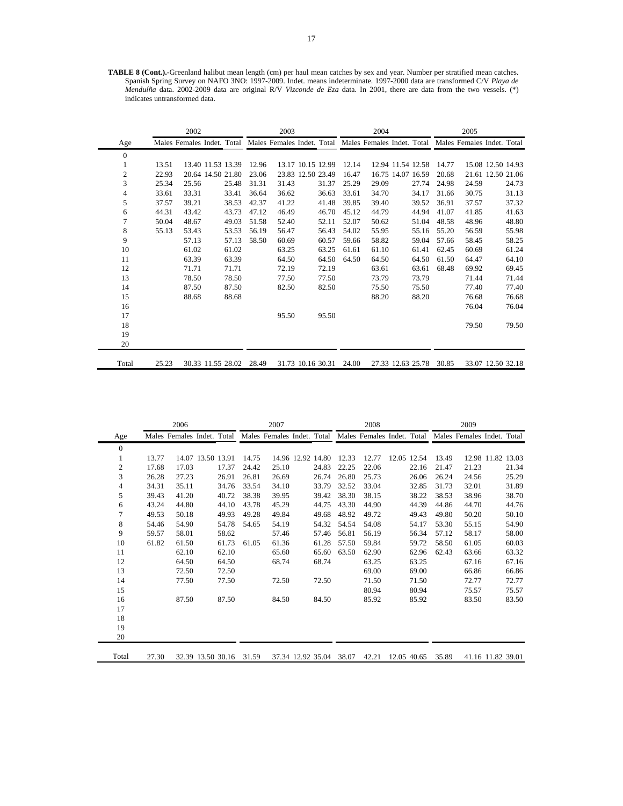**TABLE 8 (Cont.).-**Greenland halibut mean length (cm) per haul mean catches by sex and year. Number per stratified mean catches. Spanish Spring Survey on NAFO 3NO: 1997-2009. Indet. means indeterminate. 1997-2000 data are transformed C/V *Playa de Menduíña* data. 2002-2009 data are original R/V *Vizconde de Eza* data. In 2001, there are data from the two vessels. (\*) indicates untransformed data.

|                |       | 2002  |                                                                                                             |       | 2003  |                   |       |       | 2004  |                   |                   |       | 2005  |                   |
|----------------|-------|-------|-------------------------------------------------------------------------------------------------------------|-------|-------|-------------------|-------|-------|-------|-------------------|-------------------|-------|-------|-------------------|
| Age            |       |       | Males Females Indet. Total Males Females Indet. Total Males Females Indet. Total Males Females Indet. Total |       |       |                   |       |       |       |                   |                   |       |       |                   |
| $\mathbf{0}$   |       |       |                                                                                                             |       |       |                   |       |       |       |                   |                   |       |       |                   |
| 1              | 13.51 |       | 13.40 11.53 13.39                                                                                           | 12.96 |       | 13.17 10.15 12.99 |       | 12.14 |       |                   | 12.94 11.54 12.58 | 14.77 |       | 15.08 12.50 14.93 |
| $\mathfrak{2}$ | 22.93 |       | 20.64 14.50 21.80                                                                                           | 23.06 |       | 23.83 12.50 23.49 |       | 16.47 |       | 16.75 14.07 16.59 |                   | 20.68 |       | 21.61 12.50 21.06 |
| 3              | 25.34 | 25.56 | 25.48                                                                                                       | 31.31 | 31.43 |                   | 31.37 | 25.29 | 29.09 |                   | 27.74             | 24.98 | 24.59 | 24.73             |
| 4              | 33.61 | 33.31 | 33.41                                                                                                       | 36.64 | 36.62 |                   | 36.63 | 33.61 | 34.70 |                   | 34.17             | 31.66 | 30.75 | 31.13             |
| 5              | 37.57 | 39.21 | 38.53                                                                                                       | 42.37 | 41.22 |                   | 41.48 | 39.85 | 39.40 |                   | 39.52             | 36.91 | 37.57 | 37.32             |
| 6              | 44.31 | 43.42 | 43.73                                                                                                       | 47.12 | 46.49 |                   | 46.70 | 45.12 | 44.79 |                   | 44.94             | 41.07 | 41.85 | 41.63             |
| 7              | 50.04 | 48.67 | 49.03                                                                                                       | 51.58 | 52.40 |                   | 52.11 | 52.07 | 50.62 |                   | 51.04             | 48.58 | 48.96 | 48.80             |
| 8              | 55.13 | 53.43 | 53.53                                                                                                       | 56.19 | 56.47 |                   | 56.43 | 54.02 | 55.95 |                   | 55.16             | 55.20 | 56.59 | 55.98             |
| 9              |       | 57.13 | 57.13                                                                                                       | 58.50 | 60.69 |                   | 60.57 | 59.66 | 58.82 |                   | 59.04             | 57.66 | 58.45 | 58.25             |
| 10             |       | 61.02 | 61.02                                                                                                       |       | 63.25 |                   | 63.25 | 61.61 | 61.10 |                   | 61.41             | 62.45 | 60.69 | 61.24             |
| 11             |       | 63.39 | 63.39                                                                                                       |       | 64.50 |                   | 64.50 | 64.50 | 64.50 |                   | 64.50             | 61.50 | 64.47 | 64.10             |
| 12             |       | 71.71 | 71.71                                                                                                       |       | 72.19 |                   | 72.19 |       | 63.61 |                   | 63.61             | 68.48 | 69.92 | 69.45             |
| 13             |       | 78.50 | 78.50                                                                                                       |       | 77.50 |                   | 77.50 |       | 73.79 |                   | 73.79             |       | 71.44 | 71.44             |
| 14             |       | 87.50 | 87.50                                                                                                       |       | 82.50 |                   | 82.50 |       | 75.50 |                   | 75.50             |       | 77.40 | 77.40             |
| 15             |       | 88.68 | 88.68                                                                                                       |       |       |                   |       |       | 88.20 |                   | 88.20             |       | 76.68 | 76.68             |
| 16             |       |       |                                                                                                             |       |       |                   |       |       |       |                   |                   |       | 76.04 | 76.04             |
| 17             |       |       |                                                                                                             |       | 95.50 |                   | 95.50 |       |       |                   |                   |       |       |                   |
| 18             |       |       |                                                                                                             |       |       |                   |       |       |       |                   |                   |       | 79.50 | 79.50             |
| 19             |       |       |                                                                                                             |       |       |                   |       |       |       |                   |                   |       |       |                   |
| 20             |       |       |                                                                                                             |       |       |                   |       |       |       |                   |                   |       |       |                   |
| Total          | 25.23 |       | 30.33 11.55 28.02                                                                                           | 28.49 |       | 31.73 10.16 30.31 |       | 24.00 |       |                   | 27.33 12.63 25.78 | 30.85 |       | 33.07 12.50 32.18 |

| 2006           |       |                            |                   |       |       | 2007  |                   |       | 2008  |             |       | 2009                                                                             |                   |       |
|----------------|-------|----------------------------|-------------------|-------|-------|-------|-------------------|-------|-------|-------------|-------|----------------------------------------------------------------------------------|-------------------|-------|
| Age            |       | Males Females Indet. Total |                   |       |       |       |                   |       |       |             |       | Males Females Indet. Total Males Females Indet. Total Males Females Indet. Total |                   |       |
| $\overline{0}$ |       |                            |                   |       |       |       |                   |       |       |             |       |                                                                                  |                   |       |
| 1              | 13.77 |                            | 14.07 13.50 13.91 |       | 14.75 |       | 14.96 12.92 14.80 | 12.33 | 12.77 | 12.05 12.54 | 13.49 |                                                                                  | 12.98 11.82 13.03 |       |
| $\mathbf{2}$   | 17.68 | 17.03                      |                   | 17.37 | 24.42 | 25.10 | 24.83             | 22.25 | 22.06 | 22.16       | 21.47 | 21.23                                                                            |                   | 21.34 |
| 3              | 26.28 | 27.23                      |                   | 26.91 | 26.81 | 26.69 | 26.74             | 26.80 | 25.73 | 26.06       | 26.24 | 24.56                                                                            |                   | 25.29 |
| 4              | 34.31 | 35.11                      |                   | 34.76 | 33.54 | 34.10 | 33.79             | 32.52 | 33.04 | 32.85       | 31.73 | 32.01                                                                            |                   | 31.89 |
| 5              | 39.43 | 41.20                      |                   | 40.72 | 38.38 | 39.95 | 39.42             | 38.30 | 38.15 | 38.22       | 38.53 | 38.96                                                                            |                   | 38.70 |
| 6              | 43.24 | 44.80                      |                   | 44.10 | 43.78 | 45.29 | 44.75             | 43.30 | 44.90 | 44.39       | 44.86 | 44.70                                                                            |                   | 44.76 |
| $\tau$         | 49.53 | 50.18                      |                   | 49.93 | 49.28 | 49.84 | 49.68             | 48.92 | 49.72 | 49.43       | 49.80 | 50.20                                                                            |                   | 50.10 |
| 8              | 54.46 | 54.90                      |                   | 54.78 | 54.65 | 54.19 | 54.32             | 54.54 | 54.08 | 54.17       | 53.30 | 55.15                                                                            |                   | 54.90 |
| 9              | 59.57 | 58.01                      |                   | 58.62 |       | 57.46 | 57.46             | 56.81 | 56.19 | 56.34       | 57.12 | 58.17                                                                            |                   | 58.00 |
| 10             | 61.82 | 61.50                      |                   | 61.73 | 61.05 | 61.36 | 61.28             | 57.50 | 59.84 | 59.72       | 58.50 | 61.05                                                                            |                   | 60.03 |
| 11             |       | 62.10                      |                   | 62.10 |       | 65.60 | 65.60             | 63.50 | 62.90 | 62.96       | 62.43 | 63.66                                                                            |                   | 63.32 |
| 12             |       | 64.50                      |                   | 64.50 |       | 68.74 | 68.74             |       | 63.25 | 63.25       |       | 67.16                                                                            |                   | 67.16 |
| 13             |       | 72.50                      |                   | 72.50 |       |       |                   |       | 69.00 | 69.00       |       | 66.86                                                                            |                   | 66.86 |
| 14             |       | 77.50                      |                   | 77.50 |       | 72.50 | 72.50             |       | 71.50 | 71.50       |       | 72.77                                                                            |                   | 72.77 |
| 15             |       |                            |                   |       |       |       |                   |       | 80.94 | 80.94       |       | 75.57                                                                            |                   | 75.57 |
| 16             |       | 87.50                      |                   | 87.50 |       | 84.50 | 84.50             |       | 85.92 | 85.92       |       | 83.50                                                                            |                   | 83.50 |
| 17             |       |                            |                   |       |       |       |                   |       |       |             |       |                                                                                  |                   |       |
| 18             |       |                            |                   |       |       |       |                   |       |       |             |       |                                                                                  |                   |       |
| 19             |       |                            |                   |       |       |       |                   |       |       |             |       |                                                                                  |                   |       |
| 20             |       |                            |                   |       |       |       |                   |       |       |             |       |                                                                                  |                   |       |
| Total          | 27.30 |                            | 32.39 13.50 30.16 |       | 31.59 |       | 37.34 12.92 35.04 | 38.07 | 42.21 | 12.05 40.65 | 35.89 | 41.16 11.82 39.01                                                                |                   |       |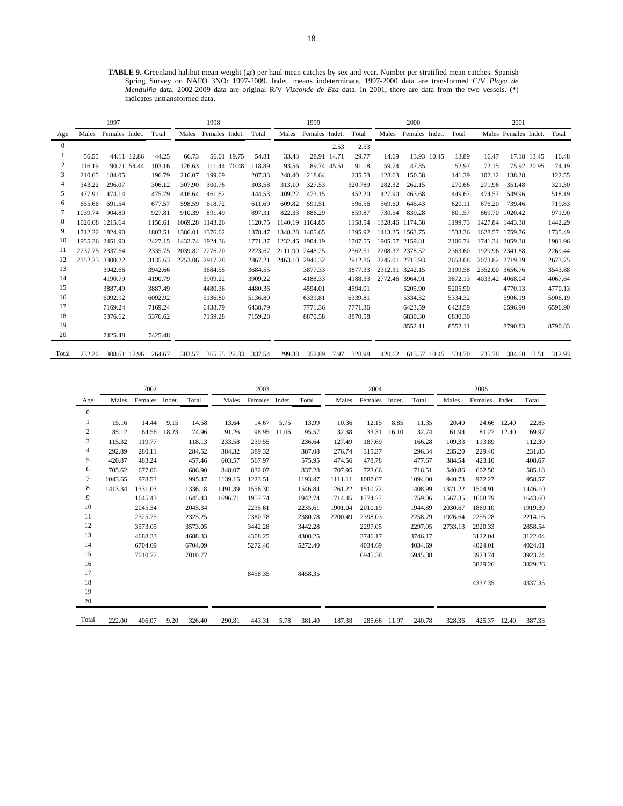**TABLE 9.-**Greenland halibut mean weight (gr) per haul mean catches by sex and year. Number per stratified mean catches. Spanish Spring Survey on NAFO 3NO: 1997-2009. Indet. means indeterminate. 1997-2000 data are transformed C/V *Playa de Menduíña* data. 2002-2009 data are original R/V *Vizconde de Eza* data. In 2001, there are data from the two vessels. (\*) indicates untransformed data.

|          |         | 1997                 |         |         | 1998            |             |         |         | 1999           |             |         |         | 2000            |             |         |                 | 2001                 |         |
|----------|---------|----------------------|---------|---------|-----------------|-------------|---------|---------|----------------|-------------|---------|---------|-----------------|-------------|---------|-----------------|----------------------|---------|
| Age      |         | Males Females Indet. | Total   | Males   | Females Indet.  |             | Total   | Males   | Females Indet. |             | Total   | Males   | Females Indet.  |             | Total   |                 | Males Females Indet. | Total   |
| $\Omega$ |         |                      |         |         |                 |             |         |         |                | 2.53        | 2.53    |         |                 |             |         |                 |                      |         |
|          | 56.55   | 44.11 12.86          | 44.25   | 66.73   |                 | 56.01 19.75 | 54.81   | 33.43   |                | 28.91 14.71 | 29.77   | 14.69   |                 | 13.93 10.45 | 13.89   | 16.47           | 17.18 13.45          | 16.48   |
| 2        | 116.19  | 90.71 54.44          | 103.16  | 126.63  | 111.44 70.48    |             | 118.89  | 93.56   | 89.74 45.51    |             | 91.18   | 59.74   | 47.35           |             | 52.97   | 72.15           | 75.92 20.95          | 74.19   |
| 3        | 210.65  | 184.05               | 196.79  | 216.07  | 199.69          |             | 207.33  | 248.40  | 218.64         |             | 235.53  | 128.63  | 150.58          |             | 141.39  | 102.12          | 138.28               | 122.55  |
|          | 343.22  | 296.07               | 306.12  | 307.90  | 300.76          |             | 303.58  | 313.10  | 327.53         |             | 320.789 | 282.32  | 262.15          |             | 270.66  | 271.96          | 351.48               | 321.30  |
| 5        | 477.91  | 474.14               | 475.79  | 416.64  | 461.62          |             | 444.53  | 409.22  | 473.15         |             | 452.20  | 427.90  | 463.68          |             | 449.67  | 474.57          | 549.96               | 518.19  |
| 6        | 655.66  | 691.54               | 677.57  | 598.59  | 618.72          |             | 611.69  | 609.82  | 591.51         |             | 596.56  | 569.60  | 645.43          |             | 620.11  | 676.20          | 739.46               | 719.83  |
|          | 1039.74 | 904.80               | 927.81  | 910.39  | 891.49          |             | 897.31  | 822.33  | 886.29         |             | 859.87  | 730.54  | 839.28          |             | 801.57  |                 | 869.70 1020.42       | 971.90  |
| 8        |         | 1026.08 1215.64      | 1156.61 | 1069.28 | 1143.26         |             | 1120.75 | 1140.19 | 1164.85        |             | 1158.54 |         | 1328.46 1174.58 |             | 1199.73 | 1427.84         | 1443.38              | 1442.29 |
| 9        |         | 1712.22 1824.90      | 1803.51 |         | 1386.01 1376.62 |             | 1378.47 | 1348.28 | 1405.65        |             | 1395.92 | 1413.25 | 1563.75         |             | 1533.36 | 1628.57 1759.76 |                      | 1735.49 |
| 10       |         | 1955.36 2451.90      | 2427.15 |         | 1432.74 1924.36 |             | 1771.37 | 1232.46 | 1904.19        |             | 1707.55 |         | 1905.57 2159.81 |             | 2106.74 | 1741.34 2059.38 |                      | 1981.96 |
| 11       |         | 2237.75 2337.64      | 2335.75 |         | 2039.82 2276.20 |             | 2223.67 | 2111.90 | 2448.25        |             | 2362.51 |         | 2208.37 2378.52 |             | 2363.60 | 1929.96 2341.88 |                      | 2269.44 |
| 12       | 2352.23 | 3300.22              | 3135.63 | 2253.06 | 2917.28         |             | 2867.21 | 2463.10 | 2940.32        |             | 2912.86 |         | 2245.01 2715.93 |             | 2653.68 | 2073.82 2719.39 |                      | 2673.75 |
| 13       |         | 3942.66              | 3942.66 |         | 3684.55         |             | 3684.55 |         | 3877.33        |             | 3877.33 |         | 2312.31 3242.15 |             | 3199.58 | 2352.00 3656.76 |                      | 3543.88 |
| 14       |         | 4190.79              | 4190.79 |         | 3909.22         |             | 3909.22 |         | 4188.33        |             | 4188.33 | 2772.46 | 3964.91         |             | 3872.13 | 4033.42         | 4068.04              | 4067.64 |
| 15       |         | 3887.49              | 3887.49 |         | 4480.36         |             | 4480.36 |         | 4594.01        |             | 4594.01 |         | 5205.90         |             | 5205.90 |                 | 4770.13              | 4770.13 |
| 16       |         | 6092.92              | 6092.92 |         | 5136.80         |             | 5136.80 |         | 6339.81        |             | 6339.81 |         | 5334.32         |             | 5334.32 |                 | 5906.19              | 5906.19 |
| 17       |         | 7169.24              | 7169.24 |         | 6438.79         |             | 6438.79 |         | 7771.36        |             | 7771.36 |         | 6423.59         |             | 6423.59 |                 | 6596.90              | 6596.90 |
| 18       |         | 5376.62              | 5376.62 |         | 7159.28         |             | 7159.28 |         | 8870.58        |             | 8870.58 |         | 6830.30         |             | 6830.30 |                 |                      |         |
| 19       |         |                      |         |         |                 |             |         |         |                |             |         |         | 8552.11         |             | 8552.11 |                 | 8790.83              | 8790.83 |
| 20       |         | 7425.48              | 7425.48 |         |                 |             |         |         |                |             |         |         |                 |             |         |                 |                      |         |
| Total    | 232.20  | 308.61 12.96         | 264.67  | 303.57  | 365.55 22.83    |             | 337.54  | 299.38  | 352.89         | 7.97        | 328.98  | 420.62  | 613.57 10.45    |             | 534.70  | 235.78          | 384.60 13.51         | 312.93  |

|                         |         | 2002    |        |         |         | 2003    |        |         |         | 2004         |        |         |         | 2005    |        |         |
|-------------------------|---------|---------|--------|---------|---------|---------|--------|---------|---------|--------------|--------|---------|---------|---------|--------|---------|
| Age                     | Males   | Females | Indet. | Total   | Males   | Females | Indet. | Total   | Males   | Females      | Indet. | Total   | Males   | Females | Indet. | Total   |
| $\mathbf{0}$            |         |         |        |         |         |         |        |         |         |              |        |         |         |         |        |         |
|                         | 15.16   | 14.44   | 9.15   | 14.58   | 13.64   | 14.67   | 5.75   | 13.99   | 10.36   | 12.15        | 8.85   | 11.35   | 20.40   | 24.66   | 12.40  | 22.85   |
| $\overline{\mathbf{c}}$ | 85.12   | 64.56   | 18.23  | 74.96   | 91.26   | 98.95   | 11.06  | 95.57   | 32.38   | 33.31        | 16.10  | 32.74   | 61.94   | 81.27   | 12.40  | 69.97   |
| 3                       | 115.32  | 119.77  |        | 118.13  | 233.58  | 239.55  |        | 236.64  | 127.49  | 187.69       |        | 166.28  | 109.33  | 113.89  |        | 112.30  |
| $\overline{4}$          | 292.89  | 280.11  |        | 284.52  | 384.32  | 389.32  |        | 387.08  | 276.74  | 315.37       |        | 296.34  | 235.20  | 229.40  |        | 231.85  |
| 5                       | 420.87  | 483.24  |        | 457.46  | 603.57  | 567.97  |        | 575.95  | 474.56  | 478.78       |        | 477.67  | 384.54  | 423.10  |        | 408.67  |
| 6                       | 705.62  | 677.06  |        | 686.90  | 848.07  | 832.07  |        | 837.28  | 707.95  | 723.66       |        | 716.51  | 540.86  | 602.50  |        | 585.18  |
| $\overline{7}$          | 1043.65 | 978.53  |        | 995.47  | 1139.15 | 1223.51 |        | 1193.47 | 1111.11 | 1087.07      |        | 1094.00 | 940.73  | 972.27  |        | 958.57  |
| 8                       | 1413.34 | 1331.03 |        | 1336.18 | 1491.39 | 1556.30 |        | 1546.84 | 1261.22 | 1510.72      |        | 1408.99 | 1371.22 | 1504.91 |        | 1446.10 |
| 9                       |         | 1645.43 |        | 1645.43 | 1696.71 | 1957.74 |        | 1942.74 | 1714.45 | 1774.27      |        | 1759.06 | 1567.35 | 1668.79 |        | 1643.60 |
| 10                      |         | 2045.34 |        | 2045.34 |         | 2235.61 |        | 2235.61 | 1901.04 | 2010.19      |        | 1944.89 | 2030.67 | 1869.10 |        | 1919.39 |
| 11                      |         | 2325.25 |        | 2325.25 |         | 2380.78 |        | 2380.78 | 2200.49 | 2398.03      |        | 2258.79 | 1926.64 | 2255.28 |        | 2214.16 |
| 12                      |         | 3573.05 |        | 3573.05 |         | 3442.28 |        | 3442.28 |         | 2297.05      |        | 2297.05 | 2733.13 | 2920.33 |        | 2858.54 |
| 13                      |         | 4688.33 |        | 4688.33 |         | 4308.25 |        | 4308.25 |         | 3746.17      |        | 3746.17 |         | 3122.04 |        | 3122.04 |
| 14                      |         | 6704.09 |        | 6704.09 |         | 5272.40 |        | 5272.40 |         | 4034.69      |        | 4034.69 |         | 4024.01 |        | 4024.01 |
| 15                      |         | 7010.77 |        | 7010.77 |         |         |        |         |         | 6945.38      |        | 6945.38 |         | 3923.74 |        | 3923.74 |
| 16                      |         |         |        |         |         |         |        |         |         |              |        |         |         | 3829.26 |        | 3829.26 |
| 17                      |         |         |        |         |         | 8458.35 |        | 8458.35 |         |              |        |         |         |         |        |         |
| 18                      |         |         |        |         |         |         |        |         |         |              |        |         |         | 4337.35 |        | 4337.35 |
| 19                      |         |         |        |         |         |         |        |         |         |              |        |         |         |         |        |         |
| 20                      |         |         |        |         |         |         |        |         |         |              |        |         |         |         |        |         |
| Total                   | 222.00  | 406.07  | 9.20   | 326.40  | 290.81  | 443.31  | 5.78   | 381.40  | 187.38  | 285.66 11.97 |        | 240.78  | 328.36  | 425.37  | 12.40  | 387.33  |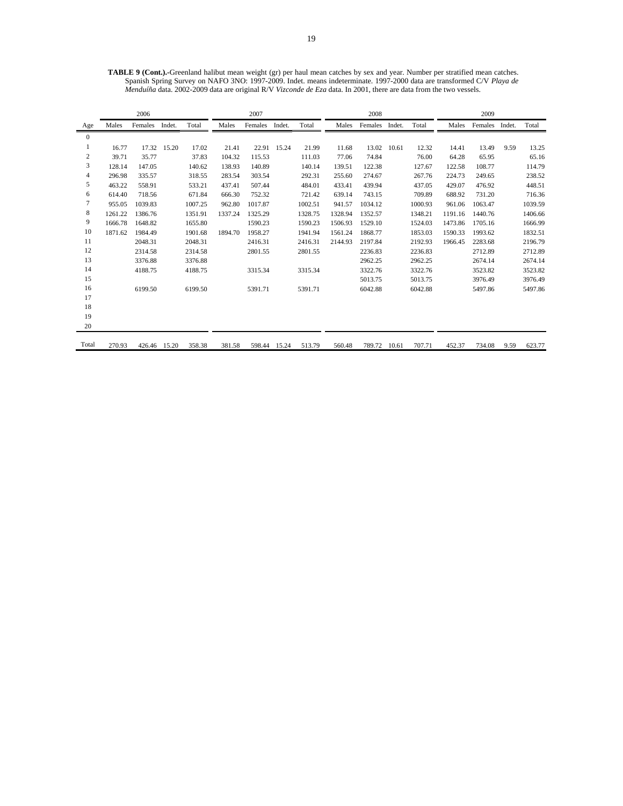**TABLE 9 (Cont.).-**Greenland halibut mean weight (gr) per haul mean catches by sex and year. Number per stratified mean catches. Spanish Spring Survey on NAFO 3NO: 1997-2009. Indet. means indeterminate. 1997-2000 data are transformed C/V *Playa de Menduíña* data. 2002-2009 data are original R/V *Vizconde de Eza* data. In 2001, there are data from the two vessels.

|                  |         | 2006    |             |         |         | 2007    |             |         |         | 2008    |        |         |         | 2009    |        |         |
|------------------|---------|---------|-------------|---------|---------|---------|-------------|---------|---------|---------|--------|---------|---------|---------|--------|---------|
| Age              | Males   | Females | Indet.      | Total   | Males   | Females | Indet.      | Total   | Males   | Females | Indet. | Total   | Males   | Females | Indet. | Total   |
| $\mathbf{0}$     |         |         |             |         |         |         |             |         |         |         |        |         |         |         |        |         |
| 1                | 16.77   |         | 17.32 15.20 | 17.02   | 21.41   |         | 22.91 15.24 | 21.99   | 11.68   | 13.02   | 10.61  | 12.32   | 14.41   | 13.49   | 9.59   | 13.25   |
| $\boldsymbol{2}$ | 39.71   | 35.77   |             | 37.83   | 104.32  | 115.53  |             | 111.03  | 77.06   | 74.84   |        | 76.00   | 64.28   | 65.95   |        | 65.16   |
| $\mathfrak{Z}$   | 128.14  | 147.05  |             | 140.62  | 138.93  | 140.89  |             | 140.14  | 139.51  | 122.38  |        | 127.67  | 122.58  | 108.77  |        | 114.79  |
| $\overline{4}$   | 296.98  | 335.57  |             | 318.55  | 283.54  | 303.54  |             | 292.31  | 255.60  | 274.67  |        | 267.76  | 224.73  | 249.65  |        | 238.52  |
| 5                | 463.22  | 558.91  |             | 533.21  | 437.41  | 507.44  |             | 484.01  | 433.41  | 439.94  |        | 437.05  | 429.07  | 476.92  |        | 448.51  |
| 6                | 614.40  | 718.56  |             | 671.84  | 666.30  | 752.32  |             | 721.42  | 639.14  | 743.15  |        | 709.89  | 688.92  | 731.20  |        | 716.36  |
| 7                | 955.05  | 1039.83 |             | 1007.25 | 962.80  | 1017.87 |             | 1002.51 | 941.57  | 1034.12 |        | 1000.93 | 961.06  | 1063.47 |        | 1039.59 |
| 8                | 1261.22 | 1386.76 |             | 1351.91 | 1337.24 | 1325.29 |             | 1328.75 | 1328.94 | 1352.57 |        | 1348.21 | 1191.16 | 1440.76 |        | 1406.66 |
| 9                | 1666.78 | 1648.82 |             | 1655.80 |         | 1590.23 |             | 1590.23 | 1506.93 | 1529.10 |        | 1524.03 | 1473.86 | 1705.16 |        | 1666.99 |
| 10               | 1871.62 | 1984.49 |             | 1901.68 | 1894.70 | 1958.27 |             | 1941.94 | 1561.24 | 1868.77 |        | 1853.03 | 1590.33 | 1993.62 |        | 1832.51 |
| 11               |         | 2048.31 |             | 2048.31 |         | 2416.31 |             | 2416.31 | 2144.93 | 2197.84 |        | 2192.93 | 1966.45 | 2283.68 |        | 2196.79 |
| 12               |         | 2314.58 |             | 2314.58 |         | 2801.55 |             | 2801.55 |         | 2236.83 |        | 2236.83 |         | 2712.89 |        | 2712.89 |
| 13               |         | 3376.88 |             | 3376.88 |         |         |             |         |         | 2962.25 |        | 2962.25 |         | 2674.14 |        | 2674.14 |
| 14               |         | 4188.75 |             | 4188.75 |         | 3315.34 |             | 3315.34 |         | 3322.76 |        | 3322.76 |         | 3523.82 |        | 3523.82 |
| 15               |         |         |             |         |         |         |             |         |         | 5013.75 |        | 5013.75 |         | 3976.49 |        | 3976.49 |
| 16               |         | 6199.50 |             | 6199.50 |         | 5391.71 |             | 5391.71 |         | 6042.88 |        | 6042.88 |         | 5497.86 |        | 5497.86 |
| 17               |         |         |             |         |         |         |             |         |         |         |        |         |         |         |        |         |
| 18               |         |         |             |         |         |         |             |         |         |         |        |         |         |         |        |         |
| 19               |         |         |             |         |         |         |             |         |         |         |        |         |         |         |        |         |
| 20               |         |         |             |         |         |         |             |         |         |         |        |         |         |         |        |         |
| Total            | 270.93  | 426.46  | 15.20       | 358.38  | 381.58  | 598.44  | 15.24       | 513.79  | 560.48  | 789.72  | 10.61  | 707.71  | 452.37  | 734.08  | 9.59   | 623.77  |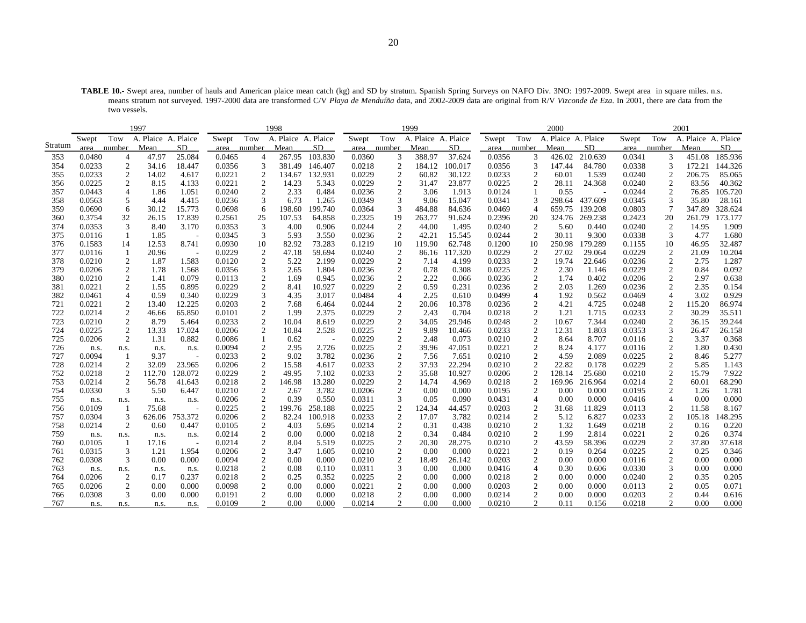**TABLE 10.-** Swept area, number of hauls and American plaice mean catch (kg) and SD by stratum. Spanish Spring Surveys on NAFO Div. 3NO: 1997-2009. Swept area in square miles. n.s. means stratum not surveyed. 1997-2000 data are transformed C/V *Playa de Menduíña* data, and 2002-2009 data are original from R/V *Vizconde de Eza*. In 2001, there are data from the two vessels.

|         |        |                  | 1997                |                          |             |                  | 1998                |         |                  |                | 1999                |         |        |                  | 2000                |         |        |                  | 2001                |         |
|---------|--------|------------------|---------------------|--------------------------|-------------|------------------|---------------------|---------|------------------|----------------|---------------------|---------|--------|------------------|---------------------|---------|--------|------------------|---------------------|---------|
|         | Swept  | Tow              | A. Plaice A. Plaice |                          | Swept       | Tow              | A. Plaice A. Plaice |         | Swept            | Tow            | A. Plaice A. Plaice |         | Swept  | Tow              | A. Plaice A. Plaice |         | Swept  | Tow              | A. Plaice A. Plaice |         |
| Stratum | area   | number Mean      |                     | SD.                      | area number |                  | Mean                | SD      | area number Mean |                |                     | SD.     |        | area number      | <b>Mean</b>         | SD.     | area   | number           | Mean                | SD      |
| 353     | 0.0480 | $\overline{4}$   | 47.97               | 25.084                   | 0.0465      | $\overline{4}$   | 267.95              | 103.830 | 0.0360           | 3              | 388.97              | 37.624  | 0.0356 | 3                | 426.02              | 210.639 | 0.0341 | 3                | 451.08              | 185.936 |
| 354     | 0.0233 | $\boldsymbol{2}$ | 34.16               | 18.447                   | 0.0356      | 3                | 381.49              | 146.407 | 0.0218           | $\overline{2}$ | 184.12              | 100.017 | 0.0356 | 3                | 147.44              | 84.780  | 0.0338 | 3                | 172.21              | 144.326 |
| 355     | 0.0233 | $\boldsymbol{2}$ | 14.02               | 4.617                    | 0.0221      | $\overline{2}$   | 134.67              | 132.931 | 0.0229           | $\overline{2}$ | 60.82               | 30.122  | 0.0233 | $\boldsymbol{2}$ | 60.01               | 1.539   | 0.0240 | $\overline{2}$   | 206.75              | 85.065  |
| 356     | 0.0225 | 2                | 8.15                | 4.133                    | 0.0221      | $\mathbf{2}$     | 14.23               | 5.343   | 0.0229           | 2              | 31.47               | 23.877  | 0.0225 | 2                | 28.11               | 24.368  | 0.0240 | 2                | 83.56               | 40.362  |
| 357     | 0.0443 | $\overline{4}$   | 1.86                | 1.051                    | 0.0240      | 2                | 2.33                | 0.484   | 0.0236           | $\overline{2}$ | 3.06                | 1.913   | 0.0124 |                  | 0.55                |         | 0.0244 | 2                | 76.85               | 105.720 |
| 358     | 0.0563 | 5                | 4.44                | 4.415                    | 0.0236      | 3                | 6.73                | 1.265   | 0.0349           | 3              | 9.06                | 15.047  | 0.0341 | 3                | 298.64              | 437.609 | 0.0345 | 3                | 35.80               | 28.161  |
| 359     | 0.0690 | 6                | 30.12               | 15.773                   | 0.0698      | 6                | 198.60              | 199.740 | 0.0364           | 3              | 484.88              | 84.636  | 0.0469 | $\overline{4}$   | 659.75              | 139.208 | 0.0803 | $7\phantom{.0}$  | 347.89              | 328.624 |
| 360     | 0.3754 | 32               | 26.15               | 17.839                   | 0.2561      | 25               | 107.53              | 64.858  | 0.2325           | 19             | 263.77              | 91.624  | 0.2396 | 20               | 324.76              | 269.238 | 0.2423 | 20               | 261.79              | 173.177 |
| 374     | 0.0353 | 3                | 8.40                | 3.170                    | 0.0353      | 3                | 4.00                | 0.906   | 0.0244           | $\overline{c}$ | 44.00               | 1.495   | 0.0240 | 2                | 5.60                | 0.440   | 0.0240 | $\overline{2}$   | 14.95               | 1.909   |
| 375     | 0.0116 | $\overline{1}$   | 1.85                | $\overline{\phantom{a}}$ | 0.0345      | 3                | 5.93                | 3.550   | 0.0236           | $\overline{2}$ | 42.21               | 15.545  | 0.0244 | $\overline{2}$   | 30.11               | 9.300   | 0.0338 | 3                | 4.77                | 1.680   |
| 376     | 0.1583 | 14               | 12.53               | 8.741                    | 0.0930      | 10               | 82.92               | 73.283  | 0.1219           | 10             | 119.90              | 62.748  | 0.1200 | 10               | 250.98              | 179.289 | 0.1155 | 10               | 46.95               | 32.487  |
| 377     | 0.0116 | -1               | 20.96               |                          | 0.0229      | 2                | 47.18               | 59.694  | 0.0240           | $\overline{c}$ | 86.16               | 117.320 | 0.0229 | 2                | 27.02               | 29.064  | 0.0229 | 2                | 21.09               | 10.204  |
| 378     | 0.0210 | $\overline{c}$   | 1.87                | 1.583                    | 0.0120      | $\overline{c}$   | 5.22                | 2.199   | 0.0229           | 2              | 7.14                | 4.199   | 0.0233 | 2                | 19.74               | 22.646  | 0.0236 | 2                | 2.75                | 1.287   |
| 379     | 0.0206 | $\boldsymbol{2}$ | 1.78                | 1.568                    | 0.0356      | 3                | 2.65                | 1.804   | 0.0236           | $\overline{c}$ | 0.78                | 0.308   | 0.0225 | $\boldsymbol{2}$ | 2.30                | 1.146   | 0.0229 | $\overline{c}$   | 0.84                | 0.092   |
| 380     | 0.0210 | 2                | 1.41                | 0.079                    | 0.0113      | 2                | 1.69                | 0.945   | 0.0236           | $\overline{2}$ | 2.22                | 0.066   | 0.0236 | 2                | 1.74                | 0.402   | 0.0206 | 2                | 2.97                | 0.638   |
| 381     | 0.0221 | $\overline{2}$   | 1.55                | 0.895                    | 0.0229      | $\sqrt{2}$       | 8.41                | 10.927  | 0.0229           | $\overline{2}$ | 0.59                | 0.231   | 0.0236 | $\boldsymbol{2}$ | 2.03                | 1.269   | 0.0236 | 2                | 2.35                | 0.154   |
| 382     | 0.0461 | $\overline{4}$   | 0.59                | 0.340                    | 0.0229      | 3                | 4.35                | 3.017   | 0.0484           | $\overline{4}$ | 2.25                | 0.610   | 0.0499 | $\overline{4}$   | 1.92                | 0.562   | 0.0469 | $\overline{4}$   | 3.02                | 0.929   |
| 721     | 0.0221 | 2                | 13.40               | 12.225                   | 0.0203      | 2                | 7.68                | 6.464   | 0.0244           | 2              | 20.06               | 10.378  | 0.0236 | 2                | 4.21                | 4.725   | 0.0248 |                  | 115.20              | 86.974  |
| 722     | 0.0214 | $\boldsymbol{2}$ | 46.66               | 65.850                   | 0.0101      | $\sqrt{2}$       | 1.99                | 2.375   | 0.0229           | $\overline{2}$ | 2.43                | 0.704   | 0.0218 | $\sqrt{2}$       | 1.21                | 1.715   | 0.0233 | 2                | 30.29               | 35.511  |
| 723     | 0.0210 | $\boldsymbol{2}$ | 8.79                | 5.464                    | 0.0233      | $\overline{2}$   | 10.04               | 8.619   | 0.0229           | $\overline{c}$ | 34.05               | 29.946  | 0.0248 | $\boldsymbol{2}$ | 10.67               | 7.344   | 0.0240 | $\overline{c}$   | 36.15               | 39.244  |
| 724     | 0.0225 | $\boldsymbol{2}$ | 13.33               | 17.024                   | 0.0206      | $\overline{2}$   | 10.84               | 2.528   | 0.0225           | $\overline{2}$ | 9.89                | 10.466  | 0.0233 | $\boldsymbol{2}$ | 12.31               | 1.803   | 0.0353 | 3                | 26.47               | 26.158  |
| 725     | 0.0206 | $\boldsymbol{2}$ | 1.31                | 0.882                    | 0.0086      |                  | 0.62                |         | 0.0229           | $\overline{2}$ | 2.48                | 0.073   | 0.0210 | $\sqrt{2}$       | 8.64                | 8.707   | 0.0116 | $\boldsymbol{2}$ | 3.37                | 0.368   |
| 726     | n.s.   | n.s.             | n.s.                | n.s.                     | 0.0094      | $\overline{c}$   | 2.95                | 2.726   | 0.0225           | $\overline{c}$ | 39.96               | 47.051  | 0.0221 | $\overline{c}$   | 8.24                | 4.177   | 0.0116 | $\boldsymbol{2}$ | 1.80                | 0.430   |
| 727     | 0.0094 |                  | 9.37                |                          | 0.0233      | $\overline{2}$   | 9.02                | 3.782   | 0.0236           | 2              | 7.56                | 7.651   | 0.0210 | 2                | 4.59                | 2.089   | 0.0225 | 2                | 8.46                | 5.277   |
| 728     | 0.0214 | $\mathfrak{2}$   | 32.09               | 23.965                   | 0.0206      | $\overline{2}$   | 15.58               | 4.617   | 0.0233           | 2              | 37.93               | 22.294  | 0.0210 | $\mathfrak{2}$   | 22.82               | 0.178   | 0.0229 | $\overline{c}$   | 5.85                | 1.143   |
| 752     | 0.0218 | 2                | 112.70              | 128.072                  | 0.0229      | $\overline{2}$   | 49.95               | 7.102   | 0.0233           | 2              | 35.68               | 10.927  | 0.0206 | 2                | 128.14              | 25.680  | 0.0210 | $\overline{c}$   | 15.79               | 7.922   |
| 753     | 0.0214 | $\mathfrak{2}$   | 56.78               | 41.643                   | 0.0218      | $\overline{c}$   | 146.98              | 13.280  | 0.0229           | 2              | 14.74               | 4.969   | 0.0218 | 2                | 169.96              | 216.964 | 0.0214 | $\overline{c}$   | 60.01               | 68.290  |
| 754     | 0.0330 | 3                | 5.50                | 6.447                    | 0.0210      | $\overline{2}$   | 2.67                | 3.782   | 0.0206           | $\overline{2}$ | 0.00                | 0.000   | 0.0195 | $\overline{c}$   | 0.00                | 0.000   | 0.0195 | $\overline{c}$   | 1.26                | 1.781   |
| 755     | n.s.   | n.s.             | n.s.                | n.s.                     | 0.0206      | 2                | 0.39                | 0.550   | 0.0311           | 3              | 0.05                | 0.090   | 0.0431 | $\overline{4}$   | 0.00                | 0.000   | 0.0416 | $\overline{4}$   | 0.00                | 0.000   |
| 756     | 0.0109 |                  | 75.68               | $\overline{\phantom{0}}$ | 0.0225      | $\overline{c}$   | 199.76              | 258.188 | 0.0225           | $\overline{2}$ | 124.34              | 44.457  | 0.0203 | 2                | 31.68               | 11.829  | 0.0113 | $\overline{2}$   | 11.58               | 8.167   |
| 757     | 0.0304 | 3                | 626.06              | 753.372                  | 0.0206      | $\overline{c}$   | 82.24               | 100.918 | 0.0233           | $\overline{c}$ | 17.07               | 3.782   | 0.0214 | $\overline{c}$   | 5.12                | 6.827   | 0.0233 | $\overline{2}$   | 105.18              | 148.295 |
| 758     | 0.0214 | $\mathfrak{2}$   | 0.60                | 0.447                    | 0.0105      | $\boldsymbol{2}$ | 4.03                | 5.695   | 0.0214           | $\overline{c}$ | 0.31                | 0.438   | 0.0210 | $\overline{2}$   | 1.32                | 1.649   | 0.0218 | $\overline{c}$   | 0.16                | 0.220   |
| 759     | n.s.   | n.s.             | n.s.                | n.s.                     | 0.0214      | $\sqrt{2}$       | 0.00                | 0.000   | 0.0218           | $\overline{c}$ | 0.34                | 0.484   | 0.0210 | $\sqrt{2}$       | 1.99                | 2.814   | 0.0221 | $\overline{2}$   | 0.26                | 0.374   |
| 760     | 0.0105 |                  | 17.16               |                          | 0.0214      | $\sqrt{2}$       | 8.04                | 5.519   | 0.0225           | $\overline{c}$ | 20.30               | 28.275  | 0.0210 | $\sqrt{2}$       | 43.59               | 58.396  | 0.0229 | $\boldsymbol{2}$ | 37.80               | 37.618  |
| 761     | 0.0315 | 3                | 1.21                | 1.954                    | 0.0206      | $\overline{c}$   | 3.47                | 1.605   | 0.0210           | 2              | 0.00                | 0.000   | 0.0221 | $\overline{2}$   | 0.19                | 0.264   | 0.0225 | $\overline{c}$   | 0.25                | 0.346   |
| 762     | 0.0308 | 3                | 0.00                | 0.000                    | 0.0094      | $\overline{c}$   | 0.00                | 0.000   | 0.0210           | $\overline{2}$ | 18.49               | 26.142  | 0.0203 | $\boldsymbol{2}$ | 0.00                | 0.000   | 0.0116 | 2                | 0.00                | 0.000   |
| 763     | n.s.   | n.s.             | n.s.                | n.s.                     | 0.0218      | $\boldsymbol{2}$ | 0.08                | 0.110   | 0.0311           | 3              | 0.00                | 0.000   | 0.0416 | $\overline{4}$   | 0.30                | 0.606   | 0.0330 | 3                | 0.00                | 0.000   |
| 764     | 0.0206 | $\overline{c}$   | 0.17                | 0.237                    | 0.0218      | $\overline{2}$   | 0.25<br>0.00        | 0.352   | 0.0225           | 2              | 0.00                | 0.000   | 0.0218 | $\boldsymbol{2}$ | 0.00                | 0.000   | 0.0240 | $\overline{c}$   | 0.35                | 0.205   |
| 765     | 0.0206 | $\boldsymbol{2}$ | 0.00                | 0.000                    | 0.0098      | $\overline{c}$   |                     | 0.000   | 0.0221           | $\overline{c}$ | 0.00                | 0.000   | 0.0203 | $\overline{c}$   | 0.00                | 0.000   | 0.0113 | $\boldsymbol{2}$ | 0.05                | 0.071   |
| 766     | 0.0308 | 3                | 0.00                | 0.000                    | 0.0191      | $\overline{c}$   | 0.00                | 0.000   | 0.0218           | $\overline{c}$ | 0.00                | 0.000   | 0.0214 | $\overline{c}$   | 0.00                | 0.000   | 0.0203 | $\overline{c}$   | 0.44                | 0.616   |
| 767     | n.s.   | n.s.             | n.s.                | n.s.                     | 0.0109      | $\overline{2}$   | 0.00                | 0.000   | 0.0214           | 2              | 0.00                | 0.000   | 0.0210 | $\overline{c}$   | 0.11                | 0.156   | 0.0218 | 2                | 0.00                | 0.000   |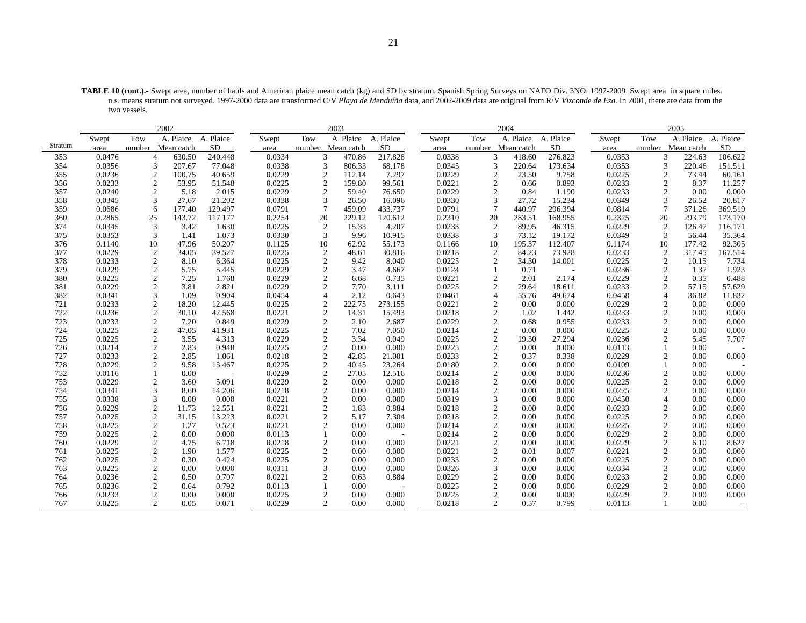**TABLE 10 (cont.).-** Swept area, number of hauls and American plaice mean catch (kg) and SD by stratum. Spanish Spring Surveys on NAFO Div. 3NO: 1997-2009. Swept area in square miles. n.s. means stratum not surveyed. 1997-2000 data are transformed C/V *Playa de Menduíña* data, and 2002-2009 data are original from R/V *Vizconde de Eza*. In 2001, there are data from the two vessels.

|         |        |                  | 2002                |         |        |                                  | 2003      |           |        |     | 2004                     |                          |        |                | 2005              |           |
|---------|--------|------------------|---------------------|---------|--------|----------------------------------|-----------|-----------|--------|-----|--------------------------|--------------------------|--------|----------------|-------------------|-----------|
|         | Swept  | Tow              | A. Plaice A. Plaice |         | Swept  | Tow                              | A. Plaice | A. Plaice | Swept  | Tow | A. Plaice                | A. Plaice                | Swept  | Tow            | A. Plaice         | A. Plaice |
| Stratum | area   |                  | number Mean catch   | SD.     | area   | number Mean catch                |           | SD        | area   |     | number Mean catch        | SD                       | area   |                | number Mean catch | SD        |
| 353     | 0.0476 | $\overline{4}$   | 630.50              | 240.448 | 0.0334 | 3                                | 470.86    | 217.828   | 0.0338 |     | 3<br>418.60              | 276.823                  | 0.0353 | 3              | 224.63            | 106.622   |
| 354     | 0.0356 | 3                | 207.67              | 77.048  | 0.0338 | 3                                | 806.33    | 68.178    | 0.0345 |     | 3<br>220.64              | 173.634                  | 0.0353 | 3              | 220.46            | 151.511   |
| 355     | 0.0236 | $\overline{2}$   | 100.75              | 40.659  | 0.0229 | $\overline{2}$                   | 112.14    | 7.297     | 0.0229 |     | $\overline{2}$<br>23.50  | 9.758                    | 0.0225 | $\overline{2}$ | 73.44             | 60.161    |
| 356     | 0.0233 | 2                | 53.95               | 51.548  | 0.0225 | $\overline{2}$                   | 159.80    | 99.561    | 0.0221 |     | $\overline{c}$<br>0.66   | 0.893                    | 0.0233 | $\overline{c}$ | 8.37              | 11.257    |
| 357     | 0.0240 | $\overline{2}$   | 5.18                | 2.015   | 0.0229 | $\overline{2}$                   | 59.40     | 76.650    | 0.0229 |     | $\overline{c}$<br>0.84   | 1.190                    | 0.0233 | $\overline{c}$ | 0.00              | 0.000     |
| 358     | 0.0345 | 3                | 27.67               | 21.202  | 0.0338 | 3                                | 26.50     | 16.096    | 0.0330 |     | 3<br>27.72               | 15.234                   | 0.0349 | 3              | 26.52             | 20.817    |
| 359     | 0.0686 | 6                | 177.40              | 129.497 | 0.0791 | $\overline{7}$                   | 459.09    | 433.737   | 0.0791 |     | $\overline{7}$<br>440.97 | 296.394                  | 0.0814 | $\tau$         | 371.26            | 369.519   |
| 360     | 0.2865 | 25               | 143.72              | 117.177 | 0.2254 | 20                               | 229.12    | 120.612   | 0.2310 |     | 20<br>283.51             | 168.955                  | 0.2325 | 20             | 293.79            | 173.170   |
| 374     | 0.0345 | 3                | 3.42                | 1.630   | 0.0225 | $\overline{2}$                   | 15.33     | 4.207     | 0.0233 |     | $\overline{2}$<br>89.95  | 46.315                   | 0.0229 | $\overline{c}$ | 126.47            | 116.171   |
| 375     | 0.0353 | 3                | 1.41                | 1.073   | 0.0330 | 3                                | 9.96      | 10.915    | 0.0338 |     | 3<br>73.12               | 19.172                   | 0.0349 | 3              | 56.44             | 35.364    |
| 376     | 0.1140 | 10               | 47.96               | 50.207  | 0.1125 | 10                               | 62.92     | 55.173    | 0.1166 |     | 10<br>195.37             | 112.407                  | 0.1174 | 10             | 177.42            | 92.305    |
| 377     | 0.0229 | 2                | 34.05               | 39.527  | 0.0225 | $\overline{2}$                   | 48.61     | 30.816    | 0.0218 |     | 2<br>84.23               | 73.928                   | 0.0233 | $\overline{2}$ | 317.45            | 167.514   |
| 378     | 0.0233 | 2                | 8.10                | 6.364   | 0.0225 | $\overline{2}$                   | 9.42      | 8.040     | 0.0225 |     | $\overline{c}$<br>34.30  | 14.001                   | 0.0225 | 2              | 10.15             | 7.734     |
| 379     | 0.0229 | $\mathfrak{2}$   | 5.75                | 5.445   | 0.0229 | $\overline{2}$                   | 3.47      | 4.667     | 0.0124 |     | 0.71                     | $\overline{\phantom{a}}$ | 0.0236 | 2              | 1.37              | 1.923     |
| 380     | 0.0225 | $\overline{2}$   | 7.25                | 1.768   | 0.0229 | $\overline{c}$                   | 6.68      | 0.735     | 0.0221 |     | $\overline{2}$<br>2.01   | 2.174                    | 0.0229 | 2              | 0.35              | 0.488     |
| 381     | 0.0229 | $\overline{2}$   | 3.81                | 2.821   | 0.0229 | $\overline{c}$                   | 7.70      | 3.111     | 0.0225 |     | $\overline{2}$<br>29.64  | 18.611                   | 0.0233 | 2              | 57.15             | 57.629    |
| 382     | 0.0341 | 3                | 1.09                | 0.904   | 0.0454 |                                  | 2.12      | 0.643     | 0.0461 |     | $\overline{4}$<br>55.76  | 49.674                   | 0.0458 | $\overline{4}$ | 36.82             | 11.832    |
| 721     | 0.0233 | $\overline{2}$   | 18.20               | 12.445  | 0.0225 | $\overline{2}$                   | 222.75    | 273.155   | 0.0221 |     | $\overline{c}$<br>0.00   | 0.000                    | 0.0229 | 2              | 0.00              | 0.000     |
| 722     | 0.0236 | $\sqrt{2}$       | 30.10               | 42.568  | 0.0221 | $\overline{c}$                   | 14.31     | 15.493    | 0.0218 |     | $\overline{2}$<br>1.02   | 1.442                    | 0.0233 | $\overline{c}$ | 0.00              | 0.000     |
| 723     | 0.0233 | $\overline{c}$   | 7.20                | 0.849   | 0.0229 | $\overline{2}$                   | 2.10      | 2.687     | 0.0229 |     | $\overline{2}$<br>0.68   | 0.955                    | 0.0233 | 2              | 0.00              | 0.000     |
| 724     | 0.0225 | $\boldsymbol{2}$ | 47.05               | 41.931  | 0.0225 | $\overline{2}$                   | 7.02      | 7.050     | 0.0214 |     | $\overline{c}$<br>0.00   | 0.000                    | 0.0225 | 2              | 0.00              | 0.000     |
| 725     | 0.0225 | $\sqrt{2}$       | 3.55                | 4.313   | 0.0229 | $\overline{2}$                   | 3.34      | 0.049     | 0.0225 |     | $\overline{c}$<br>19.30  | 27.294                   | 0.0236 | 2              | 5.45              | 7.707     |
| 726     | 0.0214 | $\overline{c}$   | 2.83                | 0.948   | 0.0225 | $\overline{2}$                   | 0.00      | 0.000     | 0.0225 |     | $\overline{c}$<br>0.00   | 0.000                    | 0.0113 |                | 0.00              |           |
| 727     | 0.0233 | $\overline{2}$   | 2.85                | 1.061   | 0.0218 | $\overline{2}$                   | 42.85     | 21.001    | 0.0233 |     | $\overline{c}$<br>0.37   | 0.338                    | 0.0229 | 2              | 0.00              | 0.000     |
| 728     | 0.0229 | $\overline{2}$   | 9.58                | 13.467  | 0.0225 | $\overline{2}$                   | 40.45     | 23.264    | 0.0180 |     | $\overline{2}$<br>0.00   | 0.000                    | 0.0109 |                | 0.00              |           |
| 752     | 0.0116 |                  | 0.00                |         | 0.0229 | $\overline{2}$                   | 27.05     | 12.516    | 0.0214 |     | $\overline{c}$<br>0.00   | 0.000                    | 0.0236 | $\overline{c}$ | 0.00              | 0.000     |
| 753     | 0.0229 | $\overline{2}$   | 3.60                | 5.091   | 0.0229 | $\overline{2}$                   | 0.00      | 0.000     | 0.0218 |     | $\overline{c}$<br>0.00   | 0.000                    | 0.0225 | 2              | 0.00              | 0.000     |
| 754     | 0.0341 | 3                | 8.60                | 14.206  | 0.0218 | $\overline{2}$                   | 0.00      | 0.000     | 0.0214 |     | $\overline{c}$<br>0.00   | 0.000                    | 0.0225 | 2              | 0.00              | 0.000     |
| 755     | 0.0338 | 3                | 0.00                | 0.000   | 0.0221 | $\mathcal{D}$                    | 0.00      | 0.000     | 0.0319 |     | 3<br>0.00                | 0.000                    | 0.0450 | $\overline{4}$ | 0.00              | 0.000     |
| 756     | 0.0229 | $\overline{2}$   | 11.73               | 12.551  | 0.0221 | $\overline{2}$                   | 1.83      | 0.884     | 0.0218 |     | $\overline{2}$<br>0.00   | 0.000                    | 0.0233 | $\overline{2}$ | 0.00              | 0.000     |
| 757     | 0.0225 | $\sqrt{2}$       | 31.15               | 13.223  | 0.0221 | $\overline{2}$                   | 5.17      | 7.304     | 0.0218 |     | $\overline{2}$<br>0.00   | 0.000                    | 0.0225 | $\overline{c}$ | 0.00              | 0.000     |
| 758     | 0.0225 | $\sqrt{2}$       | 1.27                | 0.523   | 0.0221 | $\mathcal{D}$                    | 0.00      | 0.000     | 0.0214 |     | $\mathfrak{D}$<br>0.00   | 0.000                    | 0.0225 | 2              | 0.00              | 0.000     |
| 759     | 0.0225 | $\overline{2}$   | 0.00                | 0.000   | 0.0113 |                                  | 0.00      |           | 0.0214 |     | $\overline{2}$<br>0.00   | 0.000                    | 0.0229 | 2              | 0.00              | 0.000     |
| 760     | 0.0229 | $\overline{2}$   | 4.75                | 6.718   | 0.0218 | $\overline{2}$                   | 0.00      | 0.000     | 0.0221 |     | $\overline{2}$<br>0.00   | 0.000                    | 0.0229 | $\overline{c}$ | 6.10              | 8.627     |
| 761     | 0.0225 | $\overline{2}$   | 1.90                | 1.577   | 0.0225 | $\overline{2}$<br>$\mathfrak{D}$ | 0.00      | 0.000     | 0.0221 |     | $\mathfrak{D}$<br>0.01   | 0.007                    | 0.0221 | $\overline{c}$ | 0.00              | 0.000     |
| 762     | 0.0225 | $\overline{c}$   | 0.30                | 0.424   | 0.0225 |                                  | 0.00      | 0.000     | 0.0233 |     | $\overline{c}$<br>0.00   | 0.000                    | 0.0225 | 2              | 0.00              | 0.000     |
| 763     | 0.0225 | $\overline{2}$   | 0.00                | 0.000   | 0.0311 | 3                                | 0.00      | 0.000     | 0.0326 |     | 3<br>0.00                | 0.000                    | 0.0334 | 3              | 0.00              | 0.000     |
| 764     | 0.0236 | $\sqrt{2}$       | 0.50                | 0.707   | 0.0221 | $\overline{2}$                   | 0.63      | 0.884     | 0.0229 |     | $\overline{2}$<br>0.00   | 0.000                    | 0.0233 | 2              | 0.00              | 0.000     |
| 765     | 0.0236 | $\overline{c}$   | 0.64                | 0.792   | 0.0113 |                                  | 0.00      |           | 0.0225 |     | $\overline{c}$<br>0.00   | 0.000                    | 0.0229 | 2              | 0.00              | 0.000     |
| 766     | 0.0233 | $\overline{2}$   | 0.00                | 0.000   | 0.0225 | $\overline{c}$                   | 0.00      | 0.000     | 0.0225 |     | $\overline{c}$<br>0.00   | 0.000                    | 0.0229 | 2              | 0.00              | 0.000     |
| 767     | 0.0225 | 2                | 0.05                | 0.071   | 0.0229 | $\overline{c}$                   | 0.00      | 0.000     | 0.0218 |     | 2<br>0.57                | 0.799                    | 0.0113 |                | 0.00              |           |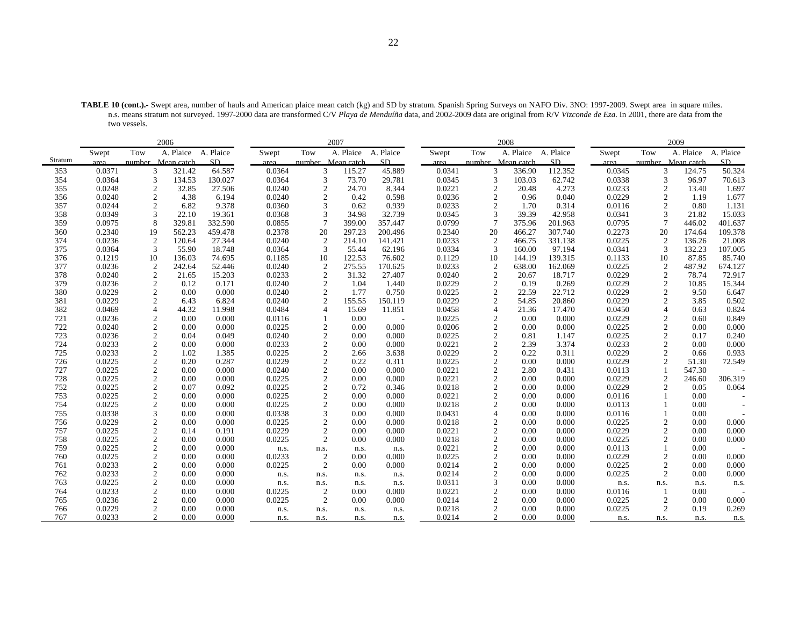| TABLE 10 (cont.).- Swept area, number of hauls and American plaice mean catch (kg) and SD by stratum. Spanish Spring Surveys on NAFO Div. 3NO: 1997-2009. Swept area in square miles.  |  |
|----------------------------------------------------------------------------------------------------------------------------------------------------------------------------------------|--|
| n.s. means stratum not surveyed. 1997-2000 data are transformed C/V Playa de Menduíña data, and 2002-2009 data are original from R/V Vizconde de Eza. In 2001, there are data from the |  |
| two vessels.                                                                                                                                                                           |  |

|         |        |                   | 2006                |         |        |                   | 2007      |           |        |     | 2008                     |           |        |                | 2009              |           |
|---------|--------|-------------------|---------------------|---------|--------|-------------------|-----------|-----------|--------|-----|--------------------------|-----------|--------|----------------|-------------------|-----------|
|         | Swept  | Tow               | A. Plaice A. Plaice |         | Swept  | Tow               | A. Plaice | A. Plaice | Swept  | Tow | A. Plaice                | A. Plaice | Swept  | Tow            | A. Plaice         | A. Plaice |
| Stratum | area   | number Mean catch |                     | SD.     | area   | number Mean catch |           | SD.       | area   |     | number Mean catch        | SD.       | area   |                | number Mean catch | SD        |
| 353     | 0.0371 | 3                 | 321.42              | 64.587  | 0.0364 | 3                 | 115.27    | 45.889    | 0.0341 |     | 3<br>336.90              | 112.352   | 0.0345 | 3              | 124.75            | 50.324    |
| 354     | 0.0364 | 3                 | 134.53              | 130.027 | 0.0364 | 3                 | 73.70     | 29.781    | 0.0345 |     | 3<br>103.03              | 62.742    | 0.0338 | 3              | 96.97             | 70.613    |
| 355     | 0.0248 | $\overline{2}$    | 32.85               | 27.506  | 0.0240 | $\mathfrak{2}$    | 24.70     | 8.344     | 0.0221 |     | $\overline{2}$<br>20.48  | 4.273     | 0.0233 | $\overline{2}$ | 13.40             | 1.697     |
| 356     | 0.0240 |                   | 4.38                | 6.194   | 0.0240 |                   | 0.42      | 0.598     | 0.0236 |     | $\overline{c}$<br>0.96   | 0.040     | 0.0229 | $\overline{2}$ | 1.19              | 1.677     |
| 357     | 0.0244 | 2                 | 6.82                | 9.378   | 0.0360 | 3                 | 0.62      | 0.939     | 0.0233 |     | $\overline{2}$<br>1.70   | 0.314     | 0.0116 | $\overline{2}$ | 0.80              | 1.131     |
| 358     | 0.0349 | 3                 | 22.10               | 19.361  | 0.0368 | 3                 | 34.98     | 32.739    | 0.0345 |     | 3<br>39.39               | 42.958    | 0.0341 | 3              | 21.82             | 15.033    |
| 359     | 0.0975 |                   | 329.81              | 332.590 | 0.0855 | $\overline{7}$    | 399.00    | 357.447   | 0.0799 |     | $\overline{7}$<br>375.96 | 201.963   | 0.0795 | $\overline{7}$ | 446.02            | 401.637   |
| 360     | 0.2340 | 19                | 562.23              | 459.478 | 0.2378 | 20                | 297.23    | 200.496   | 0.2340 | 20  | 466.27                   | 307.740   | 0.2273 | 20             | 174.64            | 109.378   |
| 374     | 0.0236 | $\overline{2}$    | 120.64              | 27.344  | 0.0240 | $\overline{c}$    | 214.10    | 141.421   | 0.0233 |     | $\overline{2}$<br>466.75 | 331.138   | 0.0225 | $\overline{2}$ | 136.26            | 21.008    |
| 375     | 0.0364 | 3                 | 55.90               | 18.748  | 0.0364 | 3                 | 55.44     | 62.196    | 0.0334 |     | 3<br>160.00              | 97.194    | 0.0341 | 3              | 132.23            | 107.005   |
| 376     | 0.1219 | 10                | 136.03              | 74.695  | 0.1185 | 10                | 122.53    | 76.602    | 0.1129 | 10  | 144.19                   | 139.315   | 0.1133 | 10             | 87.85             | 85.740    |
| 377     | 0.0236 | $\overline{2}$    | 242.64              | 52.446  | 0.0240 | $\overline{2}$    | 275.55    | 170.625   | 0.0233 |     | $\overline{c}$<br>638.00 | 162.069   | 0.0225 | $\overline{2}$ | 487.92            | 674.127   |
| 378     | 0.0240 | $\mathfrak{2}$    | 21.65               | 15.203  | 0.0233 | $\overline{2}$    | 31.32     | 27.407    | 0.0240 |     | $\overline{2}$<br>20.67  | 18.717    | 0.0229 | $\overline{2}$ | 78.74             | 72.917    |
| 379     | 0.0236 | $\boldsymbol{2}$  | 0.12                | 0.171   | 0.0240 | $\mathfrak{2}$    | 1.04      | 1.440     | 0.0229 |     | $\overline{c}$<br>0.19   | 0.269     | 0.0229 | $\overline{2}$ | 10.85             | 15.344    |
| 380     | 0.0229 | 2                 | 0.00                | 0.000   | 0.0240 | $\overline{2}$    | 1.77      | 0.750     | 0.0225 |     | $\overline{c}$<br>22.59  | 22.712    | 0.0229 | $\overline{2}$ | 9.50              | 6.647     |
| 381     | 0.0229 | $\overline{c}$    | 6.43                | 6.824   | 0.0240 | 2                 | 155.55    | 150.119   | 0.0229 |     | $\overline{2}$<br>54.85  | 20.860    | 0.0229 | $\overline{2}$ | 3.85              | 0.502     |
| 382     | 0.0469 |                   | 44.32               | 11.998  | 0.0484 |                   | 15.69     | 11.851    | 0.0458 |     | $\overline{4}$<br>21.36  | 17.470    | 0.0450 | $\overline{4}$ | 0.63              | 0.824     |
| 721     | 0.0236 | 2                 | 0.00                | 0.000   | 0.0116 |                   | 0.00      |           | 0.0225 |     | $\overline{2}$<br>0.00   | 0.000     | 0.0229 | $\overline{c}$ | 0.60              | 0.849     |
| 722     | 0.0240 | $\mathfrak{2}$    | 0.00                | 0.000   | 0.0225 | $\mathfrak{2}$    | 0.00      | 0.000     | 0.0206 |     | $\overline{2}$<br>0.00   | 0.000     | 0.0225 | $\overline{2}$ | 0.00              | 0.000     |
| 723     | 0.0236 | $\mathfrak{2}$    | 0.04                | 0.049   | 0.0240 | $\overline{2}$    | 0.00      | 0.000     | 0.0225 |     | $\overline{2}$<br>0.81   | 1.147     | 0.0225 | $\overline{2}$ | 0.17              | 0.240     |
| 724     | 0.0233 | 2                 | 0.00                | 0.000   | 0.0233 | $\mathfrak{2}$    | 0.00      | 0.000     | 0.0221 |     | $\overline{2}$<br>2.39   | 3.374     | 0.0233 | $\overline{2}$ | 0.00              | 0.000     |
| 725     | 0.0233 | $\overline{2}$    | 1.02                | 1.385   | 0.0225 | $\overline{2}$    | 2.66      | 3.638     | 0.0229 |     | $\overline{c}$<br>0.22   | 0.311     | 0.0229 | $\overline{2}$ | 0.66              | 0.933     |
| 726     | 0.0225 |                   | 0.20                | 0.287   | 0.0229 | $\overline{c}$    | 0.22      | 0.311     | 0.0225 |     | $\overline{c}$<br>0.00   | 0.000     | 0.0229 | $\overline{2}$ | 51.30             | 72.549    |
| 727     | 0.0225 | 2                 | 0.00                | 0.000   | 0.0240 | $\overline{2}$    | 0.00      | 0.000     | 0.0221 |     | $\overline{c}$<br>2.80   | 0.431     | 0.0113 | $\mathbf{1}$   | 547.30            |           |
| 728     | 0.0225 | $\overline{c}$    | 0.00                | 0.000   | 0.0225 |                   | 0.00      | 0.000     | 0.0221 |     | $\overline{c}$<br>0.00   | 0.000     | 0.0229 | $\overline{2}$ | 246.60            | 306.319   |
| 752     | 0.0225 | $\overline{2}$    | 0.07                | 0.092   | 0.0225 | $\overline{c}$    | 0.72      | 0.346     | 0.0218 |     | $\overline{c}$<br>0.00   | 0.000     | 0.0229 | $\overline{2}$ | 0.05              | 0.064     |
| 753     | 0.0225 | $\overline{2}$    | 0.00                | 0.000   | 0.0225 | $\overline{2}$    | 0.00      | 0.000     | 0.0221 |     | $\overline{2}$<br>0.00   | 0.000     | 0.0116 |                | 0.00              |           |
| 754     | 0.0225 | $\overline{2}$    | 0.00                | 0.000   | 0.0225 |                   | 0.00      | 0.000     | 0.0218 |     | $\overline{2}$<br>0.00   | 0.000     | 0.0113 |                | 0.00              |           |
| 755     | 0.0338 | 3                 | 0.00                | 0.000   | 0.0338 |                   | 0.00      | 0.000     | 0.0431 |     | $\overline{4}$<br>0.00   | 0.000     | 0.0116 |                | 0.00              |           |
| 756     | 0.0229 |                   | 0.00                | 0.000   | 0.0225 | $\overline{2}$    | 0.00      | 0.000     | 0.0218 |     | $\overline{c}$<br>0.00   | 0.000     | 0.0225 | $\overline{c}$ | 0.00              | 0.000     |
| 757     | 0.0225 | $\overline{2}$    | 0.14                | 0.191   | 0.0229 | 2                 | 0.00      | 0.000     | 0.0221 |     | $\overline{2}$<br>0.00   | 0.000     | 0.0229 | $\overline{2}$ | 0.00              | 0.000     |
| 758     | 0.0225 | $\overline{c}$    | 0.00                | 0.000   | 0.0225 | 2                 | 0.00      | 0.000     | 0.0218 |     | $\overline{2}$<br>0.00   | 0.000     | 0.0225 | $\overline{2}$ | 0.00              | 0.000     |
| 759     | 0.0225 | $\overline{2}$    | 0.00                | 0.000   | n.s.   | n.s.              | n.s.      | n.s.      | 0.0221 |     | $\overline{2}$<br>0.00   | 0.000     | 0.0113 |                | 0.00              |           |
| 760     | 0.0225 | 2                 | 0.00                | 0.000   | 0.0233 | 2                 | 0.00      | 0.000     | 0.0225 |     | $\overline{2}$<br>0.00   | 0.000     | 0.0229 | $\overline{2}$ | 0.00              | 0.000     |
| 761     | 0.0233 | $\mathfrak{2}$    | 0.00                | 0.000   | 0.0225 | 2                 | 0.00      | 0.000     | 0.0214 |     | $\overline{2}$<br>0.00   | 0.000     | 0.0225 | $\overline{2}$ | 0.00              | 0.000     |
| 762     | 0.0233 |                   | 0.00                | 0.000   | n.s.   | n.s.              | n.s.      | n.s.      | 0.0214 |     | $\overline{c}$<br>0.00   | 0.000     | 0.0225 | $\overline{2}$ | 0.00              | 0.000     |
| 763     | 0.0225 | 2                 | 0.00                | 0.000   | n.s.   | n.s.              | n.s.      | n.s.      | 0.0311 |     | 3<br>0.00                | 0.000     | n.s.   | n.s.           | n.s.              | n.s.      |
| 764     | 0.0233 | $\mathfrak{2}$    | 0.00                | 0.000   | 0.0225 | 2                 | 0.00      | 0.000     | 0.0221 |     | $\overline{c}$<br>0.00   | 0.000     | 0.0116 |                | 0.00              |           |
| 765     | 0.0236 | $\overline{c}$    | 0.00                | 0.000   | 0.0225 | $\overline{2}$    | 0.00      | 0.000     | 0.0214 |     | $\overline{2}$<br>0.00   | 0.000     | 0.0225 | $\overline{2}$ | 0.00              | 0.000     |
| 766     | 0.0229 | 2                 | 0.00                | 0.000   | n.s.   | n.s.              | n.s.      | n.s.      | 0.0218 |     | $\overline{2}$<br>0.00   | 0.000     | 0.0225 | $\overline{2}$ | 0.19              | 0.269     |
| 767     | 0.0233 | 2                 | 0.00                | 0.000   | n.s.   | n.s.              | n.s.      | n.s.      | 0.0214 |     | 2<br>0.00                | 0.000     | n.s.   | n.s.           | n.s.              | n.s.      |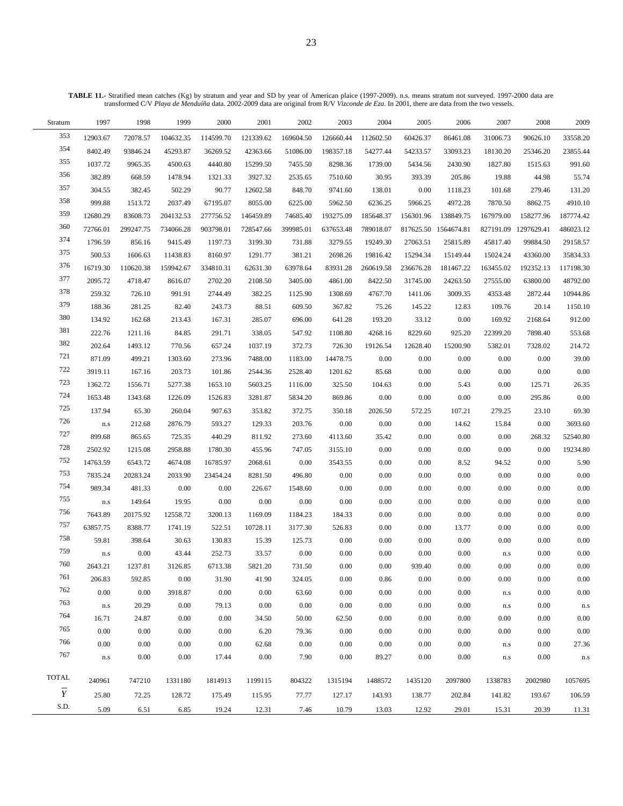| Stratum        | 1997                    | 1998      | 1999      | 2000      | 2001      | 2002      | 2003      | 2004      | 2005      | 2006                 | 2007                    | 2008                 | 2009      |
|----------------|-------------------------|-----------|-----------|-----------|-----------|-----------|-----------|-----------|-----------|----------------------|-------------------------|----------------------|-----------|
| 353            | 12903.67                | 72078.57  | 104632.35 | 114599.70 | 121339.62 | 169604.50 | 126660.44 | 112602.50 | 60426.37  | 86461.08             | 31006.73                | 90626.10             | 33558.20  |
| 354            | 8402.49                 | 93846.24  | 45293.87  | 36269.52  | 42363.66  | 51086.00  | 198357.18 | 54277.44  | 54233.57  | 33093.23             | 18130.20                | 25346.20             | 23855.44  |
| 355            | 1037.72                 | 9965.35   | 4500.63   | 4440.80   | 15299.50  | 7455.50   | 8298.36   | 1739.00   | 5434.56   | 2430.90              | 1827.80                 | 1515.63              | 991.60    |
| 356            | 382.89                  | 668.59    | 1478.94   | 1321.33   | 3927.32   | 2535.65   | 7510.60   | 30.95     | 393.39    | 205.86               | 19.88                   | 44.98                | 55.74     |
| 357            | 304.55                  | 382.45    | 502.29    | 90.77     | 12602.58  | 848.70    | 9741.60   | 138.01    | 0.00      | 1118.23              | 101.68                  | 279.46               | 131.20    |
| 358            | 999.88                  | 1513.72   | 2037.49   | 67195.07  | 8055.00   | 6225.00   | 5962.50   | 6236.25   | 5966.25   | 4972.28              | 7870.50                 | 8862.75              | 4910.10   |
| 359            | 12680.29                | 83608.73  | 204132.53 | 277756.52 | 146459.89 | 74685.40  | 193275.09 | 185648.37 | 156301.96 | 138849.75            | 167979.00               | 158277.96            | 187774.42 |
| 360            | 72766.01                | 299247.75 | 734066.28 | 903798.01 | 728547.66 | 399985.01 | 637653.48 | 789018.07 |           | 817625.50 1564674.81 |                         | 827191.09 1297629.41 | 486023.12 |
| 374            | 1796.59                 | 856.16    | 9415.49   | 1197.73   | 3199.30   | 731.88    | 3279.55   | 19249.30  | 27063.51  | 25815.89             | 45817.40                | 99884.50             | 29158.57  |
| 375            | 500.53                  | 1606.63   | 11438.83  | 8160.97   | 1291.77   | 381.21    | 2698.26   | 19816.42  | 15294.34  | 15149.44             | 15024.24                | 43360.00             | 35834.33  |
| 376            | 16719.30                | 110620.38 | 159942.67 | 334810.31 | 62631.30  | 63978.64  | 83931.28  | 260619.58 | 236676.28 | 181467.22            | 163455.02               | 192352.13            | 117198.30 |
| 377            | 2095.72                 | 4718.47   | 8616.07   | 2702.20   | 2108.50   | 3405.00   | 4861.00   | 8422.50   | 31745.00  | 24263.50             | 27555.00                | 63800.00             | 48792.00  |
| 378            | 259.32                  | 726.10    | 991.91    | 2744.49   | 382.25    | 1125.90   | 1308.69   | 4767.70   | 1411.06   | 3009.35              | 4353.48                 | 2872.44              | 10944.86  |
| 379            | 188.36                  | 281.25    | 82.40     | 243.73    | 88.51     | 609.50    | 367.82    | 75.26     | 145.22    | 12.83                | 109.76                  | 20.14                | 1150.10   |
| 380            | 134.92                  | 162.68    | 213.43    | 167.31    | 285.07    | 696.00    | 641.28    | 193.20    | 33.12     | 0.00                 | 169.92                  | 2168.64              | 912.00    |
| 381            | 222.76                  | 1211.16   | 84.85     | 291.71    | 338.05    | 547.92    | 1108.80   | 4268.16   | 8229.60   | 925.20               | 22399.20                | 7898.40              | 553.68    |
| 382            | 202.64                  | 1493.12   | 770.56    | 657.24    | 1037.19   | 372.73    | 726.30    | 19126.54  | 12628.40  | 15200.90             | 5382.01                 | 7328.02              | 214.72    |
| 721            | 871.09                  | 499.21    | 1303.60   | 273.96    | 7488.00   | 1183.00   | 14478.75  | $0.00\,$  | 0.00      | 0.00                 | $0.00\,$                | 0.00                 | 39.00     |
| $722\,$        | 3919.11                 | 167.16    | 203.73    | 101.86    | 2544.36   | 2528.40   | 1201.62   | 85.68     | 0.00      | 0.00                 | 0.00                    | 0.00                 | 0.00      |
| 723            | 1362.72                 | 1556.71   | 5277.38   | 1653.10   | 5603.25   | 1116.00   | 325.50    | 104.63    | 0.00      | 5.43                 | 0.00                    | 125.71               | 26.35     |
| 724            | 1653.48                 | 1343.68   | 1226.09   | 1526.83   | 3281.87   | 5834.20   | 869.86    | 0.00      | 0.00      | 0.00                 | 0.00                    | 295.86               | 0.00      |
| 725            | 137.94                  | 65.30     | 260.04    | 907.63    | 353.82    | 372.75    | 350.18    | 2026.50   | 572.25    | 107.21               | 279.25                  | 23.10                | 69.30     |
| 726            | $\rm n.s$               | 212.68    | 2876.79   | 593.27    | 129.33    | 203.76    | 0.00      | 0.00      | 0.00      | 14.62                | 15.84                   | 0.00                 | 3693.60   |
| 727            | 899.68                  | 865.65    | 725.35    | 440.29    | 811.92    | 273.60    | 4113.60   | 35.42     | 0.00      | 0.00                 | 0.00                    | 268.32               | 52540.80  |
| 728            | 2502.92                 | 1215.08   | 2958.88   | 1780.30   | 455.96    | 747.05    | 3155.10   | 0.00      | 0.00      | 0.00                 | 0.00                    | 0.00                 | 19234.80  |
| 752            | 14763.59                | 6543.72   | 4674.08   | 16785.97  | 2068.61   | 0.00      | 3543.55   | 0.00      | 0.00      | 8.52                 | 94.52                   | 0.00                 | 5.90      |
| 753            | 7835.24                 | 20283.24  | 2033.90   | 23454.24  | 8281.50   | 496.80    | 0.00      | 0.00      | 0.00      | 0.00                 | 0.00                    | 0.00                 | 0.00      |
| 754            | 989.34                  | 481.33    | 0.00      | 0.00      | 226.67    | 1548.60   | 0.00      | 0.00      | 0.00      | 0.00                 | 0.00                    | 0.00                 | 0.00      |
| 755            | $\rm n.s$               | 149.64    | 19.95     | 0.00      | $0.00\,$  | 0.00      | 0.00      | 0.00      | 0.00      | 0.00                 | 0.00                    | 0.00                 | 0.00      |
| 756            | 7643.89                 | 20175.92  | 12558.72  | 3200.13   | 1169.09   | 1184.23   | 184.33    | 0.00      | 0.00      | $0.00\,$             | 0.00                    | 0.00                 | 0.00      |
| 757            | 63857.75                | 8388.77   | 1741.19   | 522.51    | 10728.11  | 3177.30   | 526.83    | 0.00      | 0.00      | 13.77                | 0.00                    | 0.00                 | 0.00      |
| 758            | 59.81                   | 398.64    | 30.63     | 130.83    | 15.39     | 125.73    | 0.00      | 0.00      | 0.00      | 0.00                 | 0.00                    | 0.00                 | 0.00      |
| 759            | $\mathbf{n}.\mathbf{s}$ | $0.00\,$  | 43.44     | 252.73    | 33.57     | $0.00\,$  | 0.00      | 0.00      | 0.00      | 0.00                 | $\rm n.s$               | 0.00                 | 0.00      |
| 760            | 2643.21                 | 1237.81   | 3126.85   | 6713.38   | 5821.20   | 731.50    | 0.00      | 0.00      | 939.40    | 0.00                 | 0.00                    | 0.00                 | 0.00      |
| 761            | 206.83                  | 592.85    | 0.00      | 31.90     | 41.90     | 324.05    | 0.00      | 0.86      | 0.00      | 0.00                 | 0.00                    | 0.00                 | 0.00      |
| 762            | 0.00                    | 0.00      | 3918.87   | 0.00      | $0.00\,$  | 63.60     | 0.00      | 0.00      | 0.00      | 0.00                 | ${\bf n}.{\bf s}$       | 0.00                 | 0.00      |
| 763            | $\rm n.s$               | 20.29     | 0.00      | 79.13     | $0.00\,$  | 0.00      | 0.00      | 0.00      | 0.00      | 0.00                 | $\rm n.s$               | 0.00                 | n.s       |
| 764            | 16.71                   | 24.87     | 0.00      | 0.00      | 34.50     | 50.00     | 62.50     | 0.00      | 0.00      | 0.00                 | 0.00                    | 0.00                 | 0.00      |
| 765            | 0.00                    | 0.00      | 0.00      | 0.00      | 6.20      | 79.36     | 0.00      | 0.00      | 0.00      | 0.00                 | 0.00                    | 0.00                 | 0.00      |
| 766            | 0.00                    | 0.00      | 0.00      | 0.00      | 62.68     | 0.00      | 0.00      | 0.00      | 0.00      | 0.00                 | ${\bf n}.{\bf s}$       | 0.00                 | 27.36     |
| 767            | $\mathbf{n}.\mathbf{s}$ | 0.00      | 0.00      | 17.44     | $0.00\,$  | 7.90      | 0.00      | 89.27     | 0.00      | 0.00                 | $\mathbf{n}.\mathbf{s}$ | 0.00                 | n.s       |
|                |                         |           |           |           |           |           |           |           |           |                      |                         |                      |           |
| <b>TOTAL</b>   | 240961                  | 747210    | 1331180   | 1814913   | 1199115   | 804322    | 1315194   | 1488572   | 1435120   | 2097800              | 1338783                 | 2002980              | 1057695   |
| $\overline{Y}$ | 25.80                   | 72.25     | 128.72    | 175.49    | 115.95    | 77.77     | 127.17    | 143.93    | 138.77    | 202.84               | 141.82                  | 193.67               | 106.59    |
| S.D.           | 5.09                    | 6.51      | 6.85      | 19.24     | 12.31     | 7.46      | 10.79     | 13.03     | 12.92     | 29.01                | 15.31                   | 20.39                | 11.31     |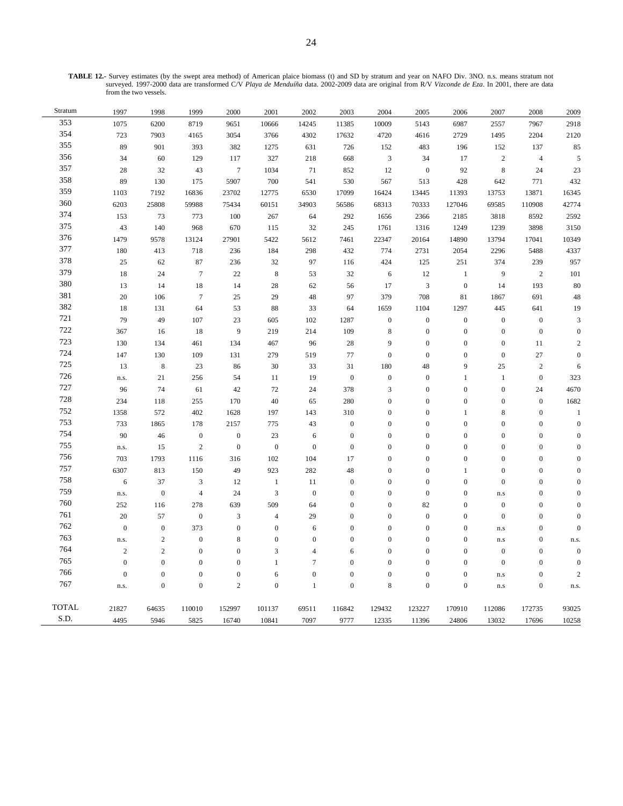**TABLE 12.-** Survey estimates (by the swept area method) of American plaice biomass (t) and SD by stratum and year on NAFO Div. 3NO. n.s. means stratum not surveyed. 1997-2000 data are transformed C/V *Playa de Menduíña* data. 2002-2009 data are original from R/V *Vizconde de Eza*. In 2001, there are data from the two vessels.

| Stratum      | 1997             | 1998             | 1999             | 2000             | 2001             | 2002             | 2003             | 2004                        | 2005             | 2006             | 2007                    | 2008             | 2009             |
|--------------|------------------|------------------|------------------|------------------|------------------|------------------|------------------|-----------------------------|------------------|------------------|-------------------------|------------------|------------------|
| 353          | 1075             | 6200             | 8719             | 9651             | 10666            | 14245            | 11385            | 10009                       | 5143             | 6987             | 2557                    | 7967             | 2918             |
| 354          | 723              | 7903             | 4165             | 3054             | 3766             | 4302             | 17632            | 4720                        | 4616             | 2729             | 1495                    | 2204             | 2120             |
| 355          | 89               | 901              | 393              | 382              | 1275             | 631              | 726              | 152                         | 483              | 196              | 152                     | 137              | 85               |
| 356          | 34               | 60               | 129              | 117              | 327              | 218              | 668              | $\ensuremath{\mathfrak{Z}}$ | 34               | 17               | $\sqrt{2}$              | $\overline{4}$   | 5                |
| 357          | 28               | 32               | 43               | $7\phantom{.0}$  | 1034             | 71               | 852              | 12                          | $\mathbf{0}$     | 92               | $\,8\,$                 | 24               | 23               |
| 358          | 89               | 130              | 175              | 5907             | 700              | 541              | 530              | 567                         | 513              | 428              | 642                     | 771              | 432              |
| 359          | 1103             | 7192             | 16836            | 23702            | 12775            | 6530             | 17099            | 16424                       | 13445            | 11393            | 13753                   | 13871            | 16345            |
| 360          | 6203             | 25808            | 59988            | 75434            | 60151            | 34903            | 56586            | 68313                       | 70333            | 127046           | 69585                   | 110908           | 42774            |
| 374          | 153              | 73               | 773              | 100              | 267              | 64               | 292              | 1656                        | 2366             | 2185             | 3818                    | 8592             | 2592             |
| 375          | 43               | 140              | 968              | 670              | 115              | 32               | 245              | 1761                        | 1316             | 1249             | 1239                    | 3898             | 3150             |
| 376          | 1479             | 9578             | 13124            | 27901            | 5422             | 5612             | 7461             | 22347                       | 20164            | 14890            | 13794                   | 17041            | 10349            |
| 377          | $180\,$          | 413              | 718              | 236              | 184              | 298              | 432              | 774                         | 2731             | 2054             | 2296                    | 5488             | 4337             |
| 378          | 25               | 62               | 87               | 236              | 32               | 97               | 116              | 424                         | 125              | 251              | 374                     | 239              | 957              |
| 379          | $18\,$           | 24               | $\overline{7}$   | 22               | $\,$ 8 $\,$      | 53               | 32               | 6                           | 12               | $\mathbf{1}$     | 9                       | $\overline{c}$   | 101              |
| 380          | 13               | 14               | 18               | 14               | 28               | 62               | 56               | 17                          | $\mathfrak z$    | $\boldsymbol{0}$ | 14                      | 193              | 80               |
| 381          | $20\,$           | 106              | $\boldsymbol{7}$ | 25               | 29               | 48               | 97               | 379                         | 708              | 81               | 1867                    | 691              | 48               |
| 382          | 18               | 131              | 64               | 53               | 88               | 33               | 64               | 1659                        | 1104             | 1297             | 445                     | 641              | 19               |
| 721          | 79               | 49               | 107              | 23               | 605              | 102              | 1287             | $\boldsymbol{0}$            | $\boldsymbol{0}$ | $\boldsymbol{0}$ | $\boldsymbol{0}$        | $\mathbf{0}$     | $\mathfrak{Z}$   |
| 722          | 367              | 16               | 18               | 9                | 219              | 214              | 109              | $\,$ 8 $\,$                 | $\boldsymbol{0}$ | $\boldsymbol{0}$ | $\boldsymbol{0}$        | $\overline{0}$   | $\mathbf{0}$     |
| 723          | 130              | 134              | 461              | 134              | 467              | 96               | 28               | 9                           | $\boldsymbol{0}$ | $\boldsymbol{0}$ | $\boldsymbol{0}$        | 11               | $\overline{2}$   |
| 724          | 147              | 130              | 109              | 131              | 279              | 519              | 77               | $\boldsymbol{0}$            | $\boldsymbol{0}$ | $\boldsymbol{0}$ | $\boldsymbol{0}$        | $27\,$           | $\boldsymbol{0}$ |
| 725          | 13               | $\,$ 8 $\,$      | 23               | 86               | 30               | 33               | 31               | 180                         | 48               | 9                | 25                      | $\sqrt{2}$       | 6                |
| 726          | n.s.             | 21               | 256              | 54               | 11               | 19               | $\mathbf{0}$     | $\boldsymbol{0}$            | $\boldsymbol{0}$ | $\mathbf{1}$     | $\mathbf{1}$            | $\boldsymbol{0}$ | 323              |
| 727          | 96               | 74               | 61               | 42               | 72               | 24               | 378              | 3                           | $\mathbf{0}$     | $\mathbf{0}$     | $\boldsymbol{0}$        | 24               | 4670             |
| 728          | 234              | 118              | 255              | 170              | 40               | 65               | 280              | $\boldsymbol{0}$            | $\boldsymbol{0}$ | $\overline{0}$   | $\boldsymbol{0}$        | $\boldsymbol{0}$ | 1682             |
| 752          | 1358             | 572              | 402              | 1628             | 197              | 143              | 310              | $\boldsymbol{0}$            | $\boldsymbol{0}$ | $\mathbf{1}$     | 8                       | $\boldsymbol{0}$ | $\overline{1}$   |
| 753          | 733              | 1865             | 178              | 2157             | 775              | 43               | $\boldsymbol{0}$ | $\boldsymbol{0}$            | $\mathbf{0}$     | $\boldsymbol{0}$ | $\boldsymbol{0}$        | $\overline{0}$   | $\overline{0}$   |
| 754          | 90               | 46               | $\mathbf{0}$     | $\boldsymbol{0}$ | 23               | 6                | $\boldsymbol{0}$ | $\boldsymbol{0}$            | $\boldsymbol{0}$ | $\boldsymbol{0}$ | $\boldsymbol{0}$        | $\boldsymbol{0}$ | $\overline{0}$   |
| 755          | n.s.             | 15               | $\sqrt{2}$       | $\boldsymbol{0}$ | $\boldsymbol{0}$ | $\boldsymbol{0}$ | $\boldsymbol{0}$ | $\boldsymbol{0}$            | $\mathbf{0}$     | $\mathbf{0}$     | $\boldsymbol{0}$        | $\overline{0}$   | $\theta$         |
| 756          | 703              | 1793             | 1116             | 316              | 102              | 104              | 17               | $\boldsymbol{0}$            | $\mathbf{0}$     | $\boldsymbol{0}$ | $\boldsymbol{0}$        | $\overline{0}$   | $\mathbf{0}$     |
| 757          | 6307             | 813              | 150              | 49               | 923              | 282              | 48               | $\boldsymbol{0}$            | $\boldsymbol{0}$ | $\mathbf{1}$     | $\boldsymbol{0}$        | $\boldsymbol{0}$ | $\Omega$         |
| 758          | $\sqrt{6}$       | 37               | 3                | 12               | $\mathbf{1}$     | 11               | $\boldsymbol{0}$ | $\boldsymbol{0}$            | $\boldsymbol{0}$ | $\boldsymbol{0}$ | $\boldsymbol{0}$        | $\boldsymbol{0}$ | $\theta$         |
| 759          | n.s.             | $\boldsymbol{0}$ | $\overline{4}$   | 24               | $\mathfrak z$    | $\boldsymbol{0}$ | $\boldsymbol{0}$ | $\boldsymbol{0}$            | $\boldsymbol{0}$ | $\boldsymbol{0}$ | ${\bf n}.{\bf s}$       | $\mathbf{0}$     | $\boldsymbol{0}$ |
| 760          | 252              | 116              | 278              | 639              | 509              | 64               | $\mathbf{0}$     | $\boldsymbol{0}$            | 82               | $\boldsymbol{0}$ | $\boldsymbol{0}$        | $\overline{0}$   | $\mathbf{0}$     |
| 761          | $20\,$           | 57               | $\boldsymbol{0}$ | $\overline{3}$   | $\overline{4}$   | 29               | $\boldsymbol{0}$ | $\boldsymbol{0}$            | $\boldsymbol{0}$ | $\boldsymbol{0}$ | $\boldsymbol{0}$        | $\boldsymbol{0}$ | $\overline{0}$   |
| 762          | $\boldsymbol{0}$ | $\boldsymbol{0}$ | 373              | $\boldsymbol{0}$ | $\boldsymbol{0}$ | 6                | $\boldsymbol{0}$ | $\boldsymbol{0}$            | $\boldsymbol{0}$ | $\boldsymbol{0}$ | $\mathbf{n}.\mathbf{s}$ | $\boldsymbol{0}$ | $\boldsymbol{0}$ |
| 763          | n.s.             | $\mathfrak{2}$   | $\mathbf{0}$     | 8                | $\mathbf{0}$     | $\mathbf{0}$     | $\overline{0}$   | $\overline{0}$              | $\overline{0}$   | $\overline{0}$   | $\mathbf{n}.\mathbf{s}$ | $\overline{0}$   | n.s.             |
| 764          | $\mathbf{2}$     | $\mathbf{2}$     | $\boldsymbol{0}$ | $\boldsymbol{0}$ | $\mathfrak{Z}$   | $\overline{4}$   | 6                | $\boldsymbol{0}$            | $\boldsymbol{0}$ | $\boldsymbol{0}$ | $\boldsymbol{0}$        | $\boldsymbol{0}$ | $\mathbf{0}$     |
| 765          | $\boldsymbol{0}$ | $\mathbf{0}$     | $\mathbf{0}$     | $\mathbf{0}$     | $\mathbf{1}$     | $\boldsymbol{7}$ | $\mathbf{0}$     | $\boldsymbol{0}$            | $\mathbf{0}$     | $\mathbf{0}$     | $\boldsymbol{0}$        | $\overline{0}$   | $\boldsymbol{0}$ |
| 766          | $\boldsymbol{0}$ | $\boldsymbol{0}$ | $\boldsymbol{0}$ | $\boldsymbol{0}$ | 6                | $\boldsymbol{0}$ | $\boldsymbol{0}$ | $\boldsymbol{0}$            | $\boldsymbol{0}$ | $\boldsymbol{0}$ | ${\bf n}.{\bf s}$       | $\boldsymbol{0}$ | $\overline{2}$   |
| 767          | n.s.             | $\boldsymbol{0}$ | $\boldsymbol{0}$ | $\overline{c}$   | $\boldsymbol{0}$ | $\mathbf{1}$     | $\boldsymbol{0}$ | 8                           | $\boldsymbol{0}$ | $\boldsymbol{0}$ | n.s                     | $\boldsymbol{0}$ | n.s.             |
| <b>TOTAL</b> | 21827            | 64635            | 110010           | 152997           | 101137           | 69511            | 116842           | 129432                      | 123227           | 170910           | 112086                  | 172735           | 93025            |
| S.D.         | 4495             | 5946             | 5825             | 16740            | 10841            | 7097             | 9777             | 12335                       | 11396            | 24806            | 13032                   | 17696            | 10258            |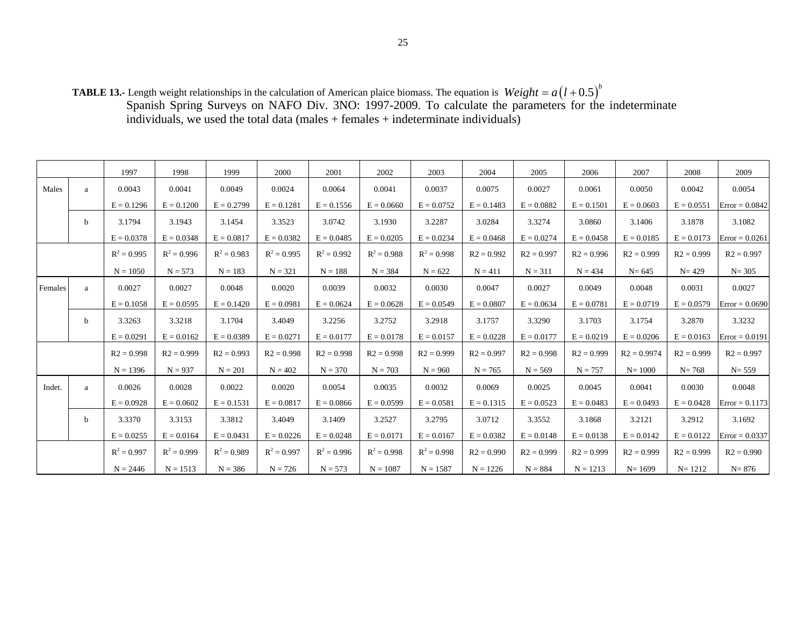**TABLE 13.-** Length weight relationships in the calculation of American plaice biomass. The equation is Spanish Spring Surveys on NAFO Div. 3NO: 1997-2009. To calculate the parameters for the indeterminate individuals, we used the total data (males + females + indeterminate individuals)  $Weight = a(l + 0.5)^{b}$ 

|         |   | 1997          | 1998          | 1999          | 2000          | 2001          | 2002          | 2003          | 2004         | 2005         | 2006         | 2007          | 2008         | 2009             |
|---------|---|---------------|---------------|---------------|---------------|---------------|---------------|---------------|--------------|--------------|--------------|---------------|--------------|------------------|
| Males   | a | 0.0043        | 0.0041        | 0.0049        | 0.0024        | 0.0064        | 0.0041        | 0.0037        | 0.0075       | 0.0027       | 0.0061       | 0.0050        | 0.0042       | 0.0054           |
|         |   | $E = 0.1296$  | $E = 0.1200$  | $E = 0.2799$  | $E = 0.1281$  | $E = 0.1556$  | $E = 0.0660$  | $E = 0.0752$  | $E = 0.1483$ | $E = 0.0882$ | $E = 0.1501$ | $E = 0.0603$  | $E = 0.0551$ | $Error = 0.0842$ |
|         | b | 3.1794        | 3.1943        | 3.1454        | 3.3523        | 3.0742        | 3.1930        | 3.2287        | 3.0284       | 3.3274       | 3.0860       | 3.1406        | 3.1878       | 3.1082           |
|         |   | $E = 0.0378$  | $E = 0.0348$  | $E = 0.0817$  | $E = 0.0382$  | $E = 0.0485$  | $E = 0.0205$  | $E = 0.0234$  | $E = 0.0468$ | $E = 0.0274$ | $E = 0.0458$ | $E = 0.0185$  | $E = 0.0173$ | $Error = 0.0261$ |
|         |   | $R^2 = 0.995$ | $R^2 = 0.996$ | $R^2 = 0.983$ | $R^2 = 0.995$ | $R^2 = 0.992$ | $R^2 = 0.988$ | $R^2 = 0.998$ | $R2 = 0.992$ | $R2 = 0.997$ | $R2 = 0.996$ | $R2 = 0.999$  | $R2 = 0.999$ | $R2 = 0.997$     |
|         |   | $N = 1050$    | $N = 573$     | $N = 183$     | $N = 321$     | $N = 188$     | $N = 384$     | $N = 622$     | $N = 411$    | $N = 311$    | $N = 434$    | $N = 645$     | $N = 429$    | $N = 305$        |
| Females | a | 0.0027        | 0.0027        | 0.0048        | 0.0020        | 0.0039        | 0.0032        | 0.0030        | 0.0047       | 0.0027       | 0.0049       | 0.0048        | 0.0031       | 0.0027           |
|         |   | $E = 0.1058$  | $E = 0.0595$  | $E = 0.1420$  | $E = 0.0981$  | $E = 0.0624$  | $E = 0.0628$  | $E = 0.0549$  | $E = 0.0807$ | $E = 0.0634$ | $E = 0.0781$ | $E = 0.0719$  | $E = 0.0579$ | $Error = 0.0690$ |
|         | b | 3.3263        | 3.3218        | 3.1704        | 3.4049        | 3.2256        | 3.2752        | 3.2918        | 3.1757       | 3.3290       | 3.1703       | 3.1754        | 3.2870       | 3.3232           |
|         |   | $E = 0.0291$  | $E = 0.0162$  | $E = 0.0389$  | $E = 0.0271$  | $E = 0.0177$  | $E = 0.0178$  | $E = 0.0157$  | $E = 0.0228$ | $E = 0.0177$ | $E = 0.0219$ | $E = 0.0206$  | $E = 0.0163$ | $Error = 0.0191$ |
|         |   | $R2 = 0.998$  | $R2 = 0.999$  | $R2 = 0.993$  | $R2 = 0.998$  | $R2 = 0.998$  | $R2 = 0.998$  | $R2 = 0.999$  | $R2 = 0.997$ | $R2 = 0.998$ | $R2 = 0.999$ | $R2 = 0.9974$ | $R2 = 0.999$ | $R2 = 0.997$     |
|         |   | $N = 1396$    | $N = 937$     | $N = 201$     | $N = 402$     | $N = 370$     | $N = 703$     | $N = 960$     | $N = 765$    | $N = 569$    | $N = 757$    | $N = 1000$    | $N = 768$    | $N = 559$        |
| Indet.  | a | 0.0026        | 0.0028        | 0.0022        | 0.0020        | 0.0054        | 0.0035        | 0.0032        | 0.0069       | 0.0025       | 0.0045       | 0.0041        | 0.0030       | 0.0048           |
|         |   | $E = 0.0928$  | $E = 0.0602$  | $E = 0.1531$  | $E = 0.0817$  | $E = 0.0866$  | $E = 0.0599$  | $E = 0.0581$  | $E = 0.1315$ | $E = 0.0523$ | $E = 0.0483$ | $E = 0.0493$  | $E = 0.0428$ | $Error = 0.1173$ |
|         | b | 3.3370        | 3.3153        | 3.3812        | 3.4049        | 3.1409        | 3.2527        | 3.2795        | 3.0712       | 3.3552       | 3.1868       | 3.2121        | 3.2912       | 3.1692           |
|         |   | $E = 0.0255$  | $E = 0.0164$  | $E = 0.0431$  | $E = 0.0226$  | $E = 0.0248$  | $E = 0.0171$  | $E = 0.0167$  | $E = 0.0382$ | $E = 0.0148$ | $E = 0.0138$ | $E = 0.0142$  | $E = 0.0122$ | $Error = 0.0337$ |
|         |   | $R^2 = 0.997$ | $R^2 = 0.999$ | $R^2 = 0.989$ | $R^2 = 0.997$ | $R^2 = 0.996$ | $R^2 = 0.998$ | $R^2 = 0.998$ | $R2 = 0.990$ | $R2 = 0.999$ | $R2 = 0.999$ | $R2 = 0.999$  | $R2 = 0.999$ | $R2 = 0.990$     |
|         |   | $N = 2446$    | $N = 1513$    | $N = 386$     | $N = 726$     | $N = 573$     | $N = 1087$    | $N = 1587$    | $N = 1226$   | $N = 884$    | $N = 1213$   | $N = 1699$    | $N = 1212$   | $N = 876$        |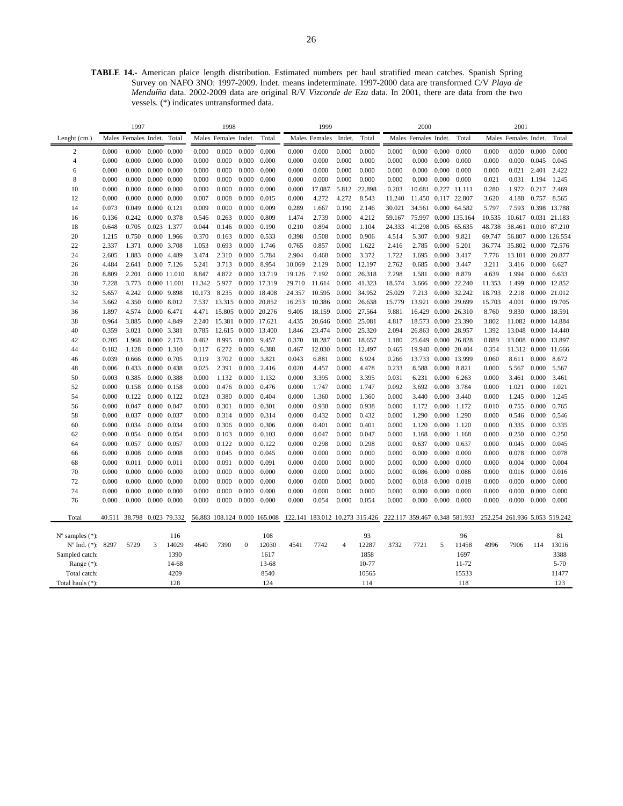**TABLE 14.-** American plaice length distribution. Estimated numbers per haul stratified mean catches. Spanish Spring Survey on NAFO 3NO: 1997-2009. Indet. means indeterminate. 1997-2000 data are transformed C/V *Playa de Menduíña* data. 2002-2009 data are original R/V *Vizconde de Eza* data. In 2001, there are data from the two vessels. (\*) indicates untransformed data.

|                          |       | 1997                       |             |                     |        | 1998                         |              |                     |        | 1999          |                |                                |        | 2000                 |       |                               |        | 2001                          |       |              |
|--------------------------|-------|----------------------------|-------------|---------------------|--------|------------------------------|--------------|---------------------|--------|---------------|----------------|--------------------------------|--------|----------------------|-------|-------------------------------|--------|-------------------------------|-------|--------------|
| Lenght (cm.)             |       | Males Females Indet.       |             | Total               |        | Males Females Indet.         |              | Total               |        | Males Females | Indet.         | Total                          |        | Males Females Indet. |       | Total                         |        | Males Females Indet.          |       | Total        |
| 2                        | 0.000 | 0.000                      |             | $0.000 \quad 0.000$ | 0.000  | 0.000                        | 0.000        | 0.000               | 0.000  | 0.000         | 0.000          | 0.000                          | 0.000  | 0.000                | 0.000 | 0.000                         | 0.000  | 0.000                         | 0.000 | 0.000        |
| $\overline{4}$           | 0.000 | 0.000                      |             | $0.000 \quad 0.000$ | 0.000  | 0.000                        | 0.000        | 0.000               | 0.000  | 0.000         | 0.000          | 0.000                          | 0.000  | 0.000                | 0.000 | 0.000                         | 0.000  | 0.000                         | 0.045 | 0.045        |
| 6                        | 0.000 | 0.000                      |             | $0.000 \quad 0.000$ | 0.000  | 0.000                        | 0.000        | 0.000               | 0.000  | 0.000         | 0.000          | 0.000                          | 0.000  | 0.000                | 0.000 | 0.000                         | 0.000  | 0.021                         | 2.401 | 2.422        |
| 8                        | 0.000 | 0.000                      |             | $0.000 \quad 0.000$ | 0.000  | 0.000                        | 0.000        | 0.000               | 0.000  | 0.000         | 0.000          | 0.000                          | 0.000  | 0.000                | 0.000 | 0.000                         | 0.021  | 0.031                         | 1.194 | 1.245        |
| 10                       | 0.000 | 0.000                      |             | $0.000 \quad 0.000$ | 0.000  | 0.000                        | 0.000        | 0.000               | 0.000  | 17.087        | 5.812          | 22.898                         | 0.203  | 10.681               |       | 0.227 11.111                  | 0.280  | 1.972                         | 0.217 | 2.469        |
| 12                       | 0.000 | 0.000                      |             | $0.000 \quad 0.000$ | 0.007  | 0.008                        | 0.000        | 0.015               | 0.000  | 4.272         | 4.272          | 8.543                          | 11.240 | 11.450 0.117 22.807  |       |                               | 3.620  | 4.188                         | 0.757 | 8.565        |
| 14                       | 0.073 | 0.049                      |             | 0.000 0.121         | 0.009  | 0.000                        | 0.000        | 0.009               | 0.289  | 1.667         | 0.190          | 2.146                          | 30.021 | 34.561 0.000 64.582  |       |                               | 5.797  | 7.593                         |       | 0.398 13.788 |
| 16                       | 0.136 | 0.242                      |             | 0.000 0.378         | 0.546  | 0.263                        | 0.000        | 0.809               | 1.474  | 2.739         | 0.000          | 4.212                          | 59.167 |                      |       | 75.997 0.000 135.164          | 10.535 | 10.617 0.031 21.183           |       |              |
| 18                       | 0.648 | 0.705                      | 0.023 1.377 |                     | 0.044  | 0.146                        | 0.000        | 0.190               | 0.210  | 0.894         | 0.000          | 1.104                          | 24.333 | 41.298               |       | 0.005 65.635                  | 48.738 | 38.461 0.010 87.210           |       |              |
| 20                       | 1.215 | 0.750                      |             | 0.000 1.966         | 0.370  | 0.163                        | 0.000        | 0.533               | 0.398  | 0.508         | 0.000          | 0.906                          | 4.514  | 5.307                | 0.000 | 9.821                         | 69.747 | 56.807 0.000 126.554          |       |              |
| 22                       | 2.337 | 1.371                      |             | 0.000 3.708         | 1.053  | 0.693                        | 0.000        | 1.746               | 0.765  | 0.857         | 0.000          | 1.622                          | 2.416  | 2.785                | 0.000 | 5.201                         | 36.774 | 35.802 0.000 72.576           |       |              |
| 24                       | 2.605 | 1.883                      |             | 0.000 4.489         | 3.474  | 2.310                        | 0.000        | 5.784               | 2.904  | 0.468         | 0.000          | 3.372                          | 1.722  | 1.695                | 0.000 | 3.417                         | 7.776  | 13.101 0.000 20.877           |       |              |
| 26                       | 4.484 | 2.641                      |             | 0.000 7.126         | 5.241  | 3.713                        | 0.000        | 8.954               | 10.069 | 2.129         | 0.000          | 12.197                         | 2.762  | 0.685                | 0.000 | 3.447                         | 3.211  | 3.416                         | 0.000 | 6.627        |
| 28                       | 8.809 | 2.201                      |             | 0.000 11.010        | 8.847  | 4.872                        | 0.000        | 13.719              | 19.126 | 7.192         | 0.000          | 26.318                         | 7.298  | 1.581                | 0.000 | 8.879                         | 4.639  | 1.994                         | 0.000 | 6.633        |
| 30                       | 7.228 | 3.773                      |             | 0.000 11.001        | 11.342 | 5.977                        | 0.000        | 17.319              | 29.710 | 11.614        | 0.000          | 41.323                         | 18.574 | 3.666                | 0.000 | 22.240                        | 11.353 | 1.499                         | 0.000 | 12.852       |
| 32                       | 5.657 | 4.242                      |             | 0.000 9.898         | 10.173 | 8.235                        |              | 0.000 18.408        | 24.357 | 10.595        | 0.000          | 34.952                         | 25.029 | 7.213                |       | 0.000 32.242                  | 18.793 | 2.218                         |       | 0.000 21.012 |
| 34                       | 3.662 | 4.350                      |             | 0.000 8.012         | 7.537  | 13.315                       | 0.000        | 20.852              | 16.253 | 10.386        | 0.000          | 26.638                         | 15.779 | 13.921               |       | 0.000 29.699                  | 15.703 | 4.001                         |       | 0.000 19.705 |
| 36                       | 1.897 | 4.574                      |             | 0.000 6.471         | 4.471  |                              |              | 15.805 0.000 20.276 | 9.405  | 18.159        | 0.000          | 27.564                         | 9.881  | 16.429               |       | 0.000 26.310                  | 8.760  | 9.830                         |       | 0.000 18.591 |
| 38                       | 0.964 | 3.885                      | 0.000       | 4.849               | 2.240  | 15.381                       | 0.000        | 17.621              | 4.435  | 20.646        | 0.000          | 25.081                         | 4.817  | 18.573               | 0.000 | 23.390                        | 3.802  | 11.082 0.000                  |       | 14.884       |
| 40                       | 0.359 | 3.021                      |             | 0.000 3.381         | 0.785  | 12.615                       | 0.000        | 13.400              | 1.846  | 23.474        | 0.000          | 25.320                         | 2.094  | 26.863               |       | 0.000 28.957                  | 1.392  | 13.048 0.000 14.440           |       |              |
| 42                       | 0.205 | 1.968                      | 0.000       | 2.173               | 0.462  | 8.995                        | 0.000        | 9.457               | 0.370  | 18.287        | 0.000          | 18.657                         | 1.180  | 25.649               | 0.000 | 26.828                        | 0.889  | 13.008 0.000                  |       | 13.897       |
| 44                       | 0.182 | 1.128                      | 0.000       | 1.310               | 0.117  | 6.272                        | 0.000        | 6.388               | 0.467  | 12.030        | 0.000          | 12.497                         | 0.465  | 19.940               | 0.000 | 20.404                        | 0.354  | 11.312 0.000 11.666           |       |              |
| 46                       | 0.039 | 0.666                      | 0.000       | 0.705               | 0.119  | 3.702                        | 0.000        | 3.821               | 0.043  | 6.881         | 0.000          | 6.924                          | 0.266  | 13.733               | 0.000 | 13.999                        | 0.060  | 8.611                         | 0.000 | 8.672        |
| 48                       | 0.006 | 0.433                      |             | 0.000 0.438         | 0.025  | 2.391                        | 0.000        | 2.416               | 0.020  | 4.457         | 0.000          | 4.478                          | 0.233  | 8.588                | 0.000 | 8.821                         | 0.000  | 5.567                         | 0.000 | 5.567        |
| 50                       | 0.003 | 0.385                      |             | 0.000 0.388         | 0.000  | 1.132                        | 0.000        | 1.132               | 0.000  | 3.395         | 0.000          | 3.395                          | 0.031  | 6.231                | 0.000 | 6.263                         | 0.000  | 3.461                         | 0.000 | 3.461        |
| 52                       | 0.000 | 0.158                      |             | $0.000 \quad 0.158$ | 0.000  | 0.476                        | 0.000        | 0.476               | 0.000  | 1.747         | 0.000          | 1.747                          | 0.092  | 3.692                | 0.000 | 3.784                         | 0.000  | 1.021                         | 0.000 | 1.021        |
| 54                       | 0.000 | 0.122                      | 0.000       | 0.122               | 0.023  | 0.380                        | 0.000        | 0.404               | 0.000  | 1.360         | 0.000          | 1.360                          | 0.000  | 3.440                | 0.000 | 3.440                         | 0.000  | 1.245                         | 0.000 | 1.245        |
| 56                       | 0.000 | 0.047                      |             | 0.000 0.047         | 0.000  | 0.301                        | 0.000        | 0.301               | 0.000  | 0.938         | 0.000          | 0.938                          | 0.000  | 1.172                | 0.000 | 1.172                         | 0.010  | 0.755                         | 0.000 | 0.765        |
| 58                       | 0.000 | 0.037                      |             | 0.000 0.037         | 0.000  | 0.314                        | 0.000        | 0.314               | 0.000  | 0.432         | 0.000          | 0.432                          | 0.000  | 1.290                | 0.000 | 1.290                         | 0.000  | 0.546                         | 0.000 | 0.546        |
| 60                       | 0.000 | 0.034                      |             | 0.000 0.034         | 0.000  | 0.306                        | 0.000        | 0.306               | 0.000  | 0.401         | 0.000          | 0.401                          | 0.000  | 1.120                | 0.000 | 1.120                         | 0.000  | 0.335                         | 0.000 | 0.335        |
| 62                       | 0.000 | 0.054                      |             | 0.000 0.054         | 0.000  | 0.103                        | 0.000        | 0.103               | 0.000  | 0.047         | 0.000          | 0.047                          | 0.000  | 1.168                | 0.000 | 1.168                         | 0.000  | 0.250                         | 0.000 | 0.250        |
| 64                       | 0.000 | 0.057                      |             | 0.000 0.057         | 0.000  | 0.122                        | 0.000        | 0.122               | 0.000  | 0.298         | 0.000          | 0.298                          | 0.000  | 0.637                | 0.000 | 0.637                         | 0.000  | 0.045                         | 0.000 | 0.045        |
| 66                       | 0.000 | 0.008                      |             | $0.000 \quad 0.008$ | 0.000  | 0.045                        | 0.000        | 0.045               | 0.000  | 0.000         | 0.000          | 0.000                          | 0.000  | 0.000                | 0.000 | 0.000                         | 0.000  | 0.078                         | 0.000 | 0.078        |
| 68                       | 0.000 | 0.011                      |             | 0.000 0.011         | 0.000  | 0.091                        | 0.000        | 0.091               | 0.000  | 0.000         | 0.000          | 0.000                          | 0.000  | 0.000                | 0.000 | 0.000                         | 0.000  | 0.004                         | 0.000 | 0.004        |
| 70                       | 0.000 | 0.000                      |             | $0.000 \quad 0.000$ | 0.000  | 0.000                        | 0.000        | 0.000               | 0.000  | 0.000         | 0.000          | 0.000                          | 0.000  | 0.086                | 0.000 | 0.086                         | 0.000  | 0.016                         | 0.000 | 0.016        |
| 72                       | 0.000 | 0.000                      |             | $0.000 \quad 0.000$ | 0.000  | 0.000                        | 0.000        | 0.000               | 0.000  | 0.000         | 0.000          | 0.000                          | 0.000  | 0.018                | 0.000 | 0.018                         | 0.000  | 0.000                         | 0.000 | 0.000        |
| 74                       | 0.000 | 0.000                      |             | $0.000 \quad 0.000$ | 0.000  | 0.000                        | 0.000        | 0.000               | 0.000  | 0.000         | 0.000          | 0.000                          | 0.000  | 0.000                | 0.000 | 0.000                         | 0.000  | 0.000                         | 0.000 | 0.000        |
| 76                       | 0.000 | 0.000                      |             | $0.000 \quad 0.000$ | 0.000  | 0.000                        | 0.000        | 0.000               | 0.000  | 0.054         | 0.000          | 0.054                          | 0.000  | 0.000                | 0.000 | 0.000                         | 0.000  | 0.000                         | 0.000 | 0.000        |
| Total                    |       | 40.511 38.798 0.023 79.332 |             |                     |        | 56.883 108.124 0.000 165.008 |              |                     |        |               |                | 122.141 183.012 10.273 315.426 |        |                      |       | 222.117 359.467 0.348 581.933 |        | 252.254 261.936 5.053 519.242 |       |              |
|                          |       |                            |             |                     |        |                              |              |                     |        |               |                |                                |        |                      |       |                               |        |                               |       |              |
| $No$ samples $(*)$ :     |       |                            |             | 116                 |        |                              |              | 108                 |        |               |                | 93                             |        |                      |       | 96                            |        |                               |       | 81           |
| $N^{\circ}$ Ind. $(*)$ : | 8297  | 5729                       | 3           | 14029               | 4640   | 7390                         | $\mathbf{0}$ | 12030               | 4541   | 7742          | $\overline{4}$ | 12287                          | 3732   | 7721                 | 5     | 11458                         | 4996   | 7906                          | 114   | 13016        |
| Sampled catch:           |       |                            |             | 1390                |        |                              |              | 1617                |        |               |                | 1858                           |        |                      |       | 1697                          |        |                               |       | 3388         |
| Range (*):               |       |                            |             | 14-68               |        |                              |              | 13-68               |        |               |                | 10-77                          |        |                      |       | 11-72                         |        |                               |       | $5 - 70$     |
| Total catch:             |       |                            |             | 4209                |        |                              |              | 8540                |        |               |                | 10565                          |        |                      |       | 15533                         |        |                               |       | 11477        |
| Total hauls (*):         |       |                            |             | 128                 |        |                              |              | 124                 |        |               |                | 114                            |        |                      |       | 118                           |        |                               |       | 123          |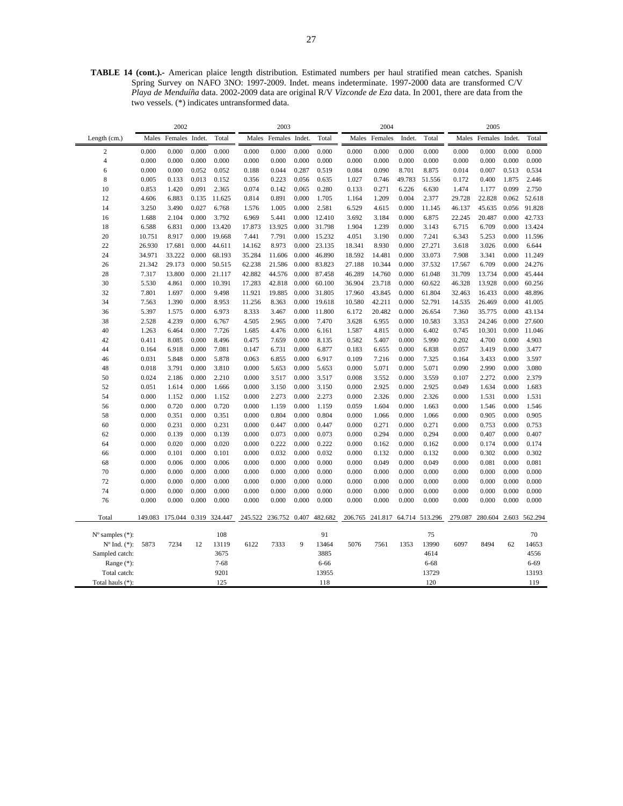**TABLE 14 (cont.).-** American plaice length distribution. Estimated numbers per haul stratified mean catches. Spanish Spring Survey on NAFO 3NO: 1997-2009. Indet. means indeterminate. 1997-2000 data are transformed C/V *Playa de Menduíña* data. 2002-2009 data are original R/V *Vizconde de Eza* data. In 2001, there are data from the two vessels. (\*) indicates untransformed data.

|                             |         | 2002                  |       |          |         | 2003          |        |         |         | 2004                   |        |          |         | 2005    |        |                       |
|-----------------------------|---------|-----------------------|-------|----------|---------|---------------|--------|---------|---------|------------------------|--------|----------|---------|---------|--------|-----------------------|
| Length (cm.)                | Males   | Females Indet.        |       | Total    | Males   | Females       | Indet. | Total   | Males   | Females                | Indet. | Total    | Males   | Females | Indet. | Total                 |
| $\overline{2}$              | 0.000   | 0.000                 | 0.000 | 0.000    | 0.000   | 0.000         | 0.000  | 0.000   | 0.000   | 0.000                  | 0.000  | 0.000    | 0.000   | 0.000   | 0.000  | 0.000                 |
| $\overline{4}$              | 0.000   | 0.000                 | 0.000 | 0.000    | 0.000   | 0.000         | 0.000  | 0.000   | 0.000   | 0.000                  | 0.000  | 0.000    | 0.000   | 0.000   | 0.000  | 0.000                 |
| 6                           | 0.000   | 0.000                 | 0.052 | 0.052    | 0.188   | 0.044         | 0.287  | 0.519   | 0.084   | 0.090                  | 8.701  | 8.875    | 0.014   | 0.007   | 0.513  | 0.534                 |
| $\,$ 8 $\,$                 | 0.005   | 0.133                 | 0.013 | 0.152    | 0.356   | 0.223         | 0.056  | 0.635   | 1.027   | 0.746                  | 49.783 | 51.556   | 0.172   | 0.400   | 1.875  | 2.446                 |
| 10                          | 0.853   | 1.420                 | 0.091 | 2.365    | 0.074   | 0.142         | 0.065  | 0.280   | 0.133   | 0.271                  | 6.226  | 6.630    | 1.474   | 1.177   | 0.099  | 2.750                 |
| 12                          | 4.606   | 6.883                 | 0.135 | 11.625   | 0.814   | 0.891         | 0.000  | 1.705   | 1.164   | 1.209                  | 0.004  | 2.377    | 29.728  | 22.828  | 0.062  | 52.618                |
| 14                          | 3.250   | 3.490                 | 0.027 | 6.768    | 1.576   | 1.005         | 0.000  | 2.581   | 6.529   | 4.615                  | 0.000  | 11.145   | 46.137  | 45.635  | 0.056  | 91.828                |
| 16                          | 1.688   | 2.104                 | 0.000 | 3.792    | 6.969   | 5.441         | 0.000  | 12.410  | 3.692   | 3.184                  | 0.000  | 6.875    | 22.245  | 20.487  | 0.000  | 42.733                |
| 18                          | 6.588   | 6.831                 | 0.000 | 13.420   | 17.873  | 13.925        | 0.000  | 31.798  | 1.904   | 1.239                  | 0.000  | 3.143    | 6.715   | 6.709   | 0.000  | 13.424                |
| 20                          | 10.751  | 8.917                 | 0.000 | 19.668   | 7.441   | 7.791         | 0.000  | 15.232  | 4.051   | 3.190                  | 0.000  | 7.241    | 6.343   | 5.253   | 0.000  | 11.596                |
| 22                          | 26.930  | 17.681                | 0.000 | 44.611   | 14.162  | 8.973         | 0.000  | 23.135  | 18.341  | 8.930                  | 0.000  | 27.271   | 3.618   | 3.026   | 0.000  | 6.644                 |
| 24                          | 34.971  | 33.222                | 0.000 | 68.193   | 35.284  | 11.606        | 0.000  | 46.890  | 18.592  | 14.481                 | 0.000  | 33.073   | 7.908   | 3.341   | 0.000  | 11.249                |
| 26                          | 21.342  | 29.173                | 0.000 | 50.515   | 62.238  | 21.586        | 0.000  | 83.823  | 27.188  | 10.344                 | 0.000  | 37.532   | 17.567  | 6.709   | 0.000  | 24.276                |
| 28                          | 7.317   | 13.800                | 0.000 | 21.117   | 42.882  | 44.576        | 0.000  | 87.458  | 46.289  | 14.760                 | 0.000  | 61.048   | 31.709  | 13.734  | 0.000  | 45.444                |
| 30                          | 5.530   | 4.861                 | 0.000 | 10.391   | 17.283  | 42.818        | 0.000  | 60.100  | 36.904  | 23.718                 | 0.000  | 60.622   | 46.328  | 13.928  | 0.000  | 60.256                |
| 32                          | 7.801   | 1.697                 | 0.000 | 9.498    | 11.921  | 19.885        | 0.000  | 31.805  | 17.960  | 43.845                 | 0.000  | 61.804   | 32.463  | 16.433  | 0.000  | 48.896                |
| 34                          | 7.563   | 1.390                 | 0.000 | 8.953    | 11.256  | 8.363         | 0.000  | 19.618  | 10.580  | 42.211                 | 0.000  | 52.791   | 14.535  | 26.469  | 0.000  | 41.005                |
| 36                          | 5.397   | 1.575                 | 0.000 | 6.973    | 8.333   | 3.467         | 0.000  | 11.800  | 6.172   | 20.482                 | 0.000  | 26.654   | 7.360   | 35.775  | 0.000  | 43.134                |
| 38                          | 2.528   | 4.239                 | 0.000 | 6.767    | 4.505   | 2.965         | 0.000  | 7.470   | 3.628   | 6.955                  | 0.000  | 10.583   | 3.353   | 24.246  | 0.000  | 27.600                |
| 40                          | 1.263   | 6.464                 | 0.000 | 7.726    | 1.685   | 4.476         | 0.000  | 6.161   | 1.587   | 4.815                  | 0.000  | 6.402    | 0.745   | 10.301  | 0.000  | 11.046                |
| 42                          | 0.411   | 8.085                 | 0.000 | 8.496    | 0.475   | 7.659         | 0.000  | 8.135   | 0.582   | 5.407                  | 0.000  | 5.990    | 0.202   | 4.700   | 0.000  | 4.903                 |
| 44                          | 0.164   | 6.918                 | 0.000 | 7.081    | 0.147   | 6.731         | 0.000  | 6.877   | 0.183   | 6.655                  | 0.000  | 6.838    | 0.057   | 3.419   | 0.000  | 3.477                 |
| 46                          | 0.031   | 5.848                 | 0.000 | 5.878    | 0.063   | 6.855         | 0.000  | 6.917   | 0.109   | 7.216                  | 0.000  | 7.325    | 0.164   | 3.433   | 0.000  | 3.597                 |
| 48                          | 0.018   | 3.791                 | 0.000 | 3.810    | 0.000   | 5.653         | 0.000  | 5.653   | 0.000   | 5.071                  | 0.000  | 5.071    | 0.090   | 2.990   | 0.000  | 3.080                 |
| 50                          | 0.024   | 2.186                 | 0.000 | 2.210    | 0.000   | 3.517         | 0.000  | 3.517   | 0.008   | 3.552                  | 0.000  | 3.559    | 0.107   | 2.272   | 0.000  | 2.379                 |
| 52                          | 0.051   | 1.614                 | 0.000 | 1.666    | 0.000   | 3.150         | 0.000  | 3.150   | 0.000   | 2.925                  | 0.000  | 2.925    | 0.049   | 1.634   | 0.000  | 1.683                 |
| 54                          | 0.000   | 1.152                 | 0.000 | 1.152    | 0.000   | 2.273         | 0.000  | 2.273   | 0.000   | 2.326                  | 0.000  | 2.326    | 0.000   | 1.531   | 0.000  | 1.531                 |
| 56                          | 0.000   | 0.720                 | 0.000 | 0.720    | 0.000   | 1.159         | 0.000  | 1.159   | 0.059   | 1.604                  | 0.000  | 1.663    | 0.000   | 1.546   | 0.000  | 1.546                 |
| 58                          | 0.000   | 0.351                 | 0.000 | 0.351    | 0.000   | 0.804         | 0.000  | 0.804   | 0.000   | 1.066                  | 0.000  | 1.066    | 0.000   | 0.905   | 0.000  | 0.905                 |
| 60                          | 0.000   | 0.231                 | 0.000 | 0.231    | 0.000   | 0.447         | 0.000  | 0.447   | 0.000   | 0.271                  | 0.000  | 0.271    | 0.000   | 0.753   | 0.000  | 0.753                 |
| 62                          | 0.000   | 0.139                 | 0.000 | 0.139    | 0.000   | 0.073         | 0.000  | 0.073   | 0.000   | 0.294                  | 0.000  | 0.294    | 0.000   | 0.407   | 0.000  | 0.407                 |
| 64                          | 0.000   | 0.020                 | 0.000 | 0.020    | 0.000   | 0.222         | 0.000  | 0.222   | 0.000   | 0.162                  | 0.000  | 0.162    | 0.000   | 0.174   | 0.000  | 0.174                 |
| 66                          | 0.000   | 0.101                 | 0.000 | 0.101    | 0.000   | 0.032         | 0.000  | 0.032   | 0.000   | 0.132                  | 0.000  | 0.132    | 0.000   | 0.302   | 0.000  | 0.302                 |
| 68                          | 0.000   | 0.006                 | 0.000 | 0.006    | 0.000   | 0.000         | 0.000  | 0.000   | 0.000   | 0.049                  | 0.000  | 0.049    | 0.000   | 0.081   | 0.000  | 0.081                 |
| 70                          | 0.000   | 0.000                 | 0.000 | 0.000    | 0.000   | 0.000         | 0.000  | 0.000   | 0.000   | 0.000                  | 0.000  | 0.000    | 0.000   | 0.000   | 0.000  | 0.000                 |
| 72                          | 0.000   | 0.000                 | 0.000 | 0.000    | 0.000   | 0.000         | 0.000  | 0.000   | 0.000   | 0.000                  | 0.000  | 0.000    | 0.000   | 0.000   | 0.000  | 0.000                 |
| 74                          | 0.000   | 0.000                 | 0.000 | 0.000    | 0.000   | 0.000         | 0.000  | 0.000   | 0.000   | 0.000                  | 0.000  | 0.000    | 0.000   | 0.000   | 0.000  | 0.000                 |
| 76                          | 0.000   | 0.000                 | 0.000 | 0.000    | 0.000   | 0.000         | 0.000  | 0.000   | 0.000   | 0.000                  | 0.000  | 0.000    | 0.000   | 0.000   | 0.000  | 0.000                 |
| Total                       | 149.083 | 175.044 0.319 324.447 |       |          | 245.522 | 236.752 0.407 |        | 482.682 | 206.765 | 241.817 64.714 513.296 |        |          | 279.087 |         |        | 280.604 2.603 562.294 |
| $N^{\circ}$ samples $(*)$ : |         |                       |       | 108      |         |               |        | 91      |         |                        |        | 75       |         |         |        | 70                    |
| $N^{\circ}$ Ind. $(*)$ :    | 5873    | 7234                  | 12    | 13119    | 6122    | 7333          | 9      | 13464   | 5076    | 7561                   | 1353   | 13990    | 6097    | 8494    | 62     | 14653                 |
| Sampled catch:              |         |                       |       | 3675     |         |               |        | 3885    |         |                        |        | 4614     |         |         |        | 4556                  |
| Range $(*)$ :               |         |                       |       | $7 - 68$ |         |               |        | 6-66    |         |                        |        | $6 - 68$ |         |         |        | 6-69                  |
| Total catch:                |         |                       |       | 9201     |         |               |        | 13955   |         |                        |        | 13729    |         |         |        | 13193                 |
| Total hauls (*):            |         |                       |       | 125      |         |               |        | 118     |         |                        |        | 120      |         |         |        | 119                   |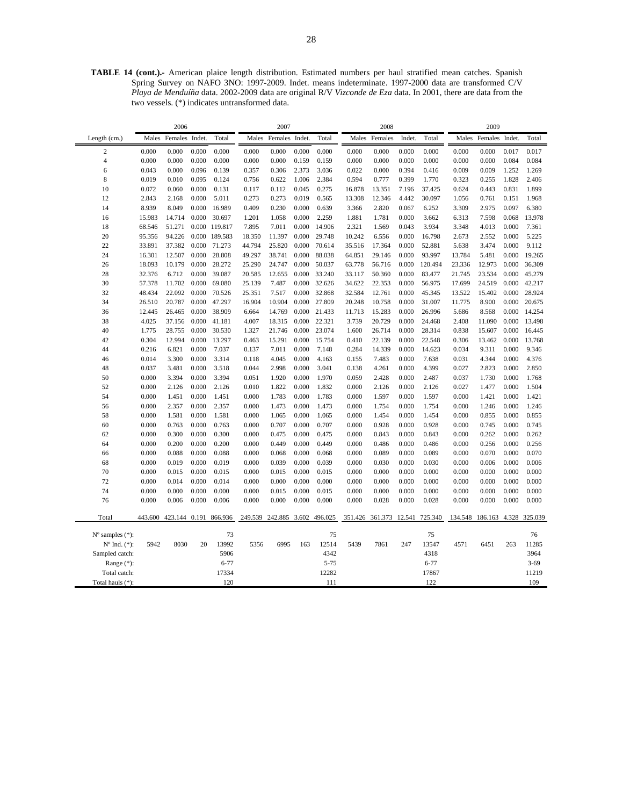**TABLE 14 (cont.).-** American plaice length distribution. Estimated numbers per haul stratified mean catches. Spanish Spring Survey on NAFO 3NO: 1997-2009. Indet. means indeterminate. 1997-2000 data are transformed C/V *Playa de Menduíña* data. 2002-2009 data are original R/V *Vizconde de Eza* data. In 2001, there are data from the two vessels. (\*) indicates untransformed data.

|                          |        | 2006                          |       |               |         | 2007                  |        |          |         | 2008                   |        |          |        | 2009                          |       |          |
|--------------------------|--------|-------------------------------|-------|---------------|---------|-----------------------|--------|----------|---------|------------------------|--------|----------|--------|-------------------------------|-------|----------|
| Length (cm.)             |        | Males Females Indet.          |       | Total         | Males   | Females               | Indet. | Total    | Males   | Females                | Indet. | Total    | Males  | Females Indet.                |       | Total    |
| $\sqrt{2}$               | 0.000  | 0.000                         | 0.000 | 0.000         | 0.000   | 0.000                 | 0.000  | 0.000    | 0.000   | 0.000                  | 0.000  | 0.000    | 0.000  | 0.000                         | 0.017 | 0.017    |
| $\overline{4}$           | 0.000  | 0.000                         | 0.000 | 0.000         | 0.000   | 0.000                 | 0.159  | 0.159    | 0.000   | 0.000                  | 0.000  | 0.000    | 0.000  | 0.000                         | 0.084 | 0.084    |
| 6                        | 0.043  | 0.000                         | 0.096 | 0.139         | 0.357   | 0.306                 | 2.373  | 3.036    | 0.022   | 0.000                  | 0.394  | 0.416    | 0.009  | 0.009                         | 1.252 | 1.269    |
| 8                        | 0.019  | 0.010                         | 0.095 | 0.124         | 0.756   | 0.622                 | 1.006  | 2.384    | 0.594   | 0.777                  | 0.399  | 1.770    | 0.323  | 0.255                         | 1.828 | 2.406    |
| 10                       | 0.072  | 0.060                         | 0.000 | 0.131         | 0.117   | 0.112                 | 0.045  | 0.275    | 16.878  | 13.351                 | 7.196  | 37.425   | 0.624  | 0.443                         | 0.831 | 1.899    |
| 12                       | 2.843  | 2.168                         | 0.000 | 5.011         | 0.273   | 0.273                 | 0.019  | 0.565    | 13.308  | 12.346                 | 4.442  | 30.097   | 1.056  | 0.761                         | 0.151 | 1.968    |
| 14                       | 8.939  | 8.049                         | 0.000 | 16.989        | 0.409   | 0.230                 | 0.000  | 0.639    | 3.366   | 2.820                  | 0.067  | 6.252    | 3.309  | 2.975                         | 0.097 | 6.380    |
| 16                       | 15.983 | 14.714                        | 0.000 | 30.697        | 1.201   | 1.058                 | 0.000  | 2.259    | 1.881   | 1.781                  | 0.000  | 3.662    | 6.313  | 7.598                         | 0.068 | 13.978   |
| 18                       | 68.546 | 51.271                        | 0.000 | 119.817       | 7.895   | 7.011                 | 0.000  | 14.906   | 2.321   | 1.569                  | 0.043  | 3.934    | 3.348  | 4.013                         | 0.000 | 7.361    |
| 20                       | 95.356 | 94.226                        |       | 0.000 189.583 | 18.350  | 11.397                | 0.000  | 29.748   | 10.242  | 6.556                  | 0.000  | 16.798   | 2.673  | 2.552                         | 0.000 | 5.225    |
| 22                       | 33.891 | 37.382                        | 0.000 | 71.273        | 44.794  | 25.820                | 0.000  | 70.614   | 35.516  | 17.364                 | 0.000  | 52.881   | 5.638  | 3.474                         | 0.000 | 9.112    |
| 24                       | 16.301 | 12.507                        | 0.000 | 28.808        | 49.297  | 38.741                | 0.000  | 88.038   | 64.851  | 29.146                 | 0.000  | 93.997   | 13.784 | 5.481                         | 0.000 | 19.265   |
| 26                       | 18.093 | 10.179                        | 0.000 | 28.272        | 25.290  | 24.747                | 0.000  | 50.037   | 63.778  | 56.716                 | 0.000  | 120.494  | 23.336 | 12.973                        | 0.000 | 36.309   |
| 28                       | 32.376 | 6.712                         | 0.000 | 39.087        | 20.585  | 12.655                | 0.000  | 33.240   | 33.117  | 50.360                 | 0.000  | 83.477   | 21.745 | 23.534                        | 0.000 | 45.279   |
| 30                       | 57.378 | 11.702                        | 0.000 | 69.080        | 25.139  | 7.487                 | 0.000  | 32.626   | 34.622  | 22.353                 | 0.000  | 56.975   | 17.699 | 24.519                        | 0.000 | 42.217   |
| 32                       | 48.434 | 22.092                        | 0.000 | 70.526        | 25.351  | 7.517                 | 0.000  | 32.868   | 32.584  | 12.761                 | 0.000  | 45.345   | 13.522 | 15.402                        | 0.000 | 28.924   |
| 34                       | 26.510 | 20.787                        | 0.000 | 47.297        | 16.904  | 10.904                | 0.000  | 27.809   | 20.248  | 10.758                 | 0.000  | 31.007   | 11.775 | 8.900                         | 0.000 | 20.675   |
| 36                       | 12.445 | 26.465                        | 0.000 | 38.909        | 6.664   | 14.769                | 0.000  | 21.433   | 11.713  | 15.283                 | 0.000  | 26.996   | 5.686  | 8.568                         | 0.000 | 14.254   |
| 38                       | 4.025  | 37.156                        | 0.000 | 41.181        | 4.007   | 18.315                | 0.000  | 22.321   | 3.739   | 20.729                 | 0.000  | 24.468   | 2.408  | 11.090                        | 0.000 | 13.498   |
| 40                       | 1.775  | 28.755                        | 0.000 | 30.530        | 1.327   | 21.746                | 0.000  | 23.074   | 1.600   | 26.714                 | 0.000  | 28.314   | 0.838  | 15.607                        | 0.000 | 16.445   |
| 42                       | 0.304  | 12.994                        | 0.000 | 13.297        | 0.463   | 15.291                | 0.000  | 15.754   | 0.410   | 22.139                 | 0.000  | 22.548   | 0.306  | 13.462                        | 0.000 | 13.768   |
| 44                       | 0.216  | 6.821                         | 0.000 | 7.037         | 0.137   | 7.011                 | 0.000  | 7.148    | 0.284   | 14.339                 | 0.000  | 14.623   | 0.034  | 9.311                         | 0.000 | 9.346    |
| 46                       | 0.014  | 3.300                         | 0.000 | 3.314         | 0.118   | 4.045                 | 0.000  | 4.163    | 0.155   | 7.483                  | 0.000  | 7.638    | 0.031  | 4.344                         | 0.000 | 4.376    |
| 48                       | 0.037  | 3.481                         | 0.000 | 3.518         | 0.044   | 2.998                 | 0.000  | 3.041    | 0.138   | 4.261                  | 0.000  | 4.399    | 0.027  | 2.823                         | 0.000 | 2.850    |
| 50                       | 0.000  | 3.394                         | 0.000 | 3.394         | 0.051   | 1.920                 | 0.000  | 1.970    | 0.059   | 2.428                  | 0.000  | 2.487    | 0.037  | 1.730                         | 0.000 | 1.768    |
| 52                       | 0.000  | 2.126                         | 0.000 | 2.126         | 0.010   | 1.822                 | 0.000  | 1.832    | 0.000   | 2.126                  | 0.000  | 2.126    | 0.027  | 1.477                         | 0.000 | 1.504    |
| 54                       | 0.000  | 1.451                         | 0.000 | 1.451         | 0.000   | 1.783                 | 0.000  | 1.783    | 0.000   | 1.597                  | 0.000  | 1.597    | 0.000  | 1.421                         | 0.000 | 1.421    |
| 56                       | 0.000  | 2.357                         | 0.000 | 2.357         | 0.000   | 1.473                 | 0.000  | 1.473    | 0.000   | 1.754                  | 0.000  | 1.754    | 0.000  | 1.246                         | 0.000 | 1.246    |
| 58                       | 0.000  | 1.581                         | 0.000 | 1.581         | 0.000   | 1.065                 | 0.000  | 1.065    | 0.000   | 1.454                  | 0.000  | 1.454    | 0.000  | 0.855                         | 0.000 | 0.855    |
| 60                       | 0.000  | 0.763                         | 0.000 | 0.763         | 0.000   | 0.707                 | 0.000  | 0.707    | 0.000   | 0.928                  | 0.000  | 0.928    | 0.000  | 0.745                         | 0.000 | 0.745    |
| 62                       | 0.000  | 0.300                         | 0.000 | 0.300         | 0.000   | 0.475                 | 0.000  | 0.475    | 0.000   | 0.843                  | 0.000  | 0.843    | 0.000  | 0.262                         | 0.000 | 0.262    |
| 64                       | 0.000  | 0.200                         | 0.000 | 0.200         | 0.000   | 0.449                 | 0.000  | 0.449    | 0.000   | 0.486                  | 0.000  | 0.486    | 0.000  | 0.256                         | 0.000 | 0.256    |
| 66                       | 0.000  | 0.088                         | 0.000 | 0.088         | 0.000   | 0.068                 | 0.000  | 0.068    | 0.000   | 0.089                  | 0.000  | 0.089    | 0.000  | 0.070                         | 0.000 | 0.070    |
| 68                       | 0.000  | 0.019                         | 0.000 | 0.019         | 0.000   | 0.039                 | 0.000  | 0.039    | 0.000   | 0.030                  | 0.000  | 0.030    | 0.000  | 0.006                         | 0.000 | 0.006    |
| 70                       | 0.000  | 0.015                         | 0.000 | 0.015         | 0.000   | 0.015                 | 0.000  | 0.015    | 0.000   | 0.000                  | 0.000  | 0.000    | 0.000  | 0.000                         | 0.000 | 0.000    |
| 72                       | 0.000  | 0.014                         | 0.000 | 0.014         | 0.000   | 0.000                 | 0.000  | 0.000    | 0.000   | 0.000                  | 0.000  | 0.000    | 0.000  | 0.000                         | 0.000 | 0.000    |
| 74                       | 0.000  | 0.000                         | 0.000 | 0.000         | 0.000   | 0.015                 | 0.000  | 0.015    | 0.000   | 0.000                  | 0.000  | 0.000    | 0.000  | 0.000                         | 0.000 | 0.000    |
| 76                       | 0.000  | 0.006                         | 0.000 | 0.006         | 0.000   | 0.000                 | 0.000  | 0.000    | 0.000   | 0.028                  | 0.000  | 0.028    | 0.000  | 0.000                         | 0.000 | 0.000    |
| Total                    |        | 443.600 423.144 0.191 866.936 |       |               | 249.539 | 242.885 3.602 496.025 |        |          | 351.426 | 361.373 12.541 725.340 |        |          |        | 134.548 186.163 4.328 325.039 |       |          |
| $No$ samples $(*)$ :     |        |                               |       | 73            |         |                       |        | 75       |         |                        |        | 75       |        |                               |       | 76       |
| $N^{\circ}$ Ind. $(*)$ : | 5942   | 8030                          | 20    | 13992         | 5356    | 6995                  | 163    | 12514    | 5439    | 7861                   | 247    | 13547    | 4571   | 6451                          | 263   | 11285    |
| Sampled catch:           |        |                               |       | 5906          |         |                       |        | 4342     |         |                        |        | 4318     |        |                               |       | 3964     |
| Range (*):               |        |                               |       | $6 - 77$      |         |                       |        | $5 - 75$ |         |                        |        | $6 - 77$ |        |                               |       | $3 - 69$ |
| Total catch:             |        |                               |       | 17334         |         |                       |        | 12282    |         |                        |        | 17867    |        |                               |       | 11219    |
| Total hauls (*):         |        |                               |       | 120           |         |                       |        | 111      |         |                        |        | 122      |        |                               |       | 109      |
|                          |        |                               |       |               |         |                       |        |          |         |                        |        |          |        |                               |       |          |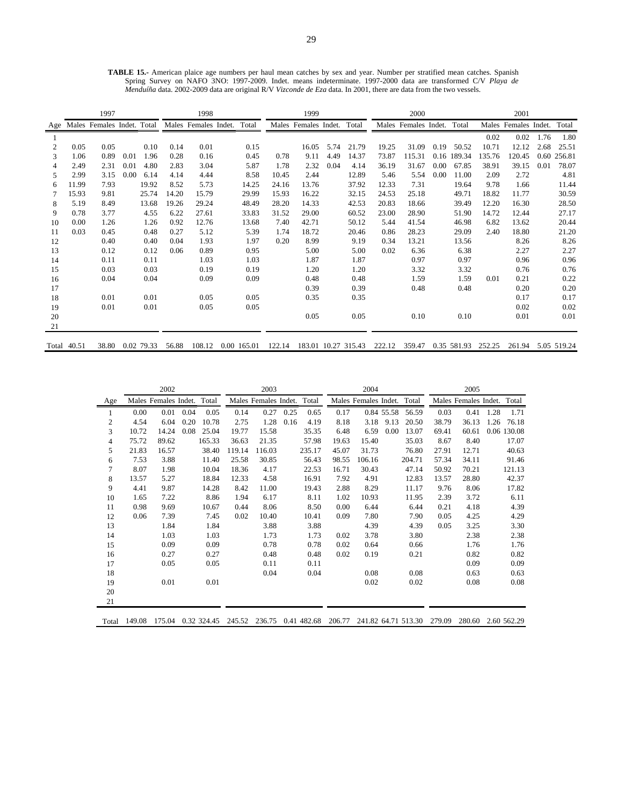**TABLE 15.-** American plaice age numbers per haul mean catches by sex and year. Number per stratified mean catches. Spanish Spring Survey on NAFO 3NO: 1997-2009. Indet. means indeterminate. 1997-2000 data are transformed C/V *Playa de Menduíña* data. 2002-2009 data are original R/V *Vizconde de Eza* data. In 2001, there are data from the two vessels.

|     |             | 1997                       |      |            |       | 1998                 |             |        | 1999                 |      |                     |        | 2000                 |      |             |        | 2001           |      |             |
|-----|-------------|----------------------------|------|------------|-------|----------------------|-------------|--------|----------------------|------|---------------------|--------|----------------------|------|-------------|--------|----------------|------|-------------|
| Age |             | Males Females Indet. Total |      |            |       | Males Females Indet. | Total       |        | Males Females Indet. |      | Total               |        | Males Females Indet. |      | Total       | Males  | Females Indet. |      | Total       |
|     |             |                            |      |            |       |                      |             |        |                      |      |                     |        |                      |      |             | 0.02   | 0.02           | 1.76 | 1.80        |
| 2   | 0.05        | 0.05                       |      | 0.10       | 0.14  | 0.01                 | 0.15        |        | 16.05                | 5.74 | 21.79               | 19.25  | 31.09                | 0.19 | 50.52       | 10.71  | 12.12          | 2.68 | 25.51       |
| 3   | 1.06        | 0.89                       | 0.01 | 1.96       | 0.28  | 0.16                 | 0.45        | 0.78   | 9.11                 | 4.49 | 14.37               | 73.87  | 115.31               | 0.16 | 189.34      | 135.76 | 120.45         | 0.60 | 256.81      |
| 4   | 2.49        | 2.31                       | 0.01 | 4.80       | 2.83  | 3.04                 | 5.87        | 1.78   | 2.32                 | 0.04 | 4.14                | 36.19  | 31.67                | 0.00 | 67.85       | 38.91  | 39.15          | 0.01 | 78.07       |
| 5   | 2.99        | 3.15                       | 0.00 | 6.14       | 4.14  | 4.44                 | 8.58        | 10.45  | 2.44                 |      | 12.89               | 5.46   | 5.54                 | 0.00 | 11.00       | 2.09   | 2.72           |      | 4.81        |
| 6   | 11.99       | 7.93                       |      | 19.92      | 8.52  | 5.73                 | 14.25       | 24.16  | 13.76                |      | 37.92               | 12.33  | 7.31                 |      | 19.64       | 9.78   | 1.66           |      | 11.44       |
| 7   | 15.93       | 9.81                       |      | 25.74      | 14.20 | 15.79                | 29.99       | 15.93  | 16.22                |      | 32.15               | 24.53  | 25.18                |      | 49.71       | 18.82  | 11.77          |      | 30.59       |
| 8   | 5.19        | 8.49                       |      | 13.68      | 19.26 | 29.24                | 48.49       | 28.20  | 14.33                |      | 42.53               | 20.83  | 18.66                |      | 39.49       | 12.20  | 16.30          |      | 28.50       |
| 9   | 0.78        | 3.77                       |      | 4.55       | 6.22  | 27.61                | 33.83       | 31.52  | 29.00                |      | 60.52               | 23.00  | 28.90                |      | 51.90       | 14.72  | 12.44          |      | 27.17       |
| 10  | 0.00        | 1.26                       |      | 1.26       | 0.92  | 12.76                | 13.68       | 7.40   | 42.71                |      | 50.12               | 5.44   | 41.54                |      | 46.98       | 6.82   | 13.62          |      | 20.44       |
| 11  | 0.03        | 0.45                       |      | 0.48       | 0.27  | 5.12                 | 5.39        | 1.74   | 18.72                |      | 20.46               | 0.86   | 28.23                |      | 29.09       | 2.40   | 18.80          |      | 21.20       |
| 12  |             | 0.40                       |      | 0.40       | 0.04  | 1.93                 | 1.97        | 0.20   | 8.99                 |      | 9.19                | 0.34   | 13.21                |      | 13.56       |        | 8.26           |      | 8.26        |
| 13  |             | 0.12                       |      | 0.12       | 0.06  | 0.89                 | 0.95        |        | 5.00                 |      | 5.00                | 0.02   | 6.36                 |      | 6.38        |        | 2.27           |      | 2.27        |
| 14  |             | 0.11                       |      | 0.11       |       | 1.03                 | 1.03        |        | 1.87                 |      | 1.87                |        | 0.97                 |      | 0.97        |        | 0.96           |      | 0.96        |
| 15  |             | 0.03                       |      | 0.03       |       | 0.19                 | 0.19        |        | 1.20                 |      | 1.20                |        | 3.32                 |      | 3.32        |        | 0.76           |      | 0.76        |
| 16  |             | 0.04                       |      | 0.04       |       | 0.09                 | 0.09        |        | 0.48                 |      | 0.48                |        | 1.59                 |      | 1.59        | 0.01   | 0.21           |      | 0.22        |
| 17  |             |                            |      |            |       |                      |             |        | 0.39                 |      | 0.39                |        | 0.48                 |      | 0.48        |        | 0.20           |      | 0.20        |
| 18  |             | 0.01                       |      | 0.01       |       | 0.05                 | 0.05        |        | 0.35                 |      | 0.35                |        |                      |      |             |        | 0.17           |      | 0.17        |
| 19  |             | 0.01                       |      | 0.01       |       | 0.05                 | 0.05        |        |                      |      |                     |        |                      |      |             |        | 0.02           |      | 0.02        |
| 20  |             |                            |      |            |       |                      |             |        | 0.05                 |      | 0.05                |        | 0.10                 |      | 0.10        |        | 0.01           |      | 0.01        |
| 21  |             |                            |      |            |       |                      |             |        |                      |      |                     |        |                      |      |             |        |                |      |             |
|     | Total 40.51 | 38.80                      |      | 0.02 79.33 | 56.88 | 108.12               | 0.00 165.01 | 122.14 |                      |      | 183.01 10.27 315.43 | 222.12 | 359.47               |      | 0.35 581.93 | 252.25 | 261.94         |      | 5.05 519.24 |

|                |        | 2002                 |      |        |                    | 2003                       |      |        |        | 2004                 |            |        |                            | 2005                       |      |             |
|----------------|--------|----------------------|------|--------|--------------------|----------------------------|------|--------|--------|----------------------|------------|--------|----------------------------|----------------------------|------|-------------|
| Age            |        | Males Females Indet. |      | Total  |                    | Males Females Indet. Total |      |        |        | Males Females Indet. |            | Total  |                            | Males Females Indet. Total |      |             |
| -1             | 0.00   | 0.01                 | 0.04 | 0.05   | 0.14               | 0.27                       | 0.25 | 0.65   | 0.17   |                      | 0.84 55.58 | 56.59  | 0.03                       | 0.41                       | 1.28 | 1.71        |
| $\overline{2}$ | 4.54   | 6.04                 | 0.20 | 10.78  | 2.75               | 1.28                       | 0.16 | 4.19   | 8.18   | 3.18                 | 9.13       | 20.50  | 38.79                      | 36.13                      | 1.26 | 76.18       |
| 3              | 10.72  | 14.24                | 0.08 | 25.04  | 19.77              | 15.58                      |      | 35.35  | 6.48   | 6.59                 | 0.00       | 13.07  | 69.41                      | 60.61                      |      | 0.06 130.08 |
| 4              | 75.72  | 89.62                |      | 165.33 | 36.63              | 21.35                      |      | 57.98  | 19.63  | 15.40                |            | 35.03  | 8.67                       | 8.40                       |      | 17.07       |
| 5              | 21.83  | 16.57                |      | 38.40  | 119.14             | 116.03                     |      | 235.17 | 45.07  | 31.73                |            | 76.80  | 27.91                      | 12.71                      |      | 40.63       |
| 6              | 7.53   | 3.88                 |      | 11.40  | 25.58              | 30.85                      |      | 56.43  | 98.55  | 106.16               |            | 204.71 | 57.34                      | 34.11                      |      | 91.46       |
| 7              | 8.07   | 1.98                 |      | 10.04  | 18.36              | 4.17                       |      | 22.53  | 16.71  | 30.43                |            | 47.14  | 50.92                      | 70.21                      |      | 121.13      |
| 8              | 13.57  | 5.27                 |      | 18.84  | 12.33              | 4.58                       |      | 16.91  | 7.92   | 4.91                 |            | 12.83  | 13.57                      | 28.80                      |      | 42.37       |
| 9              | 4.41   | 9.87                 |      | 14.28  | 8.42               | 11.00                      |      | 19.43  | 2.88   | 8.29                 |            | 11.17  | 9.76                       | 8.06                       |      | 17.82       |
| 10             | 1.65   | 7.22                 |      | 8.86   | 1.94               | 6.17                       |      | 8.11   | 1.02   | 10.93                |            | 11.95  | 2.39                       | 3.72                       |      | 6.11        |
| 11             | 0.98   | 9.69                 |      | 10.67  | 0.44               | 8.06                       |      | 8.50   | 0.00   | 6.44                 |            | 6.44   | 0.21                       | 4.18                       |      | 4.39        |
| 12             | 0.06   | 7.39                 |      | 7.45   | 0.02               | 10.40                      |      | 10.41  | 0.09   | 7.80                 |            | 7.90   | 0.05                       | 4.25                       |      | 4.29        |
| 13             |        | 1.84                 |      | 1.84   |                    | 3.88                       |      | 3.88   |        | 4.39                 |            | 4.39   | 0.05                       | 3.25                       |      | 3.30        |
| 14             |        | 1.03                 |      | 1.03   |                    | 1.73                       |      | 1.73   | 0.02   | 3.78                 |            | 3.80   |                            | 2.38                       |      | 2.38        |
| 15             |        | 0.09                 |      | 0.09   |                    | 0.78                       |      | 0.78   | 0.02   | 0.64                 |            | 0.66   |                            | 1.76                       |      | 1.76        |
| 16             |        | 0.27                 |      | 0.27   |                    | 0.48                       |      | 0.48   | 0.02   | 0.19                 |            | 0.21   |                            | 0.82                       |      | 0.82        |
| 17             |        | 0.05                 |      | 0.05   |                    | 0.11                       |      | 0.11   |        |                      |            |        |                            | 0.09                       |      | 0.09        |
| 18             |        |                      |      |        |                    | 0.04                       |      | 0.04   |        | 0.08                 |            | 0.08   |                            | 0.63                       |      | 0.63        |
| 19             |        | 0.01                 |      | 0.01   |                    |                            |      |        |        | 0.02                 |            | 0.02   |                            | 0.08                       |      | 0.08        |
| 20             |        |                      |      |        |                    |                            |      |        |        |                      |            |        |                            |                            |      |             |
| 21             |        |                      |      |        |                    |                            |      |        |        |                      |            |        |                            |                            |      |             |
| Total          | 149.08 | 175.04               |      |        | 0.32 324.45 245.52 | 236.75 0.41 482.68         |      |        | 206.77 |                      |            |        | 241.82 64.71 513.30 279.09 | 280.60 2.60 562.29         |      |             |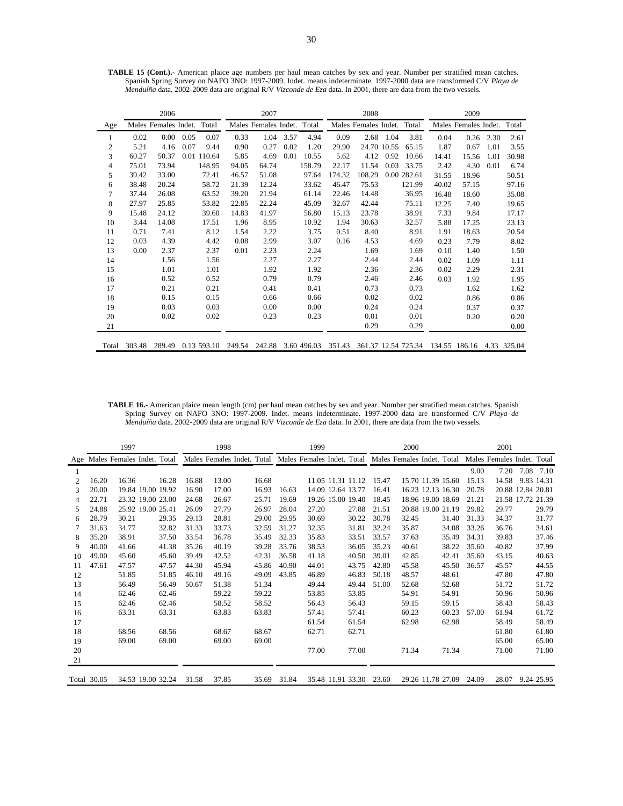|                |        | 2006                 |              |        | 2007                 |      |             |        | 2008                 |      |             |       | 2009                 |      |             |
|----------------|--------|----------------------|--------------|--------|----------------------|------|-------------|--------|----------------------|------|-------------|-------|----------------------|------|-------------|
| Age            |        | Males Females Indet. | Total        |        | Males Females Indet. |      | Total       |        | Males Females Indet. |      | Total       |       | Males Females Indet. |      | Total       |
|                | 0.02   | 0.00                 | 0.07<br>0.05 | 0.33   | 1.04                 | 3.57 | 4.94        | 0.09   | 2.68                 | 1.04 | 3.81        | 0.04  | 0.26                 | 2.30 | 2.61        |
| $\mathfrak{2}$ | 5.21   | 4.16                 | 0.07<br>9.44 | 0.90   | 0.27                 | 0.02 | 1.20        | 29.90  | 24.70 10.55          |      | 65.15       | 1.87  | 0.67                 | 1.01 | 3.55        |
| 3              | 60.27  | 50.37                | 0.01 110.64  | 5.85   | 4.69                 | 0.01 | 10.55       | 5.62   | 4.12                 | 0.92 | 10.66       | 14.41 | 15.56                | 1.01 | 30.98       |
| 4              | 75.01  | 73.94                | 148.95       | 94.05  | 64.74                |      | 158.79      | 22.17  | 11.54                | 0.03 | 33.75       | 2.42  | 4.30                 | 0.01 | 6.74        |
| 5              | 39.42  | 33.00                | 72.41        | 46.57  | 51.08                |      | 97.64       | 174.32 | 108.29               |      | 0.00 282.61 | 31.55 | 18.96                |      | 50.51       |
| 6              | 38.48  | 20.24                | 58.72        | 21.39  | 12.24                |      | 33.62       | 46.47  | 75.53                |      | 121.99      | 40.02 | 57.15                |      | 97.16       |
| 7              | 37.44  | 26.08                | 63.52        | 39.20  | 21.94                |      | 61.14       | 22.46  | 14.48                |      | 36.95       | 16.48 | 18.60                |      | 35.08       |
| 8              | 27.97  | 25.85                | 53.82        | 22.85  | 22.24                |      | 45.09       | 32.67  | 42.44                |      | 75.11       | 12.25 | 7.40                 |      | 19.65       |
| 9              | 15.48  | 24.12                | 39.60        | 14.83  | 41.97                |      | 56.80       | 15.13  | 23.78                |      | 38.91       | 7.33  | 9.84                 |      | 17.17       |
| 10             | 3.44   | 14.08                | 17.51        | 1.96   | 8.95                 |      | 10.92       | 1.94   | 30.63                |      | 32.57       | 5.88  | 17.25                |      | 23.13       |
| 11             | 0.71   | 7.41                 | 8.12         | 1.54   | 2.22                 |      | 3.75        | 0.51   | 8.40                 |      | 8.91        | 1.91  | 18.63                |      | 20.54       |
| 12             | 0.03   | 4.39                 | 4.42         | 0.08   | 2.99                 |      | 3.07        | 0.16   | 4.53                 |      | 4.69        | 0.23  | 7.79                 |      | 8.02        |
| 13             | 0.00   | 2.37                 | 2.37         | 0.01   | 2.23                 |      | 2.24        |        | 1.69                 |      | 1.69        | 0.10  | 1.40                 |      | 1.50        |
| 14             |        | 1.56                 | 1.56         |        | 2.27                 |      | 2.27        |        | 2.44                 |      | 2.44        | 0.02  | 1.09                 |      | 1.11        |
| 15             |        | 1.01                 | 1.01         |        | 1.92                 |      | 1.92        |        | 2.36                 |      | 2.36        | 0.02  | 2.29                 |      | 2.31        |
| 16             |        | 0.52                 | 0.52         |        | 0.79                 |      | 0.79        |        | 2.46                 |      | 2.46        | 0.03  | 1.92                 |      | 1.95        |
| 17             |        | 0.21                 | 0.21         |        | 0.41                 |      | 0.41        |        | 0.73                 |      | 0.73        |       | 1.62                 |      | 1.62        |
| 18             |        | 0.15                 | 0.15         |        | 0.66                 |      | 0.66        |        | 0.02                 |      | 0.02        |       | 0.86                 |      | 0.86        |
| 19             |        | 0.03                 | 0.03         |        | 0.00                 |      | 0.00        |        | 0.24                 |      | 0.24        |       | 0.37                 |      | 0.37        |
| 20             |        | 0.02                 | 0.02         |        | 0.23                 |      | 0.23        |        | 0.01                 |      | 0.01        |       | 0.20                 |      | 0.20        |
| 21             |        |                      |              |        |                      |      |             |        | 0.29                 |      | 0.29        |       |                      |      | 0.00        |
| Total          | 303.48 | 289.49               | 0.13 593.10  | 249.54 | 242.88               |      | 3.60 496.03 | 351.43 | 361.37 12.54 725.34  |      |             |       | 134.55 186.16        |      | 4.33 325.04 |

**TABLE 15 (Cont.).-** American plaice age numbers per haul mean catches by sex and year. Number per stratified mean catches. Spanish Spring Survey on NAFO 3NO: 1997-2009. Indet. means indeterminate. 1997-2000 data are transformed C/V *Playa de Menduíña* data. 2002-2009 data are original R/V *Vizconde de Eza* data. In 2001, there are data from the two vessels.

**TABLE 16.-** American plaice mean length (cm) per haul mean catches by sex and year. Number per stratified mean catches. Spanish Spring Survey on NAFO 3NO: 1997-2009. Indet. means indeterminate. 1997-2000 data are transformed C/V *Playa de Menduíña* data. 2002-2009 data are original R/V *Vizconde de Eza* data. In 2001, there are data from the two vessels.

|    |             | 1997              |       |       | 1998                                                      |       |       | 1999              |                   |       | 2000                                                  |                   |       | 2001                       |      |            |
|----|-------------|-------------------|-------|-------|-----------------------------------------------------------|-------|-------|-------------------|-------------------|-------|-------------------------------------------------------|-------------------|-------|----------------------------|------|------------|
|    |             |                   |       |       | Age Males Females Indet. Total Males Females Indet. Total |       |       |                   |                   |       | Males Females Indet. Total Males Females Indet. Total |                   |       | Males Females Indet. Total |      |            |
|    |             |                   |       |       |                                                           |       |       |                   |                   |       |                                                       |                   | 9.00  | 7.20                       | 7.08 | 7.10       |
| 2  | 16.20       | 16.36             | 16.28 | 16.88 | 13.00                                                     | 16.68 |       |                   | 11.05 11.31 11.12 | 15.47 |                                                       | 15.70 11.39 15.60 | 15.13 | 14.58                      |      | 9.83 14.31 |
| 3  | 20.00       | 19.84 19.00 19.92 |       | 16.90 | 17.00                                                     | 16.93 | 16.63 | 14.09 12.64 13.77 |                   | 16.41 |                                                       | 16.23 12.13 16.30 | 20.78 | 20.88 12.84 20.81          |      |            |
| 4  | 22.71       | 23.32 19.00 23.00 |       | 24.68 | 26.67                                                     | 25.71 | 19.69 |                   | 19.26 15.00 19.40 | 18.45 |                                                       | 18.96 19.00 18.69 | 21.21 | 21.58 17.72 21.39          |      |            |
| 5  | 24.88       | 25.92 19.00 25.41 |       | 26.09 | 27.79                                                     | 26.97 | 28.04 | 27.20             | 27.88             | 21.51 |                                                       | 20.88 19.00 21.19 | 29.82 | 29.77                      |      | 29.79      |
| 6  | 28.79       | 30.21             | 29.35 | 29.13 | 28.81                                                     | 29.00 | 29.95 | 30.69             | 30.22             | 30.78 | 32.45                                                 | 31.40             | 31.33 | 34.37                      |      | 31.77      |
| 7  | 31.63       | 34.77             | 32.82 | 31.33 | 33.73                                                     | 32.59 | 31.27 | 32.35             | 31.81             | 32.24 | 35.87                                                 | 34.08             | 33.26 | 36.76                      |      | 34.61      |
| 8  | 35.20       | 38.91             | 37.50 | 33.54 | 36.78                                                     | 35.49 | 32.33 | 35.83             | 33.51             | 33.57 | 37.63                                                 | 35.49             | 34.31 | 39.83                      |      | 37.46      |
| 9  | 40.00       | 41.66             | 41.38 | 35.26 | 40.19                                                     | 39.28 | 33.76 | 38.53             | 36.05             | 35.23 | 40.61                                                 | 38.22             | 35.60 | 40.82                      |      | 37.99      |
| 10 | 49.00       | 45.60             | 45.60 | 39.49 | 42.52                                                     | 42.31 | 36.58 | 41.18             | 40.50             | 39.01 | 42.85                                                 | 42.41             | 35.60 | 43.15                      |      | 40.63      |
| 11 | 47.61       | 47.57             | 47.57 | 44.30 | 45.94                                                     | 45.86 | 40.90 | 44.01             | 43.75             | 42.80 | 45.58                                                 | 45.50             | 36.57 | 45.57                      |      | 44.55      |
| 12 |             | 51.85             | 51.85 | 46.10 | 49.16                                                     | 49.09 | 43.85 | 46.89             | 46.83             | 50.18 | 48.57                                                 | 48.61             |       | 47.80                      |      | 47.80      |
| 13 |             | 56.49             | 56.49 | 50.67 | 51.38                                                     | 51.34 |       | 49.44             | 49.44             | 51.00 | 52.68                                                 | 52.68             |       | 51.72                      |      | 51.72      |
| 14 |             | 62.46             | 62.46 |       | 59.22                                                     | 59.22 |       | 53.85             | 53.85             |       | 54.91                                                 | 54.91             |       | 50.96                      |      | 50.96      |
| 15 |             | 62.46             | 62.46 |       | 58.52                                                     | 58.52 |       | 56.43             | 56.43             |       | 59.15                                                 | 59.15             |       | 58.43                      |      | 58.43      |
| 16 |             | 63.31             | 63.31 |       | 63.83                                                     | 63.83 |       | 57.41             | 57.41             |       | 60.23                                                 | 60.23             | 57.00 | 61.94                      |      | 61.72      |
| 17 |             |                   |       |       |                                                           |       |       | 61.54             | 61.54             |       | 62.98                                                 | 62.98             |       | 58.49                      |      | 58.49      |
| 18 |             | 68.56             | 68.56 |       | 68.67                                                     | 68.67 |       | 62.71             | 62.71             |       |                                                       |                   |       | 61.80                      |      | 61.80      |
| 19 |             | 69.00             | 69.00 |       | 69.00                                                     | 69.00 |       |                   |                   |       |                                                       |                   |       | 65.00                      |      | 65.00      |
| 20 |             |                   |       |       |                                                           |       |       | 77.00             | 77.00             |       | 71.34                                                 | 71.34             |       | 71.00                      |      | 71.00      |
| 21 |             |                   |       |       |                                                           |       |       |                   |                   |       |                                                       |                   |       |                            |      |            |
|    | Total 30.05 | 34.53 19.00 32.24 |       | 31.58 | 37.85                                                     | 35.69 | 31.84 |                   | 35.48 11.91 33.30 | 23.60 |                                                       | 29.26 11.78 27.09 | 24.09 | 28.07 9.24 25.95           |      |            |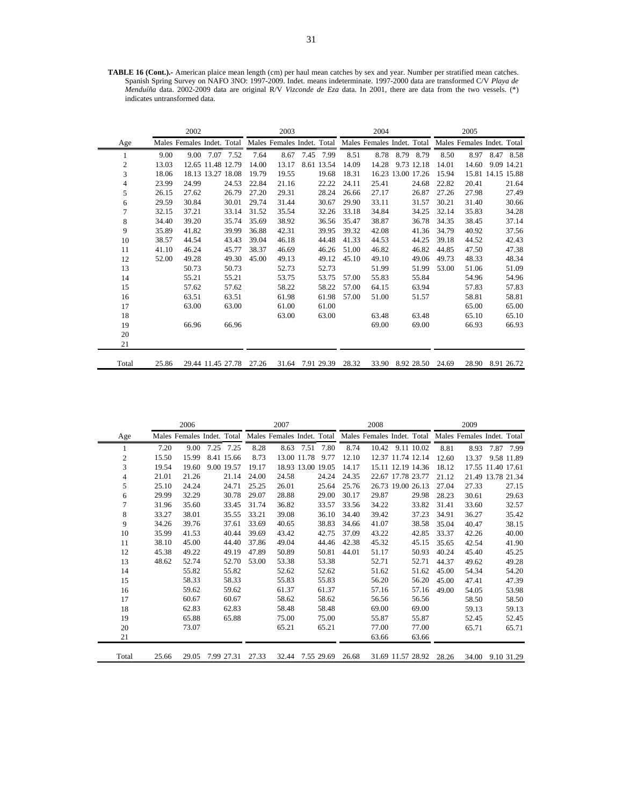**TABLE 16 (Cont.).-** American plaice mean length (cm) per haul mean catches by sex and year. Number per stratified mean catches. Spanish Spring Survey on NAFO 3NO: 1997-2009. Indet. means indeterminate. 1997-2000 data are transformed C/V *Playa de Menduíña* data. 2002-2009 data are original R/V *Vizconde de Eza* data. In 2001, there are data from the two vessels. (\*) indicates untransformed data.

|                |       | 2002  |                            |       | 2003                       |      |            |       | 2004  |                   |       | 2005                                                  |      |                   |
|----------------|-------|-------|----------------------------|-------|----------------------------|------|------------|-------|-------|-------------------|-------|-------------------------------------------------------|------|-------------------|
| Age            |       |       | Males Females Indet. Total |       | Males Females Indet. Total |      |            |       |       |                   |       | Males Females Indet. Total Males Females Indet. Total |      |                   |
| 1              | 9.00  | 9.00  | 7.52<br>7.07               | 7.64  | 8.67                       | 7.45 | 7.99       | 8.51  | 8.78  | 8.79 8.79         | 8.50  | 8.97                                                  | 8.47 | 8.58              |
| $\overline{2}$ | 13.03 |       | 12.65 11.48 12.79          | 14.00 | 13.17                      |      | 8.61 13.54 | 14.09 | 14.28 | 9.73 12.18        | 14.01 | 14.60                                                 |      | 9.09 14.21        |
| 3              | 18.06 |       | 18.13 13.27 18.08          | 19.79 | 19.55                      |      | 19.68      | 18.31 |       | 16.23 13.00 17.26 | 15.94 |                                                       |      | 15.81 14.15 15.88 |
| 4              | 23.99 | 24.99 | 24.53                      | 22.84 | 21.16                      |      | 22.22      | 24.11 | 25.41 | 24.68             | 22.82 | 20.41                                                 |      | 21.64             |
| 5              | 26.15 | 27.62 | 26.79                      | 27.20 | 29.31                      |      | 28.24      | 26.66 | 27.17 | 26.87             | 27.26 | 27.98                                                 |      | 27.49             |
| 6              | 29.59 | 30.84 | 30.01                      | 29.74 | 31.44                      |      | 30.67      | 29.90 | 33.11 | 31.57             | 30.21 | 31.40                                                 |      | 30.66             |
| 7              | 32.15 | 37.21 | 33.14                      | 31.52 | 35.54                      |      | 32.26      | 33.18 | 34.84 | 34.25             | 32.14 | 35.83                                                 |      | 34.28             |
| 8              | 34.40 | 39.20 | 35.74                      | 35.69 | 38.92                      |      | 36.56      | 35.47 | 38.87 | 36.78             | 34.35 | 38.45                                                 |      | 37.14             |
| 9              | 35.89 | 41.82 | 39.99                      | 36.88 | 42.31                      |      | 39.95      | 39.32 | 42.08 | 41.36             | 34.79 | 40.92                                                 |      | 37.56             |
| 10             | 38.57 | 44.54 | 43.43                      | 39.04 | 46.18                      |      | 44.48      | 41.33 | 44.53 | 44.25             | 39.18 | 44.52                                                 |      | 42.43             |
| 11             | 41.10 | 46.24 | 45.77                      | 38.37 | 46.69                      |      | 46.26      | 51.00 | 46.82 | 46.82             | 44.85 | 47.50                                                 |      | 47.38             |
| 12             | 52.00 | 49.28 | 49.30                      | 45.00 | 49.13                      |      | 49.12      | 45.10 | 49.10 | 49.06             | 49.73 | 48.33                                                 |      | 48.34             |
| 13             |       | 50.73 | 50.73                      |       | 52.73                      |      | 52.73      |       | 51.99 | 51.99             | 53.00 | 51.06                                                 |      | 51.09             |
| 14             |       | 55.21 | 55.21                      |       | 53.75                      |      | 53.75      | 57.00 | 55.83 | 55.84             |       | 54.96                                                 |      | 54.96             |
| 15             |       | 57.62 | 57.62                      |       | 58.22                      |      | 58.22      | 57.00 | 64.15 | 63.94             |       | 57.83                                                 |      | 57.83             |
| 16             |       | 63.51 | 63.51                      |       | 61.98                      |      | 61.98      | 57.00 | 51.00 | 51.57             |       | 58.81                                                 |      | 58.81             |
| 17             |       | 63.00 | 63.00                      |       | 61.00                      |      | 61.00      |       |       |                   |       | 65.00                                                 |      | 65.00             |
| 18             |       |       |                            |       | 63.00                      |      | 63.00      |       | 63.48 | 63.48             |       | 65.10                                                 |      | 65.10             |
| 19             |       | 66.96 | 66.96                      |       |                            |      |            |       | 69.00 | 69.00             |       | 66.93                                                 |      | 66.93             |
| 20             |       |       |                            |       |                            |      |            |       |       |                   |       |                                                       |      |                   |
| 21             |       |       |                            |       |                            |      |            |       |       |                   |       |                                                       |      |                   |
| Total          | 25.86 |       | 29.44 11.45 27.78          | 27.26 | 31.64                      |      | 7.91 29.39 | 28.32 | 33.90 | 8.92 28.50        | 24.69 | 28.90                                                 |      | 8.91 26.72        |

|       |       | 2006  |      |            |       | 2007  |                   |            |       | 2008  |                   |                   |       | 2009                                                                                                        |                   |            |
|-------|-------|-------|------|------------|-------|-------|-------------------|------------|-------|-------|-------------------|-------------------|-------|-------------------------------------------------------------------------------------------------------------|-------------------|------------|
| Age   |       |       |      |            |       |       |                   |            |       |       |                   |                   |       | Males Females Indet. Total Males Females Indet. Total Males Females Indet. Total Males Females Indet. Total |                   |            |
| 1     | 7.20  | 9.00  | 7.25 | 7.25       | 8.28  | 8.63  | 7.51              | 7.80       | 8.74  | 10.42 |                   | 9.11 10.02        | 8.81  | 8.93                                                                                                        | 7.87              | 7.99       |
| 2     | 15.50 | 15.99 |      | 8.41 15.66 | 8.73  |       | 13.00 11.78       | 9.77       | 12.10 |       |                   | 12.37 11.74 12.14 | 12.60 | 13.37                                                                                                       |                   | 9.58 11.89 |
| 3     | 19.54 | 19.60 |      | 9.00 19.57 | 19.17 |       | 18.93 13.00 19.05 |            | 14.17 |       |                   | 15.11 12.19 14.36 | 18.12 |                                                                                                             | 17.55 11.40 17.61 |            |
| 4     | 21.01 | 21.26 |      | 21.14      | 24.00 | 24.58 |                   | 24.24      | 24.35 |       | 22.67 17.78 23.77 |                   | 21.12 |                                                                                                             | 21.49 13.78 21.34 |            |
| 5     | 25.10 | 24.24 |      | 24.71      | 25.25 | 26.01 |                   | 25.64      | 25.76 |       |                   | 26.73 19.00 26.13 | 27.04 | 27.33                                                                                                       |                   | 27.15      |
| 6     | 29.99 | 32.29 |      | 30.78      | 29.07 | 28.88 |                   | 29.00      | 30.17 | 29.87 |                   | 29.98             | 28.23 | 30.61                                                                                                       |                   | 29.63      |
| 7     | 31.96 | 35.60 |      | 33.45      | 31.74 | 36.82 |                   | 33.57      | 33.56 | 34.22 |                   | 33.82             | 31.41 | 33.60                                                                                                       |                   | 32.57      |
| 8     | 33.27 | 38.01 |      | 35.55      | 33.21 | 39.08 |                   | 36.10      | 34.40 | 39.42 |                   | 37.23             | 34.91 | 36.27                                                                                                       |                   | 35.42      |
| 9     | 34.26 | 39.76 |      | 37.61      | 33.69 | 40.65 |                   | 38.83      | 34.66 | 41.07 |                   | 38.58             | 35.04 | 40.47                                                                                                       |                   | 38.15      |
| 10    | 35.99 | 41.53 |      | 40.44      | 39.69 | 43.42 |                   | 42.75      | 37.09 | 43.22 |                   | 42.85             | 33.37 | 42.26                                                                                                       |                   | 40.00      |
| 11    | 38.10 | 45.00 |      | 44.40      | 37.86 | 49.04 |                   | 44.46      | 42.38 | 45.32 |                   | 45.15             | 35.65 | 42.54                                                                                                       |                   | 41.90      |
| 12    | 45.38 | 49.22 |      | 49.19      | 47.89 | 50.89 |                   | 50.81      | 44.01 | 51.17 |                   | 50.93             | 40.24 | 45.40                                                                                                       |                   | 45.25      |
| 13    | 48.62 | 52.74 |      | 52.70      | 53.00 | 53.38 |                   | 53.38      |       | 52.71 |                   | 52.71             | 44.37 | 49.62                                                                                                       |                   | 49.28      |
| 14    |       | 55.82 |      | 55.82      |       | 52.62 |                   | 52.62      |       | 51.62 |                   | 51.62             | 45.00 | 54.34                                                                                                       |                   | 54.20      |
| 15    |       | 58.33 |      | 58.33      |       | 55.83 |                   | 55.83      |       | 56.20 |                   | 56.20             | 45.00 | 47.41                                                                                                       |                   | 47.39      |
| 16    |       | 59.62 |      | 59.62      |       | 61.37 |                   | 61.37      |       | 57.16 |                   | 57.16             | 49.00 | 54.05                                                                                                       |                   | 53.98      |
| 17    |       | 60.67 |      | 60.67      |       | 58.62 |                   | 58.62      |       | 56.56 |                   | 56.56             |       | 58.50                                                                                                       |                   | 58.50      |
| 18    |       | 62.83 |      | 62.83      |       | 58.48 |                   | 58.48      |       | 69.00 |                   | 69.00             |       | 59.13                                                                                                       |                   | 59.13      |
| 19    |       | 65.88 |      | 65.88      |       | 75.00 |                   | 75.00      |       | 55.87 |                   | 55.87             |       | 52.45                                                                                                       |                   | 52.45      |
| 20    |       | 73.07 |      |            |       | 65.21 |                   | 65.21      |       | 77.00 |                   | 77.00             |       | 65.71                                                                                                       |                   | 65.71      |
| 21    |       |       |      |            |       |       |                   |            |       | 63.66 |                   | 63.66             |       |                                                                                                             |                   |            |
| Total | 25.66 | 29.05 |      | 7.99 27.31 | 27.33 | 32.44 |                   | 7.55 29.69 | 26.68 |       |                   | 31.69 11.57 28.92 | 28.26 |                                                                                                             | 34.00 9.10 31.29  |            |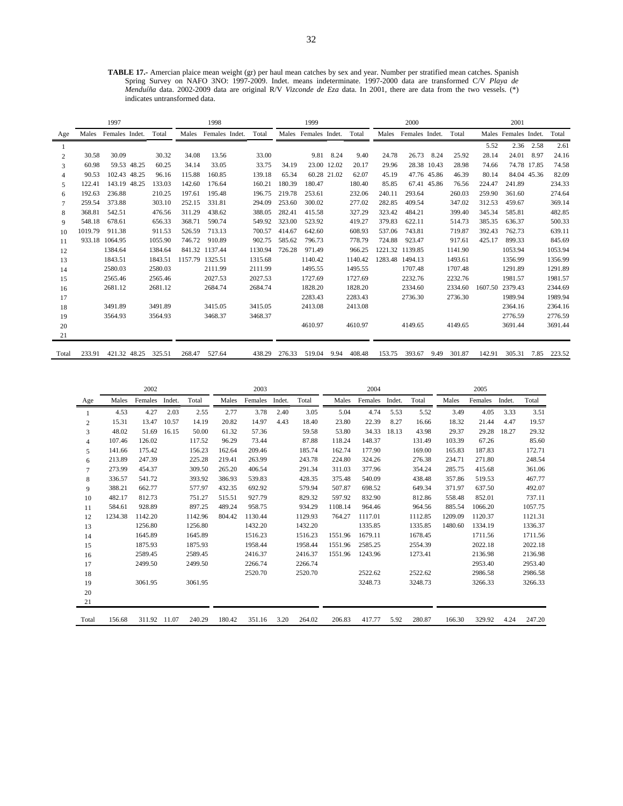**TABLE 17.-** Amercian plaice mean weight (gr) per haul mean catches by sex and year. Number per stratified mean catches. Spanish Spring Survey on NAFO 3NO: 1997-2009. Indet. means indeterminate. 1997-2000 data are transformed C/V *Playa de Menduíña* data. 2002-2009 data are original R/V *Vizconde de Eza* data. In 2001, there are data from the two vessels. (\*) indicates untransformed data.

|                |         | 1997                 |         |        | 1998            |         |        |        | 1999                 |      |         |         | 2000           |             |         |         | 2001                 |      |             |
|----------------|---------|----------------------|---------|--------|-----------------|---------|--------|--------|----------------------|------|---------|---------|----------------|-------------|---------|---------|----------------------|------|-------------|
| Age            |         | Males Females Indet. | Total   | Males  | Females Indet.  | Total   |        |        | Males Females Indet. |      | Total   | Males   | Females Indet. |             | Total   |         | Males Females Indet. |      | Total       |
|                |         |                      |         |        |                 |         |        |        |                      |      |         |         |                |             |         | 5.52    | 2.36                 | 2.58 | 2.61        |
| $\overline{c}$ | 30.58   | 30.09                | 30.32   | 34.08  | 13.56           |         | 33.00  |        | 9.81                 | 8.24 | 9.40    | 24.78   | 26.73          | 8.24        | 25.92   | 28.14   | 24.01                | 8.97 | 24.16       |
| 3              | 60.98   | 59.53 48.25          | 60.25   | 34.14  | 33.05           |         | 33.75  | 34.19  | 23.00 12.02          |      | 20.17   | 29.96   |                | 28.38 10.43 | 28.98   | 74.66   | 74.78 17.85          |      | 74.58       |
| 4              | 90.53   | 102.43 48.25         | 96.16   | 115.88 | 160.85          |         | 139.18 | 65.34  | 60.28 21.02          |      | 62.07   | 45.19   | 47.76 45.86    |             | 46.39   | 80.14   | 84.04 45.36          |      | 82.09       |
| 5              | 122.41  | 143.19 48.25         | 133.03  | 142.60 | 176.64          | 160.21  |        | 180.39 | 180.47               |      | 180.40  | 85.85   | 67.41 45.86    |             | 76.56   | 224.47  | 241.89               |      | 234.33      |
| 6              | 192.63  | 236.88               | 210.25  | 197.61 | 195.48          |         | 196.75 | 219.78 | 253.61               |      | 232.06  | 240.11  | 293.64         |             | 260.03  | 259.90  | 361.60               |      | 274.64      |
| 7              | 259.54  | 373.88               | 303.10  | 252.15 | 331.81          | 294.09  |        | 253.60 | 300.02               |      | 277.02  | 282.85  | 409.54         |             | 347.02  | 312.53  | 459.67               |      | 369.14      |
| 8              | 368.81  | 542.51               | 476.56  | 311.29 | 438.62          | 388.05  |        | 282.41 | 415.58               |      | 327.29  | 323.42  | 484.21         |             | 399.40  | 345.34  | 585.81               |      | 482.85      |
| 9              | 548.18  | 678.61               | 656.33  | 368.71 | 590.74          | 549.92  |        | 323.00 | 523.92               |      | 419.27  | 379.83  | 622.11         |             | 514.73  | 385.35  | 636.37               |      | 500.33      |
| 10             | 1019.79 | 911.38               | 911.53  | 526.59 | 713.13          | 700.57  |        | 414.67 | 642.60               |      | 608.93  | 537.06  | 743.81         |             | 719.87  | 392.43  | 762.73               |      | 639.11      |
| 11             |         | 933.18 1064.95       | 1055.90 | 746.72 | 910.89          | 902.75  |        | 585.62 | 796.73               |      | 778.79  | 724.88  | 923.47         |             | 917.61  | 425.17  | 899.33               |      | 845.69      |
| 12             |         | 1384.64              | 1384.64 |        | 841.32 1137.44  | 1130.94 |        | 726.28 | 971.49               |      | 966.25  | 1221.32 | 1139.85        |             | 1141.90 |         | 1053.94              |      | 1053.94     |
| 13             |         | 1843.51              | 1843.51 |        | 1157.79 1325.51 | 1315.68 |        |        | 1140.42              |      | 1140.42 | 1283.48 | 1494.13        |             | 1493.61 |         | 1356.99              |      | 1356.99     |
| 14             |         | 2580.03              | 2580.03 |        | 2111.99         | 2111.99 |        |        | 1495.55              |      | 1495.55 |         | 1707.48        |             | 1707.48 |         | 1291.89              |      | 1291.89     |
| 15             |         | 2565.46              | 2565.46 |        | 2027.53         | 2027.53 |        |        | 1727.69              |      | 1727.69 |         | 2232.76        |             | 2232.76 |         | 1981.57              |      | 1981.57     |
| 16             |         | 2681.12              | 2681.12 |        | 2684.74         | 2684.74 |        |        | 1828.20              |      | 1828.20 |         | 2334.60        |             | 2334.60 | 1607.50 | 2379.43              |      | 2344.69     |
| 17             |         |                      |         |        |                 |         |        |        | 2283.43              |      | 2283.43 |         | 2736.30        |             | 2736.30 |         | 1989.94              |      | 1989.94     |
| 18             |         | 3491.89              | 3491.89 |        | 3415.05         | 3415.05 |        |        | 2413.08              |      | 2413.08 |         |                |             |         |         | 2364.16              |      | 2364.16     |
| 19             |         | 3564.93              | 3564.93 |        | 3468.37         | 3468.37 |        |        |                      |      |         |         |                |             |         |         | 2776.59              |      | 2776.59     |
| 20             |         |                      |         |        |                 |         |        |        | 4610.97              |      | 4610.97 |         | 4149.65        |             | 4149.65 |         | 3691.44              |      | 3691.44     |
| 21             |         |                      |         |        |                 |         |        |        |                      |      |         |         |                |             |         |         |                      |      |             |
| Total          | 233.91  | 421.32 48.25         | 325.51  | 268.47 | 527.64          | 438.29  |        | 276.33 | 519.04               | 9.94 | 408.48  | 153.75  | 393.67         | 9.49        | 301.87  | 142.91  | 305.31               |      | 7.85 223.52 |

|                |         | 2002         |        |         | 2003   |         |        |         | 2004    |         |        |         | 2005    |         |        |         |
|----------------|---------|--------------|--------|---------|--------|---------|--------|---------|---------|---------|--------|---------|---------|---------|--------|---------|
| Age            | Males   | Females      | Indet. | Total   | Males  | Females | Indet. | Total   | Males   | Females | Indet. | Total   | Males   | Females | Indet. | Total   |
|                | 4.53    | 4.27         | 2.03   | 2.55    | 2.77   | 3.78    | 2.40   | 3.05    | 5.04    | 4.74    | 5.53   | 5.52    | 3.49    | 4.05    | 3.33   | 3.51    |
| $\overline{c}$ | 15.31   | 13.47        | 10.57  | 14.19   | 20.82  | 14.97   | 4.43   | 18.40   | 23.80   | 22.39   | 8.27   | 16.66   | 18.32   | 21.44   | 4.47   | 19.57   |
| 3              | 48.02   | 51.69        | 16.15  | 50.00   | 61.32  | 57.36   |        | 59.58   | 53.80   | 34.33   | 18.13  | 43.98   | 29.37   | 29.28   | 18.27  | 29.32   |
| $\overline{4}$ | 107.46  | 126.02       |        | 117.52  | 96.29  | 73.44   |        | 87.88   | 118.24  | 148.37  |        | 131.49  | 103.39  | 67.26   |        | 85.60   |
| 5              | 141.66  | 175.42       |        | 156.23  | 162.64 | 209.46  |        | 185.74  | 162.74  | 177.90  |        | 169.00  | 165.83  | 187.83  |        | 172.71  |
| 6              | 213.89  | 247.39       |        | 225.28  | 219.41 | 263.99  |        | 243.78  | 224.80  | 324.26  |        | 276.38  | 234.71  | 271.80  |        | 248.54  |
| $\tau$         | 273.99  | 454.37       |        | 309.50  | 265.20 | 406.54  |        | 291.34  | 311.03  | 377.96  |        | 354.24  | 285.75  | 415.68  |        | 361.06  |
| 8              | 336.57  | 541.72       |        | 393.92  | 386.93 | 539.83  |        | 428.35  | 375.48  | 540.09  |        | 438.48  | 357.86  | 519.53  |        | 467.77  |
| 9              | 388.21  | 662.77       |        | 577.97  | 432.35 | 692.92  |        | 579.94  | 507.87  | 698.52  |        | 649.34  | 371.97  | 637.50  |        | 492.07  |
| 10             | 482.17  | 812.73       |        | 751.27  | 515.51 | 927.79  |        | 829.32  | 597.92  | 832.90  |        | 812.86  | 558.48  | 852.01  |        | 737.11  |
| 11             | 584.61  | 928.89       |        | 897.25  | 489.24 | 958.75  |        | 934.29  | 1108.14 | 964.46  |        | 964.56  | 885.54  | 1066.20 |        | 1057.75 |
| 12             | 1234.38 | 1142.20      |        | 1142.96 | 804.42 | 1130.44 |        | 1129.93 | 764.27  | 1117.01 |        | 1112.85 | 1209.09 | 1120.37 |        | 1121.31 |
| 13             |         | 1256.80      |        | 1256.80 |        | 1432.20 |        | 1432.20 |         | 1335.85 |        | 1335.85 | 1480.60 | 1334.19 |        | 1336.37 |
| 14             |         | 1645.89      |        | 1645.89 |        | 1516.23 |        | 1516.23 | 1551.96 | 1679.11 |        | 1678.45 |         | 1711.56 |        | 1711.56 |
| 15             |         | 1875.93      |        | 1875.93 |        | 1958.44 |        | 1958.44 | 1551.96 | 2585.25 |        | 2554.39 |         | 2022.18 |        | 2022.18 |
| 16             |         | 2589.45      |        | 2589.45 |        | 2416.37 |        | 2416.37 | 1551.96 | 1243.96 |        | 1273.41 |         | 2136.98 |        | 2136.98 |
| 17             |         | 2499.50      |        | 2499.50 |        | 2266.74 |        | 2266.74 |         |         |        |         |         | 2953.40 |        | 2953.40 |
| 18             |         |              |        |         |        | 2520.70 |        | 2520.70 |         | 2522.62 |        | 2522.62 |         | 2986.58 |        | 2986.58 |
| 19             |         | 3061.95      |        | 3061.95 |        |         |        |         |         | 3248.73 |        | 3248.73 |         | 3266.33 |        | 3266.33 |
| 20             |         |              |        |         |        |         |        |         |         |         |        |         |         |         |        |         |
| 21             |         |              |        |         |        |         |        |         |         |         |        |         |         |         |        |         |
| Total          | 156.68  | 311.92 11.07 |        | 240.29  | 180.42 | 351.16  | 3.20   | 264.02  | 206.83  | 417.77  | 5.92   | 280.87  | 166.30  | 329.92  | 4.24   | 247.20  |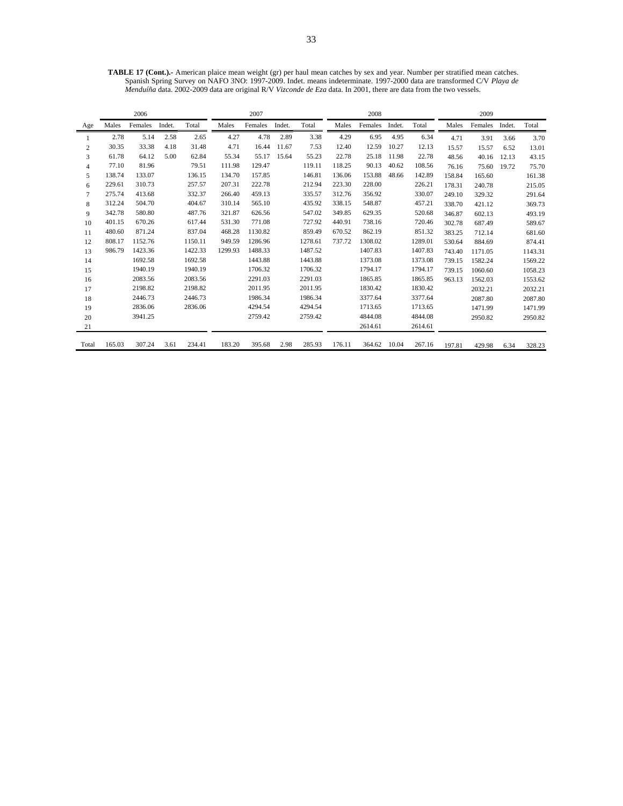**TABLE 17 (Cont.).-** American plaice mean weight (gr) per haul mean catches by sex and year. Number per stratified mean catches. Spanish Spring Survey on NAFO 3NO: 1997-2009. Indet. means indeterminate. 1997-2000 data are transformed C/V *Playa de Menduíña* data. 2002-2009 data are original R/V *Vizconde de Eza* data. In 2001, there are data from the two vessels.

|                |        | 2006    |        |         | 2007    |         |        |         | 2008   |         |        |         | 2009   |         |        |         |
|----------------|--------|---------|--------|---------|---------|---------|--------|---------|--------|---------|--------|---------|--------|---------|--------|---------|
| Age            | Males  | Females | Indet. | Total   | Males   | Females | Indet. | Total   | Males  | Females | Indet. | Total   | Males  | Females | Indet. | Total   |
|                | 2.78   | 5.14    | 2.58   | 2.65    | 4.27    | 4.78    | 2.89   | 3.38    | 4.29   | 6.95    | 4.95   | 6.34    | 4.71   | 3.91    | 3.66   | 3.70    |
| $\overline{c}$ | 30.35  | 33.38   | 4.18   | 31.48   | 4.71    | 16.44   | 11.67  | 7.53    | 12.40  | 12.59   | 10.27  | 12.13   | 15.57  | 15.57   | 6.52   | 13.01   |
| 3              | 61.78  | 64.12   | 5.00   | 62.84   | 55.34   | 55.17   | 15.64  | 55.23   | 22.78  | 25.18   | 11.98  | 22.78   | 48.56  | 40.16   | 12.13  | 43.15   |
| $\overline{4}$ | 77.10  | 81.96   |        | 79.51   | 111.98  | 129.47  |        | 119.11  | 118.25 | 90.13   | 40.62  | 108.56  | 76.16  | 75.60   | 19.72  | 75.70   |
| 5              | 138.74 | 133.07  |        | 136.15  | 134.70  | 157.85  |        | 146.81  | 136.06 | 153.88  | 48.66  | 142.89  | 158.84 | 165.60  |        | 161.38  |
| 6              | 229.61 | 310.73  |        | 257.57  | 207.31  | 222.78  |        | 212.94  | 223.30 | 228.00  |        | 226.21  | 178.31 | 240.78  |        | 215.05  |
| $\tau$         | 275.74 | 413.68  |        | 332.37  | 266.40  | 459.13  |        | 335.57  | 312.76 | 356.92  |        | 330.07  | 249.10 | 329.32  |        | 291.64  |
| 8              | 312.24 | 504.70  |        | 404.67  | 310.14  | 565.10  |        | 435.92  | 338.15 | 548.87  |        | 457.21  | 338.70 | 421.12  |        | 369.73  |
| 9              | 342.78 | 580.80  |        | 487.76  | 321.87  | 626.56  |        | 547.02  | 349.85 | 629.35  |        | 520.68  | 346.87 | 602.13  |        | 493.19  |
| 10             | 401.15 | 670.26  |        | 617.44  | 531.30  | 771.08  |        | 727.92  | 440.91 | 738.16  |        | 720.46  | 302.78 | 687.49  |        | 589.67  |
| 11             | 480.60 | 871.24  |        | 837.04  | 468.28  | 1130.82 |        | 859.49  | 670.52 | 862.19  |        | 851.32  | 383.25 | 712.14  |        | 681.60  |
| 12             | 808.17 | 1152.76 |        | 1150.11 | 949.59  | 1286.96 |        | 1278.61 | 737.72 | 1308.02 |        | 1289.01 | 530.64 | 884.69  |        | 874.41  |
| 13             | 986.79 | 1423.36 |        | 1422.33 | 1299.93 | 1488.33 |        | 1487.52 |        | 1407.83 |        | 1407.83 | 743.40 | 1171.05 |        | 1143.31 |
| 14             |        | 1692.58 |        | 1692.58 |         | 1443.88 |        | 1443.88 |        | 1373.08 |        | 1373.08 | 739.15 | 1582.24 |        | 1569.22 |
| 15             |        | 1940.19 |        | 1940.19 |         | 1706.32 |        | 1706.32 |        | 1794.17 |        | 1794.17 | 739.15 | 1060.60 |        | 1058.23 |
| 16             |        | 2083.56 |        | 2083.56 |         | 2291.03 |        | 2291.03 |        | 1865.85 |        | 1865.85 | 963.13 | 1562.03 |        | 1553.62 |
| 17             |        | 2198.82 |        | 2198.82 |         | 2011.95 |        | 2011.95 |        | 1830.42 |        | 1830.42 |        | 2032.21 |        | 2032.21 |
| 18             |        | 2446.73 |        | 2446.73 |         | 1986.34 |        | 1986.34 |        | 3377.64 |        | 3377.64 |        | 2087.80 |        | 2087.80 |
| 19             |        | 2836.06 |        | 2836.06 |         | 4294.54 |        | 4294.54 |        | 1713.65 |        | 1713.65 |        | 1471.99 |        | 1471.99 |
| 20             |        | 3941.25 |        |         |         | 2759.42 |        | 2759.42 |        | 4844.08 |        | 4844.08 |        | 2950.82 |        | 2950.82 |
| 21             |        |         |        |         |         |         |        |         |        | 2614.61 |        | 2614.61 |        |         |        |         |
| Total          | 165.03 | 307.24  | 3.61   | 234.41  | 183.20  | 395.68  | 2.98   | 285.93  | 176.11 | 364.62  | 10.04  | 267.16  | 197.81 | 429.98  | 6.34   | 328.23  |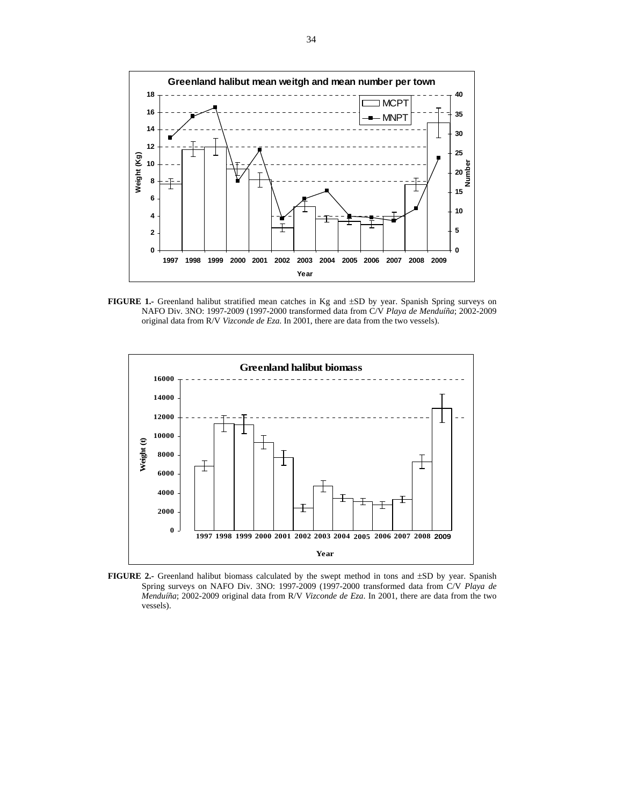

**FIGURE 1.-** Greenland halibut stratified mean catches in Kg and ±SD by year. Spanish Spring surveys on NAFO Div. 3NO: 1997-2009 (1997-2000 transformed data from C/V *Playa de Menduíña*; 2002-2009 original data from R/V *Vizconde de Eza*. In 2001, there are data from the two vessels).



FIGURE 2.- Greenland halibut biomass calculated by the swept method in tons and  $\pm SD$  by year. Spanish Spring surveys on NAFO Div. 3NO: 1997-2009 (1997-2000 transformed data from C/V *Playa de Menduíña*; 2002-2009 original data from R/V *Vizconde de Eza*. In 2001, there are data from the two vessels).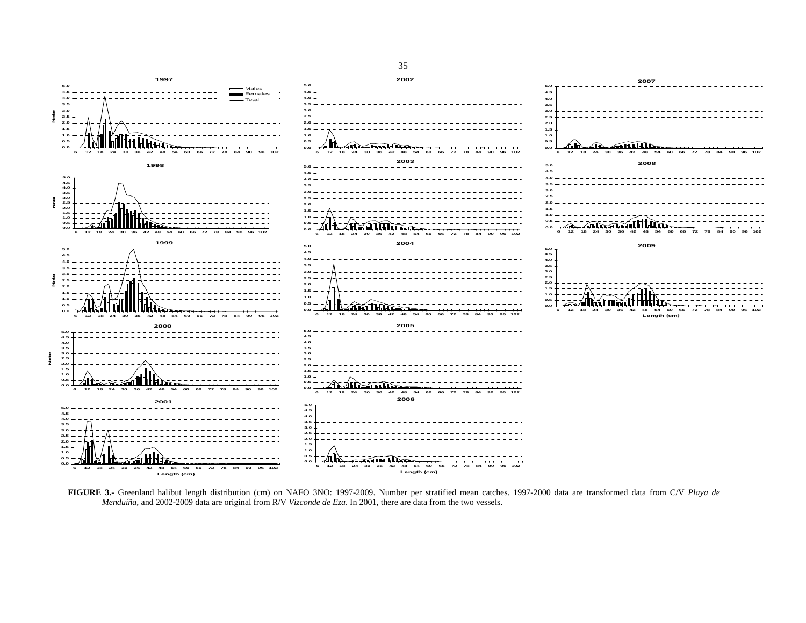

**FIGURE 3.-** Greenland halibut length distribution (cm) on NAFO 3NO: 1997-2009. Number per stratified mean catches. 1997-2000 data are transformed data from C/V *Playa de Menduíña*, and 2002-2009 data are original from R/V *Vizconde de Eza*. In 2001, there are data from the two vessels.

#### 35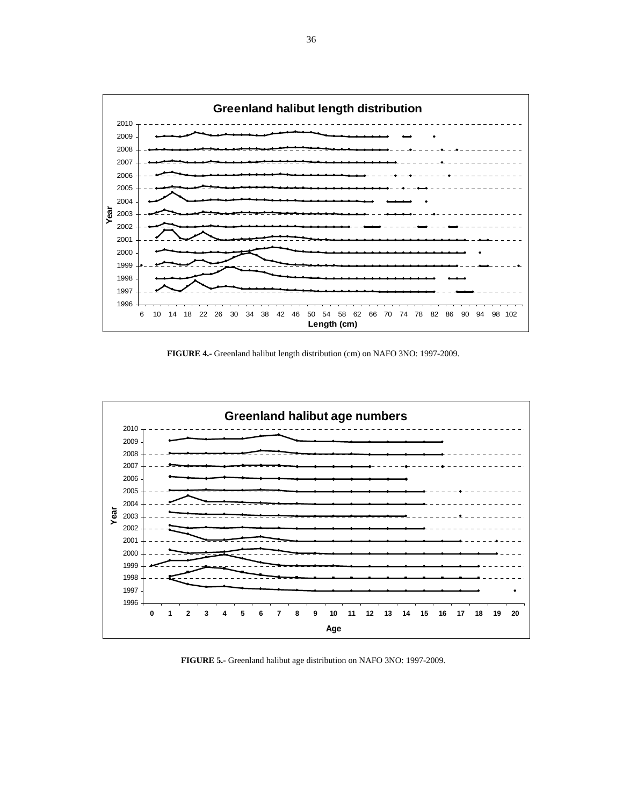

**FIGURE 4.-** Greenland halibut length distribution (cm) on NAFO 3NO: 1997-2009.



**FIGURE 5.-** Greenland halibut age distribution on NAFO 3NO: 1997-2009.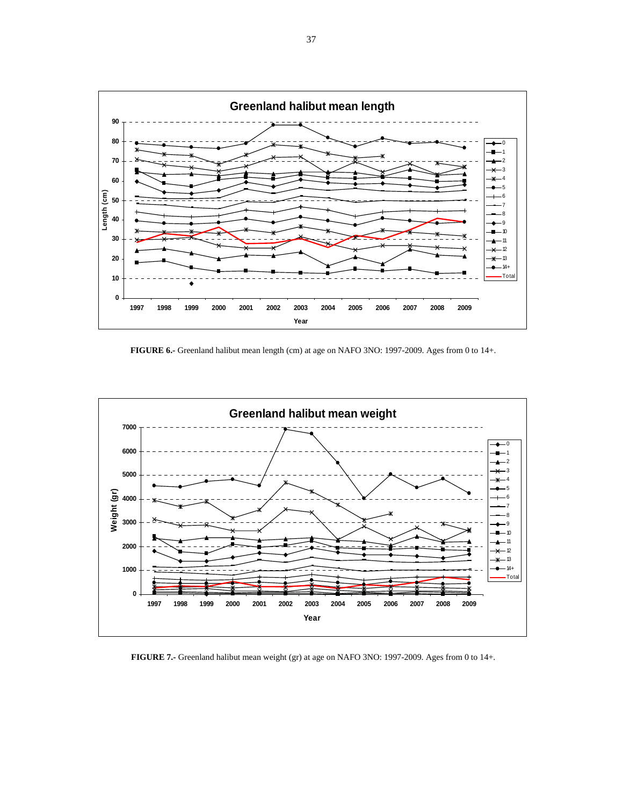

**FIGURE 6.-** Greenland halibut mean length (cm) at age on NAFO 3NO: 1997-2009. Ages from 0 to 14+.



**FIGURE 7.-** Greenland halibut mean weight (gr) at age on NAFO 3NO: 1997-2009. Ages from 0 to 14+.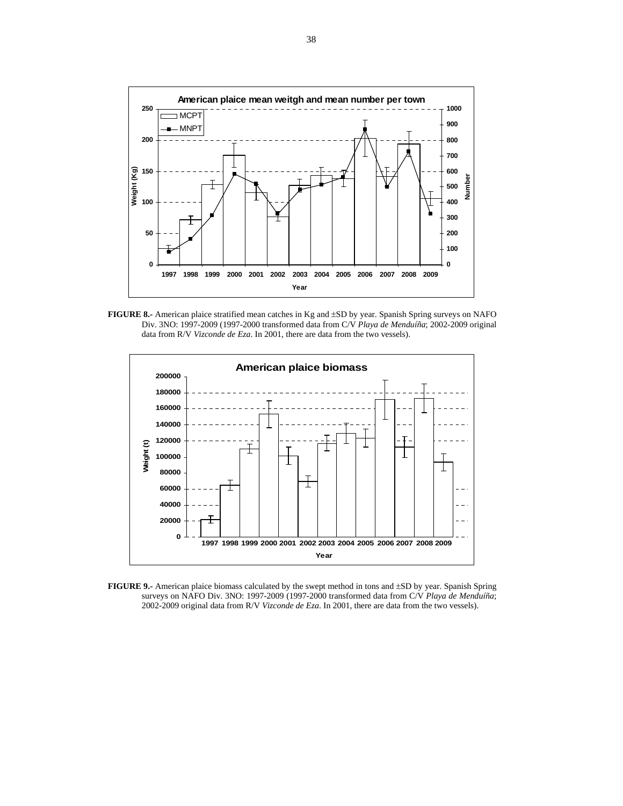

**FIGURE 8.-** American plaice stratified mean catches in Kg and ±SD by year. Spanish Spring surveys on NAFO Div. 3NO: 1997-2009 (1997-2000 transformed data from C/V *Playa de Menduíña*; 2002-2009 original data from R/V *Vizconde de Eza*. In 2001, there are data from the two vessels).



**FIGURE 9.-** American plaice biomass calculated by the swept method in tons and ±SD by year. Spanish Spring surveys on NAFO Div. 3NO: 1997-2009 (1997-2000 transformed data from C/V *Playa de Menduíña*; 2002-2009 original data from R/V *Vizconde de Eza*. In 2001, there are data from the two vessels).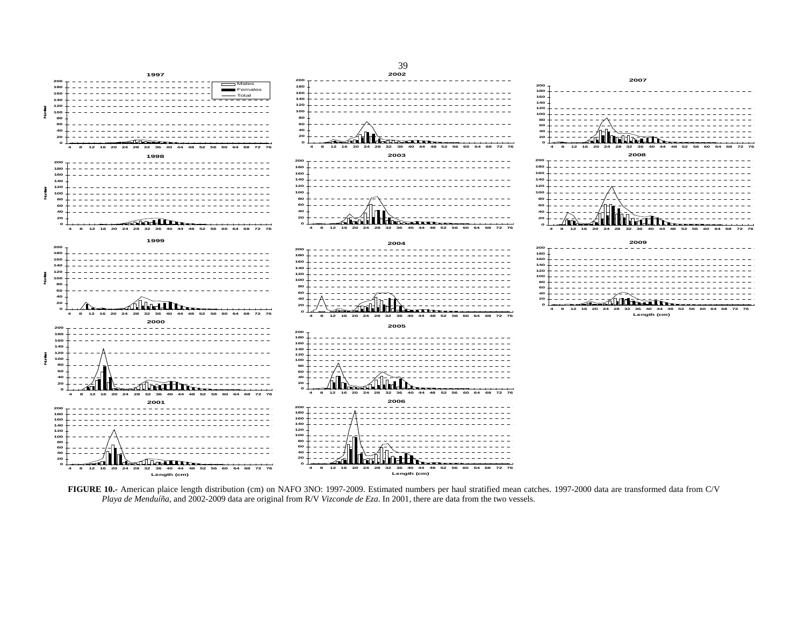

**FIGURE 10.-** American plaice length distribution (cm) on NAFO 3NO: 1997-2009. Estimated numbers per haul stratified mean catches. 1997-2000 data are transformed data from C/V *Playa de Menduíña*, and 2002-2009 data are original from R/V *Vizconde de Eza*. In 2001, there are data from the two vessels.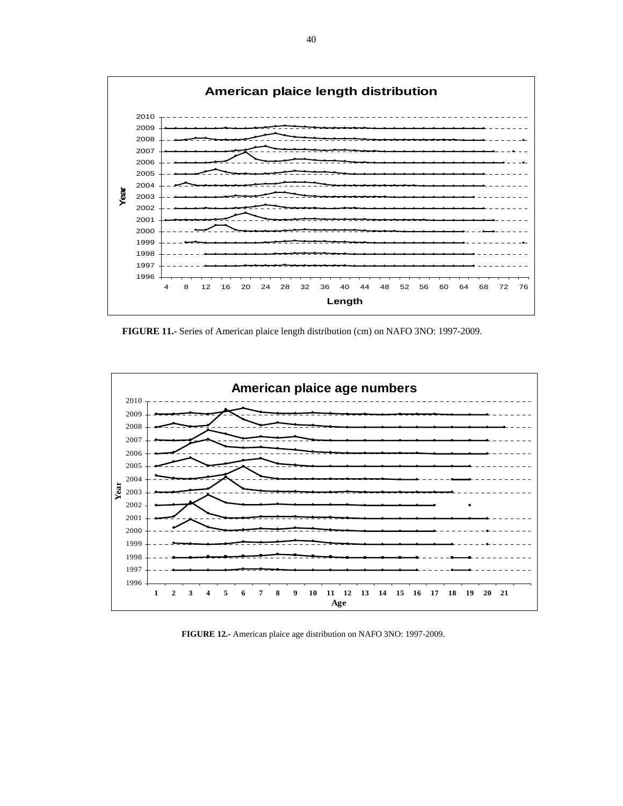

**FIGURE 11.-** Series of American plaice length distribution (cm) on NAFO 3NO: 1997-2009.



**FIGURE 12.-** American plaice age distribution on NAFO 3NO: 1997-2009.